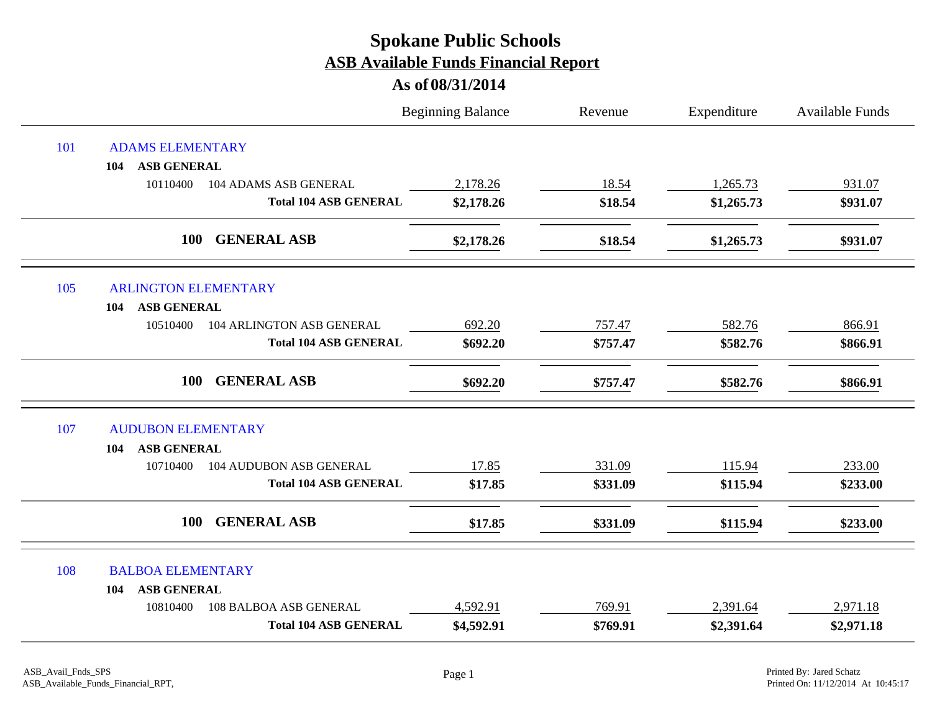|     |                                            | <b>Beginning Balance</b> | Revenue  | Expenditure | Available Funds |
|-----|--------------------------------------------|--------------------------|----------|-------------|-----------------|
| 101 | <b>ADAMS ELEMENTARY</b>                    |                          |          |             |                 |
|     | <b>ASB GENERAL</b><br>104                  |                          |          |             |                 |
|     | 10110400<br>104 ADAMS ASB GENERAL          | 2,178.26                 | 18.54    | 1,265.73    | 931.07          |
|     | <b>Total 104 ASB GENERAL</b>               | \$2,178.26               | \$18.54  | \$1,265.73  | \$931.07        |
|     | <b>GENERAL ASB</b><br><b>100</b>           | \$2,178.26               | \$18.54  | \$1,265.73  | \$931.07        |
| 105 | <b>ARLINGTON ELEMENTARY</b>                |                          |          |             |                 |
|     | <b>ASB GENERAL</b><br>104                  |                          |          |             |                 |
|     | 10510400<br>104 ARLINGTON ASB GENERAL      | 692.20                   | 757.47   | 582.76      | 866.91          |
|     | <b>Total 104 ASB GENERAL</b>               | \$692.20                 | \$757.47 | \$582.76    | \$866.91        |
|     | <b>GENERAL ASB</b><br><b>100</b>           | \$692.20                 | \$757.47 | \$582.76    | \$866.91        |
| 107 | <b>AUDUBON ELEMENTARY</b>                  |                          |          |             |                 |
|     | <b>ASB GENERAL</b><br>104                  |                          |          |             |                 |
|     | <b>104 AUDUBON ASB GENERAL</b><br>10710400 | 17.85                    | 331.09   | 115.94      | 233.00          |
|     | <b>Total 104 ASB GENERAL</b>               | \$17.85                  | \$331.09 | \$115.94    | \$233.00        |
|     | <b>GENERAL ASB</b><br>100                  | \$17.85                  | \$331.09 | \$115.94    | \$233.00        |
| 108 | <b>BALBOA ELEMENTARY</b>                   |                          |          |             |                 |
|     | <b>ASB GENERAL</b><br>104                  |                          |          |             |                 |
|     | 10810400<br>108 BALBOA ASB GENERAL         | 4,592.91                 | 769.91   | 2,391.64    | 2,971.18        |
|     | <b>Total 104 ASB GENERAL</b>               | \$4,592.91               | \$769.91 | \$2,391.64  | \$2,971.18      |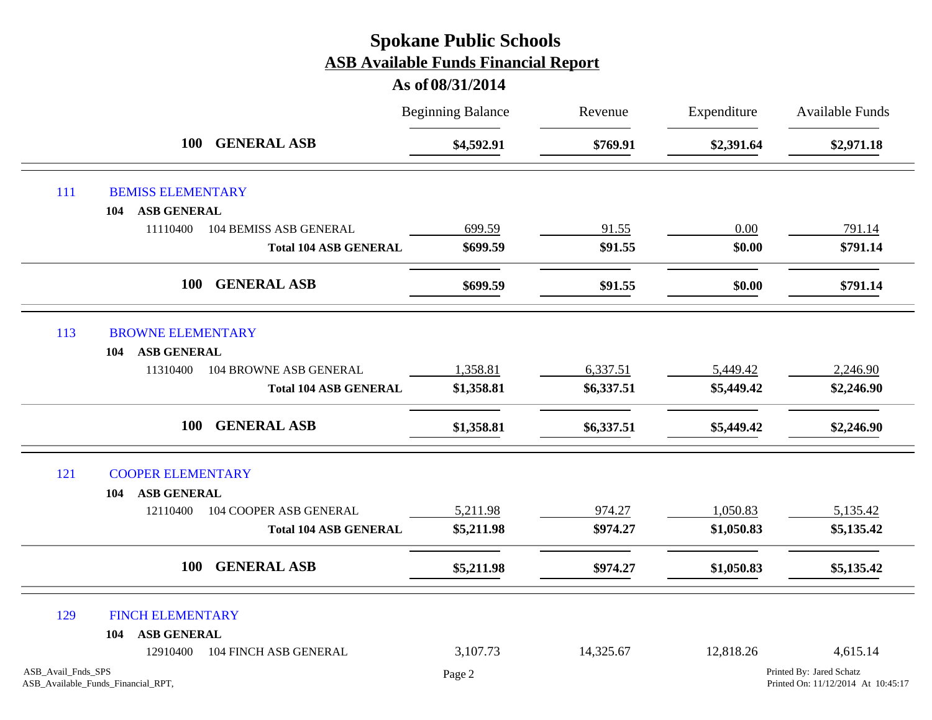|                    |                                    |                               | <b>Beginning Balance</b> | Revenue    | Expenditure | <b>Available Funds</b>                                         |
|--------------------|------------------------------------|-------------------------------|--------------------------|------------|-------------|----------------------------------------------------------------|
|                    | <b>100</b>                         | <b>GENERAL ASB</b>            | \$4,592.91               | \$769.91   | \$2,391.64  | \$2,971.18                                                     |
| 111                | <b>BEMISS ELEMENTARY</b>           |                               |                          |            |             |                                                                |
|                    | <b>ASB GENERAL</b><br>104          |                               |                          |            |             |                                                                |
|                    | 11110400                           | <b>104 BEMISS ASB GENERAL</b> | 699.59                   | 91.55      | 0.00        | 791.14                                                         |
|                    |                                    | <b>Total 104 ASB GENERAL</b>  | \$699.59                 | \$91.55    | \$0.00      | \$791.14                                                       |
|                    | <b>100</b>                         | <b>GENERAL ASB</b>            | \$699.59                 | \$91.55    | \$0.00      | \$791.14                                                       |
| 113                | <b>BROWNE ELEMENTARY</b>           |                               |                          |            |             |                                                                |
|                    | <b>ASB GENERAL</b><br>104          |                               |                          |            |             |                                                                |
|                    | 11310400                           | 104 BROWNE ASB GENERAL        | 1,358.81                 | 6,337.51   | 5,449.42    | 2,246.90                                                       |
|                    |                                    | <b>Total 104 ASB GENERAL</b>  | \$1,358.81               | \$6,337.51 | \$5,449.42  | \$2,246.90                                                     |
|                    | <b>100</b>                         | <b>GENERAL ASB</b>            | \$1,358.81               | \$6,337.51 | \$5,449.42  | \$2,246.90                                                     |
| 121                | <b>COOPER ELEMENTARY</b>           |                               |                          |            |             |                                                                |
|                    | <b>ASB GENERAL</b><br>104          |                               |                          |            |             |                                                                |
|                    | 12110400                           | 104 COOPER ASB GENERAL        | 5,211.98                 | 974.27     | 1,050.83    | 5,135.42                                                       |
|                    |                                    | <b>Total 104 ASB GENERAL</b>  | \$5,211.98               | \$974.27   | \$1,050.83  | \$5,135.42                                                     |
|                    | <b>100</b>                         | <b>GENERAL ASB</b>            | \$5,211.98               | \$974.27   | \$1,050.83  | \$5,135.42                                                     |
| 129                | <b>FINCH ELEMENTARY</b>            |                               |                          |            |             |                                                                |
|                    | <b>ASB GENERAL</b><br>104          |                               |                          |            |             |                                                                |
|                    | 12910400                           | 104 FINCH ASB GENERAL         | 3,107.73                 | 14,325.67  | 12,818.26   | 4,615.14                                                       |
| ASB_Avail_Fnds_SPS | ASB_Available_Funds_Financial_RPT, |                               | Page 2                   |            |             | Printed By: Jared Schatz<br>Printed On: 11/12/2014 At 10:45:17 |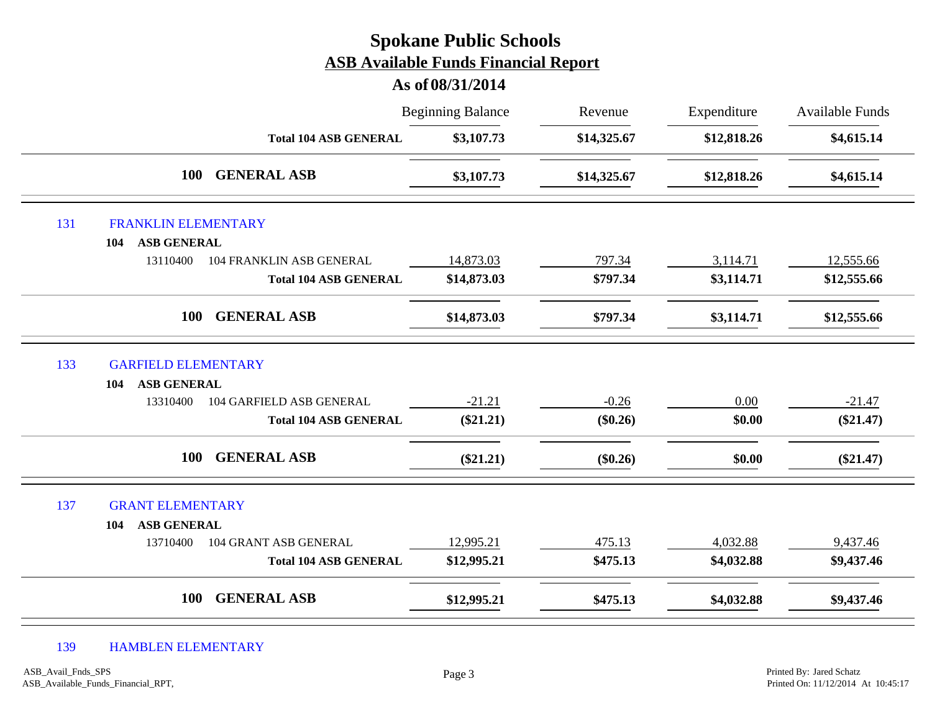|     |                                             | <b>Spokane Public Schools</b><br><b>ASB Available Funds Financial Report</b><br>As of 08/31/2014 |             |             |                        |
|-----|---------------------------------------------|--------------------------------------------------------------------------------------------------|-------------|-------------|------------------------|
|     |                                             | <b>Beginning Balance</b>                                                                         | Revenue     | Expenditure | <b>Available Funds</b> |
|     | <b>Total 104 ASB GENERAL</b>                | \$3,107.73                                                                                       | \$14,325.67 | \$12,818.26 | \$4,615.14             |
|     | <b>GENERAL ASB</b><br><b>100</b>            | \$3,107.73                                                                                       | \$14,325.67 | \$12,818.26 | \$4,615.14             |
| 131 | <b>FRANKLIN ELEMENTARY</b>                  |                                                                                                  |             |             |                        |
|     | <b>ASB GENERAL</b><br>104                   |                                                                                                  |             |             |                        |
|     | 13110400<br>104 FRANKLIN ASB GENERAL        | 14,873.03                                                                                        | 797.34      | 3,114.71    | 12,555.66              |
|     | <b>Total 104 ASB GENERAL</b>                | \$14,873.03                                                                                      | \$797.34    | \$3,114.71  | \$12,555.66            |
|     | <b>GENERAL ASB</b><br>100                   | \$14,873.03                                                                                      | \$797.34    | \$3,114.71  | \$12,555.66            |
| 133 | <b>GARFIELD ELEMENTARY</b>                  |                                                                                                  |             |             |                        |
|     | <b>ASB GENERAL</b><br>104                   |                                                                                                  |             |             |                        |
|     | <b>104 GARFIELD ASB GENERAL</b><br>13310400 | $-21.21$                                                                                         | $-0.26$     | 0.00        | $-21.47$               |
|     | <b>Total 104 ASB GENERAL</b>                | $(\$21.21)$                                                                                      | $(\$0.26)$  | \$0.00      | $(\$21.47)$            |
|     | <b>GENERAL ASB</b><br>100                   | $(\$21.21)$                                                                                      | $(\$0.26)$  | \$0.00      | $(\$21.47)$            |
| 137 | <b>GRANT ELEMENTARY</b>                     |                                                                                                  |             |             |                        |
|     | <b>ASB GENERAL</b><br>104                   |                                                                                                  |             |             |                        |
|     | 104 GRANT ASB GENERAL<br>13710400           | 12,995.21                                                                                        | 475.13      | 4,032.88    | 9,437.46               |
|     | <b>Total 104 ASB GENERAL</b>                | \$12,995.21                                                                                      | \$475.13    | \$4,032.88  | \$9,437.46             |
|     | <b>GENERAL ASB</b><br>100                   | \$12,995.21                                                                                      | \$475.13    | \$4,032.88  | \$9,437.46             |

#### 139 HAMBLEN ELEMENTARY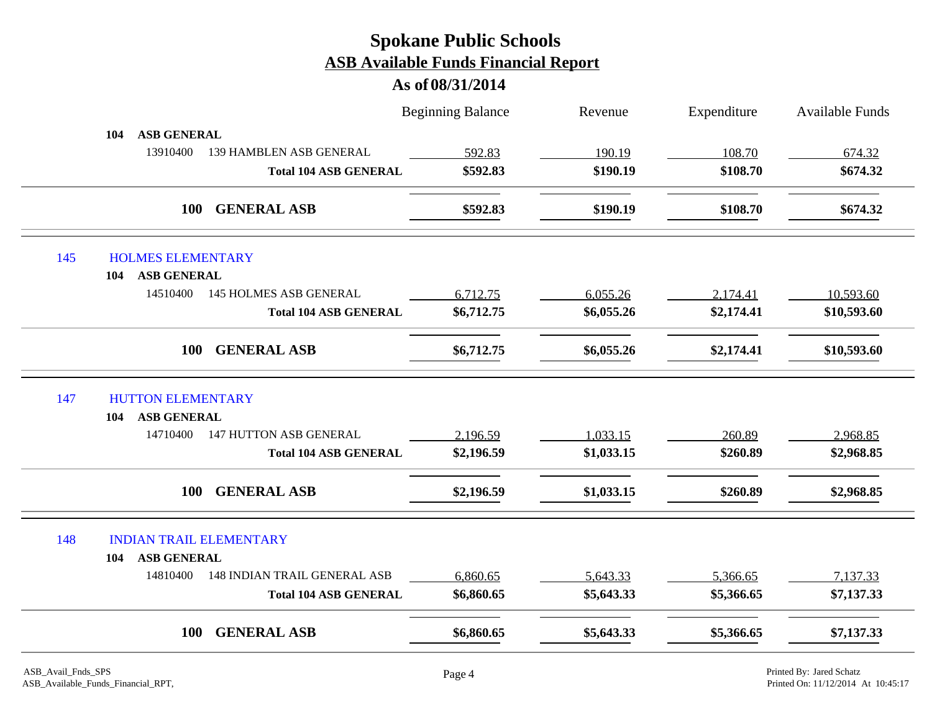|     |                                                 | <b>Beginning Balance</b> | Revenue    | Expenditure | <b>Available Funds</b> |
|-----|-------------------------------------------------|--------------------------|------------|-------------|------------------------|
|     | <b>ASB GENERAL</b><br>104                       |                          |            |             |                        |
|     | 13910400<br><b>139 HAMBLEN ASB GENERAL</b>      | 592.83                   | 190.19     | 108.70      | 674.32                 |
|     | <b>Total 104 ASB GENERAL</b>                    | \$592.83                 | \$190.19   | \$108.70    | \$674.32               |
|     | <b>GENERAL ASB</b><br><b>100</b>                | \$592.83                 | \$190.19   | \$108.70    | \$674.32               |
| 145 | <b>HOLMES ELEMENTARY</b>                        |                          |            |             |                        |
|     | <b>ASB GENERAL</b><br>104                       |                          |            |             |                        |
|     | 14510400<br><b>145 HOLMES ASB GENERAL</b>       | 6,712.75                 | 6,055.26   | 2,174.41    | 10,593.60              |
|     | <b>Total 104 ASB GENERAL</b>                    | \$6,712.75               | \$6,055.26 | \$2,174.41  | \$10,593.60            |
|     | <b>GENERAL ASB</b><br><b>100</b>                | \$6,712.75               | \$6,055.26 | \$2,174.41  | \$10,593.60            |
| 147 | <b>HUTTON ELEMENTARY</b>                        |                          |            |             |                        |
|     | <b>ASB GENERAL</b><br>104                       |                          |            |             |                        |
|     | <b>147 HUTTON ASB GENERAL</b><br>14710400       | 2,196.59                 | 1,033.15   | 260.89      | 2,968.85               |
|     | <b>Total 104 ASB GENERAL</b>                    | \$2,196.59               | \$1,033.15 | \$260.89    | \$2,968.85             |
|     | <b>GENERAL ASB</b><br>100                       | \$2,196.59               | \$1,033.15 | \$260.89    | \$2,968.85             |
| 148 | <b>INDIAN TRAIL ELEMENTARY</b>                  |                          |            |             |                        |
|     | <b>ASB GENERAL</b><br>104                       |                          |            |             |                        |
|     | 14810400<br><b>148 INDIAN TRAIL GENERAL ASB</b> | 6,860.65                 | 5,643.33   | 5,366.65    | 7,137.33               |
|     | <b>Total 104 ASB GENERAL</b>                    | \$6,860.65               | \$5,643.33 | \$5,366.65  | \$7,137.33             |
|     |                                                 |                          |            |             |                        |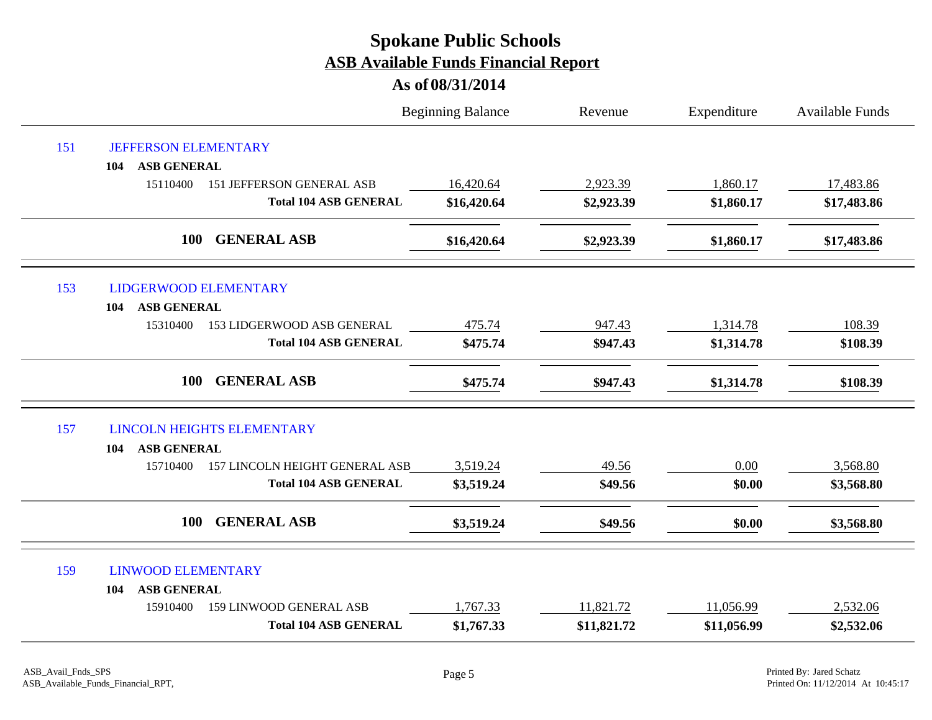|     |                                              | <b>Beginning Balance</b> | Revenue     | Expenditure | <b>Available Funds</b> |  |
|-----|----------------------------------------------|--------------------------|-------------|-------------|------------------------|--|
| 151 | <b>JEFFERSON ELEMENTARY</b>                  |                          |             |             |                        |  |
|     | <b>ASB GENERAL</b><br>104                    |                          |             |             |                        |  |
|     | 15110400<br><b>151 JEFFERSON GENERAL ASB</b> | 16,420.64                | 2,923.39    | 1,860.17    | 17,483.86              |  |
|     | <b>Total 104 ASB GENERAL</b>                 | \$16,420.64              | \$2,923.39  | \$1,860.17  | \$17,483.86            |  |
|     | 100<br><b>GENERAL ASB</b>                    | \$16,420.64              | \$2,923.39  | \$1,860.17  | \$17,483.86            |  |
| 153 | <b>LIDGERWOOD ELEMENTARY</b>                 |                          |             |             |                        |  |
|     | <b>ASB GENERAL</b><br>104                    |                          |             |             |                        |  |
|     | 15310400<br>153 LIDGERWOOD ASB GENERAL       | 475.74                   | 947.43      | 1,314.78    | 108.39                 |  |
|     | <b>Total 104 ASB GENERAL</b>                 | \$475.74                 | \$947.43    | \$1,314.78  | \$108.39               |  |
|     | 100<br><b>GENERAL ASB</b>                    | \$475.74                 | \$947.43    | \$1,314.78  | \$108.39               |  |
| 157 | <b>LINCOLN HEIGHTS ELEMENTARY</b>            |                          |             |             |                        |  |
|     | <b>ASB GENERAL</b><br>104                    |                          |             |             |                        |  |
|     | 157 LINCOLN HEIGHT GENERAL ASB<br>15710400   | 3,519.24                 | 49.56       | 0.00        | 3,568.80               |  |
|     | <b>Total 104 ASB GENERAL</b>                 | \$3,519.24               | \$49.56     | \$0.00      | \$3,568.80             |  |
|     | <b>GENERAL ASB</b><br>100                    | \$3,519.24               | \$49.56     | \$0.00      | \$3,568.80             |  |
| 159 | <b>LINWOOD ELEMENTARY</b>                    |                          |             |             |                        |  |
|     | <b>ASB GENERAL</b><br>104                    |                          |             |             |                        |  |
|     | 15910400<br>159 LINWOOD GENERAL ASB          | 1,767.33                 | 11,821.72   | 11,056.99   | 2,532.06               |  |
|     | <b>Total 104 ASB GENERAL</b>                 | \$1,767.33               | \$11,821.72 | \$11,056.99 | \$2,532.06             |  |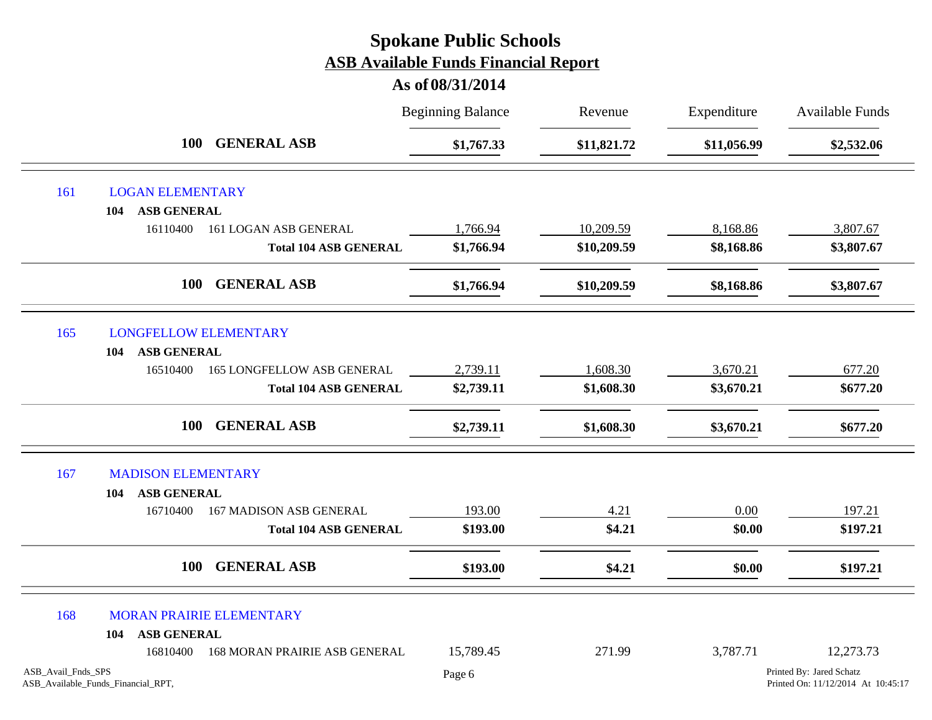|                    |                                    |                                   | <b>Beginning Balance</b> | Revenue     | Expenditure | Available Funds                                                |
|--------------------|------------------------------------|-----------------------------------|--------------------------|-------------|-------------|----------------------------------------------------------------|
|                    | 100 GENERAL ASB                    |                                   | \$1,767.33               | \$11,821.72 | \$11,056.99 | \$2,532.06                                                     |
| 161                | <b>LOGAN ELEMENTARY</b>            |                                   |                          |             |             |                                                                |
|                    | <b>ASB GENERAL</b><br>104          |                                   |                          |             |             |                                                                |
|                    | 16110400                           | 161 LOGAN ASB GENERAL             | 1,766.94                 | 10,209.59   | 8,168.86    | 3,807.67                                                       |
|                    |                                    | <b>Total 104 ASB GENERAL</b>      | \$1,766.94               | \$10,209.59 | \$8,168.86  | \$3,807.67                                                     |
|                    | <b>100</b>                         | <b>GENERAL ASB</b>                | \$1,766.94               | \$10,209.59 | \$8,168.86  | \$3,807.67                                                     |
| 165                | <b>LONGFELLOW ELEMENTARY</b>       |                                   |                          |             |             |                                                                |
|                    | <b>ASB GENERAL</b><br>104          |                                   |                          |             |             |                                                                |
|                    | 16510400                           | <b>165 LONGFELLOW ASB GENERAL</b> | 2,739.11                 | 1,608.30    | 3,670.21    | 677.20                                                         |
|                    |                                    | <b>Total 104 ASB GENERAL</b>      | \$2,739.11               | \$1,608.30  | \$3,670.21  | \$677.20                                                       |
|                    | <b>100</b>                         | <b>GENERAL ASB</b>                | \$2,739.11               | \$1,608.30  | \$3,670.21  | \$677.20                                                       |
| 167                | <b>MADISON ELEMENTARY</b>          |                                   |                          |             |             |                                                                |
|                    | <b>ASB GENERAL</b><br>104          |                                   |                          |             |             |                                                                |
|                    | 16710400                           | <b>167 MADISON ASB GENERAL</b>    | 193.00                   | 4.21        | 0.00        | 197.21                                                         |
|                    |                                    | <b>Total 104 ASB GENERAL</b>      | \$193.00                 | \$4.21      | \$0.00      | \$197.21                                                       |
|                    | <b>100</b>                         | <b>GENERAL ASB</b>                | \$193.00                 | \$4.21      | \$0.00      | \$197.21                                                       |
| 168                | MORAN PRAIRIE ELEMENTARY           |                                   |                          |             |             |                                                                |
|                    | <b>ASB GENERAL</b><br>104          |                                   |                          |             |             |                                                                |
|                    | 16810400                           | 168 MORAN PRAIRIE ASB GENERAL     | 15,789.45                | 271.99      | 3,787.71    | 12,273.73                                                      |
| ASB_Avail_Fnds_SPS | ASB_Available_Funds_Financial_RPT, |                                   | Page 6                   |             |             | Printed By: Jared Schatz<br>Printed On: 11/12/2014 At 10:45:17 |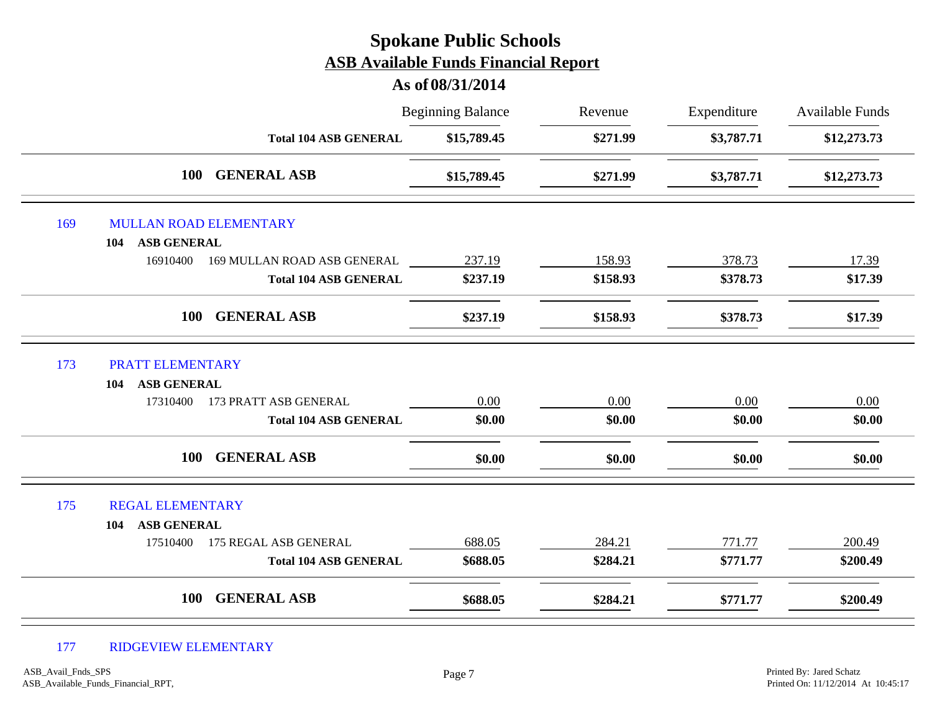# Beginning Balance Revenue Expenditure Available Funds **As of 08/31/2014 Spokane Public Schools ASB Available Funds Financial Report** Revenue **Total 104 ASB GENERAL \$15,789.45 \$271.99 \$3,787.71 \$12,273.73 100 GENERAL ASB \$15,789.45 \$271.99 \$3,787.71 \$12,273.73** 169 MULLAN ROAD ELEMENTARY **104 ASB GENERAL** 16910400 169 MULLAN ROAD ASB GENERAL 237.19 158.93 378.73 378.73 17.39 **Total 104 ASB GENERAL \$237.19 \$158.93 \$378.73 \$17.39 100 GENERAL ASB \$237.19 \$158.93 \$378.73 \$17.39** 173 PRATT ELEMENTARY **104 ASB GENERAL** 17310400 173 PRATT ASB GENERAL  $0.00$   $0.00$   $0.00$   $0.00$   $0.00$   $0.00$   $0.00$ **Total 104 ASB GENERAL \$0.00 \$0.00 \$0.00 \$0.00 100 GENERAL ASB \$0.00 \$0.00 \$0.00 \$0.00** 175 REGAL ELEMENTARY **104 ASB GENERAL** 17510400 175 REGAL ASB GENERAL 688.05 284.21 771.77 200.49 **Total 104 ASB GENERAL \$688.05 \$284.21 \$771.77 \$200.49 100 GENERAL ASB \$688.05 \$284.21 \$771.77 \$200.49**

#### 177 RIDGEVIEW ELEMENTARY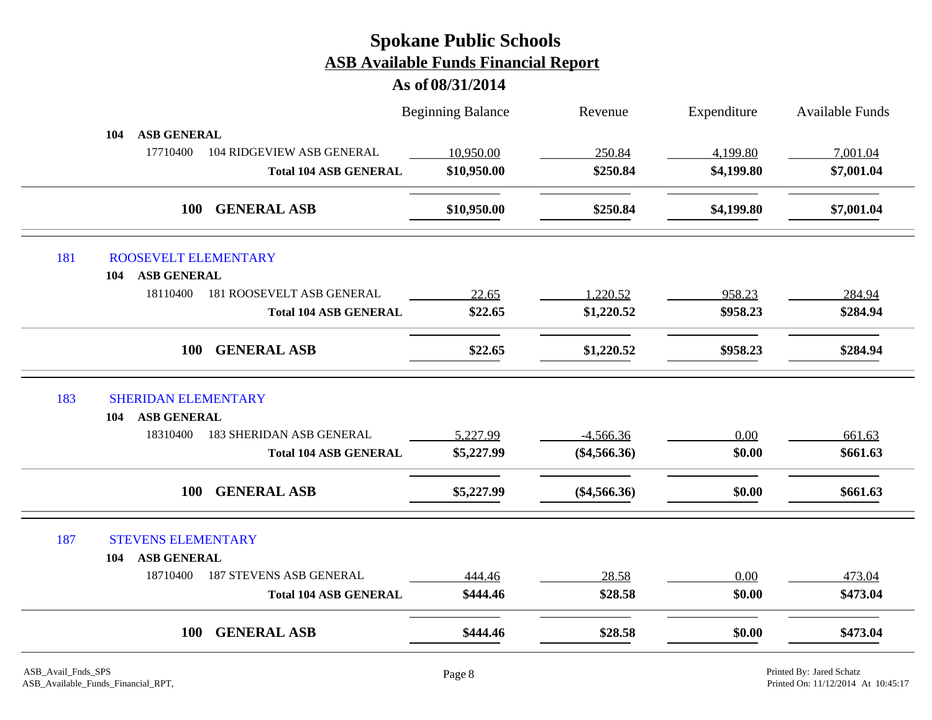|     |                                              | <b>Beginning Balance</b> | Revenue        | Expenditure | Available Funds |
|-----|----------------------------------------------|--------------------------|----------------|-------------|-----------------|
|     | <b>ASB GENERAL</b><br>104                    |                          |                |             |                 |
|     | 17710400<br><b>104 RIDGEVIEW ASB GENERAL</b> | 10,950.00                | 250.84         | 4,199.80    | 7,001.04        |
|     | <b>Total 104 ASB GENERAL</b>                 | \$10,950.00              | \$250.84       | \$4,199.80  | \$7,001.04      |
|     | <b>GENERAL ASB</b><br><b>100</b>             | \$10,950.00              | \$250.84       | \$4,199.80  | \$7,001.04      |
| 181 | ROOSEVELT ELEMENTARY                         |                          |                |             |                 |
|     | <b>ASB GENERAL</b><br>104                    |                          |                |             |                 |
|     | 18110400<br><b>181 ROOSEVELT ASB GENERAL</b> | 22.65                    | 1,220.52       | 958.23      | 284.94          |
|     | <b>Total 104 ASB GENERAL</b>                 | \$22.65                  | \$1,220.52     | \$958.23    | \$284.94        |
|     | <b>GENERAL ASB</b><br><b>100</b>             | \$22.65                  | \$1,220.52     | \$958.23    | \$284.94        |
| 183 | <b>SHERIDAN ELEMENTARY</b>                   |                          |                |             |                 |
|     | <b>ASB GENERAL</b><br>104                    |                          |                |             |                 |
|     | 18310400<br><b>183 SHERIDAN ASB GENERAL</b>  | 5,227.99                 | $-4,566.36$    | 0.00        | 661.63          |
|     | <b>Total 104 ASB GENERAL</b>                 | \$5,227.99               | $(\$4,566.36)$ | \$0.00      | \$661.63        |
|     | <b>GENERAL ASB</b><br>100                    | \$5,227.99               | $(\$4,566.36)$ | \$0.00      | \$661.63        |
| 187 | <b>STEVENS ELEMENTARY</b>                    |                          |                |             |                 |
|     | <b>ASB GENERAL</b><br>104                    |                          |                |             |                 |
|     | 18710400<br><b>187 STEVENS ASB GENERAL</b>   | 444.46                   | 28.58          | 0.00        | 473.04          |
|     | <b>Total 104 ASB GENERAL</b>                 | \$444.46                 | \$28.58        | \$0.00      | \$473.04        |
|     | <b>GENERAL ASB</b><br>100                    | \$444.46                 | \$28.58        | \$0.00      | \$473.04        |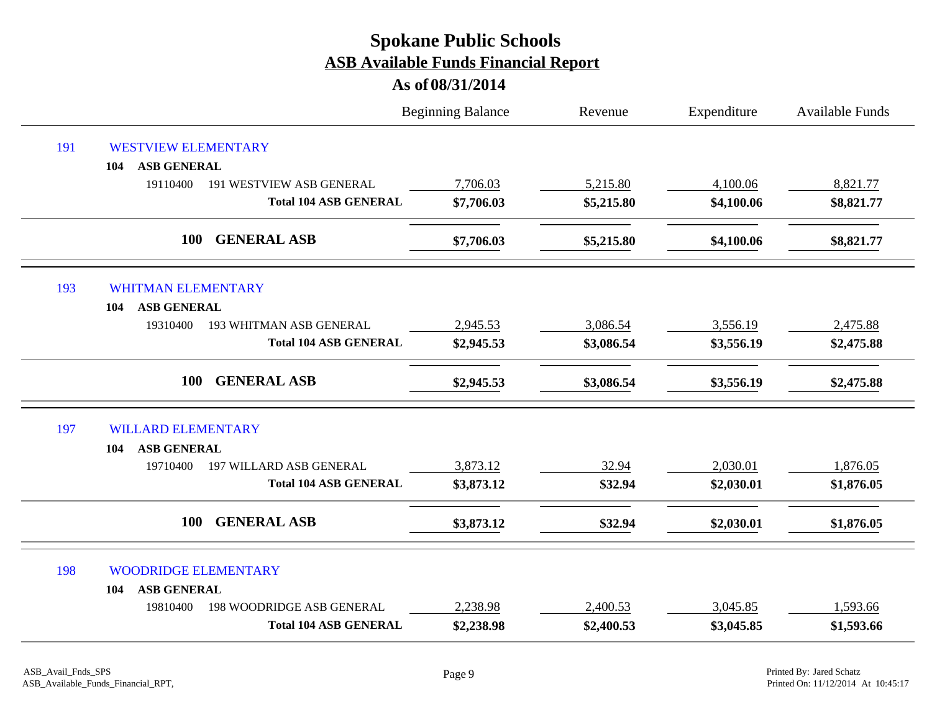|     |                                              | <b>Beginning Balance</b> | Revenue    | Expenditure | <b>Available Funds</b> |
|-----|----------------------------------------------|--------------------------|------------|-------------|------------------------|
| 191 | <b>WESTVIEW ELEMENTARY</b>                   |                          |            |             |                        |
|     | <b>ASB GENERAL</b><br>104                    |                          |            |             |                        |
|     | 19110400<br><b>191 WESTVIEW ASB GENERAL</b>  | 7,706.03                 | 5,215.80   | 4,100.06    | 8,821.77               |
|     | <b>Total 104 ASB GENERAL</b>                 | \$7,706.03               | \$5,215.80 | \$4,100.06  | \$8,821.77             |
|     | <b>GENERAL ASB</b><br><b>100</b>             | \$7,706.03               | \$5,215.80 | \$4,100.06  | \$8,821.77             |
| 193 | <b>WHITMAN ELEMENTARY</b>                    |                          |            |             |                        |
|     | <b>ASB GENERAL</b><br>104                    |                          |            |             |                        |
|     | 19310400<br>193 WHITMAN ASB GENERAL          | 2,945.53                 | 3,086.54   | 3,556.19    | 2,475.88               |
|     | <b>Total 104 ASB GENERAL</b>                 | \$2,945.53               | \$3,086.54 | \$3,556.19  | \$2,475.88             |
|     | <b>GENERAL ASB</b><br>100                    | \$2,945.53               | \$3,086.54 | \$3,556.19  | \$2,475.88             |
| 197 | <b>WILLARD ELEMENTARY</b>                    |                          |            |             |                        |
|     | <b>ASB GENERAL</b><br>104                    |                          |            |             |                        |
|     | <b>197 WILLARD ASB GENERAL</b><br>19710400   | 3,873.12                 | 32.94      | 2,030.01    | 1,876.05               |
|     | <b>Total 104 ASB GENERAL</b>                 | \$3,873.12               | \$32.94    | \$2,030.01  | \$1,876.05             |
|     | <b>GENERAL ASB</b><br>100                    | \$3,873.12               | \$32.94    | \$2,030.01  | \$1,876.05             |
| 198 | <b>WOODRIDGE ELEMENTARY</b>                  |                          |            |             |                        |
|     | <b>ASB GENERAL</b><br>104                    |                          |            |             |                        |
|     | <b>198 WOODRIDGE ASB GENERAL</b><br>19810400 | 2,238.98                 | 2,400.53   | 3,045.85    | 1,593.66               |
|     | <b>Total 104 ASB GENERAL</b>                 | \$2,238.98               | \$2,400.53 | \$3,045.85  | \$1,593.66             |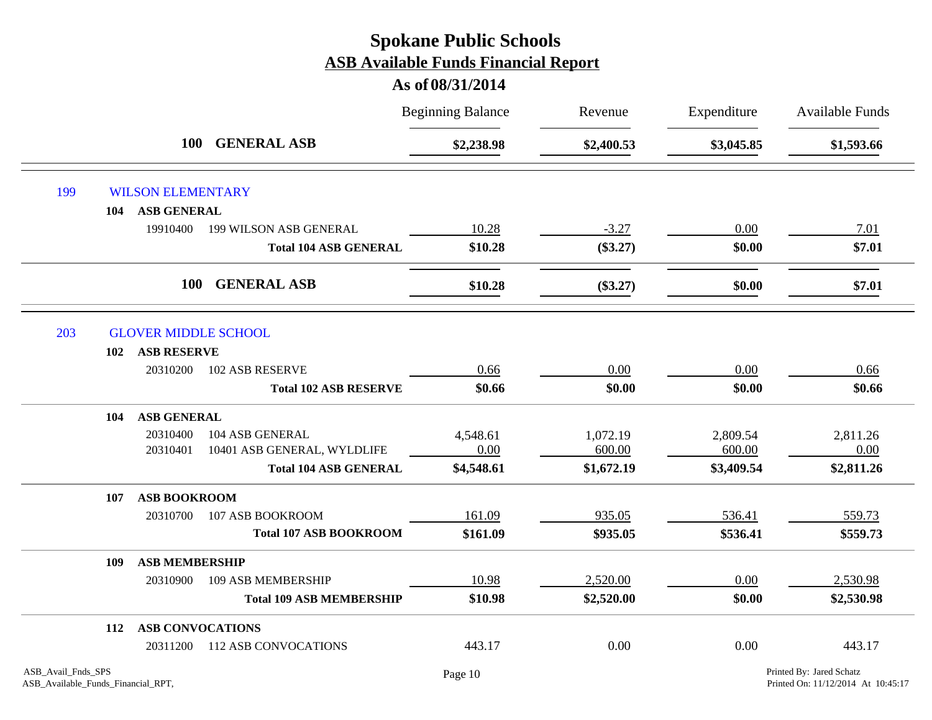|     |     | <b>100</b>               |                                 | <b>Beginning Balance</b> | Revenue    | Expenditure | <b>Available Funds</b> |
|-----|-----|--------------------------|---------------------------------|--------------------------|------------|-------------|------------------------|
|     |     |                          | <b>GENERAL ASB</b>              | \$2,238.98               | \$2,400.53 | \$3,045.85  | \$1,593.66             |
| 199 |     | <b>WILSON ELEMENTARY</b> |                                 |                          |            |             |                        |
|     | 104 | <b>ASB GENERAL</b>       |                                 |                          |            |             |                        |
|     |     | 19910400                 | 199 WILSON ASB GENERAL          | 10.28                    | $-3.27$    | 0.00        | 7.01                   |
|     |     |                          | <b>Total 104 ASB GENERAL</b>    | \$10.28                  | $(\$3.27)$ | \$0.00      | \$7.01                 |
|     |     | <b>100</b>               | <b>GENERAL ASB</b>              | \$10.28                  | $(\$3.27)$ | \$0.00      | \$7.01                 |
| 203 |     |                          | <b>GLOVER MIDDLE SCHOOL</b>     |                          |            |             |                        |
|     | 102 | <b>ASB RESERVE</b>       |                                 |                          |            |             |                        |
|     |     | 20310200                 | 102 ASB RESERVE                 | 0.66                     | 0.00       | 0.00        | 0.66                   |
|     |     |                          | <b>Total 102 ASB RESERVE</b>    | \$0.66                   | \$0.00     | \$0.00      | \$0.66                 |
|     | 104 | <b>ASB GENERAL</b>       |                                 |                          |            |             |                        |
|     |     | 20310400                 | 104 ASB GENERAL                 | 4,548.61                 | 1,072.19   | 2,809.54    | 2,811.26               |
|     |     | 20310401                 | 10401 ASB GENERAL, WYLDLIFE     | 0.00                     | 600.00     | 600.00      | 0.00                   |
|     |     |                          | <b>Total 104 ASB GENERAL</b>    | \$4,548.61               | \$1,672.19 | \$3,409.54  | \$2,811.26             |
|     | 107 | <b>ASB BOOKROOM</b>      |                                 |                          |            |             |                        |
|     |     | 20310700                 | 107 ASB BOOKROOM                | 161.09                   | 935.05     | 536.41      | 559.73                 |
|     |     |                          | <b>Total 107 ASB BOOKROOM</b>   | \$161.09                 | \$935.05   | \$536.41    | \$559.73               |
|     | 109 | <b>ASB MEMBERSHIP</b>    |                                 |                          |            |             |                        |
|     |     | 20310900                 | <b>109 ASB MEMBERSHIP</b>       | 10.98                    | 2,520.00   | 0.00        | 2,530.98               |
|     |     |                          | <b>Total 109 ASB MEMBERSHIP</b> | \$10.98                  | \$2,520.00 | \$0.00      | \$2,530.98             |
|     | 112 | <b>ASB CONVOCATIONS</b>  |                                 |                          |            |             |                        |
|     |     | 20311200                 | <b>112 ASB CONVOCATIONS</b>     | 443.17                   | 0.00       | 0.00        | 443.17                 |
|     |     |                          |                                 |                          |            |             |                        |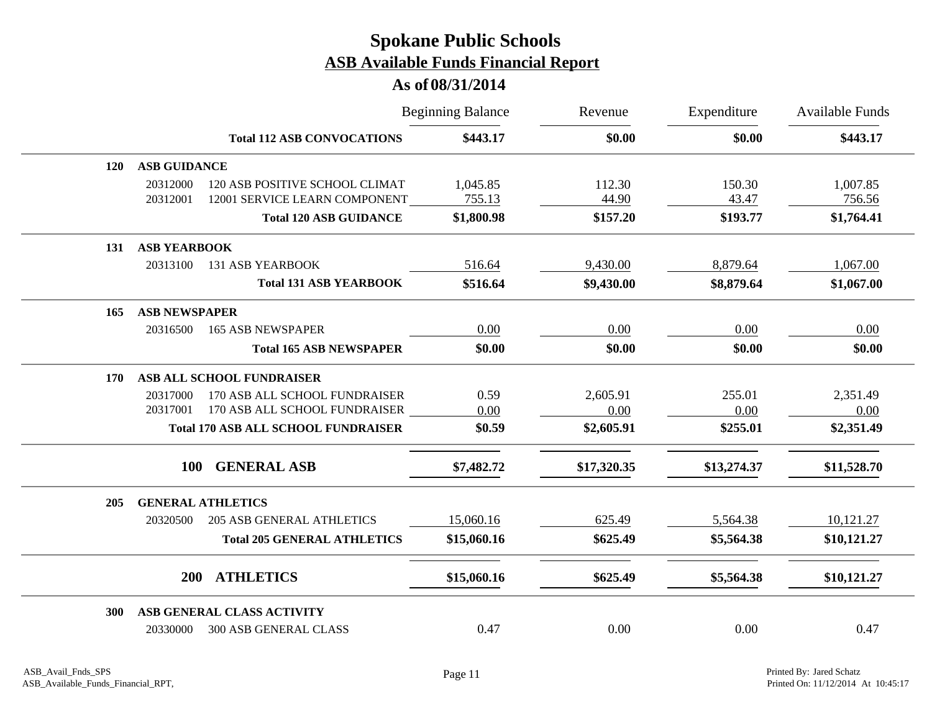|            |                      |                                            | <b>Beginning Balance</b> | Revenue<br>\$0.00 | Expenditure<br>\$0.00 | <b>Available Funds</b><br>\$443.17 |
|------------|----------------------|--------------------------------------------|--------------------------|-------------------|-----------------------|------------------------------------|
|            |                      | <b>Total 112 ASB CONVOCATIONS</b>          | \$443.17                 |                   |                       |                                    |
| <b>120</b> | <b>ASB GUIDANCE</b>  |                                            |                          |                   |                       |                                    |
|            | 20312000             | 120 ASB POSITIVE SCHOOL CLIMAT             | 1,045.85                 | 112.30            | 150.30                | 1,007.85                           |
|            | 20312001             | 12001 SERVICE LEARN COMPONENT              | 755.13                   | 44.90             | 43.47                 | 756.56                             |
|            |                      | <b>Total 120 ASB GUIDANCE</b>              | \$1,800.98               | \$157.20          | \$193.77              | \$1,764.41                         |
| 131        | <b>ASB YEARBOOK</b>  |                                            |                          |                   |                       |                                    |
|            | 20313100             | <b>131 ASB YEARBOOK</b>                    | 516.64                   | 9,430.00          | 8,879.64              | 1,067.00                           |
|            |                      | <b>Total 131 ASB YEARBOOK</b>              | \$516.64                 | \$9,430.00        | \$8,879.64            | \$1,067.00                         |
| 165        | <b>ASB NEWSPAPER</b> |                                            |                          |                   |                       |                                    |
|            | 20316500             | <b>165 ASB NEWSPAPER</b>                   | 0.00                     | 0.00              | 0.00                  | 0.00                               |
|            |                      | <b>Total 165 ASB NEWSPAPER</b>             | \$0.00                   | \$0.00            | \$0.00                | \$0.00                             |
| 170        |                      | <b>ASB ALL SCHOOL FUNDRAISER</b>           |                          |                   |                       |                                    |
|            | 20317000             | 170 ASB ALL SCHOOL FUNDRAISER              | 0.59                     | 2,605.91          | 255.01                | 2,351.49                           |
|            | 20317001             | 170 ASB ALL SCHOOL FUNDRAISER              | 0.00                     | 0.00              | 0.00                  | 0.00                               |
|            |                      | <b>Total 170 ASB ALL SCHOOL FUNDRAISER</b> | \$0.59                   | \$2,605.91        | \$255.01              | \$2,351.49                         |
|            | <b>100</b>           | <b>GENERAL ASB</b>                         | \$7,482.72               | \$17,320.35       | \$13,274.37           | \$11,528.70                        |
| 205        |                      | <b>GENERAL ATHLETICS</b>                   |                          |                   |                       |                                    |
|            | 20320500             | <b>205 ASB GENERAL ATHLETICS</b>           | 15,060.16                | 625.49            | 5,564.38              | 10,121.27                          |
|            |                      | <b>Total 205 GENERAL ATHLETICS</b>         | \$15,060.16              | \$625.49          | \$5,564.38            | \$10,121.27                        |
|            | <b>200</b>           | <b>ATHLETICS</b>                           | \$15,060.16              | \$625.49          | \$5,564.38            | \$10,121.27                        |
|            |                      |                                            |                          |                   |                       |                                    |
| <b>300</b> |                      | ASB GENERAL CLASS ACTIVITY                 |                          |                   |                       |                                    |
|            | 20330000             | <b>300 ASB GENERAL CLASS</b>               | 0.47                     | 0.00              | 0.00                  | 0.47                               |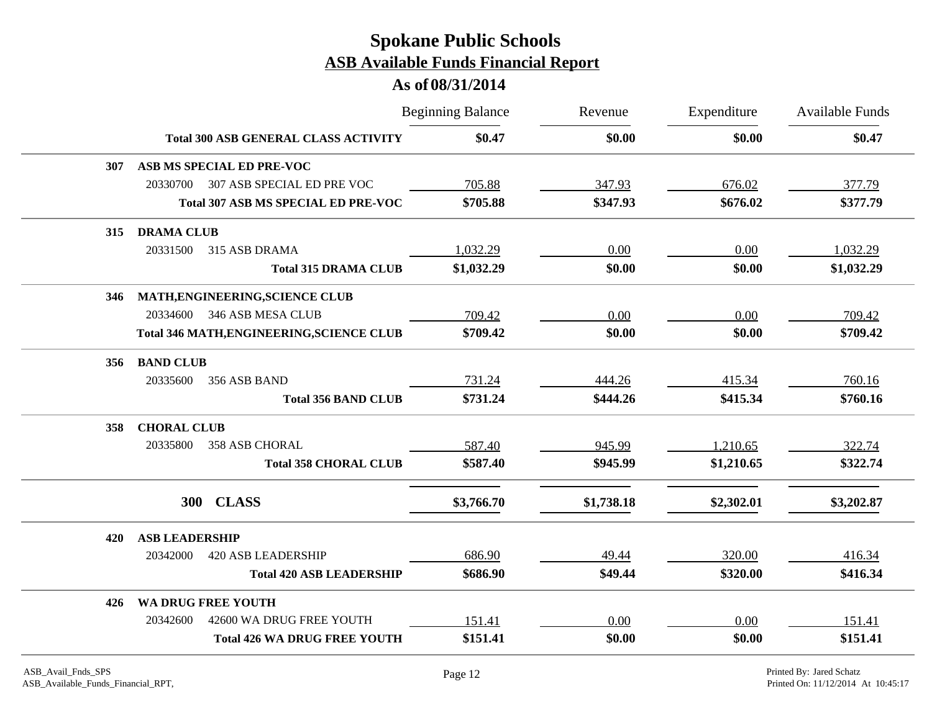|     |                                                  | <b>Beginning Balance</b> | Revenue    | Expenditure | Available Funds |
|-----|--------------------------------------------------|--------------------------|------------|-------------|-----------------|
|     | <b>Total 300 ASB GENERAL CLASS ACTIVITY</b>      | \$0.47                   | \$0.00     | \$0.00      | \$0.47          |
| 307 | ASB MS SPECIAL ED PRE-VOC                        |                          |            |             |                 |
|     | 307 ASB SPECIAL ED PRE VOC<br>20330700           | 705.88                   | 347.93     | 676.02      | 377.79          |
|     | <b>Total 307 ASB MS SPECIAL ED PRE-VOC</b>       | \$705.88                 | \$347.93   | \$676.02    | \$377.79        |
| 315 | <b>DRAMA CLUB</b>                                |                          |            |             |                 |
|     | 20331500<br>315 ASB DRAMA                        | 1,032.29                 | 0.00       | 0.00        | 1,032.29        |
|     | <b>Total 315 DRAMA CLUB</b>                      | \$1,032.29               | \$0.00     | \$0.00      | \$1,032.29      |
| 346 | MATH, ENGINEERING, SCIENCE CLUB                  |                          |            |             |                 |
|     | 20334600<br>346 ASB MESA CLUB                    | 709.42                   | 0.00       | 0.00        | 709.42          |
|     | <b>Total 346 MATH, ENGINEERING, SCIENCE CLUB</b> | \$709.42                 | \$0.00     | \$0.00      | \$709.42        |
| 356 | <b>BAND CLUB</b>                                 |                          |            |             |                 |
|     | 20335600<br>356 ASB BAND                         | 731.24                   | 444.26     | 415.34      | 760.16          |
|     | <b>Total 356 BAND CLUB</b>                       | \$731.24                 | \$444.26   | \$415.34    | \$760.16        |
| 358 | <b>CHORAL CLUB</b>                               |                          |            |             |                 |
|     | 20335800<br><b>358 ASB CHORAL</b>                | 587.40                   | 945.99     | 1,210.65    | 322.74          |
|     | <b>Total 358 CHORAL CLUB</b>                     | \$587.40                 | \$945.99   | \$1,210.65  | \$322.74        |
|     | 300<br><b>CLASS</b>                              | \$3,766.70               | \$1,738.18 | \$2,302.01  | \$3,202.87      |
|     |                                                  |                          |            |             |                 |
| 420 | <b>ASB LEADERSHIP</b>                            |                          |            |             |                 |
|     | 20342000<br><b>420 ASB LEADERSHIP</b>            | 686.90                   | 49.44      | 320.00      | 416.34          |
|     | <b>Total 420 ASB LEADERSHIP</b>                  | \$686.90                 | \$49.44    | \$320.00    | \$416.34        |
| 426 | WA DRUG FREE YOUTH                               |                          |            |             |                 |
|     | 20342600<br>42600 WA DRUG FREE YOUTH             | 151.41                   | 0.00       | 0.00        | 151.41          |
|     | <b>Total 426 WA DRUG FREE YOUTH</b>              | \$151.41                 | \$0.00     | \$0.00      | \$151.41        |
|     |                                                  |                          |            |             |                 |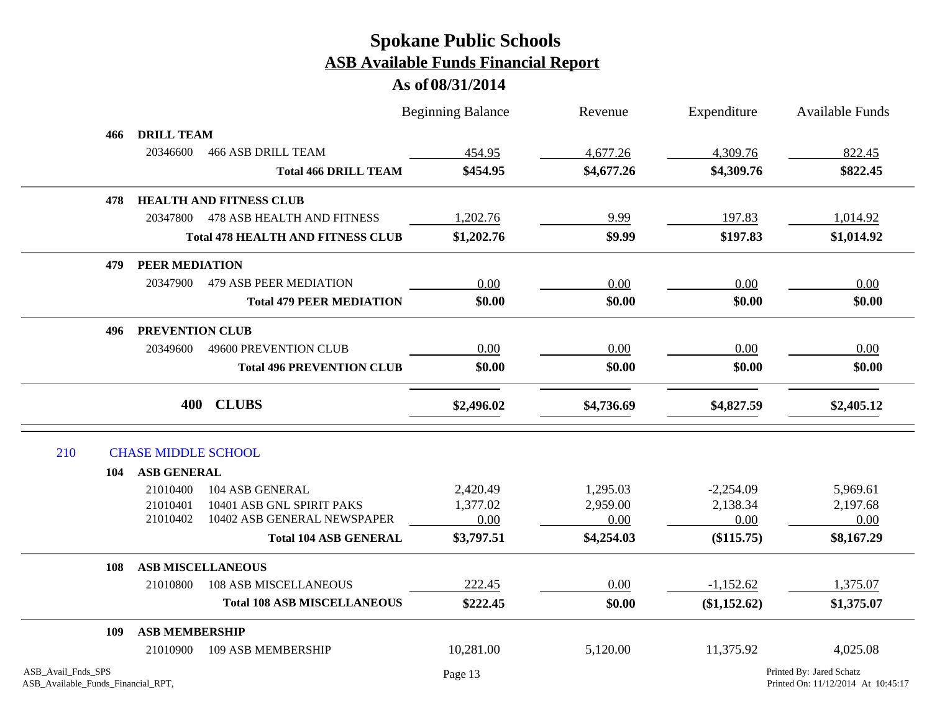|                                                          |     |                            |                                          | <b>Beginning Balance</b> | Revenue    | Expenditure  | <b>Available Funds</b>                                         |
|----------------------------------------------------------|-----|----------------------------|------------------------------------------|--------------------------|------------|--------------|----------------------------------------------------------------|
|                                                          | 466 | <b>DRILL TEAM</b>          |                                          |                          |            |              |                                                                |
|                                                          |     | 20346600                   | <b>466 ASB DRILL TEAM</b>                | 454.95                   | 4,677.26   | 4,309.76     | 822.45                                                         |
|                                                          |     |                            | <b>Total 466 DRILL TEAM</b>              | \$454.95                 | \$4,677.26 | \$4,309.76   | \$822.45                                                       |
|                                                          | 478 |                            | <b>HEALTH AND FITNESS CLUB</b>           |                          |            |              |                                                                |
|                                                          |     | 20347800                   | <b>478 ASB HEALTH AND FITNESS</b>        | 1,202.76                 | 9.99       | 197.83       | 1,014.92                                                       |
|                                                          |     |                            | <b>Total 478 HEALTH AND FITNESS CLUB</b> | \$1,202.76               | \$9.99     | \$197.83     | \$1,014.92                                                     |
|                                                          | 479 | PEER MEDIATION             |                                          |                          |            |              |                                                                |
|                                                          |     | 20347900                   | <b>479 ASB PEER MEDIATION</b>            | 0.00                     | 0.00       | 0.00         | 0.00                                                           |
|                                                          |     |                            | <b>Total 479 PEER MEDIATION</b>          | \$0.00                   | \$0.00     | \$0.00       | \$0.00                                                         |
|                                                          | 496 | <b>PREVENTION CLUB</b>     |                                          |                          |            |              |                                                                |
|                                                          |     | 20349600                   | 49600 PREVENTION CLUB                    | 0.00                     | 0.00       | 0.00         | 0.00                                                           |
|                                                          |     |                            | <b>Total 496 PREVENTION CLUB</b>         | \$0.00                   | \$0.00     | \$0.00       | \$0.00                                                         |
|                                                          |     |                            | 400 CLUBS                                | \$2,496.02               | \$4,736.69 | \$4,827.59   | \$2,405.12                                                     |
| 210                                                      |     | <b>CHASE MIDDLE SCHOOL</b> |                                          |                          |            |              |                                                                |
|                                                          | 104 | <b>ASB GENERAL</b>         |                                          |                          |            |              |                                                                |
|                                                          |     | 21010400                   | 104 ASB GENERAL                          | 2,420.49                 | 1,295.03   | $-2,254.09$  | 5,969.61                                                       |
|                                                          |     | 21010401                   | 10401 ASB GNL SPIRIT PAKS                | 1,377.02                 | 2,959.00   | 2,138.34     | 2,197.68                                                       |
|                                                          |     | 21010402                   | 10402 ASB GENERAL NEWSPAPER              | 0.00                     | 0.00       | 0.00         | 0.00                                                           |
|                                                          |     |                            | <b>Total 104 ASB GENERAL</b>             | \$3,797.51               | \$4,254.03 | (\$115.75)   | \$8,167.29                                                     |
|                                                          | 108 |                            | <b>ASB MISCELLANEOUS</b>                 |                          |            |              |                                                                |
|                                                          |     | 21010800                   | <b>108 ASB MISCELLANEOUS</b>             | 222.45                   | 0.00       | $-1,152.62$  | 1,375.07                                                       |
|                                                          |     |                            | <b>Total 108 ASB MISCELLANEOUS</b>       | \$222.45                 | \$0.00     | (\$1,152.62) | \$1,375.07                                                     |
|                                                          | 109 | <b>ASB MEMBERSHIP</b>      |                                          |                          |            |              |                                                                |
|                                                          |     | 21010900                   | 109 ASB MEMBERSHIP                       | 10,281.00                | 5,120.00   | 11,375.92    | 4,025.08                                                       |
| ASB_Avail_Fnds_SPS<br>ASB_Available_Funds_Financial_RPT, |     |                            |                                          | Page 13                  |            |              | Printed By: Jared Schatz<br>Printed On: 11/12/2014 At 10:45:17 |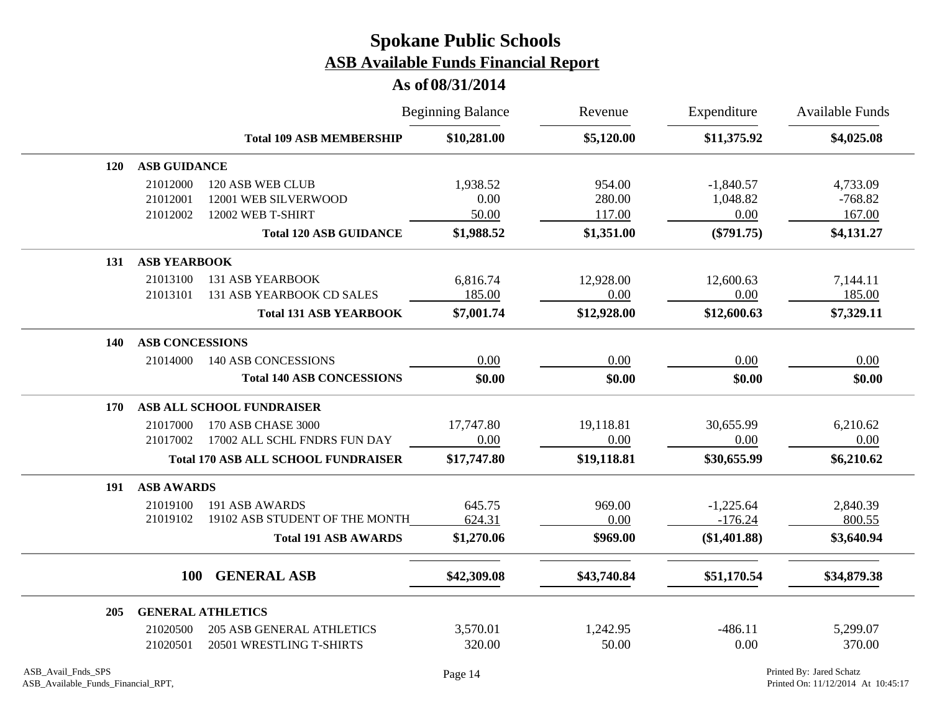|            |                        |                                            | <b>Beginning Balance</b> | Revenue     | Expenditure  | Available Funds |
|------------|------------------------|--------------------------------------------|--------------------------|-------------|--------------|-----------------|
|            |                        | <b>Total 109 ASB MEMBERSHIP</b>            | \$10,281.00              | \$5,120.00  | \$11,375.92  | \$4,025.08      |
| <b>120</b> | <b>ASB GUIDANCE</b>    |                                            |                          |             |              |                 |
|            | 21012000               | 120 ASB WEB CLUB                           | 1,938.52                 | 954.00      | $-1,840.57$  | 4,733.09        |
|            | 21012001               | 12001 WEB SILVERWOOD                       | 0.00                     | 280.00      | 1,048.82     | $-768.82$       |
|            | 21012002               | 12002 WEB T-SHIRT                          | 50.00                    | 117.00      | 0.00         | 167.00          |
|            |                        | <b>Total 120 ASB GUIDANCE</b>              | \$1,988.52               | \$1,351.00  | $(\$791.75)$ | \$4,131.27      |
| 131        | <b>ASB YEARBOOK</b>    |                                            |                          |             |              |                 |
|            | 21013100               | <b>131 ASB YEARBOOK</b>                    | 6,816.74                 | 12,928.00   | 12,600.63    | 7,144.11        |
|            | 21013101               | 131 ASB YEARBOOK CD SALES                  | 185.00                   | 0.00        | 0.00         | 185.00          |
|            |                        | <b>Total 131 ASB YEARBOOK</b>              | \$7,001.74               | \$12,928.00 | \$12,600.63  | \$7,329.11      |
| 140        | <b>ASB CONCESSIONS</b> |                                            |                          |             |              |                 |
|            | 21014000               | <b>140 ASB CONCESSIONS</b>                 | 0.00                     | 0.00        | 0.00         | 0.00            |
|            |                        | <b>Total 140 ASB CONCESSIONS</b>           | \$0.00                   | \$0.00      | \$0.00       | \$0.00          |
| 170        |                        | ASB ALL SCHOOL FUNDRAISER                  |                          |             |              |                 |
|            | 21017000               | 170 ASB CHASE 3000                         | 17,747.80                | 19,118.81   | 30,655.99    | 6,210.62        |
|            | 21017002               | 17002 ALL SCHL FNDRS FUN DAY               | 0.00                     | 0.00        | 0.00         | 0.00            |
|            |                        | <b>Total 170 ASB ALL SCHOOL FUNDRAISER</b> | \$17,747.80              | \$19,118.81 | \$30,655.99  | \$6,210.62      |
| 191        | <b>ASB AWARDS</b>      |                                            |                          |             |              |                 |
|            | 21019100               | 191 ASB AWARDS                             | 645.75                   | 969.00      | $-1,225.64$  | 2,840.39        |
|            | 21019102               | 19102 ASB STUDENT OF THE MONTH             | 624.31                   | 0.00        | $-176.24$    | 800.55          |
|            |                        | <b>Total 191 ASB AWARDS</b>                | \$1,270.06               | \$969.00    | (\$1,401.88) | \$3,640.94      |
|            | <b>100</b>             | <b>GENERAL ASB</b>                         | \$42,309.08              | \$43,740.84 | \$51,170.54  | \$34,879.38     |
|            |                        |                                            |                          |             |              |                 |
| 205        |                        | <b>GENERAL ATHLETICS</b>                   |                          |             |              |                 |
|            | 21020500               | <b>205 ASB GENERAL ATHLETICS</b>           | 3,570.01                 | 1,242.95    | $-486.11$    | 5,299.07        |
|            | 21020501               | 20501 WRESTLING T-SHIRTS                   | 320.00                   | 50.00       | 0.00         | 370.00          |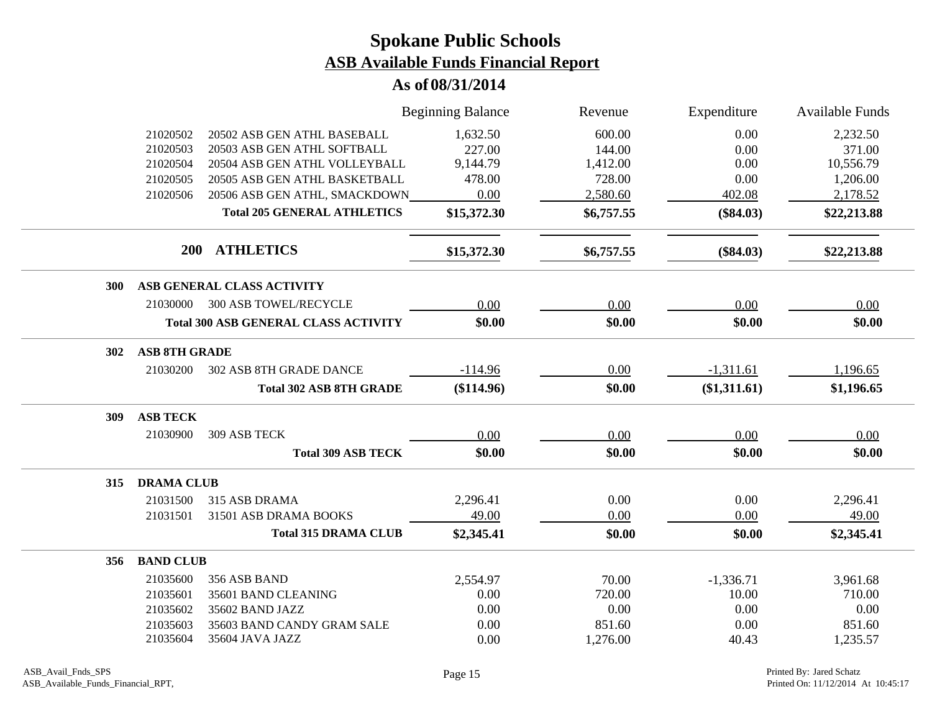|            |                      |                                             | <b>Beginning Balance</b> | Revenue    | Expenditure  | <b>Available Funds</b> |
|------------|----------------------|---------------------------------------------|--------------------------|------------|--------------|------------------------|
|            | 21020502             | 20502 ASB GEN ATHL BASEBALL                 | 1,632.50                 | 600.00     | 0.00         | 2,232.50               |
|            | 21020503             | 20503 ASB GEN ATHL SOFTBALL                 | 227.00                   | 144.00     | 0.00         | 371.00                 |
|            | 21020504             | 20504 ASB GEN ATHL VOLLEYBALL               | 9,144.79                 | 1,412.00   | 0.00         | 10,556.79              |
|            | 21020505             | 20505 ASB GEN ATHL BASKETBALL               | 478.00                   | 728.00     | 0.00         | 1,206.00               |
|            | 21020506             | 20506 ASB GEN ATHL, SMACKDOWN               | 0.00                     | 2,580.60   | 402.08       | 2,178.52               |
|            |                      | <b>Total 205 GENERAL ATHLETICS</b>          | \$15,372.30              | \$6,757.55 | $(\$84.03)$  | \$22,213.88            |
|            | 200                  | <b>ATHLETICS</b>                            | \$15,372.30              | \$6,757.55 | $(\$84.03)$  | \$22,213.88            |
| <b>300</b> |                      | ASB GENERAL CLASS ACTIVITY                  |                          |            |              |                        |
|            | 21030000             | <b>300 ASB TOWEL/RECYCLE</b>                | 0.00                     | 0.00       | 0.00         | 0.00                   |
|            |                      | <b>Total 300 ASB GENERAL CLASS ACTIVITY</b> | \$0.00                   | \$0.00     | \$0.00       | \$0.00                 |
| 302        | <b>ASB 8TH GRADE</b> |                                             |                          |            |              |                        |
|            | 21030200             | 302 ASB 8TH GRADE DANCE                     | $-114.96$                | 0.00       | $-1,311.61$  | 1,196.65               |
|            |                      | <b>Total 302 ASB 8TH GRADE</b>              | (\$114.96)               | \$0.00     | (\$1,311.61) | \$1,196.65             |
| 309        | <b>ASB TECK</b>      |                                             |                          |            |              |                        |
|            | 21030900             | 309 ASB TECK                                | 0.00                     | 0.00       | 0.00         | 0.00                   |
|            |                      | <b>Total 309 ASB TECK</b>                   | \$0.00                   | \$0.00     | \$0.00       | \$0.00                 |
| 315        | <b>DRAMA CLUB</b>    |                                             |                          |            |              |                        |
|            | 21031500             | 315 ASB DRAMA                               | 2,296.41                 | 0.00       | 0.00         | 2,296.41               |
|            | 21031501             | 31501 ASB DRAMA BOOKS                       | 49.00                    | 0.00       | 0.00         | 49.00                  |
|            |                      | <b>Total 315 DRAMA CLUB</b>                 | \$2,345.41               | \$0.00     | \$0.00       | \$2,345.41             |
| 356        | <b>BAND CLUB</b>     |                                             |                          |            |              |                        |
|            | 21035600             | 356 ASB BAND                                | 2,554.97                 | 70.00      | $-1,336.71$  | 3,961.68               |
|            | 21035601             | 35601 BAND CLEANING                         | 0.00                     | 720.00     | 10.00        | 710.00                 |
|            | 21035602             | 35602 BAND JAZZ                             | 0.00                     | 0.00       | 0.00         | 0.00                   |
|            | 21035603             | 35603 BAND CANDY GRAM SALE                  | 0.00                     | 851.60     | 0.00         | 851.60                 |
|            | 21035604             | 35604 JAVA JAZZ                             | 0.00                     | 1,276.00   | 40.43        | 1,235.57               |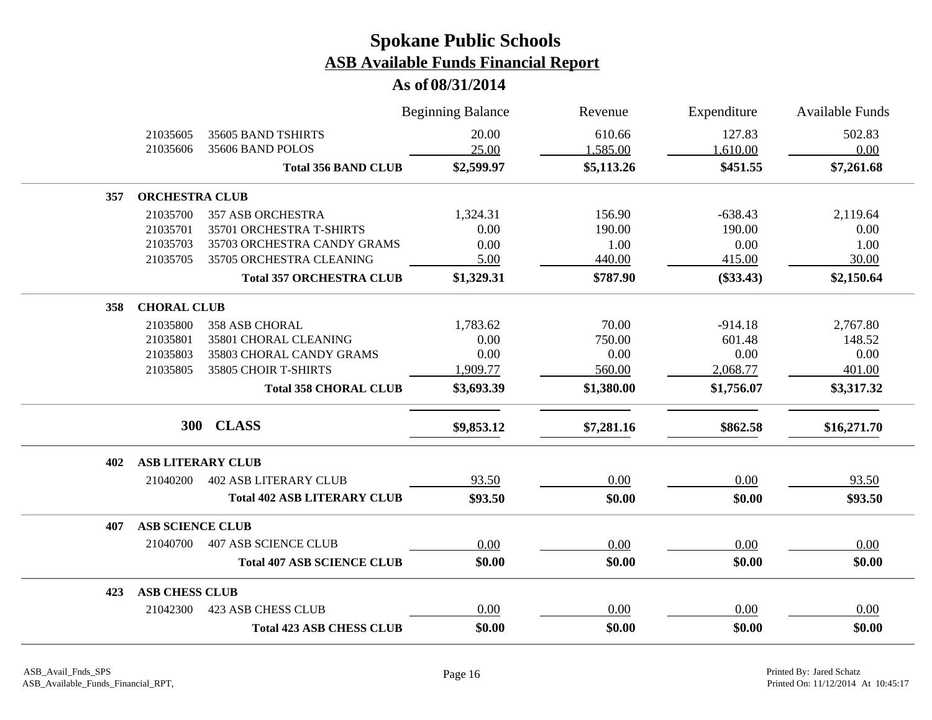|     |                          |                                    | <b>Beginning Balance</b> | Revenue    | Expenditure | Available Funds |
|-----|--------------------------|------------------------------------|--------------------------|------------|-------------|-----------------|
|     | 21035605                 | 35605 BAND TSHIRTS                 | 20.00                    | 610.66     | 127.83      | 502.83          |
|     | 21035606                 | 35606 BAND POLOS                   | 25.00                    | 1,585.00   | 1,610.00    | 0.00            |
|     |                          | <b>Total 356 BAND CLUB</b>         | \$2,599.97               | \$5,113.26 | \$451.55    | \$7,261.68      |
| 357 | <b>ORCHESTRA CLUB</b>    |                                    |                          |            |             |                 |
|     | 21035700                 | <b>357 ASB ORCHESTRA</b>           | 1,324.31                 | 156.90     | $-638.43$   | 2,119.64        |
|     | 21035701                 | 35701 ORCHESTRA T-SHIRTS           | 0.00                     | 190.00     | 190.00      | 0.00            |
|     | 21035703                 | 35703 ORCHESTRA CANDY GRAMS        | 0.00                     | 1.00       | 0.00        | 1.00            |
|     | 21035705                 | 35705 ORCHESTRA CLEANING           | 5.00                     | 440.00     | 415.00      | 30.00           |
|     |                          | <b>Total 357 ORCHESTRA CLUB</b>    | \$1,329.31               | \$787.90   | $(\$33.43)$ | \$2,150.64      |
| 358 | <b>CHORAL CLUB</b>       |                                    |                          |            |             |                 |
|     | 21035800                 | <b>358 ASB CHORAL</b>              | 1,783.62                 | 70.00      | $-914.18$   | 2,767.80        |
|     | 21035801                 | 35801 CHORAL CLEANING              | 0.00                     | 750.00     | 601.48      | 148.52          |
|     | 21035803                 | 35803 CHORAL CANDY GRAMS           | 0.00                     | 0.00       | 0.00        | 0.00            |
|     | 21035805                 | 35805 CHOIR T-SHIRTS               | 1,909.77                 | 560.00     | 2,068.77    | 401.00          |
|     |                          | <b>Total 358 CHORAL CLUB</b>       | \$3,693.39               | \$1,380.00 | \$1,756.07  | \$3,317.32      |
|     |                          | 300 CLASS                          | \$9,853.12               | \$7,281.16 | \$862.58    | \$16,271.70     |
|     |                          |                                    |                          |            |             |                 |
| 402 | <b>ASB LITERARY CLUB</b> |                                    |                          |            |             |                 |
|     | 21040200                 | <b>402 ASB LITERARY CLUB</b>       | 93.50                    | 0.00       | 0.00        | 93.50           |
|     |                          | <b>Total 402 ASB LITERARY CLUB</b> | \$93.50                  | \$0.00     | \$0.00      | \$93.50         |
| 407 | <b>ASB SCIENCE CLUB</b>  |                                    |                          |            |             |                 |
|     | 21040700                 | <b>407 ASB SCIENCE CLUB</b>        | 0.00                     | 0.00       | 0.00        | 0.00            |
|     |                          | <b>Total 407 ASB SCIENCE CLUB</b>  | \$0.00                   | \$0.00     | \$0.00      | \$0.00          |
| 423 | <b>ASB CHESS CLUB</b>    |                                    |                          |            |             |                 |
|     | 21042300                 | <b>423 ASB CHESS CLUB</b>          | 0.00                     | 0.00       | 0.00        | 0.00            |
|     |                          | <b>Total 423 ASB CHESS CLUB</b>    | \$0.00                   | \$0.00     | \$0.00      | \$0.00          |
|     |                          |                                    |                          |            |             |                 |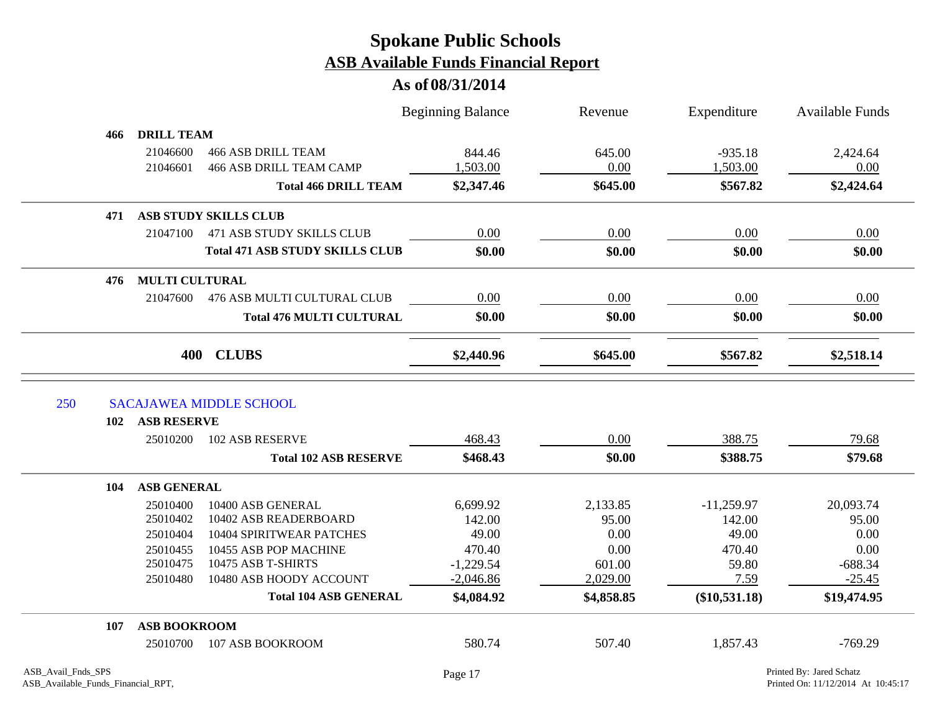|     |                       |                                             | <b>Beginning Balance</b> | Revenue    | Expenditure     | <b>Available Funds</b> |
|-----|-----------------------|---------------------------------------------|--------------------------|------------|-----------------|------------------------|
| 466 | <b>DRILL TEAM</b>     |                                             |                          |            |                 |                        |
|     | 21046600              | <b>466 ASB DRILL TEAM</b>                   | 844.46                   | 645.00     | $-935.18$       | 2,424.64               |
|     | 21046601              | <b>466 ASB DRILL TEAM CAMP</b>              | 1,503.00                 | 0.00       | 1,503.00        | 0.00                   |
|     |                       | <b>Total 466 DRILL TEAM</b>                 | \$2,347.46               | \$645.00   | \$567.82        | \$2,424.64             |
| 471 |                       | ASB STUDY SKILLS CLUB                       |                          |            |                 |                        |
|     | 21047100              | <b>471 ASB STUDY SKILLS CLUB</b>            | 0.00                     | 0.00       | 0.00            | 0.00                   |
|     |                       | <b>Total 471 ASB STUDY SKILLS CLUB</b>      | \$0.00                   | \$0.00     | \$0.00          | \$0.00                 |
| 476 | <b>MULTI CULTURAL</b> |                                             |                          |            |                 |                        |
|     | 21047600              | 476 ASB MULTI CULTURAL CLUB                 | 0.00                     | 0.00       | 0.00            | 0.00                   |
|     |                       | <b>Total 476 MULTI CULTURAL</b>             | \$0.00                   | \$0.00     | \$0.00          | \$0.00                 |
|     |                       |                                             |                          |            |                 |                        |
| 250 |                       | 400 CLUBS<br><b>SACAJAWEA MIDDLE SCHOOL</b> | \$2,440.96               | \$645.00   | \$567.82        | \$2,518.14             |
| 102 | <b>ASB RESERVE</b>    |                                             |                          |            |                 |                        |
|     | 25010200              | 102 ASB RESERVE                             | 468.43                   | 0.00       | 388.75          | 79.68                  |
|     |                       | <b>Total 102 ASB RESERVE</b>                | \$468.43                 | \$0.00     | \$388.75        | \$79.68                |
| 104 | <b>ASB GENERAL</b>    |                                             |                          |            |                 |                        |
|     | 25010400              | 10400 ASB GENERAL                           | 6,699.92                 | 2,133.85   | $-11,259.97$    | 20,093.74              |
|     | 25010402              | 10402 ASB READERBOARD                       | 142.00                   | 95.00      | 142.00          | 95.00                  |
|     | 25010404              | <b>10404 SPIRITWEAR PATCHES</b>             | 49.00                    | 0.00       | 49.00           | 0.00                   |
|     | 25010455              | 10455 ASB POP MACHINE                       | 470.40                   | 0.00       | 470.40          | 0.00                   |
|     | 25010475              | 10475 ASB T-SHIRTS                          | $-1,229.54$              | 601.00     | 59.80           | $-688.34$              |
|     | 25010480              | 10480 ASB HOODY ACCOUNT                     | $-2,046.86$              | 2,029.00   | 7.59            | $-25.45$               |
|     |                       | <b>Total 104 ASB GENERAL</b>                | \$4,084.92               | \$4,858.85 | $(\$10,531.18)$ | \$19,474.95            |
| 107 | <b>ASB BOOKROOM</b>   |                                             |                          |            |                 |                        |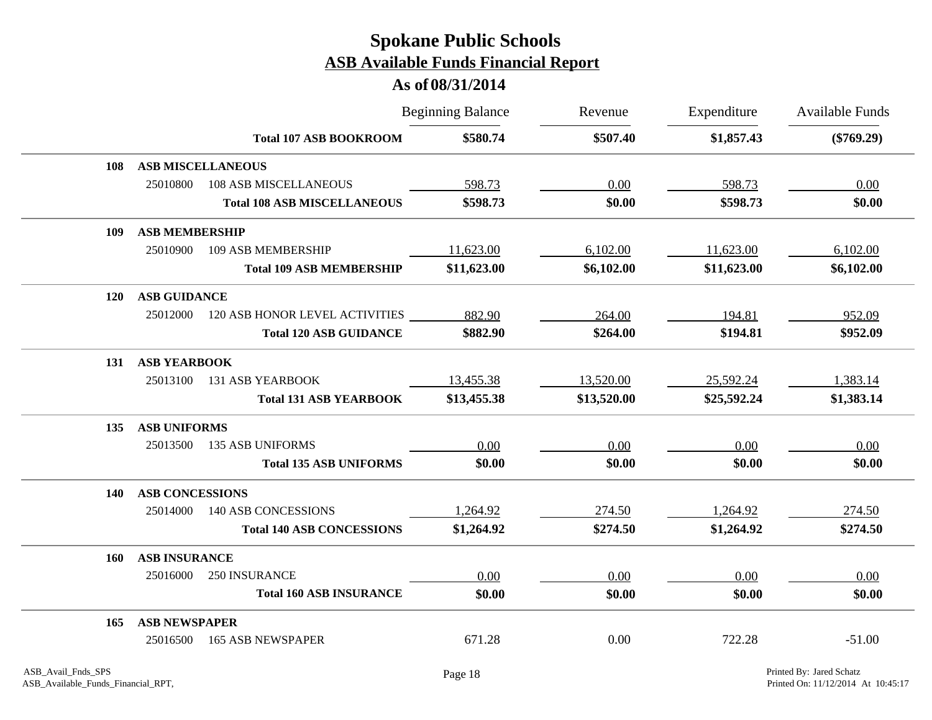|            |                        |                                    | <b>Beginning Balance</b> | Revenue     | Expenditure | <b>Available Funds</b> |
|------------|------------------------|------------------------------------|--------------------------|-------------|-------------|------------------------|
|            |                        | <b>Total 107 ASB BOOKROOM</b>      | \$580.74                 | \$507.40    | \$1,857.43  | $(\$769.29)$           |
| 108        |                        | <b>ASB MISCELLANEOUS</b>           |                          |             |             |                        |
|            | 25010800               | <b>108 ASB MISCELLANEOUS</b>       | 598.73                   | 0.00        | 598.73      | 0.00                   |
|            |                        | <b>Total 108 ASB MISCELLANEOUS</b> | \$598.73                 | \$0.00      | \$598.73    | \$0.00                 |
| 109        | <b>ASB MEMBERSHIP</b>  |                                    |                          |             |             |                        |
|            | 25010900               | 109 ASB MEMBERSHIP                 | 11,623.00                | 6,102.00    | 11,623.00   | 6,102.00               |
|            |                        | <b>Total 109 ASB MEMBERSHIP</b>    | \$11,623.00              | \$6,102.00  | \$11,623.00 | \$6,102.00             |
| <b>120</b> | <b>ASB GUIDANCE</b>    |                                    |                          |             |             |                        |
|            | 25012000               | 120 ASB HONOR LEVEL ACTIVITIES     | 882.90                   | 264.00      | 194.81      | 952.09                 |
|            |                        | <b>Total 120 ASB GUIDANCE</b>      | \$882.90                 | \$264.00    | \$194.81    | \$952.09               |
| 131        | <b>ASB YEARBOOK</b>    |                                    |                          |             |             |                        |
|            | 25013100               | <b>131 ASB YEARBOOK</b>            | 13,455.38                | 13,520.00   | 25,592.24   | 1,383.14               |
|            |                        | <b>Total 131 ASB YEARBOOK</b>      | \$13,455.38              | \$13,520.00 | \$25,592.24 | \$1,383.14             |
| 135        | <b>ASB UNIFORMS</b>    |                                    |                          |             |             |                        |
|            | 25013500               | <b>135 ASB UNIFORMS</b>            | 0.00                     | 0.00        | 0.00        | 0.00                   |
|            |                        | <b>Total 135 ASB UNIFORMS</b>      | \$0.00                   | \$0.00      | \$0.00      | \$0.00                 |
| 140        | <b>ASB CONCESSIONS</b> |                                    |                          |             |             |                        |
|            | 25014000               | <b>140 ASB CONCESSIONS</b>         | 1,264.92                 | 274.50      | 1,264.92    | 274.50                 |
|            |                        | <b>Total 140 ASB CONCESSIONS</b>   | \$1,264.92               | \$274.50    | \$1,264.92  | \$274.50               |
| 160        | <b>ASB INSURANCE</b>   |                                    |                          |             |             |                        |
|            | 25016000               | 250 INSURANCE                      | 0.00                     | 0.00        | 0.00        | 0.00                   |
|            |                        | <b>Total 160 ASB INSURANCE</b>     | \$0.00                   | \$0.00      | \$0.00      | \$0.00                 |
| 165        | <b>ASB NEWSPAPER</b>   |                                    |                          |             |             |                        |
|            | 25016500               | <b>165 ASB NEWSPAPER</b>           | 671.28                   | 0.00        | 722.28      | $-51.00$               |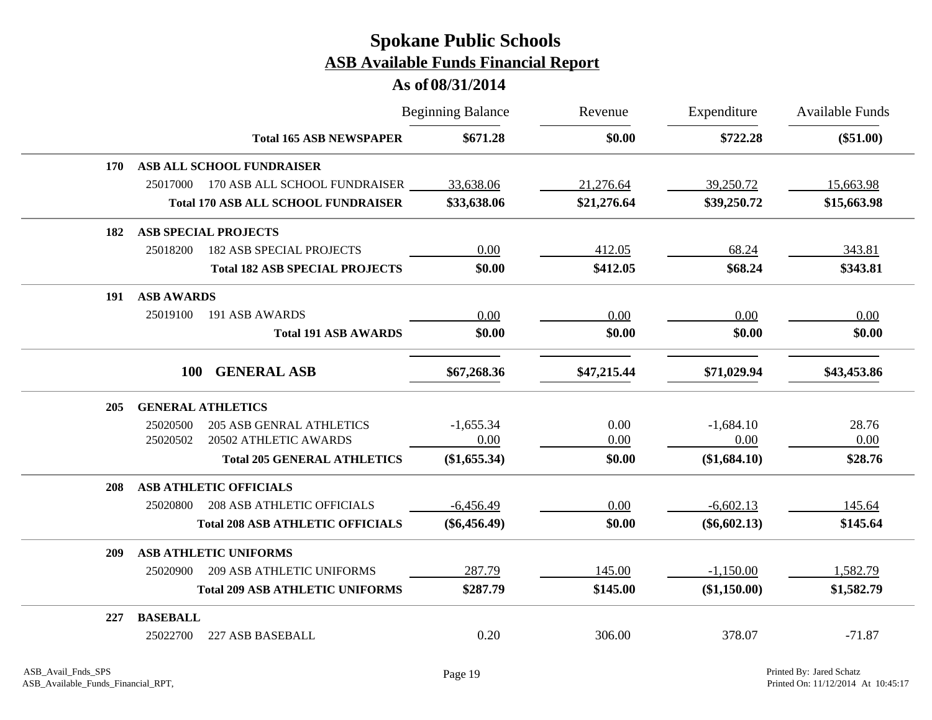|            |                                               | <b>Beginning Balance</b> | Revenue     | Expenditure    | <b>Available Funds</b> |
|------------|-----------------------------------------------|--------------------------|-------------|----------------|------------------------|
|            | <b>Total 165 ASB NEWSPAPER</b>                | \$671.28                 | \$0.00      | \$722.28       | $(\$51.00)$            |
| <b>170</b> | ASB ALL SCHOOL FUNDRAISER                     |                          |             |                |                        |
|            | 25017000<br>170 ASB ALL SCHOOL FUNDRAISER     | 33,638.06                | 21,276.64   | 39,250.72      | 15,663.98              |
|            | <b>Total 170 ASB ALL SCHOOL FUNDRAISER</b>    | \$33,638.06              | \$21,276.64 | \$39,250.72    | \$15,663.98            |
| 182        | <b>ASB SPECIAL PROJECTS</b>                   |                          |             |                |                        |
|            | <b>182 ASB SPECIAL PROJECTS</b><br>25018200   | 0.00                     | 412.05      | 68.24          | 343.81                 |
|            | <b>Total 182 ASB SPECIAL PROJECTS</b>         | \$0.00                   | \$412.05    | \$68.24        | \$343.81               |
| 191        | <b>ASB AWARDS</b>                             |                          |             |                |                        |
|            | 25019100<br>191 ASB AWARDS                    | 0.00                     | 0.00        | 0.00           | 0.00                   |
|            | <b>Total 191 ASB AWARDS</b>                   | \$0.00                   | \$0.00      | \$0.00         | \$0.00                 |
|            | <b>GENERAL ASB</b><br><b>100</b>              | \$67,268.36              | \$47,215.44 | \$71,029.94    | \$43,453.86            |
| 205        | <b>GENERAL ATHLETICS</b>                      |                          |             |                |                        |
|            | 25020500<br><b>205 ASB GENRAL ATHLETICS</b>   | $-1,655.34$              | 0.00        | $-1,684.10$    | 28.76                  |
|            | 20502 ATHLETIC AWARDS<br>25020502             | 0.00                     | 0.00        | 0.00           | 0.00                   |
|            | <b>Total 205 GENERAL ATHLETICS</b>            | (\$1,655.34)             | \$0.00      | (\$1,684.10)   | \$28.76                |
| 208        | <b>ASB ATHLETIC OFFICIALS</b>                 |                          |             |                |                        |
|            | <b>208 ASB ATHLETIC OFFICIALS</b><br>25020800 | $-6,456.49$              | 0.00        | $-6,602.13$    | 145.64                 |
|            | <b>Total 208 ASB ATHLETIC OFFICIALS</b>       | $(\$6,456.49)$           | \$0.00      | $(\$6,602.13)$ | \$145.64               |
| <b>209</b> | <b>ASB ATHLETIC UNIFORMS</b>                  |                          |             |                |                        |
|            | <b>209 ASB ATHLETIC UNIFORMS</b><br>25020900  | 287.79                   | 145.00      | $-1,150.00$    | 1,582.79               |
|            | <b>Total 209 ASB ATHLETIC UNIFORMS</b>        | \$287.79                 | \$145.00    | (\$1,150.00)   | \$1,582.79             |
| 227        | <b>BASEBALL</b>                               |                          |             |                |                        |
|            | 25022700<br>227 ASB BASEBALL                  | 0.20                     | 306.00      | 378.07         | $-71.87$               |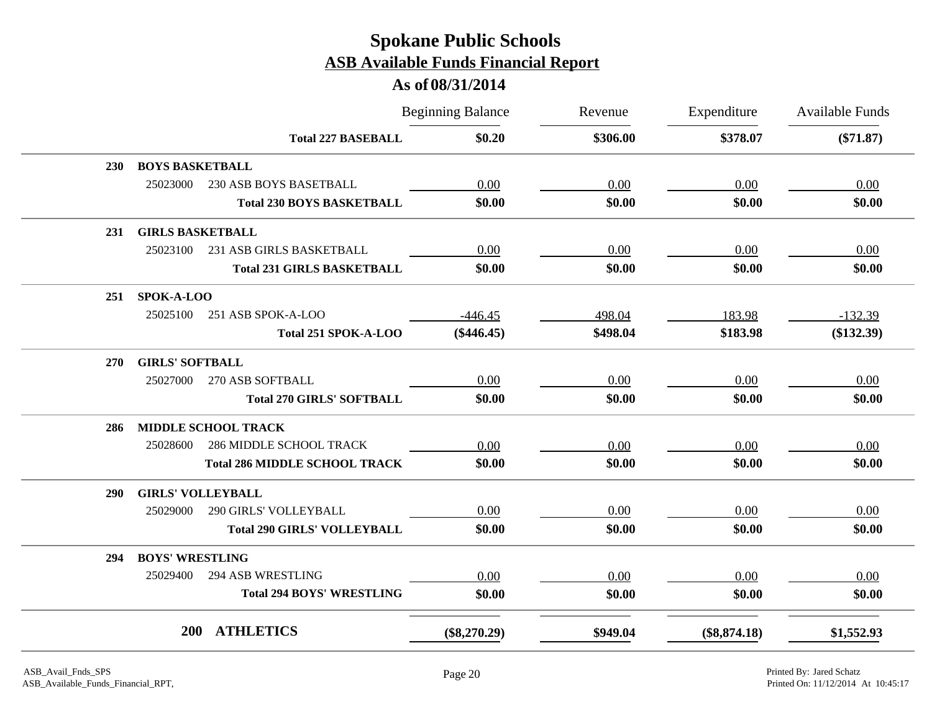|            |                         |                                      | <b>Beginning Balance</b> | Revenue  | Expenditure    | <b>Available Funds</b> |
|------------|-------------------------|--------------------------------------|--------------------------|----------|----------------|------------------------|
|            |                         | <b>Total 227 BASEBALL</b>            | \$0.20                   | \$306.00 | \$378.07       | $(\$71.87)$            |
| 230        | <b>BOYS BASKETBALL</b>  |                                      |                          |          |                |                        |
|            | 25023000                | 230 ASB BOYS BASETBALL               | 0.00                     | 0.00     | 0.00           | 0.00                   |
|            |                         | <b>Total 230 BOYS BASKETBALL</b>     | \$0.00                   | \$0.00   | \$0.00         | \$0.00                 |
| 231        | <b>GIRLS BASKETBALL</b> |                                      |                          |          |                |                        |
|            | 25023100                | 231 ASB GIRLS BASKETBALL             | 0.00                     | 0.00     | 0.00           | 0.00                   |
|            |                         | <b>Total 231 GIRLS BASKETBALL</b>    | \$0.00                   | \$0.00   | \$0.00         | \$0.00                 |
| 251        | SPOK-A-LOO              |                                      |                          |          |                |                        |
|            | 25025100                | 251 ASB SPOK-A-LOO                   | $-446.45$                | 498.04   | 183.98         | $-132.39$              |
|            |                         | Total 251 SPOK-A-LOO                 | $(\$446.45)$             | \$498.04 | \$183.98       | $(\$132.39)$           |
| <b>270</b> | <b>GIRLS' SOFTBALL</b>  |                                      |                          |          |                |                        |
|            | 25027000                | 270 ASB SOFTBALL                     | 0.00                     | 0.00     | 0.00           | 0.00                   |
|            |                         | <b>Total 270 GIRLS' SOFTBALL</b>     | \$0.00                   | \$0.00   | \$0.00         | \$0.00                 |
| 286        |                         | <b>MIDDLE SCHOOL TRACK</b>           |                          |          |                |                        |
|            | 25028600                | <b>286 MIDDLE SCHOOL TRACK</b>       | 0.00                     | 0.00     | 0.00           | 0.00                   |
|            |                         | <b>Total 286 MIDDLE SCHOOL TRACK</b> | \$0.00                   | \$0.00   | \$0.00         | \$0.00                 |
| <b>290</b> |                         | <b>GIRLS' VOLLEYBALL</b>             |                          |          |                |                        |
|            | 25029000                | 290 GIRLS' VOLLEYBALL                | 0.00                     | 0.00     | 0.00           | 0.00                   |
|            |                         | <b>Total 290 GIRLS' VOLLEYBALL</b>   | \$0.00                   | \$0.00   | \$0.00         | \$0.00                 |
| 294        | <b>BOYS' WRESTLING</b>  |                                      |                          |          |                |                        |
|            | 25029400                | <b>294 ASB WRESTLING</b>             | 0.00                     | 0.00     | 0.00           | 0.00                   |
|            |                         | <b>Total 294 BOYS' WRESTLING</b>     | \$0.00                   | \$0.00   | \$0.00         | \$0.00                 |
|            | <b>200</b>              | <b>ATHLETICS</b>                     | $(\$8,270.29)$           | \$949.04 | $(\$8,874.18)$ | \$1,552.93             |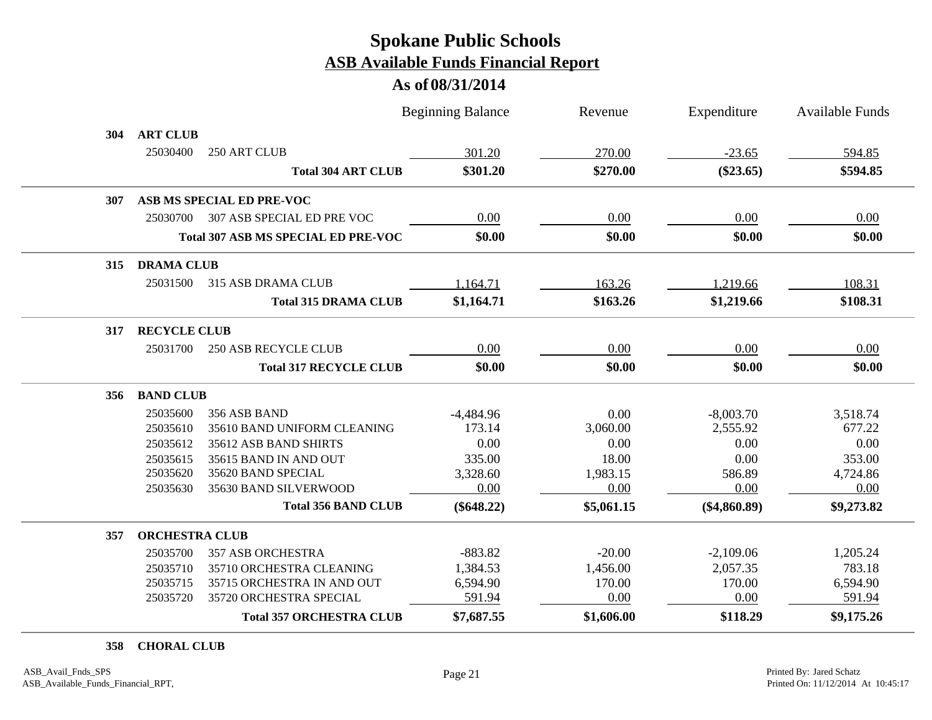### **As of 08/31/2014**

|     |                       |                                            | <b>Beginning Balance</b> | Revenue    | Expenditure    | <b>Available Funds</b> |
|-----|-----------------------|--------------------------------------------|--------------------------|------------|----------------|------------------------|
| 304 | <b>ART CLUB</b>       |                                            |                          |            |                |                        |
|     | 25030400              | 250 ART CLUB                               | 301.20                   | 270.00     | $-23.65$       | 594.85                 |
|     |                       | <b>Total 304 ART CLUB</b>                  | \$301.20                 | \$270.00   | $(\$23.65)$    | \$594.85               |
| 307 |                       | ASB MS SPECIAL ED PRE-VOC                  |                          |            |                |                        |
|     | 25030700              | 307 ASB SPECIAL ED PRE VOC                 | 0.00                     | 0.00       | 0.00           | 0.00                   |
|     |                       | <b>Total 307 ASB MS SPECIAL ED PRE-VOC</b> | \$0.00                   | \$0.00     | \$0.00         | \$0.00                 |
| 315 | <b>DRAMA CLUB</b>     |                                            |                          |            |                |                        |
|     | 25031500              | 315 ASB DRAMA CLUB                         | 1,164.71                 | 163.26     | 1,219.66       | 108.31                 |
|     |                       | <b>Total 315 DRAMA CLUB</b>                | \$1,164.71               | \$163.26   | \$1,219.66     | \$108.31               |
| 317 | <b>RECYCLE CLUB</b>   |                                            |                          |            |                |                        |
|     | 25031700              | <b>250 ASB RECYCLE CLUB</b>                | 0.00                     | 0.00       | 0.00           | 0.00                   |
|     |                       | <b>Total 317 RECYCLE CLUB</b>              | \$0.00                   | \$0.00     | \$0.00         | \$0.00                 |
| 356 | <b>BAND CLUB</b>      |                                            |                          |            |                |                        |
|     | 25035600              | 356 ASB BAND                               | $-4,484.96$              | 0.00       | $-8,003.70$    | 3,518.74               |
|     | 25035610              | 35610 BAND UNIFORM CLEANING                | 173.14                   | 3,060.00   | 2,555.92       | 677.22                 |
|     | 25035612              | 35612 ASB BAND SHIRTS                      | 0.00                     | 0.00       | 0.00           | 0.00                   |
|     | 25035615              | 35615 BAND IN AND OUT                      | 335.00                   | 18.00      | 0.00           | 353.00                 |
|     | 25035620              | 35620 BAND SPECIAL                         | 3,328.60                 | 1,983.15   | 586.89         | 4,724.86               |
|     | 25035630              | 35630 BAND SILVERWOOD                      | 0.00                     | 0.00       | 0.00           | 0.00                   |
|     |                       | <b>Total 356 BAND CLUB</b>                 | $(\$648.22)$             | \$5,061.15 | $(\$4,860.89)$ | \$9,273.82             |
| 357 | <b>ORCHESTRA CLUB</b> |                                            |                          |            |                |                        |
|     | 25035700              | <b>357 ASB ORCHESTRA</b>                   | $-883.82$                | $-20.00$   | $-2,109.06$    | 1,205.24               |
|     | 25035710              | 35710 ORCHESTRA CLEANING                   | 1,384.53                 | 1,456.00   | 2,057.35       | 783.18                 |
|     | 25035715              | 35715 ORCHESTRA IN AND OUT                 | 6,594.90                 | 170.00     | 170.00         | 6,594.90               |
|     | 25035720              | 35720 ORCHESTRA SPECIAL                    | 591.94                   | 0.00       | 0.00           | 591.94                 |
|     |                       | <b>Total 357 ORCHESTRA CLUB</b>            | \$7,687.55               | \$1,606.00 | \$118.29       | \$9,175.26             |

**CHORAL CLUB**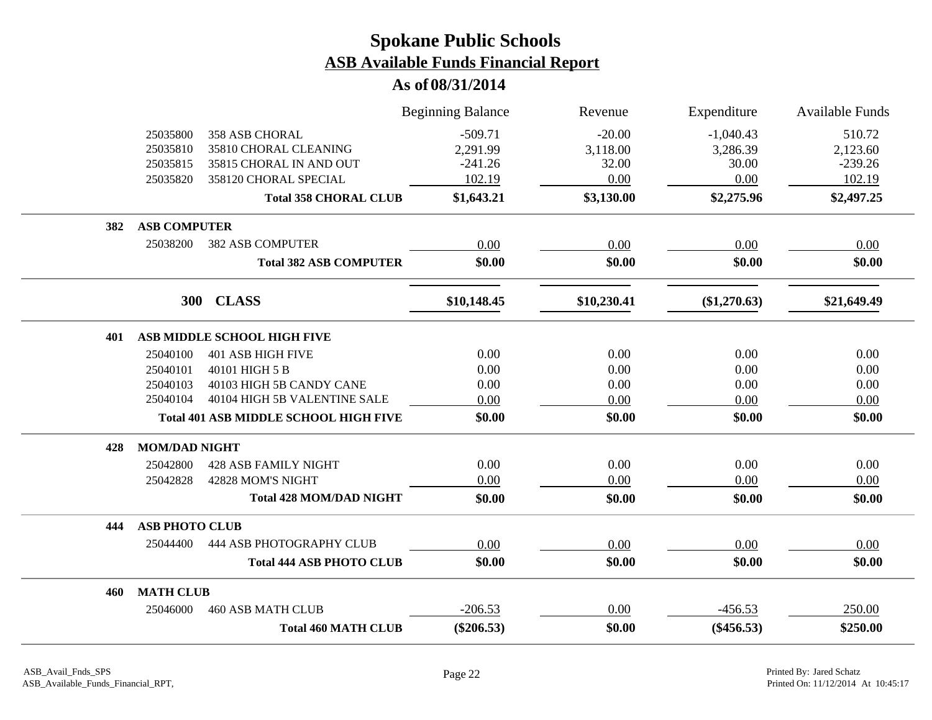|     |                       |                                              | <b>Beginning Balance</b> | Revenue     | Expenditure  | Available Funds |
|-----|-----------------------|----------------------------------------------|--------------------------|-------------|--------------|-----------------|
|     | 25035800              | <b>358 ASB CHORAL</b>                        | $-509.71$                | $-20.00$    | $-1,040.43$  | 510.72          |
|     | 25035810              | 35810 CHORAL CLEANING                        | 2,291.99                 | 3,118.00    | 3,286.39     | 2,123.60        |
|     | 25035815              | 35815 CHORAL IN AND OUT                      | $-241.26$                | 32.00       | 30.00        | $-239.26$       |
|     | 25035820              | 358120 CHORAL SPECIAL                        | 102.19                   | 0.00        | 0.00         | 102.19          |
|     |                       | <b>Total 358 CHORAL CLUB</b>                 | \$1,643.21               | \$3,130.00  | \$2,275.96   | \$2,497.25      |
| 382 | <b>ASB COMPUTER</b>   |                                              |                          |             |              |                 |
|     | 25038200              | <b>382 ASB COMPUTER</b>                      | 0.00                     | 0.00        | 0.00         | 0.00            |
|     |                       | <b>Total 382 ASB COMPUTER</b>                | \$0.00                   | \$0.00      | \$0.00       | \$0.00          |
|     | <b>300</b>            | <b>CLASS</b>                                 | \$10,148.45              | \$10,230.41 | (\$1,270.63) | \$21,649.49     |
| 401 |                       | ASB MIDDLE SCHOOL HIGH FIVE                  |                          |             |              |                 |
|     | 25040100              | <b>401 ASB HIGH FIVE</b>                     | 0.00                     | 0.00        | 0.00         | 0.00            |
|     | 25040101              | 40101 HIGH 5 B                               | 0.00                     | 0.00        | 0.00         | 0.00            |
|     | 25040103              | 40103 HIGH 5B CANDY CANE                     | 0.00                     | 0.00        | 0.00         | 0.00            |
|     | 25040104              | 40104 HIGH 5B VALENTINE SALE                 | 0.00                     | 0.00        | 0.00         | 0.00            |
|     |                       | <b>Total 401 ASB MIDDLE SCHOOL HIGH FIVE</b> | \$0.00                   | \$0.00      | \$0.00       | \$0.00          |
| 428 | <b>MOM/DAD NIGHT</b>  |                                              |                          |             |              |                 |
|     | 25042800              | <b>428 ASB FAMILY NIGHT</b>                  | 0.00                     | 0.00        | 0.00         | 0.00            |
|     | 25042828              | 42828 MOM'S NIGHT                            | 0.00                     | 0.00        | 0.00         | 0.00            |
|     |                       | <b>Total 428 MOM/DAD NIGHT</b>               | \$0.00                   | \$0.00      | \$0.00       | \$0.00          |
| 444 | <b>ASB PHOTO CLUB</b> |                                              |                          |             |              |                 |
|     | 25044400              | <b>444 ASB PHOTOGRAPHY CLUB</b>              | 0.00                     | 0.00        | 0.00         | 0.00            |
|     |                       | <b>Total 444 ASB PHOTO CLUB</b>              | \$0.00                   | \$0.00      | \$0.00       | \$0.00          |
| 460 | <b>MATH CLUB</b>      |                                              |                          |             |              |                 |
|     | 25046000              | <b>460 ASB MATH CLUB</b>                     | $-206.53$                | 0.00        | $-456.53$    | 250.00          |
|     |                       | <b>Total 460 MATH CLUB</b>                   | $(\$206.53)$             | \$0.00      | $(\$456.53)$ | \$250.00        |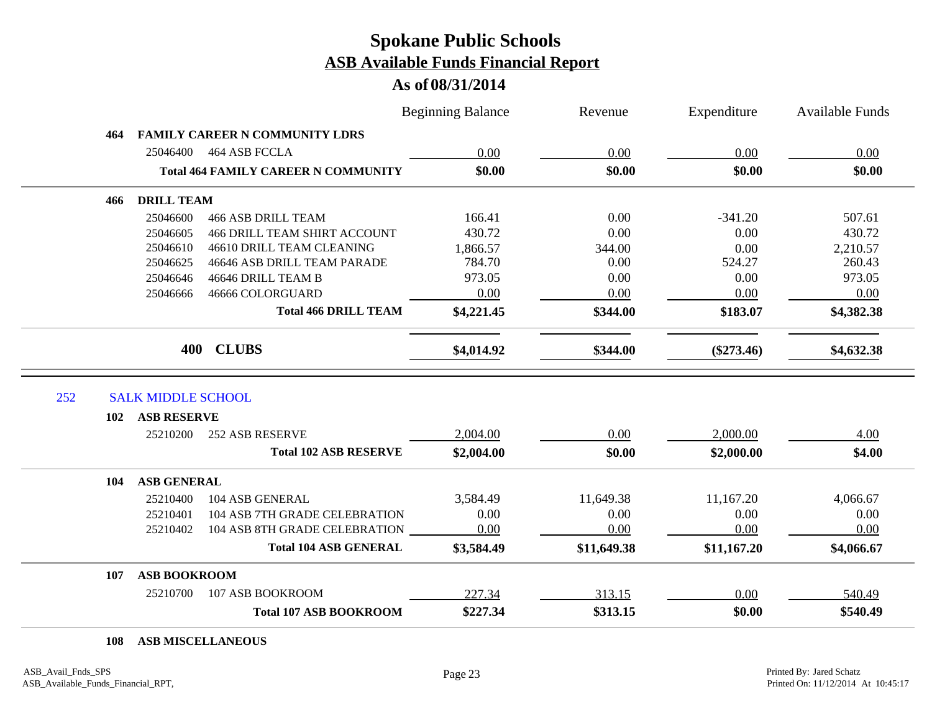#### **As of 08/31/2014**

|     |                           |                                            | <b>Beginning Balance</b> | Revenue     | Expenditure  | <b>Available Funds</b> |
|-----|---------------------------|--------------------------------------------|--------------------------|-------------|--------------|------------------------|
| 464 |                           | <b>FAMILY CAREER N COMMUNITY LDRS</b>      |                          |             |              |                        |
|     | 25046400                  | 464 ASB FCCLA                              | 0.00                     | 0.00        | 0.00         | 0.00                   |
|     |                           | <b>Total 464 FAMILY CAREER N COMMUNITY</b> | \$0.00                   | \$0.00      | \$0.00       | \$0.00                 |
| 466 | <b>DRILL TEAM</b>         |                                            |                          |             |              |                        |
|     | 25046600                  | <b>466 ASB DRILL TEAM</b>                  | 166.41                   | 0.00        | $-341.20$    | 507.61                 |
|     | 25046605                  | <b>466 DRILL TEAM SHIRT ACCOUNT</b>        | 430.72                   | 0.00        | 0.00         | 430.72                 |
|     | 25046610                  | 46610 DRILL TEAM CLEANING                  | 1,866.57                 | 344.00      | 0.00         | 2,210.57               |
|     | 25046625                  | 46646 ASB DRILL TEAM PARADE                | 784.70                   | 0.00        | 524.27       | 260.43                 |
|     | 25046646                  | 46646 DRILL TEAM B                         | 973.05                   | 0.00        | 0.00         | 973.05                 |
|     | 25046666                  | 46666 COLORGUARD                           | 0.00                     | 0.00        | 0.00         | 0.00                   |
|     |                           | <b>Total 466 DRILL TEAM</b>                | \$4,221.45               | \$344.00    | \$183.07     | \$4,382.38             |
|     |                           |                                            |                          |             |              |                        |
|     | 400                       | <b>CLUBS</b>                               | \$4,014.92               | \$344.00    | $(\$273.46)$ | \$4,632.38             |
| 252 | <b>SALK MIDDLE SCHOOL</b> |                                            |                          |             |              |                        |
| 102 | <b>ASB RESERVE</b>        |                                            |                          |             |              |                        |
|     | 25210200                  | <b>252 ASB RESERVE</b>                     | 2,004.00                 | 0.00        | 2,000.00     | 4.00                   |
|     |                           | <b>Total 102 ASB RESERVE</b>               | \$2,004.00               | \$0.00      | \$2,000.00   | \$4.00                 |
| 104 | <b>ASB GENERAL</b>        |                                            |                          |             |              |                        |
|     | 25210400                  | 104 ASB GENERAL                            | 3,584.49                 | 11,649.38   | 11,167.20    | 4,066.67               |
|     | 25210401                  | 104 ASB 7TH GRADE CELEBRATION              | 0.00                     | 0.00        | 0.00         | 0.00                   |
|     | 25210402                  | 104 ASB 8TH GRADE CELEBRATION              | 0.00                     | 0.00        | 0.00         | 0.00                   |
|     |                           | <b>Total 104 ASB GENERAL</b>               | \$3,584.49               | \$11,649.38 | \$11,167.20  | \$4,066.67             |
| 107 | <b>ASB BOOKROOM</b>       |                                            |                          |             |              |                        |
|     | 25210700                  | 107 ASB BOOKROOM                           | 227.34                   | 313.15      | 0.00         | 540.49                 |

#### **ASB MISCELLANEOUS**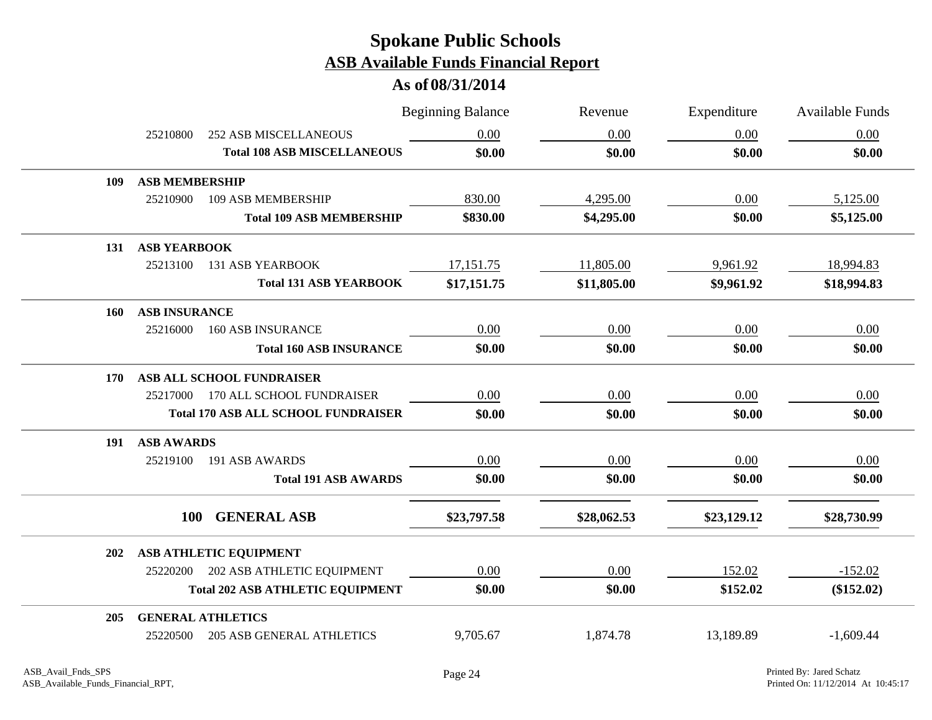|            |                       |                                            | <b>Beginning Balance</b> | Revenue     | Expenditure | <b>Available Funds</b> |
|------------|-----------------------|--------------------------------------------|--------------------------|-------------|-------------|------------------------|
|            | 25210800              | <b>252 ASB MISCELLANEOUS</b>               | 0.00                     | 0.00        | 0.00        | 0.00                   |
|            |                       | <b>Total 108 ASB MISCELLANEOUS</b>         | \$0.00                   | \$0.00      | \$0.00      | \$0.00                 |
| 109        | <b>ASB MEMBERSHIP</b> |                                            |                          |             |             |                        |
|            | 25210900              | 109 ASB MEMBERSHIP                         | 830.00                   | 4,295.00    | 0.00        | 5,125.00               |
|            |                       | <b>Total 109 ASB MEMBERSHIP</b>            | \$830.00                 | \$4,295.00  | \$0.00      | \$5,125.00             |
|            | 131 ASB YEARBOOK      |                                            |                          |             |             |                        |
|            | 25213100              | <b>131 ASB YEARBOOK</b>                    | 17,151.75                | 11,805.00   | 9,961.92    | 18,994.83              |
|            |                       | <b>Total 131 ASB YEARBOOK</b>              | \$17,151.75              | \$11,805.00 | \$9,961.92  | \$18,994.83            |
| 160        | <b>ASB INSURANCE</b>  |                                            |                          |             |             |                        |
|            | 25216000              | <b>160 ASB INSURANCE</b>                   | 0.00                     | 0.00        | 0.00        | 0.00                   |
|            |                       | <b>Total 160 ASB INSURANCE</b>             | \$0.00                   | \$0.00      | \$0.00      | \$0.00                 |
| <b>170</b> |                       | ASB ALL SCHOOL FUNDRAISER                  |                          |             |             |                        |
|            |                       | 25217000 170 ALL SCHOOL FUNDRAISER         | 0.00                     | 0.00        | 0.00        | 0.00                   |
|            |                       | <b>Total 170 ASB ALL SCHOOL FUNDRAISER</b> | \$0.00                   | \$0.00      | \$0.00      | \$0.00                 |
| 191        | <b>ASB AWARDS</b>     |                                            |                          |             |             |                        |
|            | 25219100              | 191 ASB AWARDS                             | 0.00                     | 0.00        | 0.00        | 0.00                   |
|            |                       | <b>Total 191 ASB AWARDS</b>                | \$0.00                   | \$0.00      | \$0.00      | \$0.00                 |
|            | <b>100</b>            | <b>GENERAL ASB</b>                         | \$23,797.58              | \$28,062.53 | \$23,129.12 | \$28,730.99            |
| 202        |                       | ASB ATHLETIC EQUIPMENT                     |                          |             |             |                        |
|            | 25220200              | 202 ASB ATHLETIC EQUIPMENT                 | 0.00                     | 0.00        | 152.02      | $-152.02$              |
|            |                       | <b>Total 202 ASB ATHLETIC EQUIPMENT</b>    | \$0.00                   | \$0.00      | \$152.02    | $(\$152.02)$           |
| 205        |                       | <b>GENERAL ATHLETICS</b>                   |                          |             |             |                        |
|            | 25220500              | <b>205 ASB GENERAL ATHLETICS</b>           | 9,705.67                 | 1,874.78    | 13,189.89   | $-1,609.44$            |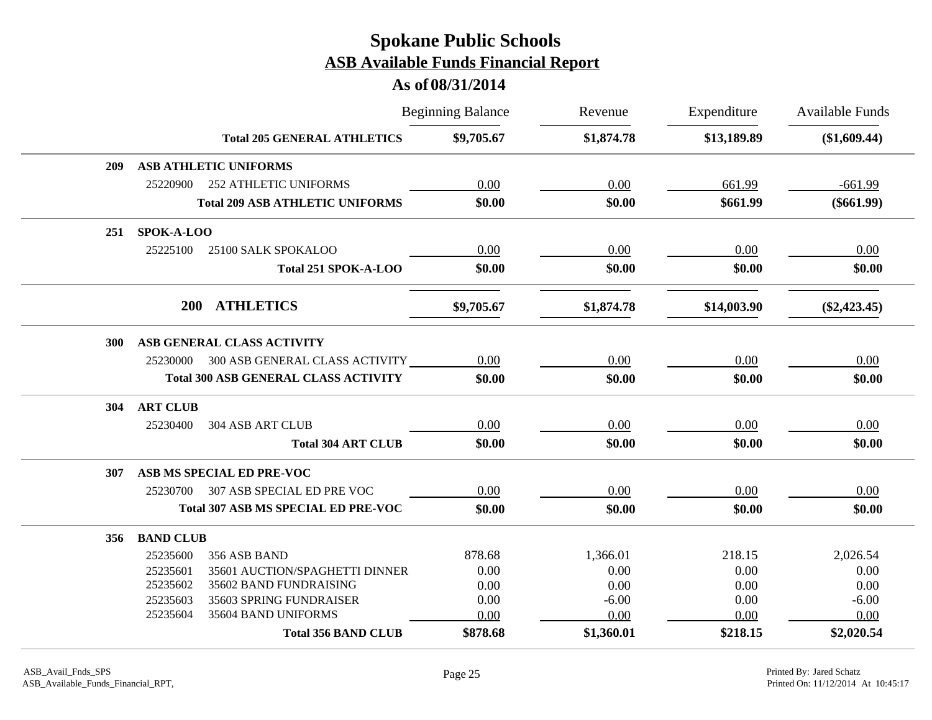|            |                  |                                             | <b>Beginning Balance</b> | Revenue    | Expenditure | <b>Available Funds</b> |
|------------|------------------|---------------------------------------------|--------------------------|------------|-------------|------------------------|
|            |                  | <b>Total 205 GENERAL ATHLETICS</b>          | \$9,705.67               | \$1,874.78 | \$13,189.89 | (\$1,609.44)           |
| 209        |                  | ASB ATHLETIC UNIFORMS                       |                          |            |             |                        |
|            | 25220900         | <b>252 ATHLETIC UNIFORMS</b>                | 0.00                     | 0.00       | 661.99      | $-661.99$              |
|            |                  | <b>Total 209 ASB ATHLETIC UNIFORMS</b>      | \$0.00                   | \$0.00     | \$661.99    | $(\$661.99)$           |
| 251        | SPOK-A-LOO       |                                             |                          |            |             |                        |
|            | 25225100         | 25100 SALK SPOKALOO                         | 0.00                     | 0.00       | 0.00        | 0.00                   |
|            |                  | Total 251 SPOK-A-LOO                        | \$0.00                   | \$0.00     | \$0.00      | \$0.00                 |
|            | <b>200</b>       | <b>ATHLETICS</b>                            | \$9,705.67               | \$1,874.78 | \$14,003.90 | $(\$2,423.45)$         |
| <b>300</b> |                  | ASB GENERAL CLASS ACTIVITY                  |                          |            |             |                        |
|            |                  | 25230000 300 ASB GENERAL CLASS ACTIVITY     | 0.00                     | 0.00       | 0.00        | 0.00                   |
|            |                  | <b>Total 300 ASB GENERAL CLASS ACTIVITY</b> | \$0.00                   | \$0.00     | \$0.00      | \$0.00                 |
| 304        | <b>ART CLUB</b>  |                                             |                          |            |             |                        |
|            | 25230400         | <b>304 ASB ART CLUB</b>                     | 0.00                     | 0.00       | 0.00        | 0.00                   |
|            |                  | <b>Total 304 ART CLUB</b>                   | \$0.00                   | \$0.00     | \$0.00      | \$0.00                 |
| 307        |                  | ASB MS SPECIAL ED PRE-VOC                   |                          |            |             |                        |
|            | 25230700         | 307 ASB SPECIAL ED PRE VOC                  | 0.00                     | 0.00       | 0.00        | 0.00                   |
|            |                  | <b>Total 307 ASB MS SPECIAL ED PRE-VOC</b>  | \$0.00                   | \$0.00     | \$0.00      | \$0.00                 |
| 356        | <b>BAND CLUB</b> |                                             |                          |            |             |                        |
|            | 25235600         | 356 ASB BAND                                | 878.68                   | 1,366.01   | 218.15      | 2,026.54               |
|            | 25235601         | 35601 AUCTION/SPAGHETTI DINNER              | 0.00                     | 0.00       | 0.00        | 0.00                   |
|            | 25235602         | 35602 BAND FUNDRAISING                      | 0.00                     | 0.00       | 0.00        | 0.00                   |
|            | 25235603         | 35603 SPRING FUNDRAISER                     | 0.00                     | $-6.00$    | 0.00        | $-6.00$                |
|            | 25235604         | 35604 BAND UNIFORMS                         | 0.00                     | 0.00       | 0.00        | 0.00                   |
|            |                  | <b>Total 356 BAND CLUB</b>                  | \$878.68                 | \$1,360.01 | \$218.15    | \$2,020.54             |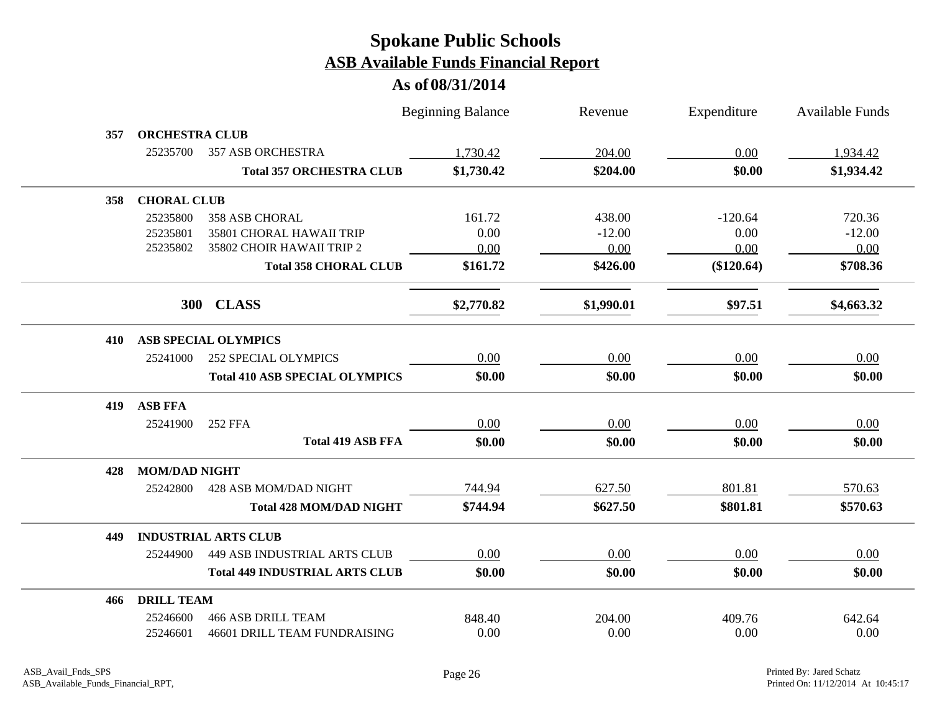|     |                       |                                       | <b>Beginning Balance</b> | Revenue    | Expenditure  | <b>Available Funds</b> |
|-----|-----------------------|---------------------------------------|--------------------------|------------|--------------|------------------------|
| 357 | <b>ORCHESTRA CLUB</b> |                                       |                          |            |              |                        |
|     | 25235700              | <b>357 ASB ORCHESTRA</b>              | 1,730.42                 | 204.00     | 0.00         | 1,934.42               |
|     |                       | <b>Total 357 ORCHESTRA CLUB</b>       | \$1,730.42               | \$204.00   | \$0.00       | \$1,934.42             |
| 358 | <b>CHORAL CLUB</b>    |                                       |                          |            |              |                        |
|     | 25235800              | <b>358 ASB CHORAL</b>                 | 161.72                   | 438.00     | $-120.64$    | 720.36                 |
|     | 25235801              | 35801 CHORAL HAWAII TRIP              | 0.00                     | $-12.00$   | 0.00         | $-12.00$               |
|     | 25235802              | 35802 CHOIR HAWAII TRIP 2             | 0.00                     | 0.00       | 0.00         | 0.00                   |
|     |                       | <b>Total 358 CHORAL CLUB</b>          | \$161.72                 | \$426.00   | $(\$120.64)$ | \$708.36               |
|     | <b>300</b>            | <b>CLASS</b>                          | \$2,770.82               | \$1,990.01 | \$97.51      | \$4,663.32             |
| 410 |                       | <b>ASB SPECIAL OLYMPICS</b>           |                          |            |              |                        |
|     | 25241000              | <b>252 SPECIAL OLYMPICS</b>           | 0.00                     | 0.00       | 0.00         | 0.00                   |
|     |                       | <b>Total 410 ASB SPECIAL OLYMPICS</b> | \$0.00                   | \$0.00     | \$0.00       | \$0.00                 |
| 419 | <b>ASB FFA</b>        |                                       |                          |            |              |                        |
|     | 25241900              | 252 FFA                               | 0.00                     | 0.00       | 0.00         | 0.00                   |
|     |                       | <b>Total 419 ASB FFA</b>              | \$0.00                   | \$0.00     | \$0.00       | \$0.00                 |
| 428 | <b>MOM/DAD NIGHT</b>  |                                       |                          |            |              |                        |
|     | 25242800              | 428 ASB MOM/DAD NIGHT                 | 744.94                   | 627.50     | 801.81       | 570.63                 |
|     |                       | <b>Total 428 MOM/DAD NIGHT</b>        | \$744.94                 | \$627.50   | \$801.81     | \$570.63               |
| 449 |                       | <b>INDUSTRIAL ARTS CLUB</b>           |                          |            |              |                        |
|     | 25244900              | <b>449 ASB INDUSTRIAL ARTS CLUB</b>   | 0.00                     | 0.00       | 0.00         | 0.00                   |
|     |                       | <b>Total 449 INDUSTRIAL ARTS CLUB</b> | \$0.00                   | \$0.00     | \$0.00       | \$0.00                 |
| 466 | <b>DRILL TEAM</b>     |                                       |                          |            |              |                        |
|     | 25246600              | <b>466 ASB DRILL TEAM</b>             | 848.40                   | 204.00     | 409.76       | 642.64                 |
|     | 25246601              | 46601 DRILL TEAM FUNDRAISING          | 0.00                     | 0.00       | 0.00         | 0.00                   |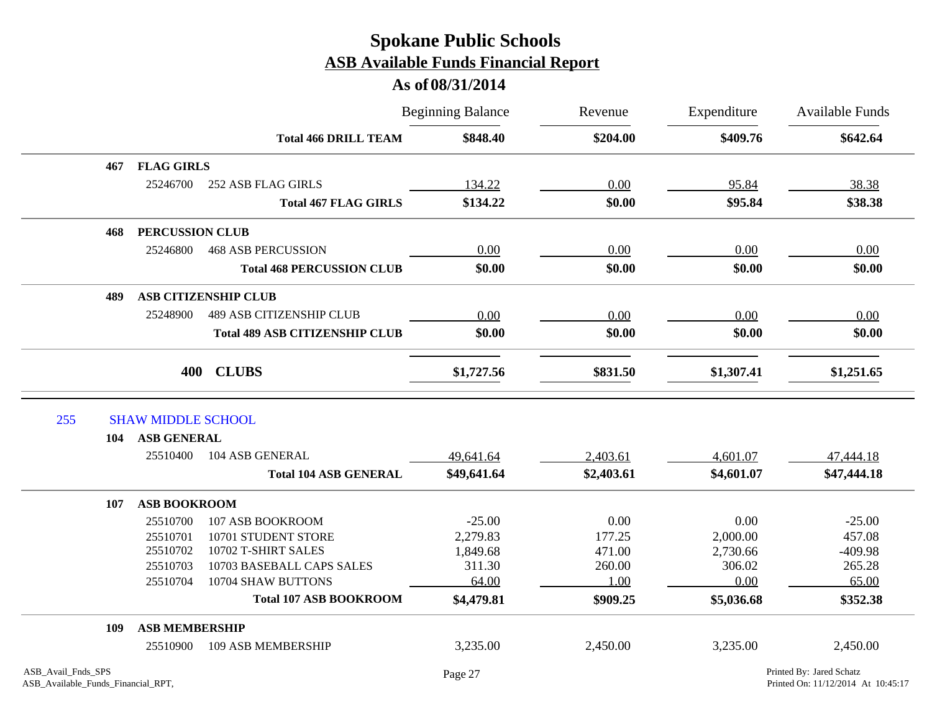|     |     |                           |                                       | <b>Beginning Balance</b> | Revenue    | Expenditure | <b>Available Funds</b> |
|-----|-----|---------------------------|---------------------------------------|--------------------------|------------|-------------|------------------------|
|     |     |                           | <b>Total 466 DRILL TEAM</b>           | \$848.40                 | \$204.00   | \$409.76    | \$642.64               |
|     | 467 | <b>FLAG GIRLS</b>         |                                       |                          |            |             |                        |
|     |     | 25246700                  | <b>252 ASB FLAG GIRLS</b>             | 134.22                   | 0.00       | 95.84       | 38.38                  |
|     |     |                           | <b>Total 467 FLAG GIRLS</b>           | \$134.22                 | \$0.00     | \$95.84     | \$38.38                |
|     | 468 | <b>PERCUSSION CLUB</b>    |                                       |                          |            |             |                        |
|     |     | 25246800                  | <b>468 ASB PERCUSSION</b>             | 0.00                     | 0.00       | 0.00        | 0.00                   |
|     |     |                           | <b>Total 468 PERCUSSION CLUB</b>      | \$0.00                   | \$0.00     | \$0.00      | \$0.00                 |
|     | 489 |                           | <b>ASB CITIZENSHIP CLUB</b>           |                          |            |             |                        |
|     |     | 25248900                  | <b>489 ASB CITIZENSHIP CLUB</b>       | 0.00                     | 0.00       | 0.00        | 0.00                   |
|     |     |                           | <b>Total 489 ASB CITIZENSHIP CLUB</b> | \$0.00                   | \$0.00     | \$0.00      | \$0.00                 |
|     |     | 400                       | <b>CLUBS</b>                          | \$1,727.56               | \$831.50   | \$1,307.41  | \$1,251.65             |
| 255 |     | <b>SHAW MIDDLE SCHOOL</b> |                                       |                          |            |             |                        |
|     | 104 | <b>ASB GENERAL</b>        |                                       |                          |            |             |                        |
|     |     | 25510400                  | 104 ASB GENERAL                       | 49,641.64                | 2,403.61   | 4,601.07    | 47,444.18              |
|     |     |                           | <b>Total 104 ASB GENERAL</b>          | \$49,641.64              | \$2,403.61 | \$4,601.07  | \$47,444.18            |
|     | 107 | <b>ASB BOOKROOM</b>       |                                       |                          |            |             |                        |
|     |     | 25510700                  | 107 ASB BOOKROOM                      | $-25.00$                 | 0.00       | 0.00        | $-25.00$               |
|     |     | 25510701                  | 10701 STUDENT STORE                   | 2,279.83                 | 177.25     | 2,000.00    | 457.08                 |
|     |     | 25510702                  | 10702 T-SHIRT SALES                   | 1,849.68                 | 471.00     | 2,730.66    | $-409.98$              |
|     |     | 25510703                  | 10703 BASEBALL CAPS SALES             | 311.30                   | 260.00     | 306.02      | 265.28                 |
|     |     | 25510704                  | 10704 SHAW BUTTONS                    | 64.00                    | 1.00       | 0.00        | 65.00                  |
|     |     |                           | <b>Total 107 ASB BOOKROOM</b>         | \$4,479.81               | \$909.25   | \$5,036.68  | \$352.38               |
|     | 109 | <b>ASB MEMBERSHIP</b>     |                                       |                          |            |             |                        |
|     |     | 25510900                  | 109 ASB MEMBERSHIP                    | 3,235.00                 | 2,450.00   | 3,235.00    | 2,450.00               |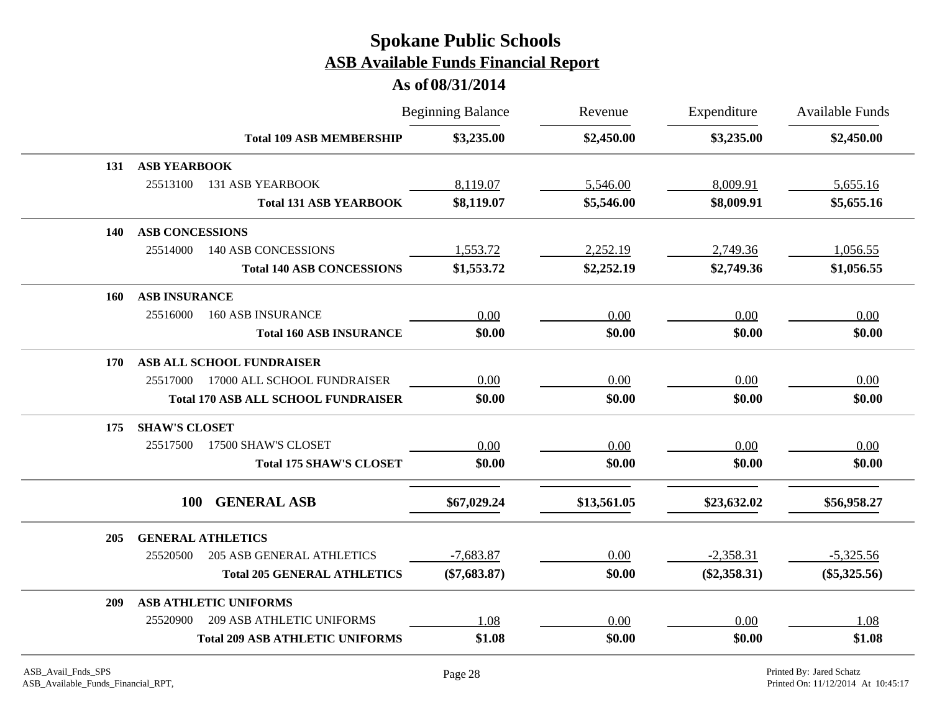| \$3,235.00<br>\$2,450.00<br>\$3,235.00<br><b>Total 109 ASB MEMBERSHIP</b><br><b>ASB YEARBOOK</b><br>131<br>25513100<br><b>131 ASB YEARBOOK</b><br>8,119.07<br>5,546.00<br>8,009.91<br>\$8,119.07<br>\$8,009.91<br>\$5,546.00<br><b>Total 131 ASB YEARBOOK</b><br><b>ASB CONCESSIONS</b><br>140<br>1,553.72<br>25514000<br><b>140 ASB CONCESSIONS</b><br>2,252.19<br>2,749.36<br>\$1,553.72<br>\$2,252.19<br>\$2,749.36<br><b>Total 140 ASB CONCESSIONS</b><br><b>ASB INSURANCE</b><br>160<br>25516000<br><b>160 ASB INSURANCE</b><br>0.00<br>0.00<br>0.00<br>\$0.00<br>\$0.00<br>\$0.00<br><b>Total 160 ASB INSURANCE</b><br>ASB ALL SCHOOL FUNDRAISER<br>170<br>0.00<br>25517000<br>17000 ALL SCHOOL FUNDRAISER<br>0.00<br>0.00<br>\$0.00<br>\$0.00<br>\$0.00<br><b>Total 170 ASB ALL SCHOOL FUNDRAISER</b> | Available Funds | Expenditure | Revenue | <b>Beginning Balance</b> |  |  |
|--------------------------------------------------------------------------------------------------------------------------------------------------------------------------------------------------------------------------------------------------------------------------------------------------------------------------------------------------------------------------------------------------------------------------------------------------------------------------------------------------------------------------------------------------------------------------------------------------------------------------------------------------------------------------------------------------------------------------------------------------------------------------------------------------------------|-----------------|-------------|---------|--------------------------|--|--|
|                                                                                                                                                                                                                                                                                                                                                                                                                                                                                                                                                                                                                                                                                                                                                                                                              | \$2,450.00      |             |         |                          |  |  |
|                                                                                                                                                                                                                                                                                                                                                                                                                                                                                                                                                                                                                                                                                                                                                                                                              |                 |             |         |                          |  |  |
|                                                                                                                                                                                                                                                                                                                                                                                                                                                                                                                                                                                                                                                                                                                                                                                                              | 5,655.16        |             |         |                          |  |  |
|                                                                                                                                                                                                                                                                                                                                                                                                                                                                                                                                                                                                                                                                                                                                                                                                              | \$5,655.16      |             |         |                          |  |  |
|                                                                                                                                                                                                                                                                                                                                                                                                                                                                                                                                                                                                                                                                                                                                                                                                              |                 |             |         |                          |  |  |
|                                                                                                                                                                                                                                                                                                                                                                                                                                                                                                                                                                                                                                                                                                                                                                                                              | 1,056.55        |             |         |                          |  |  |
|                                                                                                                                                                                                                                                                                                                                                                                                                                                                                                                                                                                                                                                                                                                                                                                                              | \$1,056.55      |             |         |                          |  |  |
|                                                                                                                                                                                                                                                                                                                                                                                                                                                                                                                                                                                                                                                                                                                                                                                                              |                 |             |         |                          |  |  |
|                                                                                                                                                                                                                                                                                                                                                                                                                                                                                                                                                                                                                                                                                                                                                                                                              | 0.00            |             |         |                          |  |  |
|                                                                                                                                                                                                                                                                                                                                                                                                                                                                                                                                                                                                                                                                                                                                                                                                              | \$0.00          |             |         |                          |  |  |
|                                                                                                                                                                                                                                                                                                                                                                                                                                                                                                                                                                                                                                                                                                                                                                                                              |                 |             |         |                          |  |  |
|                                                                                                                                                                                                                                                                                                                                                                                                                                                                                                                                                                                                                                                                                                                                                                                                              | 0.00            |             |         |                          |  |  |
|                                                                                                                                                                                                                                                                                                                                                                                                                                                                                                                                                                                                                                                                                                                                                                                                              | \$0.00          |             |         |                          |  |  |
| <b>SHAW'S CLOSET</b><br>175                                                                                                                                                                                                                                                                                                                                                                                                                                                                                                                                                                                                                                                                                                                                                                                  |                 |             |         |                          |  |  |
| 17500 SHAW'S CLOSET<br>25517500<br>0.00<br>0.00<br>0.00                                                                                                                                                                                                                                                                                                                                                                                                                                                                                                                                                                                                                                                                                                                                                      | 0.00            |             |         |                          |  |  |
| \$0.00<br>\$0.00<br>\$0.00<br><b>Total 175 SHAW'S CLOSET</b>                                                                                                                                                                                                                                                                                                                                                                                                                                                                                                                                                                                                                                                                                                                                                 | \$0.00          |             |         |                          |  |  |
| <b>GENERAL ASB</b><br>100<br>\$67,029.24<br>\$13,561.05<br>\$23,632.02                                                                                                                                                                                                                                                                                                                                                                                                                                                                                                                                                                                                                                                                                                                                       | \$56,958.27     |             |         |                          |  |  |
|                                                                                                                                                                                                                                                                                                                                                                                                                                                                                                                                                                                                                                                                                                                                                                                                              |                 |             |         |                          |  |  |
| <b>GENERAL ATHLETICS</b><br>205                                                                                                                                                                                                                                                                                                                                                                                                                                                                                                                                                                                                                                                                                                                                                                              |                 |             |         |                          |  |  |
| $-7,683.87$<br>0.00<br>$-2,358.31$<br><b>205 ASB GENERAL ATHLETICS</b><br>25520500                                                                                                                                                                                                                                                                                                                                                                                                                                                                                                                                                                                                                                                                                                                           | $-5,325.56$     |             |         |                          |  |  |
| $(\$7,683.87)$<br>\$0.00<br>$(\$2,358.31)$<br><b>Total 205 GENERAL ATHLETICS</b>                                                                                                                                                                                                                                                                                                                                                                                                                                                                                                                                                                                                                                                                                                                             | $(\$5,325.56)$  |             |         |                          |  |  |
| <b>ASB ATHLETIC UNIFORMS</b><br>209                                                                                                                                                                                                                                                                                                                                                                                                                                                                                                                                                                                                                                                                                                                                                                          |                 |             |         |                          |  |  |
| <b>209 ASB ATHLETIC UNIFORMS</b><br>25520900<br>0.00<br>0.00<br>1.08                                                                                                                                                                                                                                                                                                                                                                                                                                                                                                                                                                                                                                                                                                                                         | 1.08            |             |         |                          |  |  |
| <b>Total 209 ASB ATHLETIC UNIFORMS</b><br>\$1.08<br>\$0.00<br>\$0.00                                                                                                                                                                                                                                                                                                                                                                                                                                                                                                                                                                                                                                                                                                                                         | \$1.08          |             |         |                          |  |  |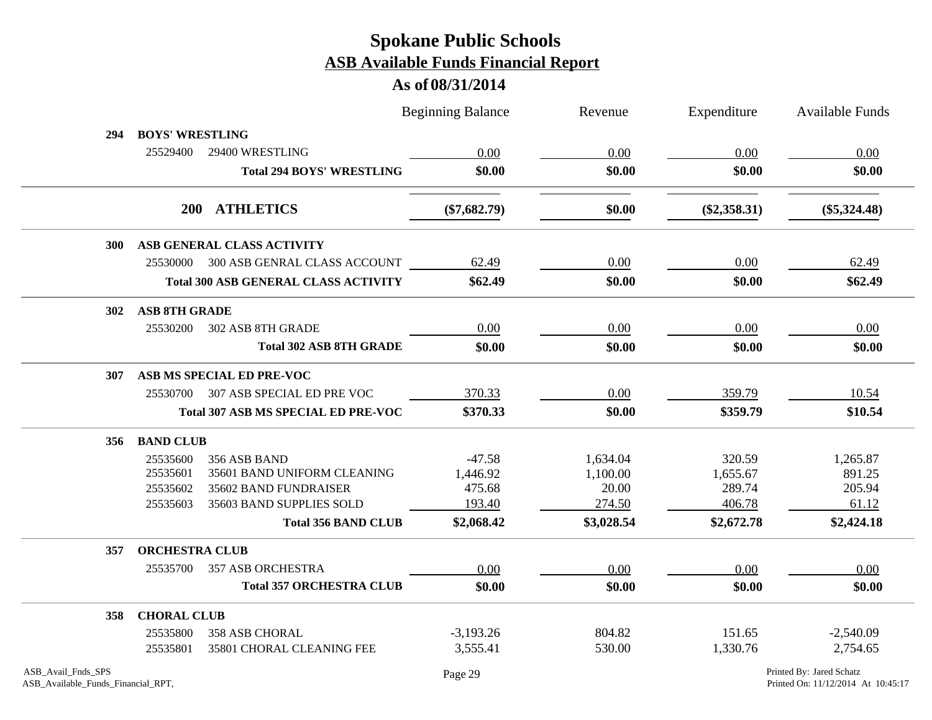|                                                          |                        |                                             | <b>Beginning Balance</b> | Revenue    | Expenditure    | <b>Available Funds</b>                                         |
|----------------------------------------------------------|------------------------|---------------------------------------------|--------------------------|------------|----------------|----------------------------------------------------------------|
| 294                                                      | <b>BOYS' WRESTLING</b> |                                             |                          |            |                |                                                                |
|                                                          | 25529400               | 29400 WRESTLING                             | 0.00                     | 0.00       | 0.00           | 0.00                                                           |
|                                                          |                        | <b>Total 294 BOYS' WRESTLING</b>            | \$0.00                   | \$0.00     | \$0.00         | \$0.00                                                         |
|                                                          |                        | 200 ATHLETICS                               | $(\$7,682.79)$           | \$0.00     | $(\$2,358.31)$ | $(\$5,324.48)$                                                 |
| <b>300</b>                                               |                        | ASB GENERAL CLASS ACTIVITY                  |                          |            |                |                                                                |
|                                                          |                        | 25530000 300 ASB GENRAL CLASS ACCOUNT       | 62.49                    | 0.00       | 0.00           | 62.49                                                          |
|                                                          |                        | <b>Total 300 ASB GENERAL CLASS ACTIVITY</b> | \$62.49                  | \$0.00     | \$0.00         | \$62.49                                                        |
| <b>302</b>                                               | <b>ASB 8TH GRADE</b>   |                                             |                          |            |                |                                                                |
|                                                          | 25530200               | 302 ASB 8TH GRADE                           | 0.00                     | $0.00\,$   | 0.00           | 0.00                                                           |
|                                                          |                        | <b>Total 302 ASB 8TH GRADE</b>              | \$0.00                   | \$0.00     | \$0.00         | \$0.00                                                         |
| 307                                                      |                        | ASB MS SPECIAL ED PRE-VOC                   |                          |            |                |                                                                |
|                                                          | 25530700               | 307 ASB SPECIAL ED PRE VOC                  | 370.33                   | 0.00       | 359.79         | 10.54                                                          |
|                                                          |                        | <b>Total 307 ASB MS SPECIAL ED PRE-VOC</b>  | \$370.33                 | \$0.00     | \$359.79       | \$10.54                                                        |
| 356                                                      | <b>BAND CLUB</b>       |                                             |                          |            |                |                                                                |
|                                                          | 25535600               | 356 ASB BAND                                | $-47.58$                 | 1,634.04   | 320.59         | 1,265.87                                                       |
|                                                          | 25535601               | 35601 BAND UNIFORM CLEANING                 | 1,446.92                 | 1,100.00   | 1,655.67       | 891.25                                                         |
|                                                          | 25535602               | 35602 BAND FUNDRAISER                       | 475.68                   | 20.00      | 289.74         | 205.94                                                         |
|                                                          | 25535603               | 35603 BAND SUPPLIES SOLD                    | 193.40                   | 274.50     | 406.78         | 61.12                                                          |
|                                                          |                        | <b>Total 356 BAND CLUB</b>                  | \$2,068.42               | \$3,028.54 | \$2,672.78     | \$2,424.18                                                     |
| 357                                                      | <b>ORCHESTRA CLUB</b>  |                                             |                          |            |                |                                                                |
|                                                          | 25535700               | 357 ASB ORCHESTRA                           | 0.00                     | 0.00       | 0.00           | 0.00                                                           |
|                                                          |                        | <b>Total 357 ORCHESTRA CLUB</b>             | \$0.00                   | \$0.00     | \$0.00         | \$0.00                                                         |
| 358                                                      | <b>CHORAL CLUB</b>     |                                             |                          |            |                |                                                                |
|                                                          | 25535800               | <b>358 ASB CHORAL</b>                       | $-3,193.26$              | 804.82     | 151.65         | $-2,540.09$                                                    |
|                                                          | 25535801               | 35801 CHORAL CLEANING FEE                   | 3,555.41                 | 530.00     | 1,330.76       | 2,754.65                                                       |
| ASB_Avail_Fnds_SPS<br>ASB_Available_Funds_Financial_RPT, |                        |                                             | Page 29                  |            |                | Printed By: Jared Schatz<br>Printed On: 11/12/2014 At 10:45:17 |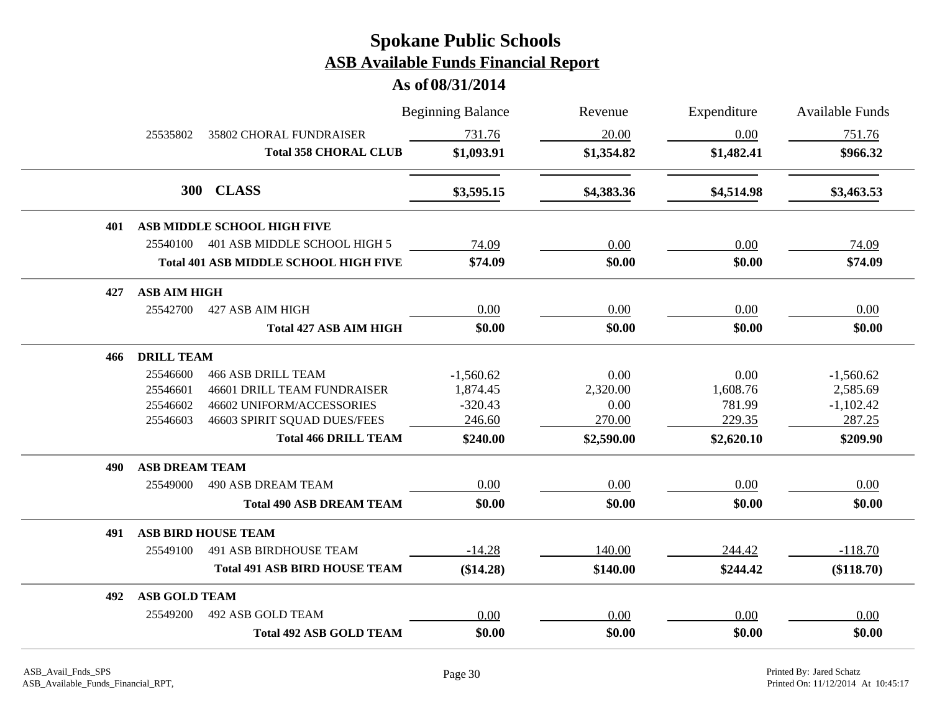|     |                       |                                              | <b>Beginning Balance</b> | Revenue    | Expenditure | <b>Available Funds</b> |
|-----|-----------------------|----------------------------------------------|--------------------------|------------|-------------|------------------------|
|     | 25535802              | 35802 CHORAL FUNDRAISER                      | 731.76                   | 20.00      | 0.00        | 751.76                 |
|     |                       | <b>Total 358 CHORAL CLUB</b>                 | \$1,093.91               | \$1,354.82 | \$1,482.41  | \$966.32               |
|     | 300                   | <b>CLASS</b>                                 | \$3,595.15               | \$4,383.36 | \$4,514.98  | \$3,463.53             |
| 401 |                       | ASB MIDDLE SCHOOL HIGH FIVE                  |                          |            |             |                        |
|     | 25540100              | 401 ASB MIDDLE SCHOOL HIGH 5                 | 74.09                    | 0.00       | 0.00        | 74.09                  |
|     |                       | <b>Total 401 ASB MIDDLE SCHOOL HIGH FIVE</b> | \$74.09                  | \$0.00     | \$0.00      | \$74.09                |
| 427 | <b>ASB AIM HIGH</b>   |                                              |                          |            |             |                        |
|     | 25542700              | 427 ASB AIM HIGH                             | 0.00                     | 0.00       | 0.00        | 0.00                   |
|     |                       | <b>Total 427 ASB AIM HIGH</b>                | \$0.00                   | \$0.00     | \$0.00      | \$0.00                 |
| 466 | <b>DRILL TEAM</b>     |                                              |                          |            |             |                        |
|     | 25546600              | <b>466 ASB DRILL TEAM</b>                    | $-1,560.62$              | 0.00       | 0.00        | $-1,560.62$            |
|     | 25546601              | 46601 DRILL TEAM FUNDRAISER                  | 1,874.45                 | 2,320.00   | 1,608.76    | 2,585.69               |
|     | 25546602              | 46602 UNIFORM/ACCESSORIES                    | $-320.43$                | 0.00       | 781.99      | $-1,102.42$            |
|     | 25546603              | 46603 SPIRIT SQUAD DUES/FEES                 | 246.60                   | 270.00     | 229.35      | 287.25                 |
|     |                       | <b>Total 466 DRILL TEAM</b>                  | \$240.00                 | \$2,590.00 | \$2,620.10  | \$209.90               |
| 490 | <b>ASB DREAM TEAM</b> |                                              |                          |            |             |                        |
|     | 25549000              | <b>490 ASB DREAM TEAM</b>                    | 0.00                     | 0.00       | 0.00        | 0.00                   |
|     |                       | <b>Total 490 ASB DREAM TEAM</b>              | \$0.00                   | \$0.00     | \$0.00      | \$0.00                 |
| 491 |                       | <b>ASB BIRD HOUSE TEAM</b>                   |                          |            |             |                        |
|     | 25549100              | <b>491 ASB BIRDHOUSE TEAM</b>                | $-14.28$                 | 140.00     | 244.42      | $-118.70$              |
|     |                       | <b>Total 491 ASB BIRD HOUSE TEAM</b>         | (\$14.28)                | \$140.00   | \$244.42    | (\$118.70)             |
| 492 | <b>ASB GOLD TEAM</b>  |                                              |                          |            |             |                        |
|     | 25549200              | 492 ASB GOLD TEAM                            | 0.00                     | 0.00       | 0.00        | 0.00                   |
|     |                       | <b>Total 492 ASB GOLD TEAM</b>               | \$0.00                   | \$0.00     | \$0.00      | \$0.00                 |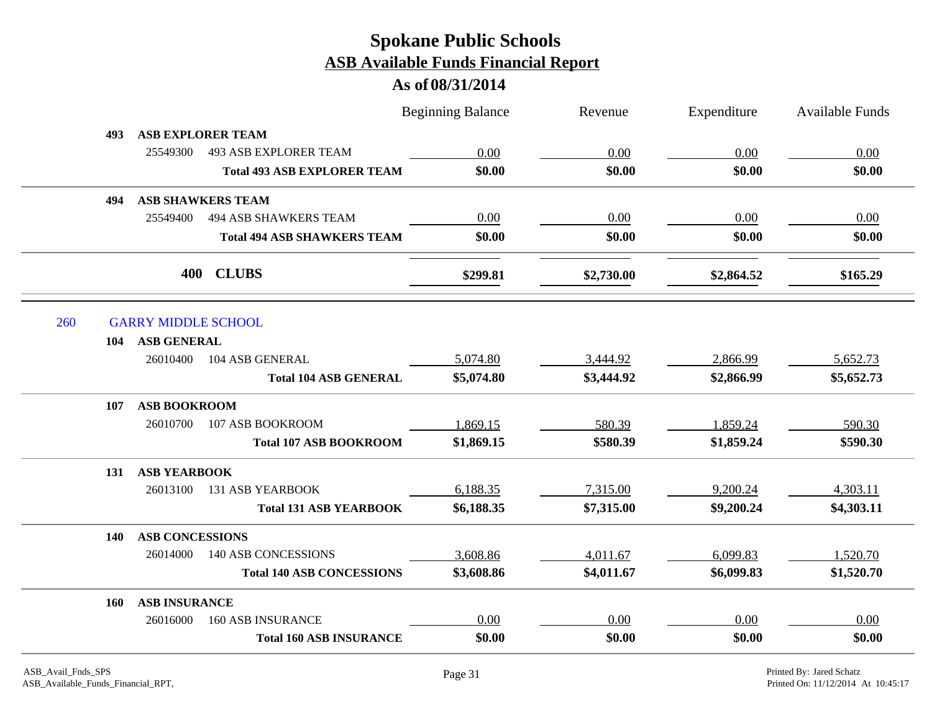|            |                            |                                    | <b>Beginning Balance</b> | Revenue    | Expenditure | <b>Available Funds</b> |
|------------|----------------------------|------------------------------------|--------------------------|------------|-------------|------------------------|
| 493        |                            | <b>ASB EXPLORER TEAM</b>           |                          |            |             |                        |
|            | 25549300                   | <b>493 ASB EXPLORER TEAM</b>       | 0.00                     | 0.00       | 0.00        | 0.00                   |
|            |                            | <b>Total 493 ASB EXPLORER TEAM</b> | \$0.00                   | \$0.00     | \$0.00      | \$0.00                 |
| 494        |                            | <b>ASB SHAWKERS TEAM</b>           |                          |            |             |                        |
|            | 25549400                   | <b>494 ASB SHAWKERS TEAM</b>       | 0.00                     | 0.00       | 0.00        | 0.00                   |
|            |                            | <b>Total 494 ASB SHAWKERS TEAM</b> | \$0.00                   | \$0.00     | \$0.00      | \$0.00                 |
|            | 400                        | <b>CLUBS</b>                       | \$299.81                 | \$2,730.00 | \$2,864.52  | \$165.29               |
| 260        | <b>GARRY MIDDLE SCHOOL</b> |                                    |                          |            |             |                        |
| 104        | <b>ASB GENERAL</b>         |                                    |                          |            |             |                        |
|            | 26010400                   | 104 ASB GENERAL                    | 5,074.80                 | 3,444.92   | 2,866.99    | 5,652.73               |
|            |                            | <b>Total 104 ASB GENERAL</b>       | \$5,074.80               | \$3,444.92 | \$2,866.99  | \$5,652.73             |
| 107        | <b>ASB BOOKROOM</b>        |                                    |                          |            |             |                        |
|            | 26010700                   | 107 ASB BOOKROOM                   | 1,869.15                 | 580.39     | 1,859.24    | 590.30                 |
|            |                            | <b>Total 107 ASB BOOKROOM</b>      | \$1,869.15               | \$580.39   | \$1,859.24  | \$590.30               |
| 131        | <b>ASB YEARBOOK</b>        |                                    |                          |            |             |                        |
|            | 26013100                   | <b>131 ASB YEARBOOK</b>            | 6,188.35                 | 7,315.00   | 9,200.24    | 4,303.11               |
|            |                            | <b>Total 131 ASB YEARBOOK</b>      | \$6,188.35               | \$7,315.00 | \$9,200.24  | \$4,303.11             |
| <b>140</b> | <b>ASB CONCESSIONS</b>     |                                    |                          |            |             |                        |
|            | 26014000                   | 140 ASB CONCESSIONS                | 3,608.86                 | 4,011.67   | 6,099.83    | 1,520.70               |
|            |                            | <b>Total 140 ASB CONCESSIONS</b>   | \$3,608.86               | \$4,011.67 | \$6,099.83  | \$1,520.70             |
| <b>160</b> | <b>ASB INSURANCE</b>       |                                    |                          |            |             |                        |
|            | 26016000                   | <b>160 ASB INSURANCE</b>           | 0.00                     | 0.00       | 0.00        | 0.00                   |
|            |                            |                                    |                          |            |             |                        |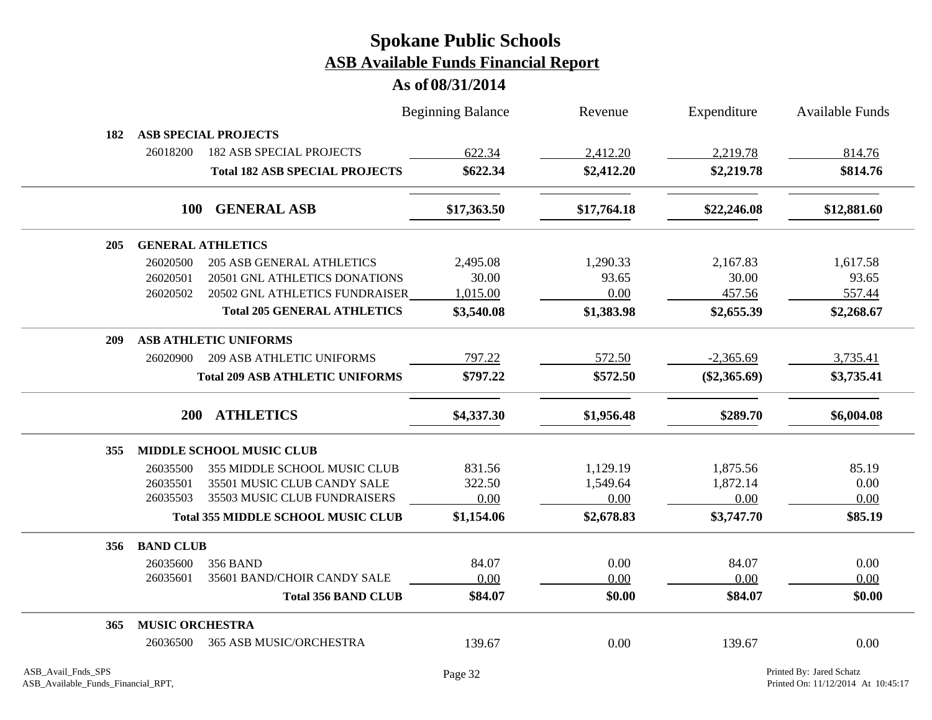|            |                        |                                           | <b>Beginning Balance</b> | Revenue     | Expenditure    | <b>Available Funds</b> |
|------------|------------------------|-------------------------------------------|--------------------------|-------------|----------------|------------------------|
| 182        |                        | <b>ASB SPECIAL PROJECTS</b>               |                          |             |                |                        |
|            | 26018200               | <b>182 ASB SPECIAL PROJECTS</b>           | 622.34                   | 2,412.20    | 2,219.78       | 814.76                 |
|            |                        | <b>Total 182 ASB SPECIAL PROJECTS</b>     | \$622.34                 | \$2,412.20  | \$2,219.78     | \$814.76               |
|            | 100                    | <b>GENERAL ASB</b>                        | \$17,363.50              | \$17,764.18 | \$22,246.08    | \$12,881.60            |
| 205        |                        | <b>GENERAL ATHLETICS</b>                  |                          |             |                |                        |
|            | 26020500               | <b>205 ASB GENERAL ATHLETICS</b>          | 2,495.08                 | 1,290.33    | 2,167.83       | 1,617.58               |
|            | 26020501               | 20501 GNL ATHLETICS DONATIONS             | 30.00                    | 93.65       | 30.00          | 93.65                  |
|            | 26020502               | 20502 GNL ATHLETICS FUNDRAISER            | 1,015.00                 | 0.00        | 457.56         | 557.44                 |
|            |                        | <b>Total 205 GENERAL ATHLETICS</b>        | \$3,540.08               | \$1,383.98  | \$2,655.39     | \$2,268.67             |
| <b>209</b> |                        | <b>ASB ATHLETIC UNIFORMS</b>              |                          |             |                |                        |
|            | 26020900               | <b>209 ASB ATHLETIC UNIFORMS</b>          | 797.22                   | 572.50      | $-2,365.69$    | 3,735.41               |
|            |                        | <b>Total 209 ASB ATHLETIC UNIFORMS</b>    | \$797.22                 | \$572.50    | $(\$2,365.69)$ | \$3,735.41             |
|            | <b>200</b>             | <b>ATHLETICS</b>                          | \$4,337.30               | \$1,956.48  | \$289.70       | \$6,004.08             |
| 355        |                        | <b>MIDDLE SCHOOL MUSIC CLUB</b>           |                          |             |                |                        |
|            | 26035500               | 355 MIDDLE SCHOOL MUSIC CLUB              | 831.56                   | 1,129.19    | 1,875.56       | 85.19                  |
|            | 26035501               | 35501 MUSIC CLUB CANDY SALE               | 322.50                   | 1,549.64    | 1,872.14       | 0.00                   |
|            | 26035503               | 35503 MUSIC CLUB FUNDRAISERS              | 0.00                     | 0.00        | 0.00           | 0.00                   |
|            |                        | <b>Total 355 MIDDLE SCHOOL MUSIC CLUB</b> | \$1,154.06               | \$2,678.83  | \$3,747.70     | \$85.19                |
| 356        | <b>BAND CLUB</b>       |                                           |                          |             |                |                        |
|            | 26035600               | <b>356 BAND</b>                           | 84.07                    | 0.00        | 84.07          | 0.00                   |
|            | 26035601               | 35601 BAND/CHOIR CANDY SALE               | 0.00                     | 0.00        | 0.00           | 0.00                   |
|            |                        | <b>Total 356 BAND CLUB</b>                | \$84.07                  | \$0.00      | \$84.07        | \$0.00                 |
| 365        | <b>MUSIC ORCHESTRA</b> |                                           |                          |             |                |                        |
|            | 26036500               | <b>365 ASB MUSIC/ORCHESTRA</b>            | 139.67                   | 0.00        | 139.67         | 0.00                   |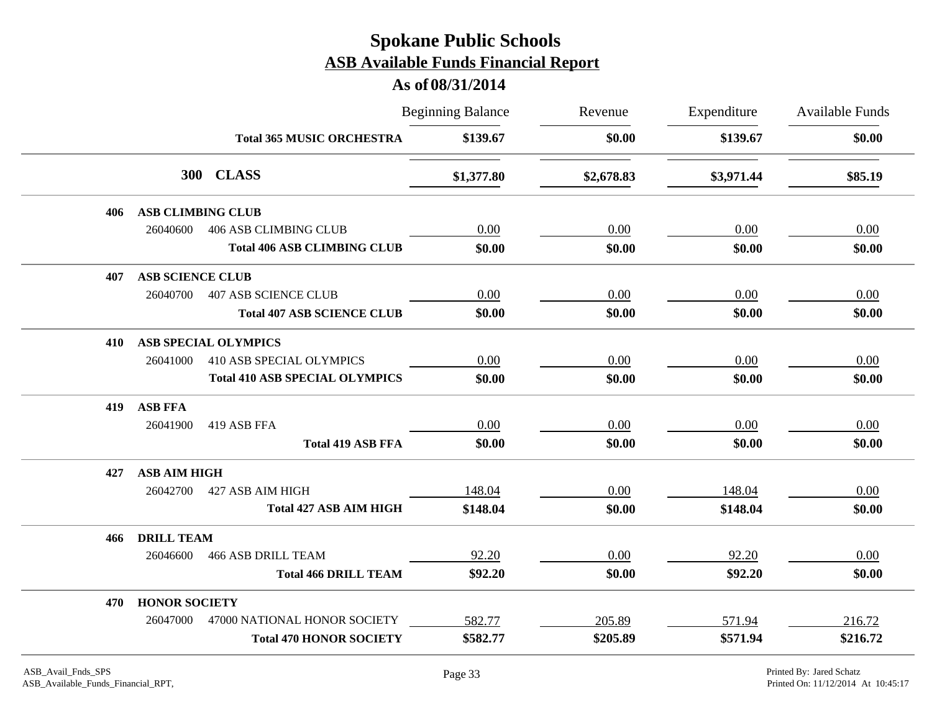|     |                          |                                       | <b>Beginning Balance</b> | Revenue    | Expenditure | Available Funds<br>\$0.00 |
|-----|--------------------------|---------------------------------------|--------------------------|------------|-------------|---------------------------|
|     |                          | <b>Total 365 MUSIC ORCHESTRA</b>      | \$139.67                 | \$0.00     | \$139.67    |                           |
|     |                          | 300 CLASS                             | \$1,377.80               | \$2,678.83 | \$3,971.44  | \$85.19                   |
| 406 | <b>ASB CLIMBING CLUB</b> |                                       |                          |            |             |                           |
|     | 26040600                 | <b>406 ASB CLIMBING CLUB</b>          | 0.00                     | 0.00       | 0.00        | 0.00                      |
|     |                          | <b>Total 406 ASB CLIMBING CLUB</b>    | \$0.00                   | \$0.00     | \$0.00      | \$0.00                    |
| 407 | <b>ASB SCIENCE CLUB</b>  |                                       |                          |            |             |                           |
|     | 26040700                 | <b>407 ASB SCIENCE CLUB</b>           | 0.00                     | 0.00       | 0.00        | 0.00                      |
|     |                          | <b>Total 407 ASB SCIENCE CLUB</b>     | \$0.00                   | \$0.00     | \$0.00      | \$0.00                    |
| 410 |                          | <b>ASB SPECIAL OLYMPICS</b>           |                          |            |             |                           |
|     | 26041000                 | <b>410 ASB SPECIAL OLYMPICS</b>       | 0.00                     | 0.00       | 0.00        | 0.00                      |
|     |                          | <b>Total 410 ASB SPECIAL OLYMPICS</b> | \$0.00                   | \$0.00     | \$0.00      | \$0.00                    |
| 419 | <b>ASB FFA</b>           |                                       |                          |            |             |                           |
|     | 26041900                 | 419 ASB FFA                           | 0.00                     | 0.00       | 0.00        | 0.00                      |
|     |                          | <b>Total 419 ASB FFA</b>              | \$0.00                   | \$0.00     | \$0.00      | \$0.00                    |
| 427 | <b>ASB AIM HIGH</b>      |                                       |                          |            |             |                           |
|     | 26042700                 | 427 ASB AIM HIGH                      | 148.04                   | 0.00       | 148.04      | 0.00                      |
|     |                          | <b>Total 427 ASB AIM HIGH</b>         | \$148.04                 | \$0.00     | \$148.04    | \$0.00                    |
| 466 | <b>DRILL TEAM</b>        |                                       |                          |            |             |                           |
|     | 26046600                 | <b>466 ASB DRILL TEAM</b>             | 92.20                    | 0.00       | 92.20       | 0.00                      |
|     |                          | <b>Total 466 DRILL TEAM</b>           | \$92.20                  | \$0.00     | \$92.20     | \$0.00                    |
| 470 | <b>HONOR SOCIETY</b>     |                                       |                          |            |             |                           |
|     | 26047000                 | 47000 NATIONAL HONOR SOCIETY          | 582.77                   | 205.89     | 571.94      | 216.72                    |
|     |                          | <b>Total 470 HONOR SOCIETY</b>        | \$582.77                 | \$205.89   | \$571.94    | \$216.72                  |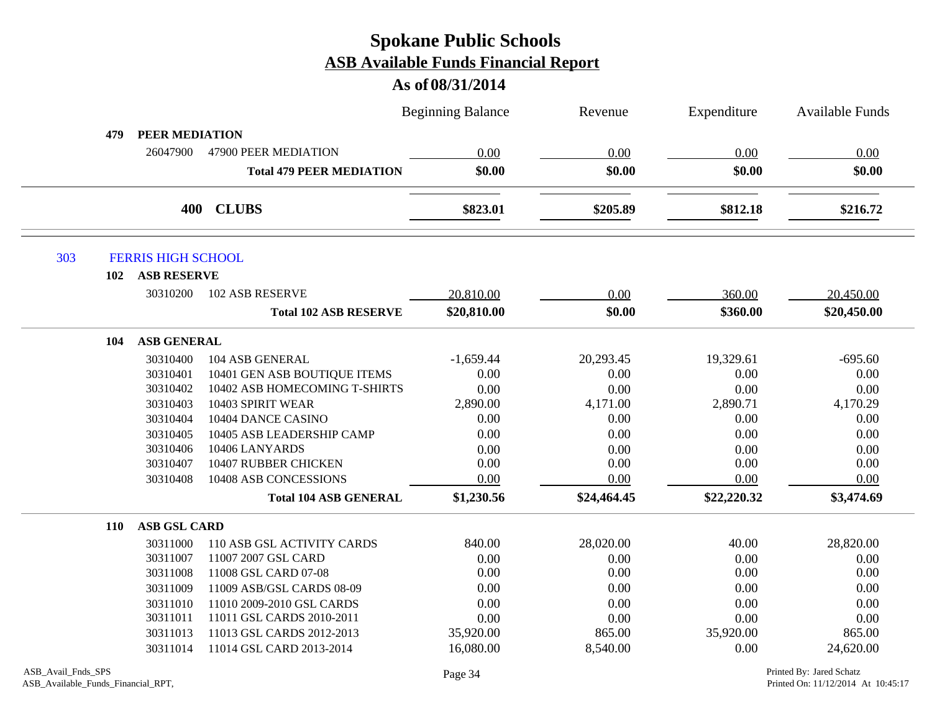|     |                           |                                 | <b>Beginning Balance</b> | Revenue     | Expenditure | <b>Available Funds</b> |
|-----|---------------------------|---------------------------------|--------------------------|-------------|-------------|------------------------|
| 479 | <b>PEER MEDIATION</b>     |                                 |                          |             |             |                        |
|     | 26047900                  | 47900 PEER MEDIATION            | 0.00                     | 0.00        | 0.00        | 0.00                   |
|     |                           | <b>Total 479 PEER MEDIATION</b> | \$0.00                   | \$0.00      | \$0.00      | \$0.00                 |
|     |                           | 400 CLUBS                       | \$823.01                 | \$205.89    | \$812.18    | \$216.72               |
| 303 | <b>FERRIS HIGH SCHOOL</b> |                                 |                          |             |             |                        |
| 102 | <b>ASB RESERVE</b>        |                                 |                          |             |             |                        |
|     | 30310200                  | <b>102 ASB RESERVE</b>          | 20,810.00                | 0.00        | 360.00      | 20,450.00              |
|     |                           | <b>Total 102 ASB RESERVE</b>    | \$20,810.00              | \$0.00      | \$360.00    | \$20,450.00            |
| 104 | <b>ASB GENERAL</b>        |                                 |                          |             |             |                        |
|     | 30310400                  | 104 ASB GENERAL                 | $-1,659.44$              | 20,293.45   | 19,329.61   | $-695.60$              |
|     | 30310401                  | 10401 GEN ASB BOUTIQUE ITEMS    | 0.00                     | 0.00        | 0.00        | 0.00                   |
|     | 30310402                  | 10402 ASB HOMECOMING T-SHIRTS   | 0.00                     | 0.00        | 0.00        | 0.00                   |
|     | 30310403                  | 10403 SPIRIT WEAR               | 2,890.00                 | 4,171.00    | 2,890.71    | 4,170.29               |
|     | 30310404                  | 10404 DANCE CASINO              | 0.00                     | 0.00        | 0.00        | 0.00                   |
|     | 30310405                  | 10405 ASB LEADERSHIP CAMP       | 0.00                     | 0.00        | 0.00        | 0.00                   |
|     | 30310406                  | 10406 LANYARDS                  | 0.00                     | 0.00        | 0.00        | 0.00                   |
|     | 30310407                  | 10407 RUBBER CHICKEN            | 0.00                     | 0.00        | 0.00        | 0.00                   |
|     | 30310408                  | 10408 ASB CONCESSIONS           | 0.00                     | 0.00        | 0.00        | 0.00                   |
|     |                           | <b>Total 104 ASB GENERAL</b>    | \$1,230.56               | \$24,464.45 | \$22,220.32 | \$3,474.69             |
| 110 | <b>ASB GSL CARD</b>       |                                 |                          |             |             |                        |
|     | 30311000                  | 110 ASB GSL ACTIVITY CARDS      | 840.00                   | 28,020.00   | 40.00       | 28,820.00              |
|     | 30311007                  | 11007 2007 GSL CARD             | 0.00                     | 0.00        | 0.00        | 0.00                   |
|     | 30311008                  | 11008 GSL CARD 07-08            | 0.00                     | 0.00        | 0.00        | 0.00                   |
|     | 30311009                  | 11009 ASB/GSL CARDS 08-09       | 0.00                     | 0.00        | 0.00        | 0.00                   |
|     | 30311010                  | 11010 2009-2010 GSL CARDS       | 0.00                     | 0.00        | 0.00        | 0.00                   |
|     | 30311011                  | 11011 GSL CARDS 2010-2011       | 0.00                     | 0.00        | 0.00        | 0.00                   |
|     | 30311013                  | 11013 GSL CARDS 2012-2013       | 35,920.00                | 865.00      | 35,920.00   | 865.00                 |
|     | 30311014                  | 11014 GSL CARD 2013-2014        | 16,080.00                | 8,540.00    | 0.00        | 24,620.00              |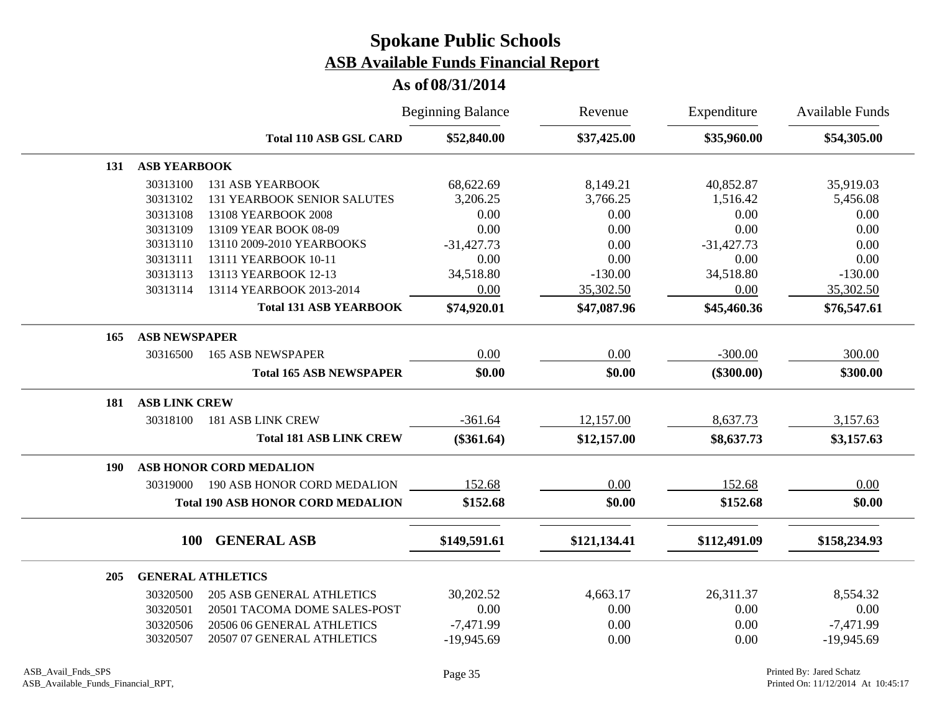|     |                      |                                          | <b>Beginning Balance</b> | Revenue      | Expenditure  | <b>Available Funds</b> |
|-----|----------------------|------------------------------------------|--------------------------|--------------|--------------|------------------------|
|     |                      | <b>Total 110 ASB GSL CARD</b>            | \$52,840.00              | \$37,425.00  | \$35,960.00  | \$54,305.00            |
| 131 | <b>ASB YEARBOOK</b>  |                                          |                          |              |              |                        |
|     | 30313100             | <b>131 ASB YEARBOOK</b>                  | 68,622.69                | 8,149.21     | 40,852.87    | 35,919.03              |
|     | 30313102             | <b>131 YEARBOOK SENIOR SALUTES</b>       | 3,206.25                 | 3,766.25     | 1,516.42     | 5,456.08               |
|     | 30313108             | 13108 YEARBOOK 2008                      | 0.00                     | 0.00         | 0.00         | 0.00                   |
|     | 30313109             | 13109 YEAR BOOK 08-09                    | 0.00                     | 0.00         | 0.00         | 0.00                   |
|     | 30313110             | 13110 2009-2010 YEARBOOKS                | $-31,427.73$             | 0.00         | $-31,427.73$ | 0.00                   |
|     | 30313111             | 13111 YEARBOOK 10-11                     | 0.00                     | 0.00         | 0.00         | 0.00                   |
|     | 30313113             | 13113 YEARBOOK 12-13                     | 34,518.80                | $-130.00$    | 34,518.80    | $-130.00$              |
|     | 30313114             | 13114 YEARBOOK 2013-2014                 | 0.00                     | 35,302.50    | 0.00         | 35,302.50              |
|     |                      | <b>Total 131 ASB YEARBOOK</b>            | \$74,920.01              | \$47,087.96  | \$45,460.36  | \$76,547.61            |
| 165 | <b>ASB NEWSPAPER</b> |                                          |                          |              |              |                        |
|     | 30316500             | <b>165 ASB NEWSPAPER</b>                 | 0.00                     | 0.00         | $-300.00$    | 300.00                 |
|     |                      | <b>Total 165 ASB NEWSPAPER</b>           | \$0.00                   | \$0.00       | $(\$300.00)$ | \$300.00               |
| 181 | <b>ASB LINK CREW</b> |                                          |                          |              |              |                        |
|     | 30318100             | <b>181 ASB LINK CREW</b>                 | $-361.64$                | 12,157.00    | 8,637.73     | 3,157.63               |
|     |                      | <b>Total 181 ASB LINK CREW</b>           | $(\$361.64)$             | \$12,157.00  | \$8,637.73   | \$3,157.63             |
| 190 |                      | ASB HONOR CORD MEDALION                  |                          |              |              |                        |
|     | 30319000             | 190 ASB HONOR CORD MEDALION              | 152.68                   | 0.00         | 152.68       | 0.00                   |
|     |                      | <b>Total 190 ASB HONOR CORD MEDALION</b> | \$152.68                 | \$0.00       | \$152.68     | \$0.00                 |
|     | <b>100</b>           | <b>GENERAL ASB</b>                       |                          |              |              |                        |
|     |                      |                                          | \$149,591.61             | \$121,134.41 | \$112,491.09 | \$158,234.93           |
| 205 |                      | <b>GENERAL ATHLETICS</b>                 |                          |              |              |                        |
|     | 30320500             | <b>205 ASB GENERAL ATHLETICS</b>         | 30,202.52                | 4,663.17     | 26,311.37    | 8,554.32               |
|     | 30320501             | 20501 TACOMA DOME SALES-POST             | 0.00                     | 0.00         | 0.00         | 0.00                   |
|     | 30320506             | 20506 06 GENERAL ATHLETICS               | $-7,471.99$              | 0.00         | 0.00         | $-7,471.99$            |
|     | 30320507             | 20507 07 GENERAL ATHLETICS               | $-19,945.69$             | 0.00         | 0.00         | $-19,945.69$           |
|     |                      |                                          |                          |              |              |                        |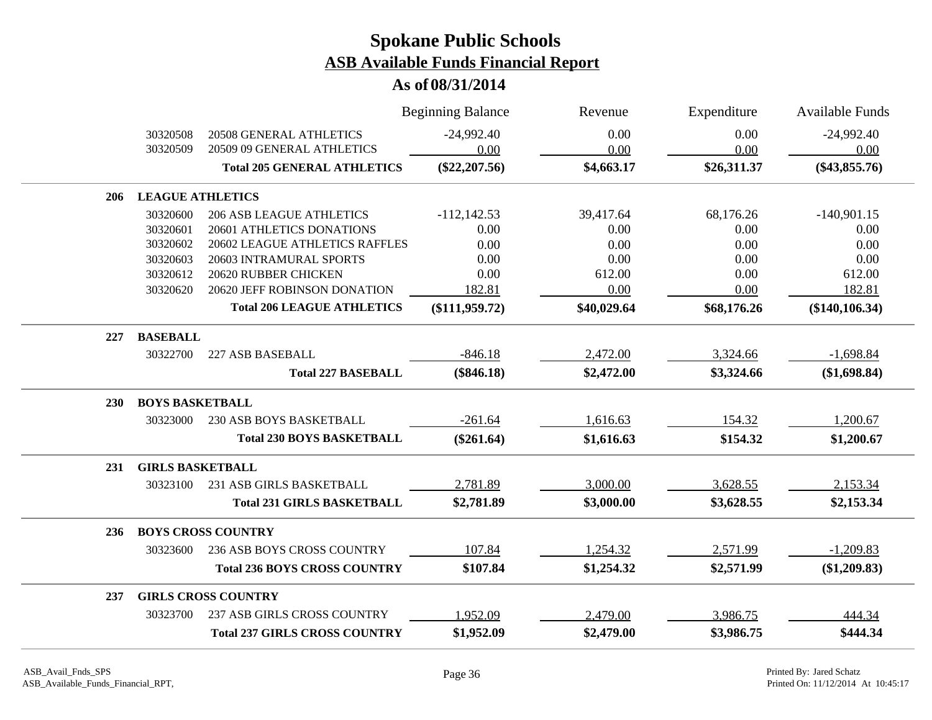|            |                         |                                      | <b>Beginning Balance</b> | Revenue     | Expenditure | <b>Available Funds</b> |
|------------|-------------------------|--------------------------------------|--------------------------|-------------|-------------|------------------------|
|            | 30320508                | <b>20508 GENERAL ATHLETICS</b>       | $-24,992.40$             | 0.00        | 0.00        | $-24,992.40$           |
|            | 30320509                | 20509 09 GENERAL ATHLETICS           | 0.00                     | 0.00        | 0.00        | 0.00                   |
|            |                         | <b>Total 205 GENERAL ATHLETICS</b>   | $(\$22, 207.56)$         | \$4,663.17  | \$26,311.37 | $(\$43,855.76)$        |
| 206        | <b>LEAGUE ATHLETICS</b> |                                      |                          |             |             |                        |
|            | 30320600                | <b>206 ASB LEAGUE ATHLETICS</b>      | $-112, 142.53$           | 39,417.64   | 68,176.26   | $-140,901.15$          |
|            | 30320601                | 20601 ATHLETICS DONATIONS            | 0.00                     | 0.00        | 0.00        | 0.00                   |
|            | 30320602                | 20602 LEAGUE ATHLETICS RAFFLES       | 0.00                     | 0.00        | 0.00        | 0.00                   |
|            | 30320603                | 20603 INTRAMURAL SPORTS              | 0.00                     | 0.00        | 0.00        | 0.00                   |
|            | 30320612                | 20620 RUBBER CHICKEN                 | 0.00                     | 612.00      | 0.00        | 612.00                 |
|            | 30320620                | 20620 JEFF ROBINSON DONATION         | 182.81                   | 0.00        | 0.00        | 182.81                 |
|            |                         | <b>Total 206 LEAGUE ATHLETICS</b>    | $(\$111,959.72)$         | \$40,029.64 | \$68,176.26 | (\$140, 106.34)        |
| 227        | <b>BASEBALL</b>         |                                      |                          |             |             |                        |
|            | 30322700                | 227 ASB BASEBALL                     | $-846.18$                | 2,472.00    | 3,324.66    | $-1,698.84$            |
|            |                         | <b>Total 227 BASEBALL</b>            | $(\$846.18)$             | \$2,472.00  | \$3,324.66  | (\$1,698.84)           |
| <b>230</b> | <b>BOYS BASKETBALL</b>  |                                      |                          |             |             |                        |
|            | 30323000                | <b>230 ASB BOYS BASKETBALL</b>       | $-261.64$                | 1,616.63    | 154.32      | 1,200.67               |
|            |                         | <b>Total 230 BOYS BASKETBALL</b>     | $(\$261.64)$             | \$1,616.63  | \$154.32    | \$1,200.67             |
| 231        | <b>GIRLS BASKETBALL</b> |                                      |                          |             |             |                        |
|            | 30323100                | 231 ASB GIRLS BASKETBALL             | 2,781.89                 | 3,000.00    | 3,628.55    | 2,153.34               |
|            |                         | <b>Total 231 GIRLS BASKETBALL</b>    | \$2,781.89               | \$3,000.00  | \$3,628.55  | \$2,153.34             |
| 236        |                         | <b>BOYS CROSS COUNTRY</b>            |                          |             |             |                        |
|            | 30323600                | <b>236 ASB BOYS CROSS COUNTRY</b>    | 107.84                   | 1,254.32    | 2,571.99    | $-1,209.83$            |
|            |                         | <b>Total 236 BOYS CROSS COUNTRY</b>  | \$107.84                 | \$1,254.32  | \$2,571.99  | (\$1,209.83)           |
| 237        |                         | <b>GIRLS CROSS COUNTRY</b>           |                          |             |             |                        |
|            | 30323700                | 237 ASB GIRLS CROSS COUNTRY          | 1,952.09                 | 2,479.00    | 3,986.75    | 444.34                 |
|            |                         | <b>Total 237 GIRLS CROSS COUNTRY</b> | \$1,952.09               | \$2,479.00  | \$3,986.75  | \$444.34               |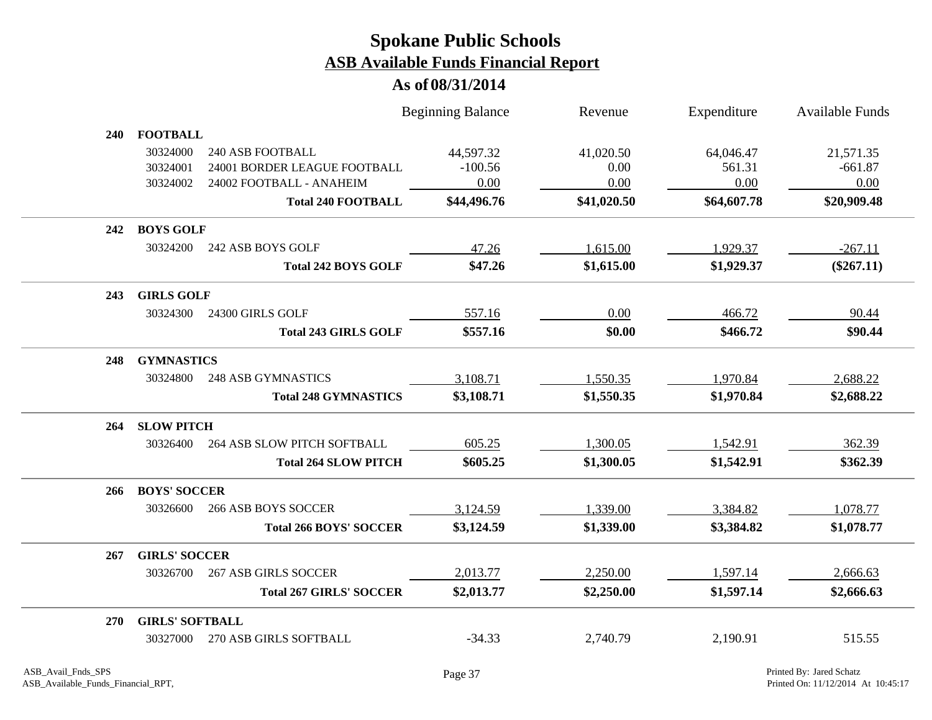|            |                        |                                | <b>Beginning Balance</b> | Revenue     | Expenditure | <b>Available Funds</b> |
|------------|------------------------|--------------------------------|--------------------------|-------------|-------------|------------------------|
| <b>240</b> | <b>FOOTBALL</b>        |                                |                          |             |             |                        |
|            | 30324000               | 240 ASB FOOTBALL               | 44,597.32                | 41,020.50   | 64,046.47   | 21,571.35              |
|            | 30324001               | 24001 BORDER LEAGUE FOOTBALL   | $-100.56$                | 0.00        | 561.31      | $-661.87$              |
|            | 30324002               | 24002 FOOTBALL - ANAHEIM       | 0.00                     | 0.00        | 0.00        | 0.00                   |
|            |                        | <b>Total 240 FOOTBALL</b>      | \$44,496.76              | \$41,020.50 | \$64,607.78 | \$20,909.48            |
| 242        | <b>BOYS GOLF</b>       |                                |                          |             |             |                        |
|            | 30324200               | 242 ASB BOYS GOLF              | 47.26                    | 1,615.00    | 1,929.37    | $-267.11$              |
|            |                        | <b>Total 242 BOYS GOLF</b>     | \$47.26                  | \$1,615.00  | \$1,929.37  | $(\$267.11)$           |
| 243        | <b>GIRLS GOLF</b>      |                                |                          |             |             |                        |
|            | 30324300               | 24300 GIRLS GOLF               | 557.16                   | 0.00        | 466.72      | 90.44                  |
|            |                        | <b>Total 243 GIRLS GOLF</b>    | \$557.16                 | \$0.00      | \$466.72    | \$90.44                |
| 248        | <b>GYMNASTICS</b>      |                                |                          |             |             |                        |
|            | 30324800               | <b>248 ASB GYMNASTICS</b>      | 3,108.71                 | 1,550.35    | 1,970.84    | 2,688.22               |
|            |                        | <b>Total 248 GYMNASTICS</b>    | \$3,108.71               | \$1,550.35  | \$1,970.84  | \$2,688.22             |
| 264        | <b>SLOW PITCH</b>      |                                |                          |             |             |                        |
|            | 30326400               | 264 ASB SLOW PITCH SOFTBALL    | 605.25                   | 1,300.05    | 1,542.91    | 362.39                 |
|            |                        | <b>Total 264 SLOW PITCH</b>    | \$605.25                 | \$1,300.05  | \$1,542.91  | \$362.39               |
| 266        | <b>BOYS' SOCCER</b>    |                                |                          |             |             |                        |
|            | 30326600               | <b>266 ASB BOYS SOCCER</b>     | 3,124.59                 | 1,339.00    | 3,384.82    | 1,078.77               |
|            |                        | <b>Total 266 BOYS' SOCCER</b>  | \$3,124.59               | \$1,339.00  | \$3,384.82  | \$1,078.77             |
| 267        | <b>GIRLS' SOCCER</b>   |                                |                          |             |             |                        |
|            | 30326700               | <b>267 ASB GIRLS SOCCER</b>    | 2,013.77                 | 2,250.00    | 1,597.14    | 2,666.63               |
|            |                        | <b>Total 267 GIRLS' SOCCER</b> | \$2,013.77               | \$2,250.00  | \$1,597.14  | \$2,666.63             |
| <b>270</b> | <b>GIRLS' SOFTBALL</b> |                                |                          |             |             |                        |
|            | 30327000               | 270 ASB GIRLS SOFTBALL         | $-34.33$                 | 2,740.79    | 2,190.91    | 515.55                 |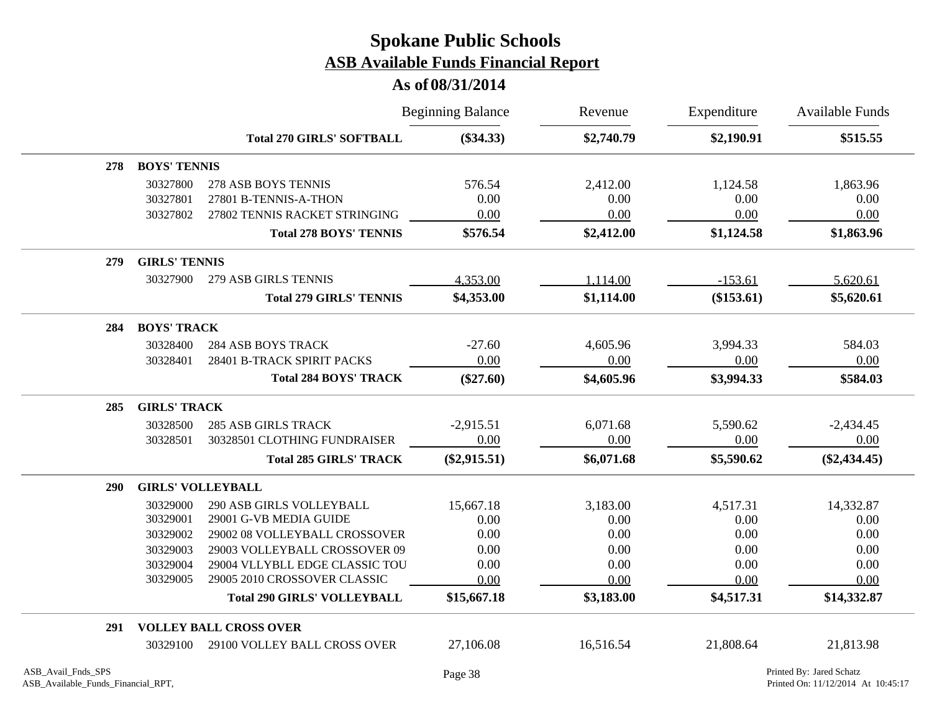|            |                          |                                    | <b>Beginning Balance</b> | Revenue    | Expenditure | <b>Available Funds</b> |
|------------|--------------------------|------------------------------------|--------------------------|------------|-------------|------------------------|
|            |                          | <b>Total 270 GIRLS' SOFTBALL</b>   | $(\$34.33)$              | \$2,740.79 | \$2,190.91  | \$515.55               |
| 278        | <b>BOYS' TENNIS</b>      |                                    |                          |            |             |                        |
|            | 30327800                 | 278 ASB BOYS TENNIS                | 576.54                   | 2,412.00   | 1,124.58    | 1,863.96               |
|            | 30327801                 | 27801 B-TENNIS-A-THON              | 0.00                     | 0.00       | 0.00        | 0.00                   |
|            | 30327802                 | 27802 TENNIS RACKET STRINGING      | 0.00                     | 0.00       | 0.00        | 0.00                   |
|            |                          | <b>Total 278 BOYS' TENNIS</b>      | \$576.54                 | \$2,412.00 | \$1,124.58  | \$1,863.96             |
| 279        | <b>GIRLS' TENNIS</b>     |                                    |                          |            |             |                        |
|            | 30327900                 | 279 ASB GIRLS TENNIS               | 4,353.00                 | 1,114.00   | $-153.61$   | 5,620.61               |
|            |                          | <b>Total 279 GIRLS' TENNIS</b>     | \$4,353.00               | \$1,114.00 | (\$153.61)  | \$5,620.61             |
| 284        | <b>BOYS' TRACK</b>       |                                    |                          |            |             |                        |
|            | 30328400                 | <b>284 ASB BOYS TRACK</b>          | $-27.60$                 | 4,605.96   | 3,994.33    | 584.03                 |
|            | 30328401                 | 28401 B-TRACK SPIRIT PACKS         | 0.00                     | 0.00       | 0.00        | 0.00                   |
|            |                          | <b>Total 284 BOYS' TRACK</b>       | $(\$27.60)$              | \$4,605.96 | \$3,994.33  | \$584.03               |
| 285        | <b>GIRLS' TRACK</b>      |                                    |                          |            |             |                        |
|            | 30328500                 | <b>285 ASB GIRLS TRACK</b>         | $-2,915.51$              | 6,071.68   | 5,590.62    | $-2,434.45$            |
|            | 30328501                 | 30328501 CLOTHING FUNDRAISER       | 0.00                     | 0.00       | 0.00        | 0.00                   |
|            |                          | <b>Total 285 GIRLS' TRACK</b>      | $(\$2,915.51)$           | \$6,071.68 | \$5,590.62  | $(\$2,434.45)$         |
| <b>290</b> | <b>GIRLS' VOLLEYBALL</b> |                                    |                          |            |             |                        |
|            | 30329000                 | 290 ASB GIRLS VOLLEYBALL           | 15,667.18                | 3,183.00   | 4,517.31    | 14,332.87              |
|            | 30329001                 | 29001 G-VB MEDIA GUIDE             | 0.00                     | 0.00       | 0.00        | 0.00                   |
|            | 30329002                 | 29002 08 VOLLEYBALL CROSSOVER      | 0.00                     | 0.00       | 0.00        | 0.00                   |
|            | 30329003                 | 29003 VOLLEYBALL CROSSOVER 09      | 0.00                     | 0.00       | 0.00        | 0.00                   |
|            | 30329004                 | 29004 VLLYBLL EDGE CLASSIC TOU     | 0.00                     | 0.00       | 0.00        | 0.00                   |
|            | 30329005                 | 29005 2010 CROSSOVER CLASSIC       | 0.00                     | 0.00       | 0.00        | 0.00                   |
|            |                          | <b>Total 290 GIRLS' VOLLEYBALL</b> | \$15,667.18              | \$3,183.00 | \$4,517.31  | \$14,332.87            |
| 291        |                          | <b>VOLLEY BALL CROSS OVER</b>      |                          |            |             |                        |
|            | 30329100                 | 29100 VOLLEY BALL CROSS OVER       | 27,106.08                | 16,516.54  | 21,808.64   | 21,813.98              |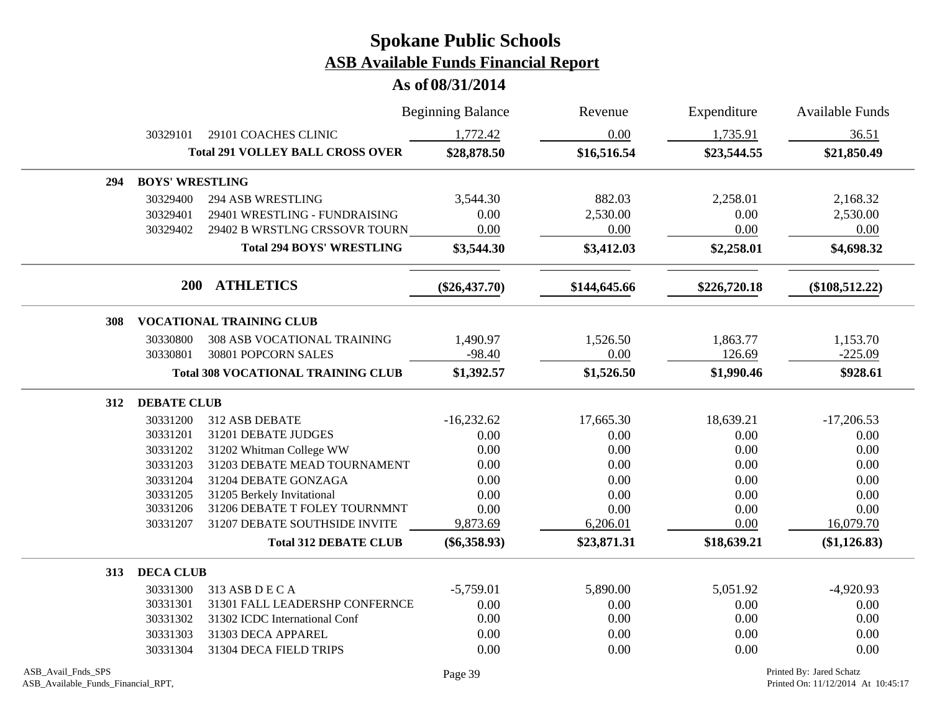|     |                        |                                           | <b>Beginning Balance</b> | Revenue      | Expenditure  | <b>Available Funds</b> |
|-----|------------------------|-------------------------------------------|--------------------------|--------------|--------------|------------------------|
|     | 30329101               | 29101 COACHES CLINIC                      | 1,772.42                 | 0.00         | 1,735.91     | 36.51                  |
|     |                        | <b>Total 291 VOLLEY BALL CROSS OVER</b>   | \$28,878.50              | \$16,516.54  | \$23,544.55  | \$21,850.49            |
| 294 | <b>BOYS' WRESTLING</b> |                                           |                          |              |              |                        |
|     | 30329400               | <b>294 ASB WRESTLING</b>                  | 3,544.30                 | 882.03       | 2,258.01     | 2,168.32               |
|     | 30329401               | 29401 WRESTLING - FUNDRAISING             | 0.00                     | 2,530.00     | 0.00         | 2,530.00               |
|     | 30329402               | 29402 B WRSTLNG CRSSOVR TOURN             | 0.00                     | 0.00         | 0.00         | 0.00                   |
|     |                        | <b>Total 294 BOYS' WRESTLING</b>          | \$3,544.30               | \$3,412.03   | \$2,258.01   | \$4,698.32             |
|     |                        | 200 ATHLETICS                             | $(\$26,437.70)$          | \$144,645.66 | \$226,720.18 | $(\$108,512.22)$       |
| 308 |                        | <b>VOCATIONAL TRAINING CLUB</b>           |                          |              |              |                        |
|     | 30330800               | 308 ASB VOCATIONAL TRAINING               | 1,490.97                 | 1,526.50     | 1,863.77     | 1,153.70               |
|     | 30330801               | 30801 POPCORN SALES                       | $-98.40$                 | 0.00         | 126.69       | $-225.09$              |
|     |                        | <b>Total 308 VOCATIONAL TRAINING CLUB</b> | \$1,392.57               | \$1,526.50   | \$1,990.46   | \$928.61               |
| 312 | <b>DEBATE CLUB</b>     |                                           |                          |              |              |                        |
|     | 30331200               | 312 ASB DEBATE                            | $-16,232.62$             | 17,665.30    | 18,639.21    | $-17,206.53$           |
|     | 30331201               | 31201 DEBATE JUDGES                       | 0.00                     | 0.00         | 0.00         | 0.00                   |
|     | 30331202               | 31202 Whitman College WW                  | 0.00                     | $0.00\,$     | 0.00         | 0.00                   |
|     | 30331203               | 31203 DEBATE MEAD TOURNAMENT              | 0.00                     | 0.00         | 0.00         | 0.00                   |
|     | 30331204               | 31204 DEBATE GONZAGA                      | 0.00                     | 0.00         | 0.00         | 0.00                   |
|     | 30331205               | 31205 Berkely Invitational                | 0.00                     | 0.00         | 0.00         | 0.00                   |
|     | 30331206               | 31206 DEBATE T FOLEY TOURNMNT             | 0.00                     | 0.00         | 0.00         | 0.00                   |
|     | 30331207               | 31207 DEBATE SOUTHSIDE INVITE             | 9,873.69                 | 6,206.01     | 0.00         | 16,079.70              |
|     |                        | <b>Total 312 DEBATE CLUB</b>              | $(\$6,358.93)$           | \$23,871.31  | \$18,639.21  | (\$1,126.83)           |
| 313 | <b>DECA CLUB</b>       |                                           |                          |              |              |                        |
|     | 30331300               | 313 ASB D E C A                           | $-5,759.01$              | 5,890.00     | 5,051.92     | $-4,920.93$            |
|     | 30331301               | 31301 FALL LEADERSHP CONFERNCE            | 0.00                     | 0.00         | 0.00         | 0.00                   |
|     | 30331302               | 31302 ICDC International Conf             | 0.00                     | 0.00         | 0.00         | 0.00                   |
|     | 30331303               | 31303 DECA APPAREL                        | 0.00                     | 0.00         | 0.00         | 0.00                   |
|     | 30331304               | 31304 DECA FIELD TRIPS                    | 0.00                     | 0.00         | 0.00         | 0.00                   |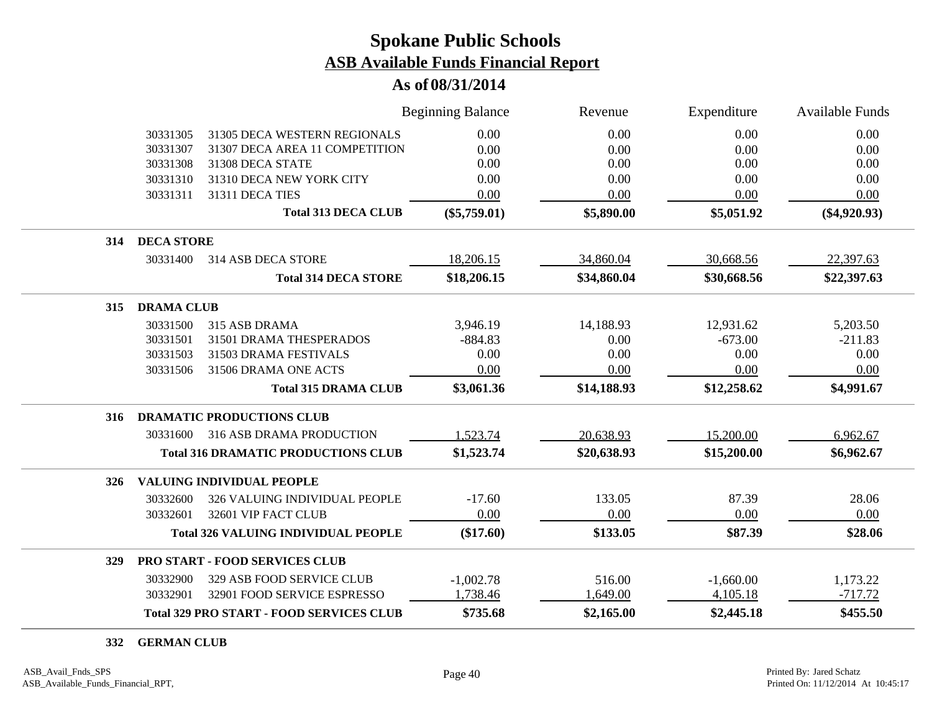#### **As of 08/31/2014**

|     |                   |                                                 | <b>Beginning Balance</b> | Revenue     | Expenditure | <b>Available Funds</b> |
|-----|-------------------|-------------------------------------------------|--------------------------|-------------|-------------|------------------------|
|     | 30331305          | 31305 DECA WESTERN REGIONALS                    | 0.00                     | 0.00        | 0.00        | 0.00                   |
|     | 30331307          | 31307 DECA AREA 11 COMPETITION                  | 0.00                     | 0.00        | 0.00        | 0.00                   |
|     | 30331308          | 31308 DECA STATE                                | 0.00                     | 0.00        | 0.00        | 0.00                   |
|     | 30331310          | 31310 DECA NEW YORK CITY                        | 0.00                     | 0.00        | 0.00        | 0.00                   |
|     | 30331311          | 31311 DECA TIES                                 | 0.00                     | 0.00        | 0.00        | 0.00                   |
|     |                   | <b>Total 313 DECA CLUB</b>                      | $(\$5,759.01)$           | \$5,890.00  | \$5,051.92  | $(\$4,920.93)$         |
| 314 | <b>DECA STORE</b> |                                                 |                          |             |             |                        |
|     | 30331400          | 314 ASB DECA STORE                              | 18,206.15                | 34,860.04   | 30,668.56   | 22,397.63              |
|     |                   | <b>Total 314 DECA STORE</b>                     | \$18,206.15              | \$34,860.04 | \$30,668.56 | \$22,397.63            |
| 315 | <b>DRAMA CLUB</b> |                                                 |                          |             |             |                        |
|     | 30331500          | 315 ASB DRAMA                                   | 3,946.19                 | 14,188.93   | 12,931.62   | 5,203.50               |
|     | 30331501          | 31501 DRAMA THESPERADOS                         | $-884.83$                | 0.00        | $-673.00$   | $-211.83$              |
|     | 30331503          | 31503 DRAMA FESTIVALS                           | 0.00                     | 0.00        | 0.00        | 0.00                   |
|     | 30331506          | 31506 DRAMA ONE ACTS                            | 0.00                     | 0.00        | 0.00        | 0.00                   |
|     |                   | <b>Total 315 DRAMA CLUB</b>                     | \$3,061.36               | \$14,188.93 | \$12,258.62 | \$4,991.67             |
| 316 |                   | <b>DRAMATIC PRODUCTIONS CLUB</b>                |                          |             |             |                        |
|     | 30331600          | 316 ASB DRAMA PRODUCTION                        | 1,523.74                 | 20,638.93   | 15,200.00   | 6,962.67               |
|     |                   | <b>Total 316 DRAMATIC PRODUCTIONS CLUB</b>      | \$1,523.74               | \$20,638.93 | \$15,200.00 | \$6,962.67             |
| 326 |                   | <b>VALUING INDIVIDUAL PEOPLE</b>                |                          |             |             |                        |
|     | 30332600          | 326 VALUING INDIVIDUAL PEOPLE                   | $-17.60$                 | 133.05      | 87.39       | 28.06                  |
|     | 30332601          | 32601 VIP FACT CLUB                             | 0.00                     | 0.00        | 0.00        | 0.00                   |
|     |                   | <b>Total 326 VALUING INDIVIDUAL PEOPLE</b>      | (\$17.60)                | \$133.05    | \$87.39     | \$28.06                |
| 329 |                   | PRO START - FOOD SERVICES CLUB                  |                          |             |             |                        |
|     | 30332900          | 329 ASB FOOD SERVICE CLUB                       | $-1,002.78$              | 516.00      | $-1,660.00$ | 1,173.22               |
|     | 30332901          | 32901 FOOD SERVICE ESPRESSO                     | 1,738.46                 | 1,649.00    | 4,105.18    | $-717.72$              |
|     |                   | <b>Total 329 PRO START - FOOD SERVICES CLUB</b> | \$735.68                 | \$2,165.00  | \$2,445.18  | \$455.50               |

**GERMAN CLUB**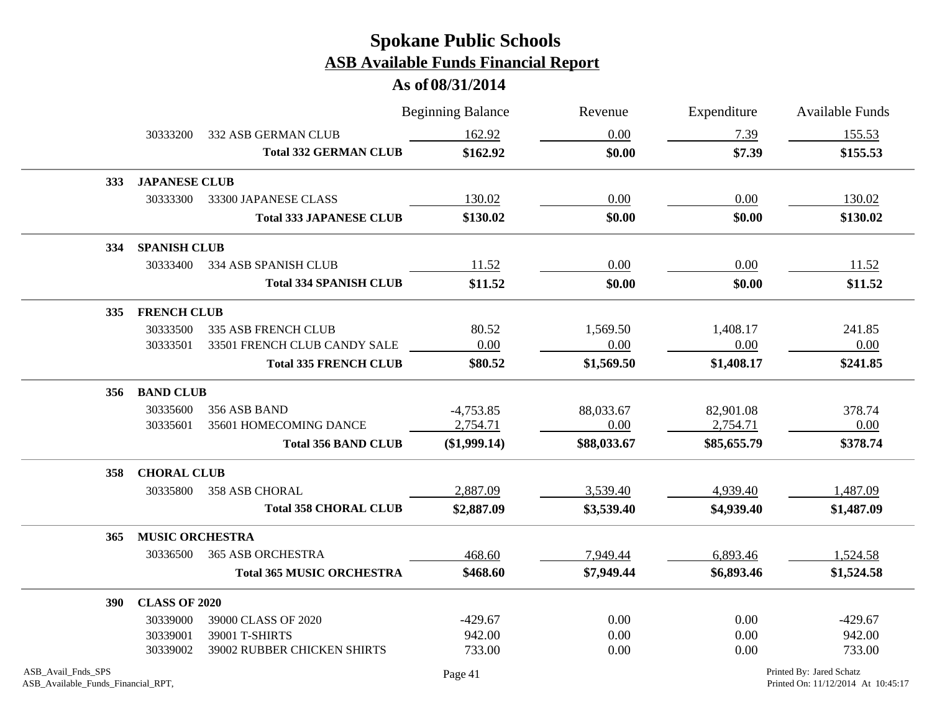|                                                          |                        |                                  | <b>Beginning Balance</b> | Revenue     | Expenditure | <b>Available Funds</b>                                         |
|----------------------------------------------------------|------------------------|----------------------------------|--------------------------|-------------|-------------|----------------------------------------------------------------|
|                                                          | 30333200               | 332 ASB GERMAN CLUB              | 162.92                   | 0.00        | 7.39        | 155.53                                                         |
|                                                          |                        | <b>Total 332 GERMAN CLUB</b>     | \$162.92                 | \$0.00      | \$7.39      | \$155.53                                                       |
| <b>333</b>                                               | <b>JAPANESE CLUB</b>   |                                  |                          |             |             |                                                                |
|                                                          | 30333300               | 33300 JAPANESE CLASS             | 130.02                   | 0.00        | 0.00        | 130.02                                                         |
|                                                          |                        | <b>Total 333 JAPANESE CLUB</b>   | \$130.02                 | \$0.00      | \$0.00      | \$130.02                                                       |
| 334                                                      | <b>SPANISH CLUB</b>    |                                  |                          |             |             |                                                                |
|                                                          | 30333400               | 334 ASB SPANISH CLUB             | 11.52                    | 0.00        | 0.00        | 11.52                                                          |
|                                                          |                        | <b>Total 334 SPANISH CLUB</b>    | \$11.52                  | \$0.00      | \$0.00      | \$11.52                                                        |
| 335                                                      | <b>FRENCH CLUB</b>     |                                  |                          |             |             |                                                                |
|                                                          | 30333500               | <b>335 ASB FRENCH CLUB</b>       | 80.52                    | 1,569.50    | 1,408.17    | 241.85                                                         |
|                                                          | 30333501               | 33501 FRENCH CLUB CANDY SALE     | 0.00                     | 0.00        | 0.00        | 0.00                                                           |
|                                                          |                        | <b>Total 335 FRENCH CLUB</b>     | \$80.52                  | \$1,569.50  | \$1,408.17  | \$241.85                                                       |
|                                                          | 356 BAND CLUB          |                                  |                          |             |             |                                                                |
|                                                          | 30335600               | 356 ASB BAND                     | $-4,753.85$              | 88,033.67   | 82,901.08   | 378.74                                                         |
|                                                          | 30335601               | 35601 HOMECOMING DANCE           | 2,754.71                 | 0.00        | 2,754.71    | 0.00                                                           |
|                                                          |                        | <b>Total 356 BAND CLUB</b>       | (\$1,999.14)             | \$88,033.67 | \$85,655.79 | \$378.74                                                       |
| 358                                                      | <b>CHORAL CLUB</b>     |                                  |                          |             |             |                                                                |
|                                                          | 30335800               | 358 ASB CHORAL                   | 2,887.09                 | 3,539.40    | 4,939.40    | 1,487.09                                                       |
|                                                          |                        | <b>Total 358 CHORAL CLUB</b>     | \$2,887.09               | \$3,539.40  | \$4,939.40  | \$1,487.09                                                     |
| 365                                                      | <b>MUSIC ORCHESTRA</b> |                                  |                          |             |             |                                                                |
|                                                          | 30336500               | <b>365 ASB ORCHESTRA</b>         | 468.60                   | 7,949.44    | 6,893.46    | 1,524.58                                                       |
|                                                          |                        | <b>Total 365 MUSIC ORCHESTRA</b> | \$468.60                 | \$7,949.44  | \$6,893.46  | \$1,524.58                                                     |
| <b>390</b>                                               | <b>CLASS OF 2020</b>   |                                  |                          |             |             |                                                                |
|                                                          | 30339000               | 39000 CLASS OF 2020              | $-429.67$                | 0.00        | 0.00        | $-429.67$                                                      |
|                                                          | 30339001               | 39001 T-SHIRTS                   | 942.00                   | 0.00        | 0.00        | 942.00                                                         |
|                                                          | 30339002               | 39002 RUBBER CHICKEN SHIRTS      | 733.00                   | 0.00        | 0.00        | 733.00                                                         |
| ASB_Avail_Fnds_SPS<br>ASB_Available_Funds_Financial_RPT, |                        |                                  | Page 41                  |             |             | Printed By: Jared Schatz<br>Printed On: 11/12/2014 At 10:45:17 |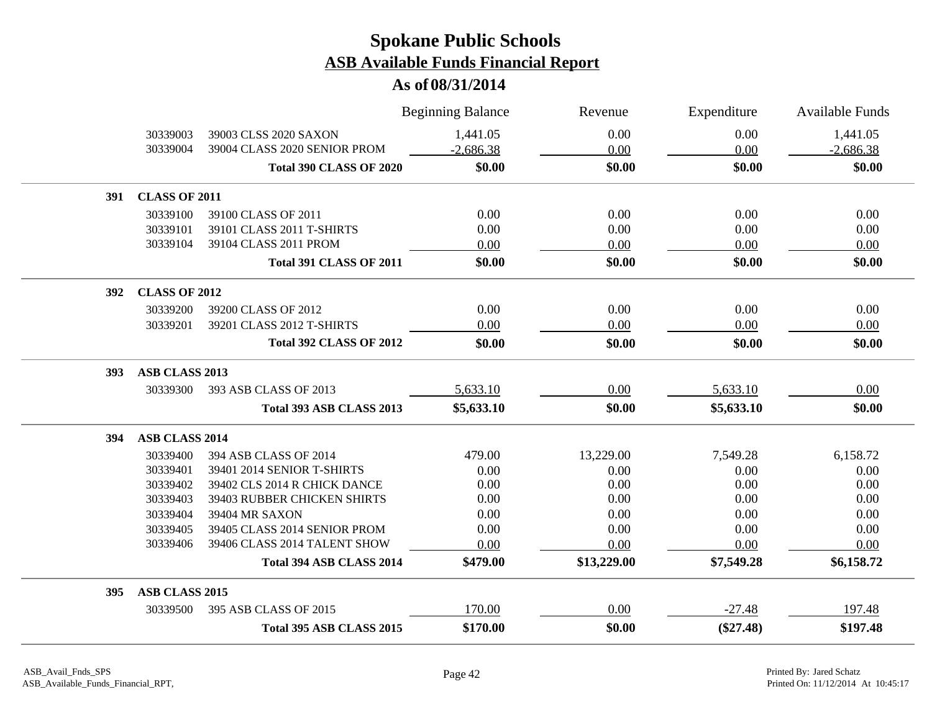|     |                       |                                | <b>Beginning Balance</b> | Revenue     | Expenditure | <b>Available Funds</b> |
|-----|-----------------------|--------------------------------|--------------------------|-------------|-------------|------------------------|
|     | 30339003              | 39003 CLSS 2020 SAXON          | 1,441.05                 | 0.00        | 0.00        | 1,441.05               |
|     | 30339004              | 39004 CLASS 2020 SENIOR PROM   | $-2,686.38$              | 0.00        | 0.00        | $-2,686.38$            |
|     |                       | <b>Total 390 CLASS OF 2020</b> | \$0.00                   | \$0.00      | \$0.00      | \$0.00                 |
| 391 | <b>CLASS OF 2011</b>  |                                |                          |             |             |                        |
|     | 30339100              | 39100 CLASS OF 2011            | 0.00                     | 0.00        | 0.00        | 0.00                   |
|     | 30339101              | 39101 CLASS 2011 T-SHIRTS      | 0.00                     | 0.00        | 0.00        | 0.00                   |
|     | 30339104              | 39104 CLASS 2011 PROM          | 0.00                     | 0.00        | 0.00        | 0.00                   |
|     |                       | <b>Total 391 CLASS OF 2011</b> | \$0.00                   | \$0.00      | \$0.00      | \$0.00                 |
| 392 | <b>CLASS OF 2012</b>  |                                |                          |             |             |                        |
|     | 30339200              | 39200 CLASS OF 2012            | 0.00                     | 0.00        | 0.00        | 0.00                   |
|     | 30339201              | 39201 CLASS 2012 T-SHIRTS      | 0.00                     | 0.00        | 0.00        | 0.00                   |
|     |                       | <b>Total 392 CLASS OF 2012</b> | \$0.00                   | \$0.00      | \$0.00      | \$0.00                 |
| 393 | ASB CLASS 2013        |                                |                          |             |             |                        |
|     | 30339300              | 393 ASB CLASS OF 2013          | 5,633.10                 | 0.00        | 5,633.10    | 0.00                   |
|     |                       | Total 393 ASB CLASS 2013       | \$5,633.10               | \$0.00      | \$5,633.10  | \$0.00                 |
| 394 | <b>ASB CLASS 2014</b> |                                |                          |             |             |                        |
|     | 30339400              | 394 ASB CLASS OF 2014          | 479.00                   | 13,229.00   | 7,549.28    | 6,158.72               |
|     | 30339401              | 39401 2014 SENIOR T-SHIRTS     | 0.00                     | 0.00        | 0.00        | 0.00                   |
|     | 30339402              | 39402 CLS 2014 R CHICK DANCE   | 0.00                     | 0.00        | 0.00        | 0.00                   |
|     | 30339403              | 39403 RUBBER CHICKEN SHIRTS    | 0.00                     | 0.00        | 0.00        | 0.00                   |
|     | 30339404              | 39404 MR SAXON                 | 0.00                     | 0.00        | 0.00        | 0.00                   |
|     | 30339405              | 39405 CLASS 2014 SENIOR PROM   | 0.00                     | 0.00        | 0.00        | 0.00                   |
|     | 30339406              | 39406 CLASS 2014 TALENT SHOW   | 0.00                     | 0.00        | 0.00        | 0.00                   |
|     |                       | Total 394 ASB CLASS 2014       | \$479.00                 | \$13,229.00 | \$7,549.28  | \$6,158.72             |
| 395 | ASB CLASS 2015        |                                |                          |             |             |                        |
|     | 30339500              | 395 ASB CLASS OF 2015          | 170.00                   | 0.00        | $-27.48$    | 197.48                 |
|     |                       | Total 395 ASB CLASS 2015       | \$170.00                 | \$0.00      | $(\$27.48)$ | \$197.48               |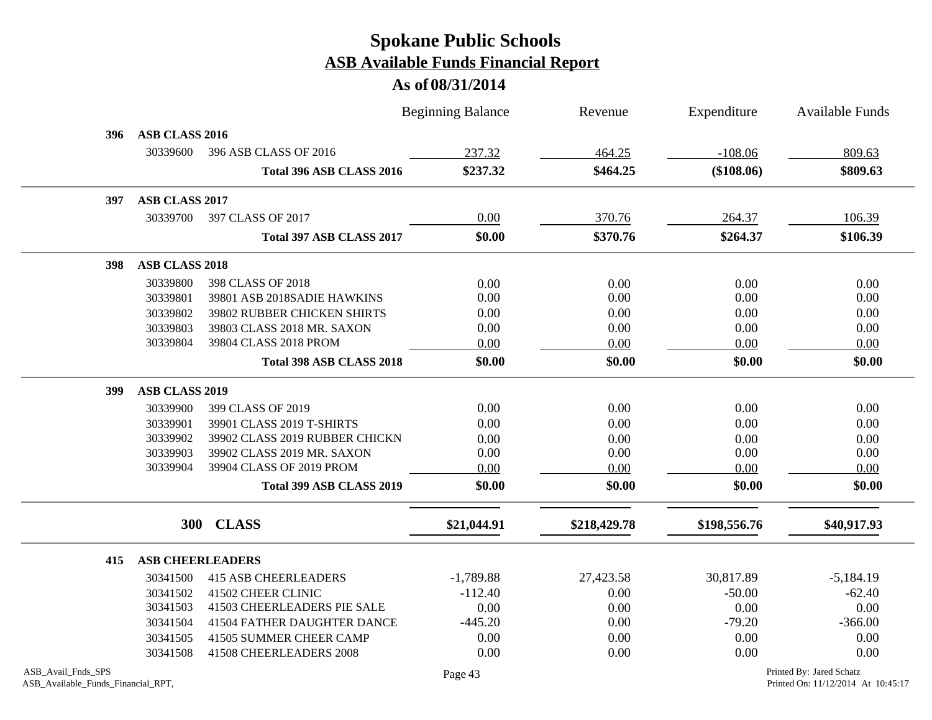|                                                          |                       |                                | <b>Beginning Balance</b> | Revenue      | Expenditure  | Available Funds                                                |
|----------------------------------------------------------|-----------------------|--------------------------------|--------------------------|--------------|--------------|----------------------------------------------------------------|
| 396                                                      | ASB CLASS 2016        |                                |                          |              |              |                                                                |
|                                                          | 30339600              | 396 ASB CLASS OF 2016          | 237.32                   | 464.25       | $-108.06$    | 809.63                                                         |
|                                                          |                       | Total 396 ASB CLASS 2016       | \$237.32                 | \$464.25     | (\$108.06)   | \$809.63                                                       |
| 397                                                      | ASB CLASS 2017        |                                |                          |              |              |                                                                |
|                                                          | 30339700              | 397 CLASS OF 2017              | 0.00                     | 370.76       | 264.37       | 106.39                                                         |
|                                                          |                       | Total 397 ASB CLASS 2017       | \$0.00                   | \$370.76     | \$264.37     | \$106.39                                                       |
| 398                                                      | <b>ASB CLASS 2018</b> |                                |                          |              |              |                                                                |
|                                                          | 30339800              | 398 CLASS OF 2018              | 0.00                     | 0.00         | 0.00         | 0.00                                                           |
|                                                          | 30339801              | 39801 ASB 2018SADIE HAWKINS    | 0.00                     | 0.00         | 0.00         | 0.00                                                           |
|                                                          | 30339802              | 39802 RUBBER CHICKEN SHIRTS    | 0.00                     | 0.00         | 0.00         | 0.00                                                           |
|                                                          | 30339803              | 39803 CLASS 2018 MR. SAXON     | 0.00                     | 0.00         | 0.00         | 0.00                                                           |
|                                                          | 30339804              | 39804 CLASS 2018 PROM          | 0.00                     | 0.00         | 0.00         | 0.00                                                           |
|                                                          |                       | Total 398 ASB CLASS 2018       | \$0.00                   | \$0.00       | \$0.00       | \$0.00                                                         |
| 399                                                      | <b>ASB CLASS 2019</b> |                                |                          |              |              |                                                                |
|                                                          | 30339900              | 399 CLASS OF 2019              | 0.00                     | 0.00         | 0.00         | 0.00                                                           |
|                                                          | 30339901              | 39901 CLASS 2019 T-SHIRTS      | 0.00                     | 0.00         | 0.00         | 0.00                                                           |
|                                                          | 30339902              | 39902 CLASS 2019 RUBBER CHICKN | 0.00                     | 0.00         | 0.00         | 0.00                                                           |
|                                                          | 30339903              | 39902 CLASS 2019 MR. SAXON     | 0.00                     | 0.00         | 0.00         | 0.00                                                           |
|                                                          | 30339904              | 39904 CLASS OF 2019 PROM       | 0.00                     | 0.00         | 0.00         | 0.00                                                           |
|                                                          |                       | Total 399 ASB CLASS 2019       | \$0.00                   | \$0.00       | \$0.00       | \$0.00                                                         |
|                                                          | <b>300</b>            | <b>CLASS</b>                   | \$21,044.91              | \$218,429.78 | \$198,556.76 | \$40,917.93                                                    |
|                                                          |                       |                                |                          |              |              |                                                                |
| 415                                                      |                       | <b>ASB CHEERLEADERS</b>        |                          |              |              |                                                                |
|                                                          | 30341500              | <b>415 ASB CHEERLEADERS</b>    | $-1,789.88$              | 27,423.58    | 30,817.89    | $-5,184.19$                                                    |
|                                                          | 30341502              | 41502 CHEER CLINIC             | $-112.40$                | 0.00         | $-50.00$     | $-62.40$                                                       |
|                                                          | 30341503              | 41503 CHEERLEADERS PIE SALE    | 0.00                     | 0.00         | 0.00         | 0.00                                                           |
|                                                          | 30341504              | 41504 FATHER DAUGHTER DANCE    | $-445.20$                | 0.00         | $-79.20$     | $-366.00$                                                      |
|                                                          | 30341505              | 41505 SUMMER CHEER CAMP        | 0.00                     | 0.00         | 0.00         | 0.00                                                           |
|                                                          | 30341508              | 41508 CHEERLEADERS 2008        | 0.00                     | 0.00         | 0.00         | 0.00                                                           |
| ASB_Avail_Fnds_SPS<br>ASB_Available_Funds_Financial_RPT, |                       |                                | Page 43                  |              |              | Printed By: Jared Schatz<br>Printed On: 11/12/2014 At 10:45:17 |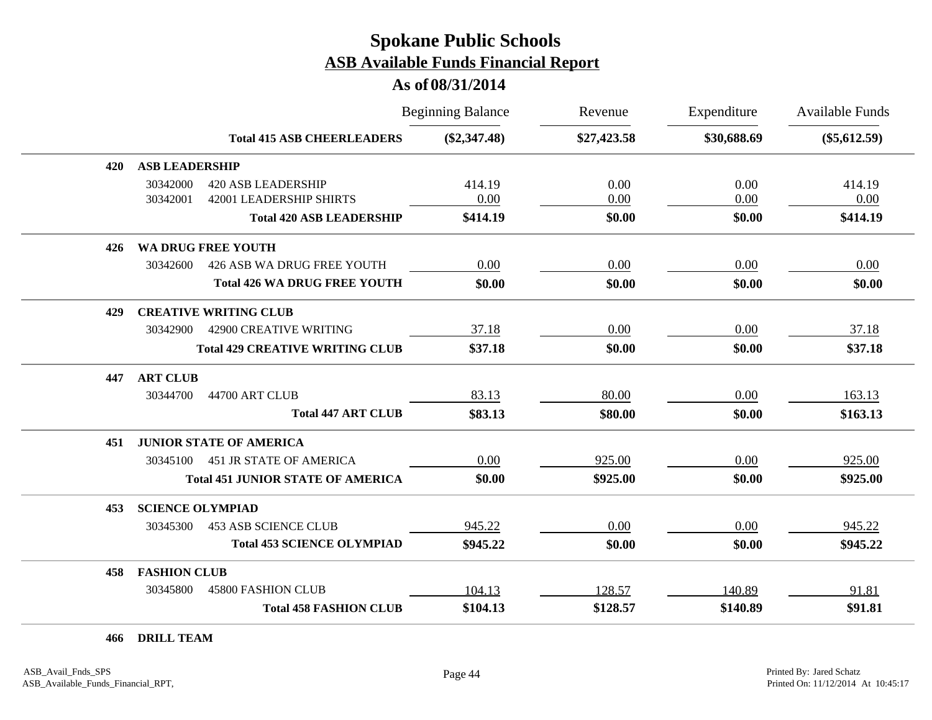#### **As of 08/31/2014**

|     |                                                                                     | <b>Beginning Balance</b> | Revenue      | Expenditure  | <b>Available Funds</b> |
|-----|-------------------------------------------------------------------------------------|--------------------------|--------------|--------------|------------------------|
|     | <b>Total 415 ASB CHEERLEADERS</b>                                                   | $(\$2,347.48)$           | \$27,423.58  | \$30,688.69  | $(\$5,612.59)$         |
| 420 | <b>ASB LEADERSHIP</b>                                                               |                          |              |              |                        |
|     | 30342000<br><b>420 ASB LEADERSHIP</b><br><b>42001 LEADERSHIP SHIRTS</b><br>30342001 | 414.19<br>0.00           | 0.00<br>0.00 | 0.00<br>0.00 | 414.19<br>0.00         |
|     | <b>Total 420 ASB LEADERSHIP</b>                                                     | \$414.19                 | \$0.00       | \$0.00       | \$414.19               |
| 426 | <b>WA DRUG FREE YOUTH</b>                                                           |                          |              |              |                        |
|     | 30342600<br>426 ASB WA DRUG FREE YOUTH                                              | 0.00                     | 0.00         | 0.00         | 0.00                   |
|     | <b>Total 426 WA DRUG FREE YOUTH</b>                                                 | \$0.00                   | \$0.00       | \$0.00       | \$0.00                 |
| 429 | <b>CREATIVE WRITING CLUB</b>                                                        |                          |              |              |                        |
|     | 30342900<br><b>42900 CREATIVE WRITING</b>                                           | 37.18                    | 0.00         | 0.00         | 37.18                  |
|     | <b>Total 429 CREATIVE WRITING CLUB</b>                                              | \$37.18                  | \$0.00       | \$0.00       | \$37.18                |
| 447 | <b>ART CLUB</b>                                                                     |                          |              |              |                        |
|     | 30344700<br>44700 ART CLUB                                                          | 83.13                    | 80.00        | 0.00         | 163.13                 |
|     | <b>Total 447 ART CLUB</b>                                                           | \$83.13                  | \$80.00      | \$0.00       | \$163.13               |
| 451 | <b>JUNIOR STATE OF AMERICA</b>                                                      |                          |              |              |                        |
|     | <b>451 JR STATE OF AMERICA</b><br>30345100                                          | 0.00                     | 925.00       | 0.00         | 925.00                 |
|     | <b>Total 451 JUNIOR STATE OF AMERICA</b>                                            | \$0.00                   | \$925.00     | \$0.00       | \$925.00               |
| 453 | <b>SCIENCE OLYMPIAD</b>                                                             |                          |              |              |                        |
|     | <b>453 ASB SCIENCE CLUB</b><br>30345300                                             | 945.22                   | 0.00         | 0.00         | 945.22                 |
|     | <b>Total 453 SCIENCE OLYMPIAD</b>                                                   | \$945.22                 | \$0.00       | \$0.00       | \$945.22               |
| 458 | <b>FASHION CLUB</b>                                                                 |                          |              |              |                        |
|     | 30345800<br><b>45800 FASHION CLUB</b>                                               | 104.13                   | 128.57       | 140.89       | 91.81                  |
|     | <b>Total 458 FASHION CLUB</b>                                                       | \$104.13                 | \$128.57     | \$140.89     | \$91.81                |

**466 DRILL TEAM**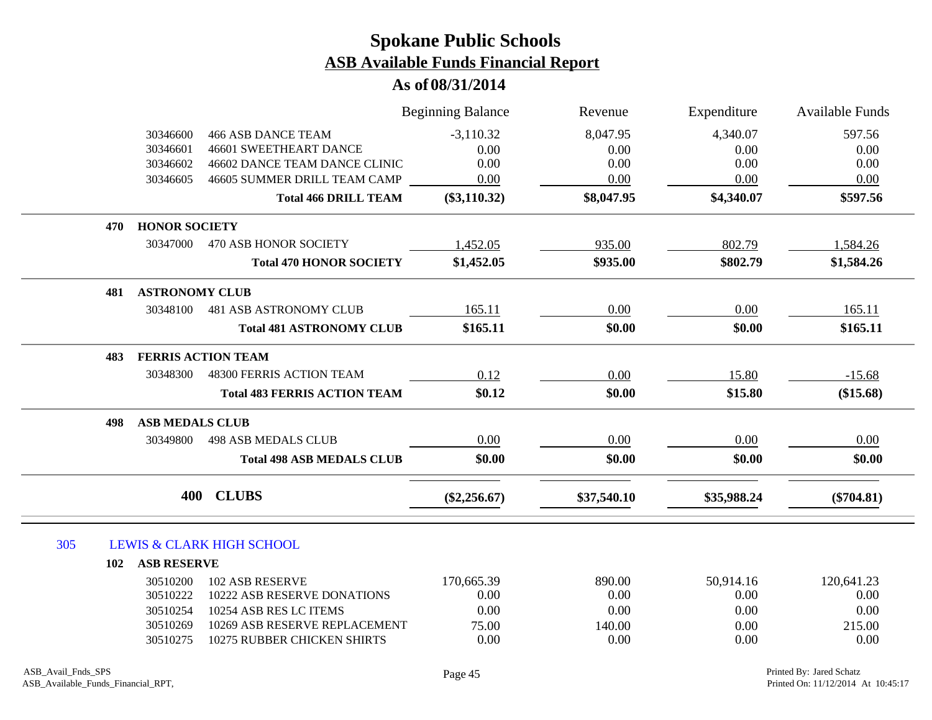|     |                               |                                      | <b>Beginning Balance</b> | Revenue     | Expenditure | <b>Available Funds</b> |
|-----|-------------------------------|--------------------------------------|--------------------------|-------------|-------------|------------------------|
|     | 30346600                      | <b>466 ASB DANCE TEAM</b>            | $-3,110.32$              | 8,047.95    | 4,340.07    | 597.56                 |
|     | 30346601                      | <b>46601 SWEETHEART DANCE</b>        | 0.00                     | 0.00        | 0.00        | 0.00                   |
|     | 30346602                      | 46602 DANCE TEAM DANCE CLINIC        | 0.00                     | 0.00        | 0.00        | 0.00                   |
|     | 30346605                      | 46605 SUMMER DRILL TEAM CAMP         | 0.00                     | 0.00        | 0.00        | 0.00                   |
|     |                               | <b>Total 466 DRILL TEAM</b>          | $(\$3,110.32)$           | \$8,047.95  | \$4,340.07  | \$597.56               |
|     | <b>HONOR SOCIETY</b><br>470   |                                      |                          |             |             |                        |
|     | 30347000                      | <b>470 ASB HONOR SOCIETY</b>         | 1,452.05                 | 935.00      | 802.79      | 1,584.26               |
|     |                               | <b>Total 470 HONOR SOCIETY</b>       | \$1,452.05               | \$935.00    | \$802.79    | \$1,584.26             |
|     | <b>ASTRONOMY CLUB</b><br>481  |                                      |                          |             |             |                        |
|     | 30348100                      | <b>481 ASB ASTRONOMY CLUB</b>        | 165.11                   | 0.00        | 0.00        | 165.11                 |
|     |                               | <b>Total 481 ASTRONOMY CLUB</b>      | \$165.11                 | \$0.00      | \$0.00      | \$165.11               |
|     | 483                           | <b>FERRIS ACTION TEAM</b>            |                          |             |             |                        |
|     | 30348300                      | 48300 FERRIS ACTION TEAM             | 0.12                     | 0.00        | 15.80       | $-15.68$               |
|     |                               | <b>Total 483 FERRIS ACTION TEAM</b>  | \$0.12                   | \$0.00      | \$15.80     | (\$15.68)              |
|     | <b>ASB MEDALS CLUB</b><br>498 |                                      |                          |             |             |                        |
|     | 30349800                      | <b>498 ASB MEDALS CLUB</b>           | 0.00                     | 0.00        | 0.00        | 0.00                   |
|     |                               | <b>Total 498 ASB MEDALS CLUB</b>     | \$0.00                   | \$0.00      | \$0.00      | \$0.00                 |
|     | 400                           | <b>CLUBS</b>                         | $(\$2,256.67)$           | \$37,540.10 | \$35,988.24 | $(\$704.81)$           |
|     |                               |                                      |                          |             |             |                        |
| 305 |                               | <b>LEWIS &amp; CLARK HIGH SCHOOL</b> |                          |             |             |                        |
|     | <b>ASB RESERVE</b><br>102     |                                      |                          |             |             |                        |
|     | 30510200                      | <b>102 ASB RESERVE</b>               | 170,665.39               | 890.00      | 50,914.16   | 120,641.23             |
|     | 30510222                      | 10222 ASB RESERVE DONATIONS          | 0.00                     | 0.00        | 0.00        | 0.00                   |
|     | 30510254                      | 10254 ASB RES LC ITEMS               | 0.00                     | 0.00        | 0.00        | 0.00                   |
|     | 30510269                      | 10269 ASB RESERVE REPLACEMENT        | 75.00                    | 140.00      | 0.00        | 215.00                 |
|     | 30510275                      | 10275 RUBBER CHICKEN SHIRTS          | 0.00                     | 0.00        | 0.00        | 0.00                   |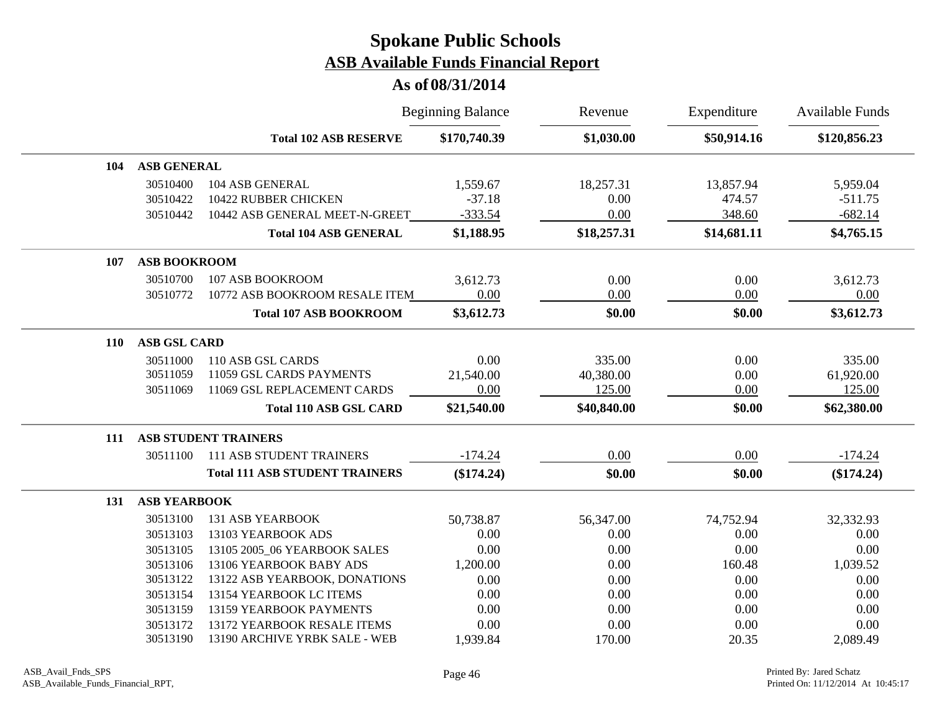|            |                     |                                       | <b>Beginning Balance</b> | Revenue     | Expenditure | <b>Available Funds</b> |
|------------|---------------------|---------------------------------------|--------------------------|-------------|-------------|------------------------|
|            |                     | <b>Total 102 ASB RESERVE</b>          | \$170,740.39             | \$1,030.00  | \$50,914.16 | \$120,856.23           |
| 104        | <b>ASB GENERAL</b>  |                                       |                          |             |             |                        |
|            | 30510400            | 104 ASB GENERAL                       | 1,559.67                 | 18,257.31   | 13,857.94   | 5,959.04               |
|            | 30510422            | 10422 RUBBER CHICKEN                  | $-37.18$                 | 0.00        | 474.57      | $-511.75$              |
|            | 30510442            | 10442 ASB GENERAL MEET-N-GREET        | $-333.54$                | 0.00        | 348.60      | $-682.14$              |
|            |                     | <b>Total 104 ASB GENERAL</b>          | \$1,188.95               | \$18,257.31 | \$14,681.11 | \$4,765.15             |
| 107        | <b>ASB BOOKROOM</b> |                                       |                          |             |             |                        |
|            | 30510700            | 107 ASB BOOKROOM                      | 3,612.73                 | 0.00        | 0.00        | 3,612.73               |
|            | 30510772            | 10772 ASB BOOKROOM RESALE ITEM        | 0.00                     | 0.00        | 0.00        | 0.00                   |
|            |                     | <b>Total 107 ASB BOOKROOM</b>         | \$3,612.73               | \$0.00      | \$0.00      | \$3,612.73             |
| <b>110</b> | <b>ASB GSL CARD</b> |                                       |                          |             |             |                        |
|            | 30511000            | 110 ASB GSL CARDS                     | 0.00                     | 335.00      | 0.00        | 335.00                 |
|            | 30511059            | 11059 GSL CARDS PAYMENTS              | 21,540.00                | 40,380.00   | 0.00        | 61,920.00              |
|            | 30511069            | 11069 GSL REPLACEMENT CARDS           | 0.00                     | 125.00      | 0.00        | 125.00                 |
|            |                     | <b>Total 110 ASB GSL CARD</b>         | \$21,540.00              | \$40,840.00 | \$0.00      | \$62,380.00            |
| 111        |                     | <b>ASB STUDENT TRAINERS</b>           |                          |             |             |                        |
|            | 30511100            | <b>111 ASB STUDENT TRAINERS</b>       | $-174.24$                | 0.00        | 0.00        | $-174.24$              |
|            |                     | <b>Total 111 ASB STUDENT TRAINERS</b> | $(\$174.24)$             | \$0.00      | \$0.00      | $(\$174.24)$           |
| 131        | <b>ASB YEARBOOK</b> |                                       |                          |             |             |                        |
|            | 30513100            | <b>131 ASB YEARBOOK</b>               | 50,738.87                | 56,347.00   | 74,752.94   | 32,332.93              |
|            | 30513103            | 13103 YEARBOOK ADS                    | 0.00                     | 0.00        | 0.00        | 0.00                   |
|            | 30513105            | 13105 2005_06 YEARBOOK SALES          | 0.00                     | 0.00        | 0.00        | 0.00                   |
|            | 30513106            | 13106 YEARBOOK BABY ADS               | 1,200.00                 | 0.00        | 160.48      | 1,039.52               |
|            | 30513122            | 13122 ASB YEARBOOK, DONATIONS         | 0.00                     | 0.00        | 0.00        | 0.00                   |
|            | 30513154            | 13154 YEARBOOK LC ITEMS               | 0.00                     | 0.00        | 0.00        | $0.00\,$               |
|            | 30513159            | 13159 YEARBOOK PAYMENTS               | 0.00                     | 0.00        | 0.00        | 0.00                   |
|            | 30513172            | 13172 YEARBOOK RESALE ITEMS           | 0.00                     | 0.00        | 0.00        | 0.00                   |
|            | 30513190            | 13190 ARCHIVE YRBK SALE - WEB         | 1,939.84                 | 170.00      | 20.35       | 2,089.49               |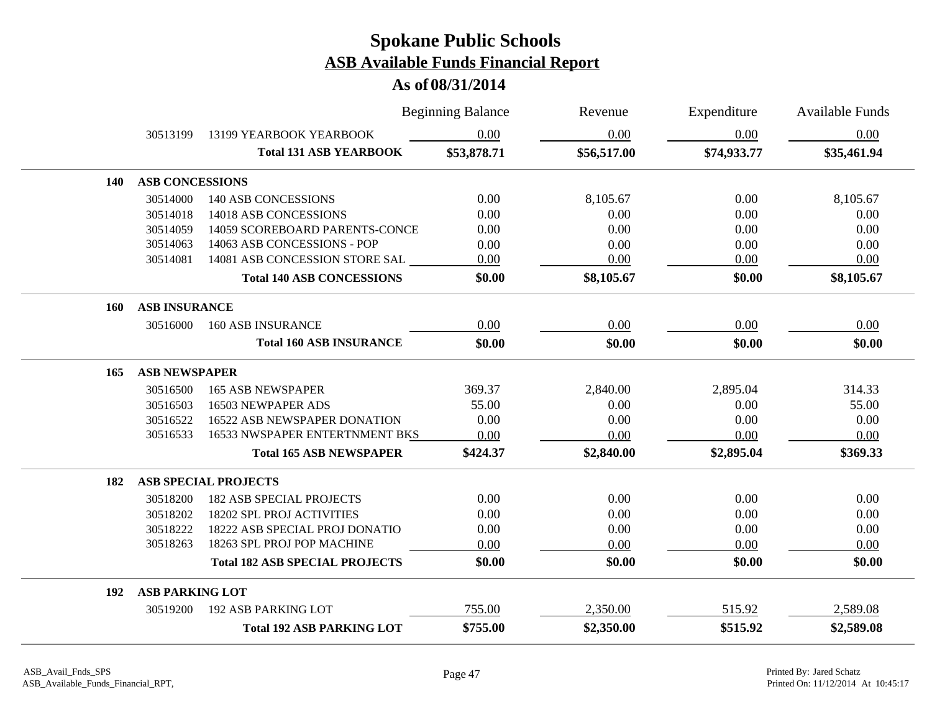|            |                        |                                       | <b>Beginning Balance</b> | Revenue     | Expenditure | Available Funds |
|------------|------------------------|---------------------------------------|--------------------------|-------------|-------------|-----------------|
|            | 30513199               | 13199 YEARBOOK YEARBOOK               | 0.00                     | 0.00        | 0.00        | 0.00            |
|            |                        | <b>Total 131 ASB YEARBOOK</b>         | \$53,878.71              | \$56,517.00 | \$74,933.77 | \$35,461.94     |
| <b>140</b> | <b>ASB CONCESSIONS</b> |                                       |                          |             |             |                 |
|            | 30514000               | <b>140 ASB CONCESSIONS</b>            | 0.00                     | 8,105.67    | 0.00        | 8,105.67        |
|            | 30514018               | 14018 ASB CONCESSIONS                 | 0.00                     | 0.00        | 0.00        | 0.00            |
|            | 30514059               | 14059 SCOREBOARD PARENTS-CONCE        | 0.00                     | 0.00        | 0.00        | 0.00            |
|            | 30514063               | 14063 ASB CONCESSIONS - POP           | 0.00                     | 0.00        | 0.00        | 0.00            |
|            | 30514081               | 14081 ASB CONCESSION STORE SAL        | 0.00                     | 0.00        | 0.00        | 0.00            |
|            |                        | <b>Total 140 ASB CONCESSIONS</b>      | \$0.00                   | \$8,105.67  | \$0.00      | \$8,105.67      |
| <b>160</b> | <b>ASB INSURANCE</b>   |                                       |                          |             |             |                 |
|            | 30516000               | <b>160 ASB INSURANCE</b>              | 0.00                     | 0.00        | 0.00        | 0.00            |
|            |                        | <b>Total 160 ASB INSURANCE</b>        | \$0.00                   | \$0.00      | \$0.00      | \$0.00          |
| 165        | <b>ASB NEWSPAPER</b>   |                                       |                          |             |             |                 |
|            | 30516500               | <b>165 ASB NEWSPAPER</b>              | 369.37                   | 2,840.00    | 2,895.04    | 314.33          |
|            | 30516503               | 16503 NEWPAPER ADS                    | 55.00                    | 0.00        | 0.00        | 55.00           |
|            | 30516522               | 16522 ASB NEWSPAPER DONATION          | 0.00                     | 0.00        | 0.00        | 0.00            |
|            | 30516533               | 16533 NWSPAPER ENTERTNMENT BKS        | 0.00                     | 0.00        | 0.00        | 0.00            |
|            |                        | <b>Total 165 ASB NEWSPAPER</b>        | \$424.37                 | \$2,840.00  | \$2,895.04  | \$369.33        |
| 182        |                        | <b>ASB SPECIAL PROJECTS</b>           |                          |             |             |                 |
|            | 30518200               | <b>182 ASB SPECIAL PROJECTS</b>       | 0.00                     | 0.00        | 0.00        | 0.00            |
|            | 30518202               | 18202 SPL PROJ ACTIVITIES             | 0.00                     | 0.00        | 0.00        | 0.00            |
|            | 30518222               | 18222 ASB SPECIAL PROJ DONATIO        | 0.00                     | 0.00        | 0.00        | 0.00            |
|            | 30518263               | 18263 SPL PROJ POP MACHINE            | 0.00                     | 0.00        | 0.00        | 0.00            |
|            |                        | <b>Total 182 ASB SPECIAL PROJECTS</b> | \$0.00                   | \$0.00      | \$0.00      | \$0.00          |
| 192        | <b>ASB PARKING LOT</b> |                                       |                          |             |             |                 |
|            | 30519200               | <b>192 ASB PARKING LOT</b>            | 755.00                   | 2,350.00    | 515.92      | 2,589.08        |
|            |                        | <b>Total 192 ASB PARKING LOT</b>      | \$755.00                 | \$2,350.00  | \$515.92    | \$2,589.08      |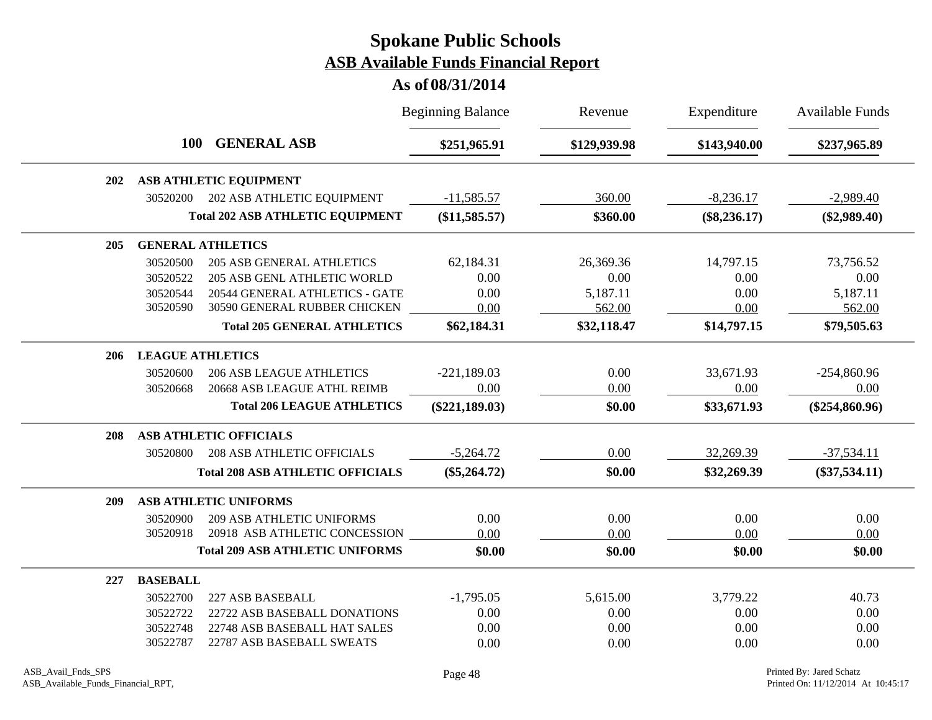|     |                         |                                         | <b>Beginning Balance</b> | Revenue      | Expenditure    | Available Funds  |
|-----|-------------------------|-----------------------------------------|--------------------------|--------------|----------------|------------------|
|     | <b>100</b>              | <b>GENERAL ASB</b>                      | \$251,965.91             | \$129,939.98 | \$143,940.00   | \$237,965.89     |
| 202 |                         | <b>ASB ATHLETIC EQUIPMENT</b>           |                          |              |                |                  |
|     | 30520200                | 202 ASB ATHLETIC EQUIPMENT              | $-11,585.57$             | 360.00       | $-8,236.17$    | $-2,989.40$      |
|     |                         | <b>Total 202 ASB ATHLETIC EQUIPMENT</b> | (\$11,585.57)            | \$360.00     | $(\$8,236.17)$ | $(\$2,989.40)$   |
| 205 |                         | <b>GENERAL ATHLETICS</b>                |                          |              |                |                  |
|     | 30520500                | <b>205 ASB GENERAL ATHLETICS</b>        | 62,184.31                | 26,369.36    | 14,797.15      | 73,756.52        |
|     | 30520522                | 205 ASB GENL ATHLETIC WORLD             | 0.00                     | 0.00         | 0.00           | 0.00             |
|     | 30520544                | 20544 GENERAL ATHLETICS - GATE          | 0.00                     | 5,187.11     | 0.00           | 5,187.11         |
|     | 30520590                | 30590 GENERAL RUBBER CHICKEN            | 0.00                     | 562.00       | 0.00           | 562.00           |
|     |                         | <b>Total 205 GENERAL ATHLETICS</b>      | \$62,184.31              | \$32,118.47  | \$14,797.15    | \$79,505.63      |
| 206 | <b>LEAGUE ATHLETICS</b> |                                         |                          |              |                |                  |
|     | 30520600                | <b>206 ASB LEAGUE ATHLETICS</b>         | $-221,189.03$            | 0.00         | 33,671.93      | $-254,860.96$    |
|     | 30520668                | 20668 ASB LEAGUE ATHL REIMB             | 0.00                     | 0.00         | 0.00           | 0.00             |
|     |                         | <b>Total 206 LEAGUE ATHLETICS</b>       | $(\$221,189.03)$         | \$0.00       | \$33,671.93    | $(\$254,860.96)$ |
| 208 |                         | <b>ASB ATHLETIC OFFICIALS</b>           |                          |              |                |                  |
|     | 30520800                | <b>208 ASB ATHLETIC OFFICIALS</b>       | $-5,264.72$              | 0.00         | 32,269.39      | $-37,534.11$     |
|     |                         | <b>Total 208 ASB ATHLETIC OFFICIALS</b> | $(\$5,264.72)$           | \$0.00       | \$32,269.39    | $(\$37,534.11)$  |
| 209 |                         | ASB ATHLETIC UNIFORMS                   |                          |              |                |                  |
|     | 30520900                | <b>209 ASB ATHLETIC UNIFORMS</b>        | 0.00                     | 0.00         | 0.00           | 0.00             |
|     | 30520918                | 20918 ASB ATHLETIC CONCESSION           | 0.00                     | 0.00         | 0.00           | 0.00             |
|     |                         | <b>Total 209 ASB ATHLETIC UNIFORMS</b>  | \$0.00                   | \$0.00       | \$0.00         | \$0.00           |
| 227 | <b>BASEBALL</b>         |                                         |                          |              |                |                  |
|     | 30522700                | 227 ASB BASEBALL                        | $-1,795.05$              | 5,615.00     | 3,779.22       | 40.73            |
|     | 30522722                | 22722 ASB BASEBALL DONATIONS            | 0.00                     | 0.00         | 0.00           | 0.00             |
|     | 30522748                | 22748 ASB BASEBALL HAT SALES            | 0.00                     | 0.00         | 0.00           | 0.00             |
|     | 30522787                | 22787 ASB BASEBALL SWEATS               | 0.00                     | 0.00         | 0.00           | 0.00             |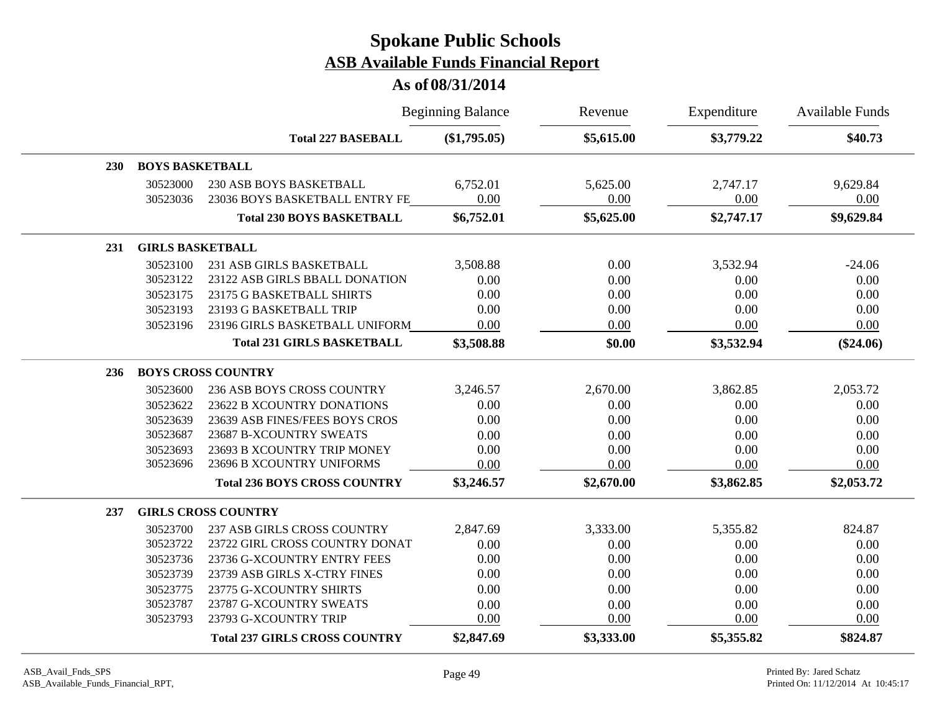|            |                         |                                      | <b>Beginning Balance</b> | Revenue    | Expenditure | <b>Available Funds</b> |
|------------|-------------------------|--------------------------------------|--------------------------|------------|-------------|------------------------|
|            |                         | <b>Total 227 BASEBALL</b>            | $(\$1,795.05)$           | \$5,615.00 | \$3,779.22  | \$40.73                |
| <b>230</b> | <b>BOYS BASKETBALL</b>  |                                      |                          |            |             |                        |
|            | 30523000                | 230 ASB BOYS BASKETBALL              | 6,752.01                 | 5,625.00   | 2,747.17    | 9,629.84               |
|            | 30523036                | 23036 BOYS BASKETBALL ENTRY FE       | 0.00                     | 0.00       | 0.00        | 0.00                   |
|            |                         | <b>Total 230 BOYS BASKETBALL</b>     | \$6,752.01               | \$5,625.00 | \$2,747.17  | \$9,629.84             |
| 231        | <b>GIRLS BASKETBALL</b> |                                      |                          |            |             |                        |
|            | 30523100                | 231 ASB GIRLS BASKETBALL             | 3,508.88                 | 0.00       | 3,532.94    | $-24.06$               |
|            | 30523122                | 23122 ASB GIRLS BBALL DONATION       | 0.00                     | 0.00       | 0.00        | 0.00                   |
|            | 30523175                | 23175 G BASKETBALL SHIRTS            | 0.00                     | 0.00       | 0.00        | 0.00                   |
|            | 30523193                | 23193 G BASKETBALL TRIP              | 0.00                     | 0.00       | 0.00        | 0.00                   |
|            | 30523196                | 23196 GIRLS BASKETBALL UNIFORM       | 0.00                     | 0.00       | 0.00        | 0.00                   |
|            |                         | <b>Total 231 GIRLS BASKETBALL</b>    | \$3,508.88               | \$0.00     | \$3,532.94  | $(\$24.06)$            |
| 236        |                         | <b>BOYS CROSS COUNTRY</b>            |                          |            |             |                        |
|            | 30523600                | 236 ASB BOYS CROSS COUNTRY           | 3,246.57                 | 2,670.00   | 3,862.85    | 2,053.72               |
|            | 30523622                | 23622 B XCOUNTRY DONATIONS           | 0.00                     | 0.00       | 0.00        | 0.00                   |
|            | 30523639                | 23639 ASB FINES/FEES BOYS CROS       | 0.00                     | 0.00       | 0.00        | 0.00                   |
|            | 30523687                | 23687 B-XCOUNTRY SWEATS              | 0.00                     | 0.00       | 0.00        | 0.00                   |
|            | 30523693                | 23693 B XCOUNTRY TRIP MONEY          | 0.00                     | 0.00       | 0.00        | 0.00                   |
|            | 30523696                | 23696 B XCOUNTRY UNIFORMS            | 0.00                     | 0.00       | 0.00        | 0.00                   |
|            |                         | <b>Total 236 BOYS CROSS COUNTRY</b>  | \$3,246.57               | \$2,670.00 | \$3,862.85  | \$2,053.72             |
| 237        |                         | <b>GIRLS CROSS COUNTRY</b>           |                          |            |             |                        |
|            | 30523700                | <b>237 ASB GIRLS CROSS COUNTRY</b>   | 2,847.69                 | 3,333.00   | 5,355.82    | 824.87                 |
|            | 30523722                | 23722 GIRL CROSS COUNTRY DONAT       | 0.00                     | 0.00       | 0.00        | 0.00                   |
|            | 30523736                | 23736 G-XCOUNTRY ENTRY FEES          | 0.00                     | 0.00       | 0.00        | 0.00                   |
|            | 30523739                | 23739 ASB GIRLS X-CTRY FINES         | 0.00                     | 0.00       | 0.00        | 0.00                   |
|            | 30523775                | 23775 G-XCOUNTRY SHIRTS              | 0.00                     | 0.00       | 0.00        | 0.00                   |
|            | 30523787                | 23787 G-XCOUNTRY SWEATS              | 0.00                     | 0.00       | 0.00        | 0.00                   |
|            | 30523793                | 23793 G-XCOUNTRY TRIP                | 0.00                     | 0.00       | 0.00        | 0.00                   |
|            |                         | <b>Total 237 GIRLS CROSS COUNTRY</b> | \$2,847.69               | \$3,333.00 | \$5,355.82  | \$824.87               |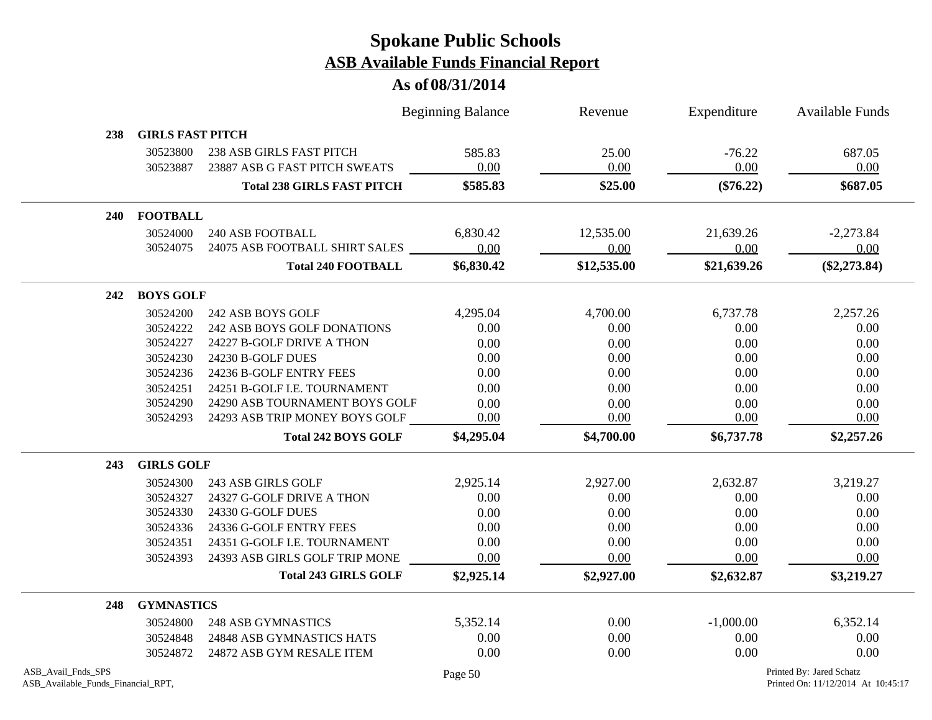|                                                          |                         |                                   | <b>Beginning Balance</b> | Revenue     | Expenditure | Available Funds                                                |
|----------------------------------------------------------|-------------------------|-----------------------------------|--------------------------|-------------|-------------|----------------------------------------------------------------|
| 238                                                      | <b>GIRLS FAST PITCH</b> |                                   |                          |             |             |                                                                |
|                                                          | 30523800                | <b>238 ASB GIRLS FAST PITCH</b>   | 585.83                   | 25.00       | $-76.22$    | 687.05                                                         |
|                                                          | 30523887                | 23887 ASB G FAST PITCH SWEATS     | 0.00                     | 0.00        | 0.00        | 0.00                                                           |
|                                                          |                         | <b>Total 238 GIRLS FAST PITCH</b> | \$585.83                 | \$25.00     | $(\$76.22)$ | \$687.05                                                       |
| <b>240</b>                                               | <b>FOOTBALL</b>         |                                   |                          |             |             |                                                                |
|                                                          | 30524000                | 240 ASB FOOTBALL                  | 6,830.42                 | 12,535.00   | 21,639.26   | $-2,273.84$                                                    |
|                                                          | 30524075                | 24075 ASB FOOTBALL SHIRT SALES    | 0.00                     | 0.00        | 0.00        | 0.00                                                           |
|                                                          |                         | <b>Total 240 FOOTBALL</b>         | \$6,830.42               | \$12,535.00 | \$21,639.26 | $(\$2,273.84)$                                                 |
| 242                                                      | <b>BOYS GOLF</b>        |                                   |                          |             |             |                                                                |
|                                                          | 30524200                | 242 ASB BOYS GOLF                 | 4,295.04                 | 4,700.00    | 6,737.78    | 2,257.26                                                       |
|                                                          | 30524222                | 242 ASB BOYS GOLF DONATIONS       | 0.00                     | 0.00        | 0.00        | 0.00                                                           |
|                                                          | 30524227                | 24227 B-GOLF DRIVE A THON         | 0.00                     | 0.00        | 0.00        | 0.00                                                           |
|                                                          | 30524230                | 24230 B-GOLF DUES                 | 0.00                     | 0.00        | 0.00        | 0.00                                                           |
|                                                          | 30524236                | 24236 B-GOLF ENTRY FEES           | 0.00                     | 0.00        | 0.00        | 0.00                                                           |
|                                                          | 30524251                | 24251 B-GOLF I.E. TOURNAMENT      | 0.00                     | 0.00        | 0.00        | 0.00                                                           |
|                                                          | 30524290                | 24290 ASB TOURNAMENT BOYS GOLF    | 0.00                     | 0.00        | 0.00        | 0.00                                                           |
|                                                          | 30524293                | 24293 ASB TRIP MONEY BOYS GOLF    | 0.00                     | 0.00        | 0.00        | 0.00                                                           |
|                                                          |                         | <b>Total 242 BOYS GOLF</b>        | \$4,295.04               | \$4,700.00  | \$6,737.78  | \$2,257.26                                                     |
| 243                                                      | <b>GIRLS GOLF</b>       |                                   |                          |             |             |                                                                |
|                                                          | 30524300                | 243 ASB GIRLS GOLF                | 2,925.14                 | 2,927.00    | 2,632.87    | 3,219.27                                                       |
|                                                          | 30524327                | 24327 G-GOLF DRIVE A THON         | 0.00                     | 0.00        | 0.00        | 0.00                                                           |
|                                                          | 30524330                | 24330 G-GOLF DUES                 | 0.00                     | 0.00        | 0.00        | 0.00                                                           |
|                                                          | 30524336                | 24336 G-GOLF ENTRY FEES           | 0.00                     | 0.00        | 0.00        | 0.00                                                           |
|                                                          | 30524351                | 24351 G-GOLF I.E. TOURNAMENT      | 0.00                     | 0.00        | 0.00        | 0.00                                                           |
|                                                          | 30524393                | 24393 ASB GIRLS GOLF TRIP MONE    | 0.00                     | 0.00        | 0.00        | 0.00                                                           |
|                                                          |                         | <b>Total 243 GIRLS GOLF</b>       | \$2,925.14               | \$2,927.00  | \$2,632.87  | \$3,219.27                                                     |
| 248                                                      | <b>GYMNASTICS</b>       |                                   |                          |             |             |                                                                |
|                                                          | 30524800                | <b>248 ASB GYMNASTICS</b>         | 5,352.14                 | 0.00        | $-1,000.00$ | 6,352.14                                                       |
|                                                          | 30524848                | 24848 ASB GYMNASTICS HATS         | 0.00                     | 0.00        | 0.00        | 0.00                                                           |
|                                                          | 30524872                | 24872 ASB GYM RESALE ITEM         | 0.00                     | 0.00        | 0.00        | 0.00                                                           |
| ASB_Avail_Fnds_SPS<br>ASB_Available_Funds_Financial_RPT, |                         |                                   | Page 50                  |             |             | Printed By: Jared Schatz<br>Printed On: 11/12/2014 At 10:45:17 |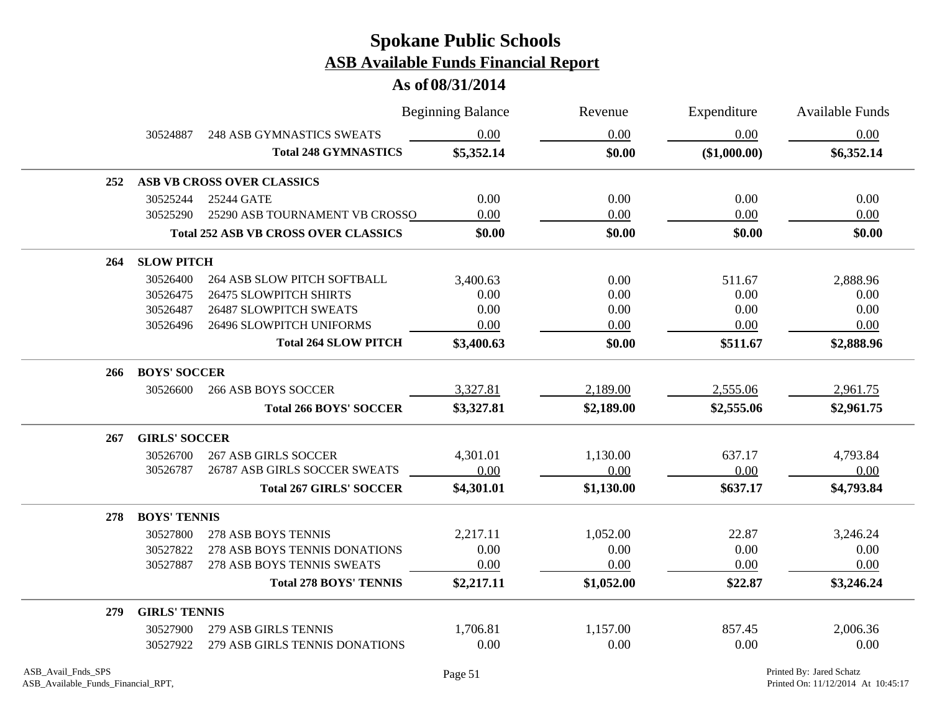|     |                      |                                             | <b>Beginning Balance</b> | Revenue    | Expenditure  | <b>Available Funds</b> |
|-----|----------------------|---------------------------------------------|--------------------------|------------|--------------|------------------------|
|     | 30524887             | <b>248 ASB GYMNASTICS SWEATS</b>            | 0.00                     | 0.00       | 0.00         | 0.00                   |
|     |                      | <b>Total 248 GYMNASTICS</b>                 | \$5,352.14               | \$0.00     | (\$1,000.00) | \$6,352.14             |
| 252 |                      | ASB VB CROSS OVER CLASSICS                  |                          |            |              |                        |
|     | 30525244             | 25244 GATE                                  | 0.00                     | 0.00       | 0.00         | 0.00                   |
|     | 30525290             | 25290 ASB TOURNAMENT VB CROSSO              | 0.00                     | 0.00       | 0.00         | 0.00                   |
|     |                      | <b>Total 252 ASB VB CROSS OVER CLASSICS</b> | \$0.00                   | \$0.00     | \$0.00       | \$0.00                 |
| 264 | <b>SLOW PITCH</b>    |                                             |                          |            |              |                        |
|     | 30526400             | 264 ASB SLOW PITCH SOFTBALL                 | 3,400.63                 | 0.00       | 511.67       | 2,888.96               |
|     | 30526475             | <b>26475 SLOWPITCH SHIRTS</b>               | 0.00                     | 0.00       | 0.00         | 0.00                   |
|     | 30526487             | <b>26487 SLOWPITCH SWEATS</b>               | 0.00                     | 0.00       | 0.00         | 0.00                   |
|     | 30526496             | 26496 SLOWPITCH UNIFORMS                    | 0.00                     | 0.00       | 0.00         | 0.00                   |
|     |                      | <b>Total 264 SLOW PITCH</b>                 | \$3,400.63               | \$0.00     | \$511.67     | \$2,888.96             |
| 266 | <b>BOYS' SOCCER</b>  |                                             |                          |            |              |                        |
|     | 30526600             | <b>266 ASB BOYS SOCCER</b>                  | 3,327.81                 | 2,189.00   | 2,555.06     | 2,961.75               |
|     |                      | <b>Total 266 BOYS' SOCCER</b>               | \$3,327.81               | \$2,189.00 | \$2,555.06   | \$2,961.75             |
| 267 | <b>GIRLS' SOCCER</b> |                                             |                          |            |              |                        |
|     | 30526700             | <b>267 ASB GIRLS SOCCER</b>                 | 4,301.01                 | 1,130.00   | 637.17       | 4,793.84               |
|     | 30526787             | 26787 ASB GIRLS SOCCER SWEATS               | 0.00                     | 0.00       | 0.00         | 0.00                   |
|     |                      | <b>Total 267 GIRLS' SOCCER</b>              | \$4,301.01               | \$1,130.00 | \$637.17     | \$4,793.84             |
| 278 | <b>BOYS' TENNIS</b>  |                                             |                          |            |              |                        |
|     | 30527800             | 278 ASB BOYS TENNIS                         | 2,217.11                 | 1,052.00   | 22.87        | 3,246.24               |
|     | 30527822             | 278 ASB BOYS TENNIS DONATIONS               | 0.00                     | 0.00       | 0.00         | 0.00                   |
|     | 30527887             | 278 ASB BOYS TENNIS SWEATS                  | 0.00                     | 0.00       | 0.00         | 0.00                   |
|     |                      | <b>Total 278 BOYS' TENNIS</b>               | \$2,217.11               | \$1,052.00 | \$22.87      | \$3,246.24             |
| 279 | <b>GIRLS' TENNIS</b> |                                             |                          |            |              |                        |
|     | 30527900             | 279 ASB GIRLS TENNIS                        | 1,706.81                 | 1,157.00   | 857.45       | 2,006.36               |
|     | 30527922             | 279 ASB GIRLS TENNIS DONATIONS              | 0.00                     | 0.00       | 0.00         | 0.00                   |
|     |                      |                                             |                          |            |              |                        |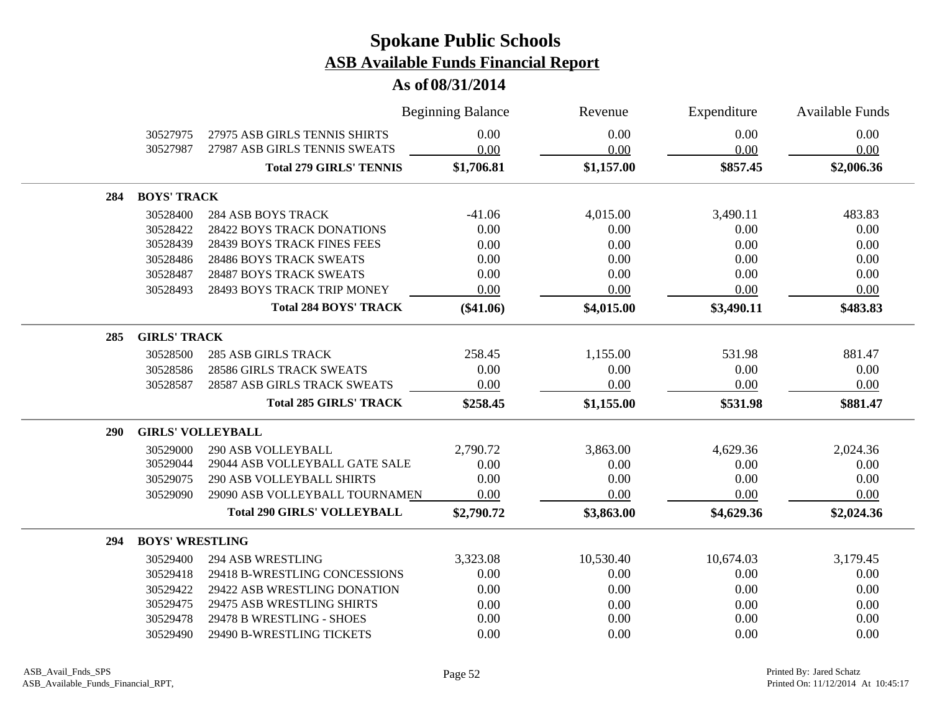|            |                          |                                    | <b>Beginning Balance</b> | Revenue    | Expenditure | <b>Available Funds</b> |
|------------|--------------------------|------------------------------------|--------------------------|------------|-------------|------------------------|
|            | 30527975                 | 27975 ASB GIRLS TENNIS SHIRTS      | 0.00                     | 0.00       | 0.00        | 0.00                   |
|            | 30527987                 | 27987 ASB GIRLS TENNIS SWEATS      | 0.00                     | 0.00       | 0.00        | 0.00                   |
|            |                          | <b>Total 279 GIRLS' TENNIS</b>     | \$1,706.81               | \$1,157.00 | \$857.45    | \$2,006.36             |
| 284        | <b>BOYS' TRACK</b>       |                                    |                          |            |             |                        |
|            | 30528400                 | <b>284 ASB BOYS TRACK</b>          | $-41.06$                 | 4,015.00   | 3,490.11    | 483.83                 |
|            | 30528422                 | 28422 BOYS TRACK DONATIONS         | 0.00                     | 0.00       | 0.00        | 0.00                   |
|            | 30528439                 | 28439 BOYS TRACK FINES FEES        | 0.00                     | 0.00       | 0.00        | 0.00                   |
|            | 30528486                 | 28486 BOYS TRACK SWEATS            | 0.00                     | 0.00       | 0.00        | 0.00                   |
|            | 30528487                 | <b>28487 BOYS TRACK SWEATS</b>     | 0.00                     | 0.00       | 0.00        | 0.00                   |
|            | 30528493                 | 28493 BOYS TRACK TRIP MONEY        | 0.00                     | 0.00       | 0.00        | 0.00                   |
|            |                          | <b>Total 284 BOYS' TRACK</b>       | $(\$41.06)$              | \$4,015.00 | \$3,490.11  | \$483.83               |
| 285        | <b>GIRLS' TRACK</b>      |                                    |                          |            |             |                        |
|            | 30528500                 | <b>285 ASB GIRLS TRACK</b>         | 258.45                   | 1,155.00   | 531.98      | 881.47                 |
|            | 30528586                 | <b>28586 GIRLS TRACK SWEATS</b>    | 0.00                     | 0.00       | 0.00        | 0.00                   |
|            | 30528587                 | 28587 ASB GIRLS TRACK SWEATS       | 0.00                     | 0.00       | 0.00        | 0.00                   |
|            |                          | <b>Total 285 GIRLS' TRACK</b>      | \$258.45                 | \$1,155.00 | \$531.98    | \$881.47               |
| <b>290</b> | <b>GIRLS' VOLLEYBALL</b> |                                    |                          |            |             |                        |
|            | 30529000                 | <b>290 ASB VOLLEYBALL</b>          | 2,790.72                 | 3,863.00   | 4,629.36    | 2,024.36               |
|            | 30529044                 | 29044 ASB VOLLEYBALL GATE SALE     | 0.00                     | 0.00       | 0.00        | 0.00                   |
|            | 30529075                 | <b>290 ASB VOLLEYBALL SHIRTS</b>   | 0.00                     | 0.00       | 0.00        | 0.00                   |
|            | 30529090                 | 29090 ASB VOLLEYBALL TOURNAMEN     | 0.00                     | 0.00       | 0.00        | 0.00                   |
|            |                          | <b>Total 290 GIRLS' VOLLEYBALL</b> | \$2,790.72               | \$3,863.00 | \$4,629.36  | \$2,024.36             |
| 294        | <b>BOYS' WRESTLING</b>   |                                    |                          |            |             |                        |
|            | 30529400                 | <b>294 ASB WRESTLING</b>           | 3,323.08                 | 10,530.40  | 10,674.03   | 3,179.45               |
|            | 30529418                 | 29418 B-WRESTLING CONCESSIONS      | 0.00                     | 0.00       | 0.00        | 0.00                   |
|            | 30529422                 | 29422 ASB WRESTLING DONATION       | 0.00                     | 0.00       | 0.00        | 0.00                   |
|            | 30529475                 | 29475 ASB WRESTLING SHIRTS         | 0.00                     | 0.00       | 0.00        | 0.00                   |
|            | 30529478                 | 29478 B WRESTLING - SHOES          | 0.00                     | 0.00       | 0.00        | 0.00                   |
|            | 30529490                 | 29490 B-WRESTLING TICKETS          | 0.00                     | 0.00       | 0.00        | 0.00                   |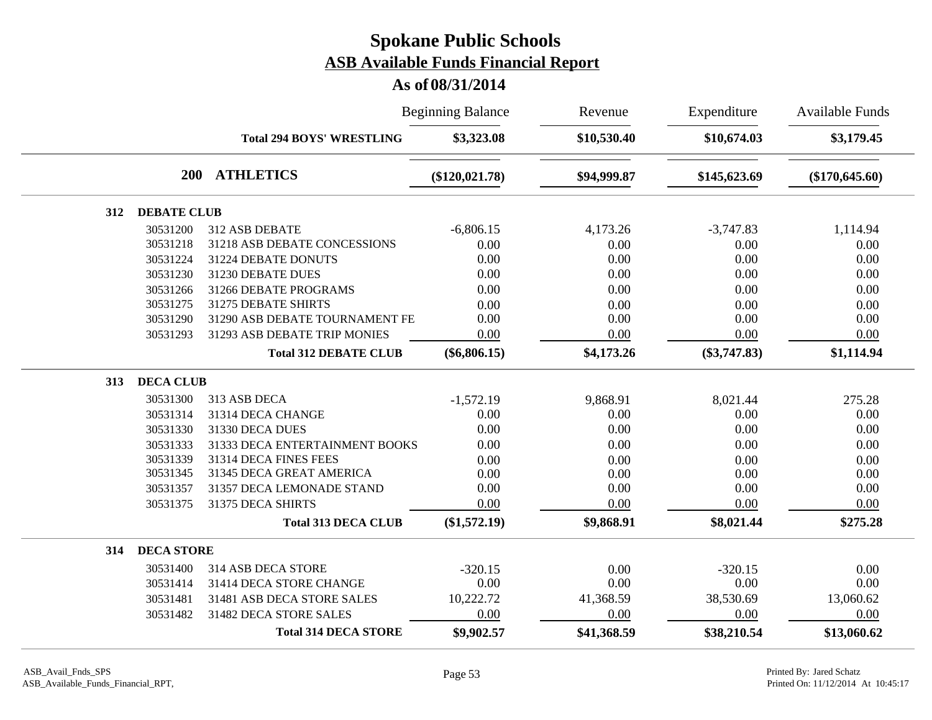|     |                    |                                  | <b>Beginning Balance</b> | Revenue     | Expenditure    | <b>Available Funds</b> |
|-----|--------------------|----------------------------------|--------------------------|-------------|----------------|------------------------|
|     |                    | <b>Total 294 BOYS' WRESTLING</b> | \$3,323.08               | \$10,530.40 | \$10,674.03    | \$3,179.45             |
|     | <b>200</b>         | <b>ATHLETICS</b>                 | $(\$120,021.78)$         | \$94,999.87 | \$145,623.69   | $(\$170,645.60)$       |
| 312 | <b>DEBATE CLUB</b> |                                  |                          |             |                |                        |
|     | 30531200           | 312 ASB DEBATE                   | $-6,806.15$              | 4,173.26    | $-3,747.83$    | 1,114.94               |
|     | 30531218           | 31218 ASB DEBATE CONCESSIONS     | 0.00                     | 0.00        | 0.00           | 0.00                   |
|     | 30531224           | 31224 DEBATE DONUTS              | 0.00                     | 0.00        | 0.00           | 0.00                   |
|     | 30531230           | 31230 DEBATE DUES                | 0.00                     | 0.00        | 0.00           | 0.00                   |
|     | 30531266           | 31266 DEBATE PROGRAMS            | 0.00                     | 0.00        | 0.00           | 0.00                   |
|     | 30531275           | 31275 DEBATE SHIRTS              | 0.00                     | 0.00        | 0.00           | 0.00                   |
|     | 30531290           | 31290 ASB DEBATE TOURNAMENT FE   | 0.00                     | 0.00        | 0.00           | 0.00                   |
|     | 30531293           | 31293 ASB DEBATE TRIP MONIES     | 0.00                     | 0.00        | 0.00           | 0.00                   |
|     |                    | <b>Total 312 DEBATE CLUB</b>     | $(\$6,806.15)$           | \$4,173.26  | $(\$3,747.83)$ | \$1,114.94             |
| 313 | <b>DECA CLUB</b>   |                                  |                          |             |                |                        |
|     | 30531300           | 313 ASB DECA                     | $-1,572.19$              | 9,868.91    | 8,021.44       | 275.28                 |
|     | 30531314           | 31314 DECA CHANGE                | 0.00                     | 0.00        | 0.00           | 0.00                   |
|     | 30531330           | 31330 DECA DUES                  | 0.00                     | 0.00        | 0.00           | 0.00                   |
|     | 30531333           | 31333 DECA ENTERTAINMENT BOOKS   | 0.00                     | 0.00        | 0.00           | 0.00                   |
|     | 30531339           | 31314 DECA FINES FEES            | 0.00                     | 0.00        | 0.00           | 0.00                   |
|     | 30531345           | 31345 DECA GREAT AMERICA         | 0.00                     | 0.00        | 0.00           | 0.00                   |
|     | 30531357           | 31357 DECA LEMONADE STAND        | 0.00                     | 0.00        | 0.00           | 0.00                   |
|     | 30531375           | 31375 DECA SHIRTS                | 0.00                     | 0.00        | 0.00           | 0.00                   |
|     |                    | <b>Total 313 DECA CLUB</b>       | $(\$1,572.19)$           | \$9,868.91  | \$8,021.44     | \$275.28               |
| 314 | <b>DECA STORE</b>  |                                  |                          |             |                |                        |
|     | 30531400           | 314 ASB DECA STORE               | $-320.15$                | 0.00        | $-320.15$      | 0.00                   |
|     | 30531414           | 31414 DECA STORE CHANGE          | 0.00                     | 0.00        | 0.00           | 0.00                   |
|     | 30531481           | 31481 ASB DECA STORE SALES       | 10,222.72                | 41,368.59   | 38,530.69      | 13,060.62              |
|     | 30531482           | 31482 DECA STORE SALES           | 0.00                     | 0.00        | 0.00           | 0.00                   |
|     |                    | <b>Total 314 DECA STORE</b>      | \$9,902.57               | \$41,368.59 | \$38,210.54    | \$13,060.62            |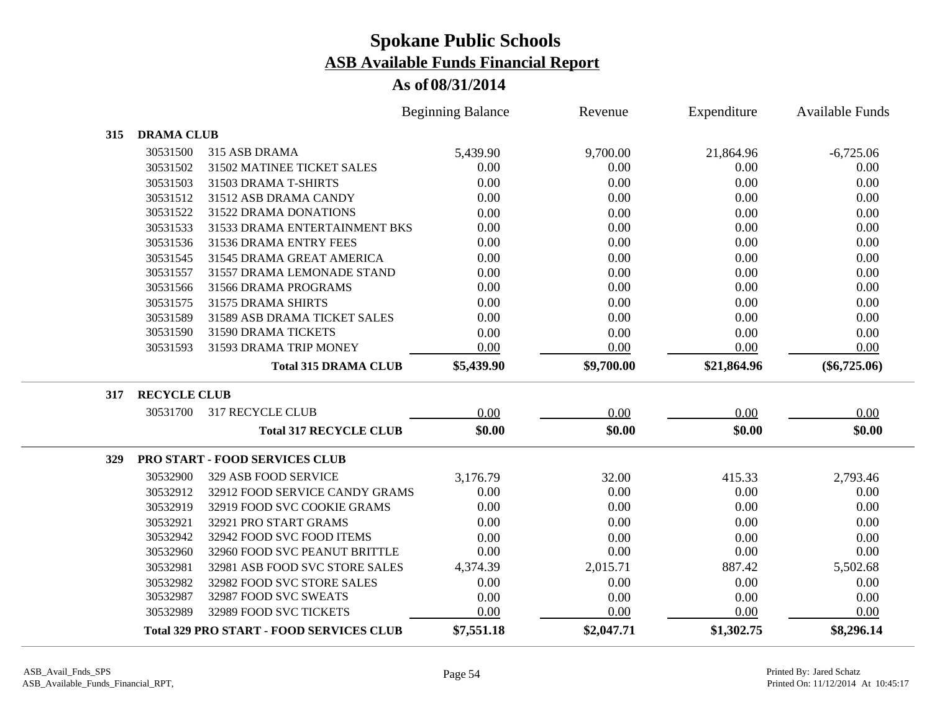|            |                     |                                                 | <b>Beginning Balance</b> | Revenue    | Expenditure | <b>Available Funds</b> |
|------------|---------------------|-------------------------------------------------|--------------------------|------------|-------------|------------------------|
| 315        | <b>DRAMA CLUB</b>   |                                                 |                          |            |             |                        |
|            | 30531500            | 315 ASB DRAMA                                   | 5,439.90                 | 9,700.00   | 21,864.96   | $-6,725.06$            |
|            | 30531502            | 31502 MATINEE TICKET SALES                      | 0.00                     | 0.00       | 0.00        | 0.00                   |
|            | 30531503            | 31503 DRAMA T-SHIRTS                            | 0.00                     | 0.00       | 0.00        | 0.00                   |
|            | 30531512            | 31512 ASB DRAMA CANDY                           | 0.00                     | 0.00       | 0.00        | 0.00                   |
|            | 30531522            | 31522 DRAMA DONATIONS                           | 0.00                     | 0.00       | 0.00        | 0.00                   |
|            | 30531533            | 31533 DRAMA ENTERTAINMENT BKS                   | 0.00                     | 0.00       | 0.00        | 0.00                   |
|            | 30531536            | 31536 DRAMA ENTRY FEES                          | 0.00                     | 0.00       | 0.00        | 0.00                   |
|            | 30531545            | 31545 DRAMA GREAT AMERICA                       | 0.00                     | 0.00       | 0.00        | 0.00                   |
|            | 30531557            | 31557 DRAMA LEMONADE STAND                      | 0.00                     | 0.00       | 0.00        | 0.00                   |
|            | 30531566            | 31566 DRAMA PROGRAMS                            | 0.00                     | 0.00       | 0.00        | 0.00                   |
|            | 30531575            | 31575 DRAMA SHIRTS                              | 0.00                     | 0.00       | 0.00        | 0.00                   |
|            | 30531589            | 31589 ASB DRAMA TICKET SALES                    | 0.00                     | 0.00       | 0.00        | 0.00                   |
|            | 30531590            | 31590 DRAMA TICKETS                             | 0.00                     | 0.00       | 0.00        | 0.00                   |
|            | 30531593            | 31593 DRAMA TRIP MONEY                          | 0.00                     | 0.00       | 0.00        | 0.00                   |
|            |                     | <b>Total 315 DRAMA CLUB</b>                     | \$5,439.90               | \$9,700.00 | \$21,864.96 | $(\$6,725.06)$         |
| 317        | <b>RECYCLE CLUB</b> |                                                 |                          |            |             |                        |
|            | 30531700            | <b>317 RECYCLE CLUB</b>                         | 0.00                     | 0.00       | 0.00        | 0.00                   |
|            |                     | <b>Total 317 RECYCLE CLUB</b>                   | \$0.00                   | \$0.00     | \$0.00      | \$0.00                 |
| <b>329</b> |                     | PRO START - FOOD SERVICES CLUB                  |                          |            |             |                        |
|            | 30532900            | 329 ASB FOOD SERVICE                            | 3,176.79                 | 32.00      | 415.33      | 2,793.46               |
|            | 30532912            | 32912 FOOD SERVICE CANDY GRAMS                  | 0.00                     | 0.00       | 0.00        | 0.00                   |
|            | 30532919            | 32919 FOOD SVC COOKIE GRAMS                     | 0.00                     | 0.00       | 0.00        | 0.00                   |
|            | 30532921            | 32921 PRO START GRAMS                           | 0.00                     | 0.00       | 0.00        | 0.00                   |
|            | 30532942            | 32942 FOOD SVC FOOD ITEMS                       | 0.00                     | 0.00       | 0.00        | 0.00                   |
|            | 30532960            | 32960 FOOD SVC PEANUT BRITTLE                   | 0.00                     | 0.00       | 0.00        | 0.00                   |
|            | 30532981            | 32981 ASB FOOD SVC STORE SALES                  | 4,374.39                 | 2,015.71   | 887.42      | 5,502.68               |
|            | 30532982            | 32982 FOOD SVC STORE SALES                      | 0.00                     | 0.00       | 0.00        | 0.00                   |
|            | 30532987            | 32987 FOOD SVC SWEATS                           | 0.00                     | 0.00       | 0.00        | 0.00                   |
|            | 30532989            | 32989 FOOD SVC TICKETS                          | 0.00                     | 0.00       | 0.00        | 0.00                   |
|            |                     | <b>Total 329 PRO START - FOOD SERVICES CLUB</b> | \$7,551.18               | \$2,047.71 | \$1,302.75  | \$8,296.14             |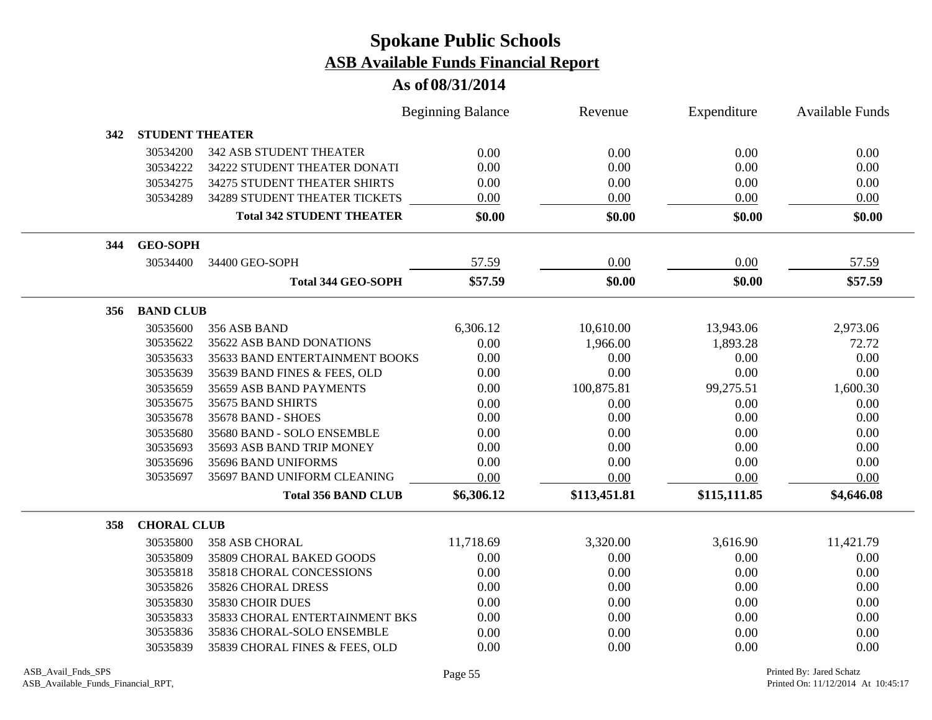|     |                        |                                  | <b>Beginning Balance</b> | Revenue      | Expenditure  | <b>Available Funds</b> |
|-----|------------------------|----------------------------------|--------------------------|--------------|--------------|------------------------|
| 342 | <b>STUDENT THEATER</b> |                                  |                          |              |              |                        |
|     | 30534200               | <b>342 ASB STUDENT THEATER</b>   | 0.00                     | 0.00         | 0.00         | 0.00                   |
|     | 30534222               | 34222 STUDENT THEATER DONATI     | 0.00                     | 0.00         | 0.00         | 0.00                   |
|     | 30534275               | 34275 STUDENT THEATER SHIRTS     | 0.00                     | 0.00         | 0.00         | 0.00                   |
|     | 30534289               | 34289 STUDENT THEATER TICKETS    | $0.00\,$                 | 0.00         | 0.00         | 0.00                   |
|     |                        | <b>Total 342 STUDENT THEATER</b> | \$0.00                   | \$0.00       | \$0.00       | \$0.00                 |
| 344 | <b>GEO-SOPH</b>        |                                  |                          |              |              |                        |
|     | 30534400               | 34400 GEO-SOPH                   | 57.59                    | 0.00         | 0.00         | 57.59                  |
|     |                        | <b>Total 344 GEO-SOPH</b>        | \$57.59                  | \$0.00       | \$0.00       | \$57.59                |
| 356 | <b>BAND CLUB</b>       |                                  |                          |              |              |                        |
|     | 30535600               | 356 ASB BAND                     | 6,306.12                 | 10,610.00    | 13,943.06    | 2,973.06               |
|     | 30535622               | 35622 ASB BAND DONATIONS         | 0.00                     | 1,966.00     | 1,893.28     | 72.72                  |
|     | 30535633               | 35633 BAND ENTERTAINMENT BOOKS   | 0.00                     | 0.00         | 0.00         | 0.00                   |
|     | 30535639               | 35639 BAND FINES & FEES, OLD     | 0.00                     | 0.00         | 0.00         | 0.00                   |
|     | 30535659               | 35659 ASB BAND PAYMENTS          | 0.00                     | 100,875.81   | 99,275.51    | 1,600.30               |
|     | 30535675               | 35675 BAND SHIRTS                | 0.00                     | 0.00         | 0.00         | 0.00                   |
|     | 30535678               | 35678 BAND - SHOES               | 0.00                     | 0.00         | 0.00         | 0.00                   |
|     | 30535680               | 35680 BAND - SOLO ENSEMBLE       | 0.00                     | 0.00         | 0.00         | 0.00                   |
|     | 30535693               | 35693 ASB BAND TRIP MONEY        | 0.00                     | 0.00         | 0.00         | 0.00                   |
|     | 30535696               | 35696 BAND UNIFORMS              | 0.00                     | 0.00         | 0.00         | 0.00                   |
|     | 30535697               | 35697 BAND UNIFORM CLEANING      | 0.00                     | 0.00         | 0.00         | 0.00                   |
|     |                        | <b>Total 356 BAND CLUB</b>       | \$6,306.12               | \$113,451.81 | \$115,111.85 | \$4,646.08             |
| 358 | <b>CHORAL CLUB</b>     |                                  |                          |              |              |                        |
|     | 30535800               | <b>358 ASB CHORAL</b>            | 11,718.69                | 3,320.00     | 3,616.90     | 11,421.79              |
|     | 30535809               | 35809 CHORAL BAKED GOODS         | 0.00                     | 0.00         | 0.00         | 0.00                   |
|     | 30535818               | 35818 CHORAL CONCESSIONS         | 0.00                     | 0.00         | 0.00         | 0.00                   |
|     | 30535826               | 35826 CHORAL DRESS               | 0.00                     | 0.00         | 0.00         | 0.00                   |
|     | 30535830               | 35830 CHOIR DUES                 | 0.00                     | 0.00         | 0.00         | 0.00                   |
|     | 30535833               | 35833 CHORAL ENTERTAINMENT BKS   | 0.00                     | 0.00         | 0.00         | 0.00                   |
|     | 30535836               | 35836 CHORAL-SOLO ENSEMBLE       | 0.00                     | 0.00         | 0.00         | 0.00                   |
|     | 30535839               | 35839 CHORAL FINES & FEES, OLD   | 0.00                     | 0.00         | 0.00         | 0.00                   |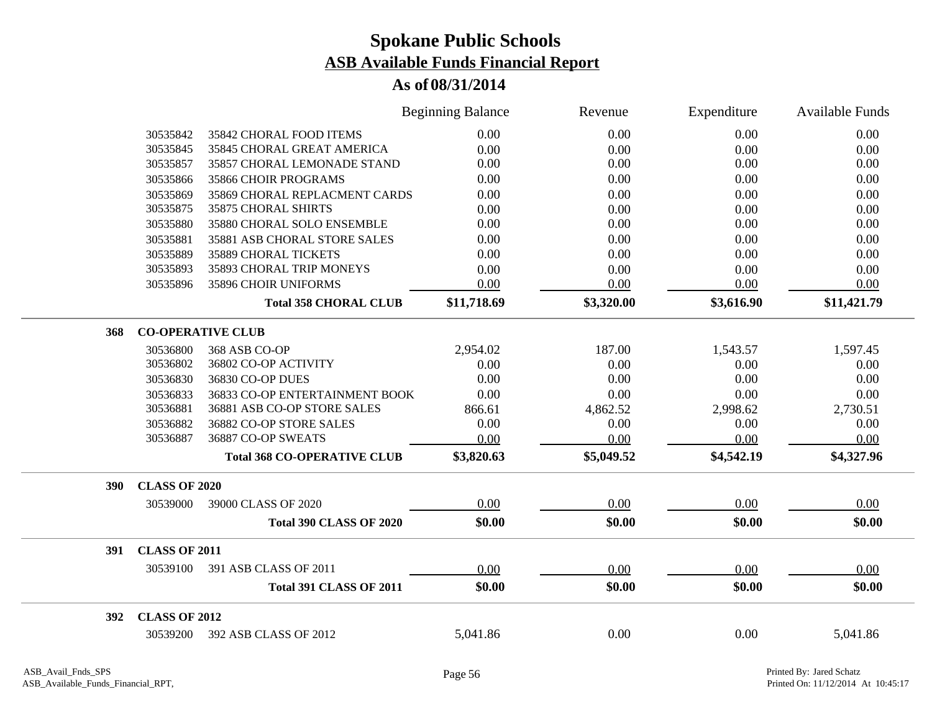|     |                      |                                    | <b>Beginning Balance</b> | Revenue    | Expenditure | <b>Available Funds</b> |
|-----|----------------------|------------------------------------|--------------------------|------------|-------------|------------------------|
|     | 30535842             | 35842 CHORAL FOOD ITEMS            | 0.00                     | 0.00       | 0.00        | 0.00                   |
|     | 30535845             | 35845 CHORAL GREAT AMERICA         | 0.00                     | 0.00       | 0.00        | 0.00                   |
|     | 30535857             | 35857 CHORAL LEMONADE STAND        | 0.00                     | 0.00       | 0.00        | 0.00                   |
|     | 30535866             | 35866 CHOIR PROGRAMS               | 0.00                     | 0.00       | 0.00        | 0.00                   |
|     | 30535869             | 35869 CHORAL REPLACMENT CARDS      | 0.00                     | 0.00       | 0.00        | 0.00                   |
|     | 30535875             | <b>35875 CHORAL SHIRTS</b>         | 0.00                     | 0.00       | 0.00        | 0.00                   |
|     | 30535880             | 35880 CHORAL SOLO ENSEMBLE         | 0.00                     | 0.00       | 0.00        | 0.00                   |
|     | 30535881             | 35881 ASB CHORAL STORE SALES       | 0.00                     | 0.00       | 0.00        | 0.00                   |
|     | 30535889             | 35889 CHORAL TICKETS               | 0.00                     | 0.00       | 0.00        | 0.00                   |
|     | 30535893             | 35893 CHORAL TRIP MONEYS           | 0.00                     | 0.00       | 0.00        | 0.00                   |
|     | 30535896             | 35896 CHOIR UNIFORMS               | 0.00                     | 0.00       | 0.00        | 0.00                   |
|     |                      | <b>Total 358 CHORAL CLUB</b>       | \$11,718.69              | \$3,320.00 | \$3,616.90  | \$11,421.79            |
| 368 |                      | <b>CO-OPERATIVE CLUB</b>           |                          |            |             |                        |
|     | 30536800             | 368 ASB CO-OP                      | 2,954.02                 | 187.00     | 1,543.57    | 1,597.45               |
|     | 30536802             | 36802 CO-OP ACTIVITY               | 0.00                     | 0.00       | 0.00        | 0.00                   |
|     | 30536830             | 36830 CO-OP DUES                   | 0.00                     | 0.00       | 0.00        | 0.00                   |
|     | 30536833             | 36833 CO-OP ENTERTAINMENT BOOK     | 0.00                     | 0.00       | 0.00        | 0.00                   |
|     | 30536881             | 36881 ASB CO-OP STORE SALES        | 866.61                   | 4,862.52   | 2,998.62    | 2,730.51               |
|     | 30536882             | 36882 CO-OP STORE SALES            | 0.00                     | 0.00       | 0.00        | 0.00                   |
|     | 30536887             | 36887 CO-OP SWEATS                 | 0.00                     | 0.00       | 0.00        | 0.00                   |
|     |                      | <b>Total 368 CO-OPERATIVE CLUB</b> | \$3,820.63               | \$5,049.52 | \$4,542.19  | \$4,327.96             |
| 390 | <b>CLASS OF 2020</b> |                                    |                          |            |             |                        |
|     | 30539000             | 39000 CLASS OF 2020                | 0.00                     | 0.00       | 0.00        | 0.00                   |
|     |                      | <b>Total 390 CLASS OF 2020</b>     | \$0.00                   | \$0.00     | \$0.00      | \$0.00                 |
| 391 | <b>CLASS OF 2011</b> |                                    |                          |            |             |                        |
|     | 30539100             | 391 ASB CLASS OF 2011              | 0.00                     | 0.00       | 0.00        | 0.00                   |
|     |                      | <b>Total 391 CLASS OF 2011</b>     | \$0.00                   | \$0.00     | \$0.00      | \$0.00                 |
| 392 | <b>CLASS OF 2012</b> |                                    |                          |            |             |                        |
|     | 30539200             | 392 ASB CLASS OF 2012              | 5,041.86                 | 0.00       | 0.00        | 5,041.86               |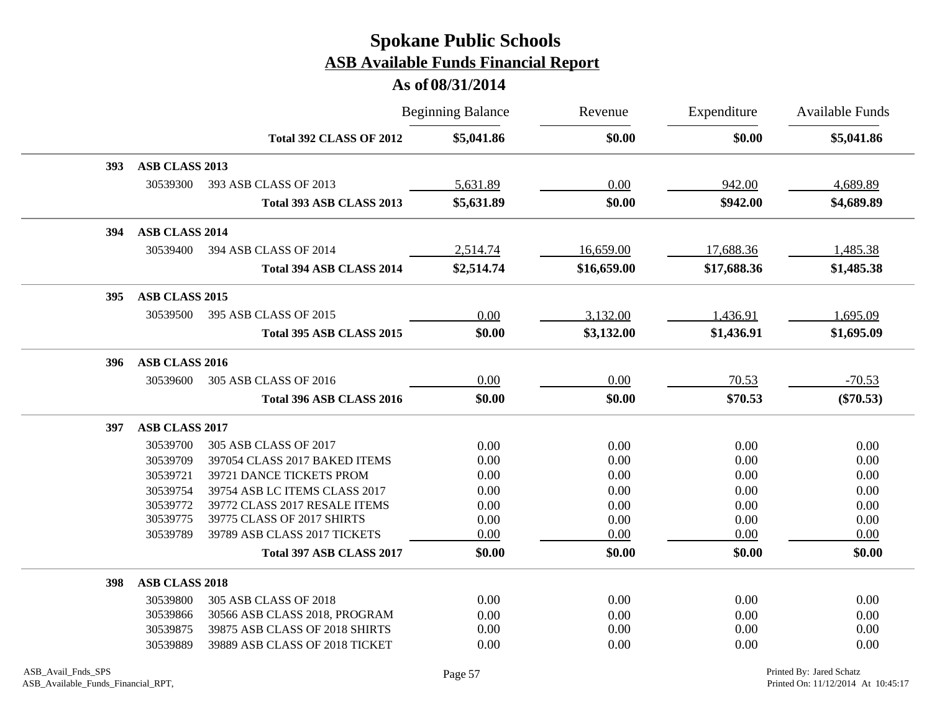|            |                       |                                | <b>Beginning Balance</b> | Revenue     | Expenditure | <b>Available Funds</b> |
|------------|-----------------------|--------------------------------|--------------------------|-------------|-------------|------------------------|
|            |                       | <b>Total 392 CLASS OF 2012</b> | \$5,041.86               | \$0.00      | \$0.00      | \$5,041.86             |
| <b>393</b> | ASB CLASS 2013        |                                |                          |             |             |                        |
|            | 30539300              | 393 ASB CLASS OF 2013          | 5,631.89                 | 0.00        | 942.00      | 4,689.89               |
|            |                       | Total 393 ASB CLASS 2013       | \$5,631.89               | \$0.00      | \$942.00    | \$4,689.89             |
| 394        | ASB CLASS 2014        |                                |                          |             |             |                        |
|            | 30539400              | 394 ASB CLASS OF 2014          | 2,514.74                 | 16,659.00   | 17,688.36   | 1,485.38               |
|            |                       | Total 394 ASB CLASS 2014       | \$2,514.74               | \$16,659.00 | \$17,688.36 | \$1,485.38             |
| 395        | ASB CLASS 2015        |                                |                          |             |             |                        |
|            | 30539500              | 395 ASB CLASS OF 2015          | 0.00                     | 3,132.00    | 1,436.91    | 1,695.09               |
|            |                       | Total 395 ASB CLASS 2015       | \$0.00                   | \$3,132.00  | \$1,436.91  | \$1,695.09             |
| 396        | ASB CLASS 2016        |                                |                          |             |             |                        |
|            | 30539600              | 305 ASB CLASS OF 2016          | 0.00                     | 0.00        | 70.53       | $-70.53$               |
|            |                       | Total 396 ASB CLASS 2016       | \$0.00                   | \$0.00      | \$70.53     | $(\$70.53)$            |
| 397        | <b>ASB CLASS 2017</b> |                                |                          |             |             |                        |
|            | 30539700              | 305 ASB CLASS OF 2017          | 0.00                     | 0.00        | 0.00        | 0.00                   |
|            | 30539709              | 397054 CLASS 2017 BAKED ITEMS  | 0.00                     | 0.00        | 0.00        | 0.00                   |
|            | 30539721              | 39721 DANCE TICKETS PROM       | 0.00                     | 0.00        | 0.00        | 0.00                   |
|            | 30539754              | 39754 ASB LC ITEMS CLASS 2017  | 0.00                     | 0.00        | 0.00        | 0.00                   |
|            | 30539772              | 39772 CLASS 2017 RESALE ITEMS  | 0.00                     | 0.00        | 0.00        | 0.00                   |
|            | 30539775              | 39775 CLASS OF 2017 SHIRTS     | 0.00                     | 0.00        | 0.00        | 0.00                   |
|            | 30539789              | 39789 ASB CLASS 2017 TICKETS   | 0.00                     | 0.00        | 0.00        | 0.00                   |
|            |                       | Total 397 ASB CLASS 2017       | \$0.00                   | \$0.00      | \$0.00      | \$0.00                 |
| 398        | <b>ASB CLASS 2018</b> |                                |                          |             |             |                        |
|            | 30539800              | 305 ASB CLASS OF 2018          | 0.00                     | 0.00        | 0.00        | 0.00                   |
|            | 30539866              | 30566 ASB CLASS 2018, PROGRAM  | 0.00                     | 0.00        | 0.00        | 0.00                   |
|            | 30539875              | 39875 ASB CLASS OF 2018 SHIRTS | 0.00                     | 0.00        | 0.00        | 0.00                   |
|            | 30539889              | 39889 ASB CLASS OF 2018 TICKET | 0.00                     | 0.00        | 0.00        | 0.00                   |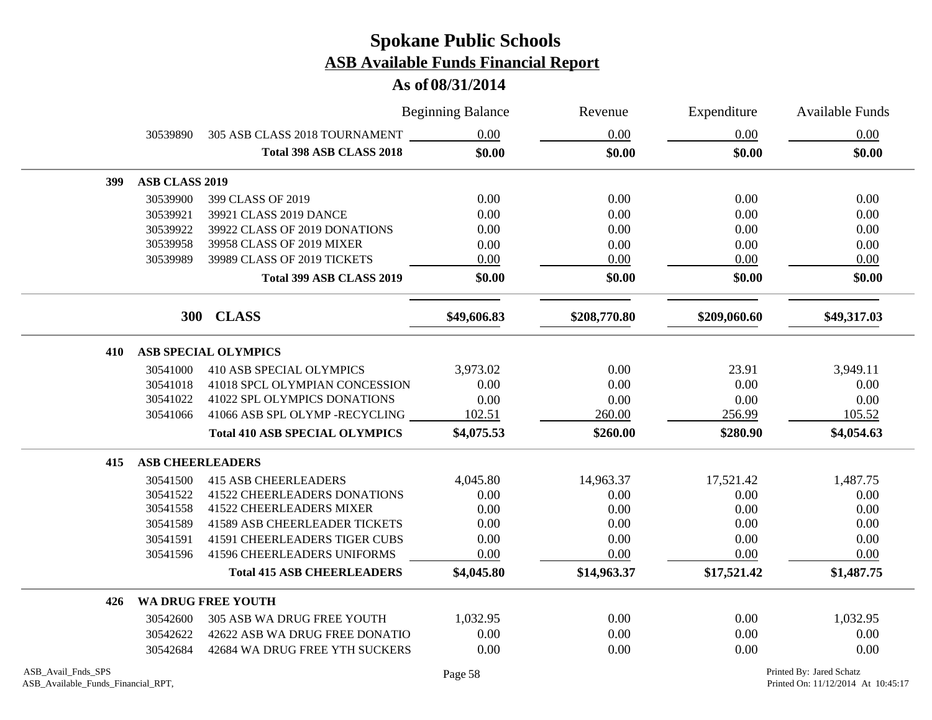|     |                         |                                       | <b>Beginning Balance</b> | Revenue      | Expenditure  | Available Funds |
|-----|-------------------------|---------------------------------------|--------------------------|--------------|--------------|-----------------|
|     | 30539890                | 305 ASB CLASS 2018 TOURNAMENT         | 0.00                     | 0.00         | 0.00         | 0.00            |
|     |                         | <b>Total 398 ASB CLASS 2018</b>       | \$0.00                   | \$0.00       | \$0.00       | \$0.00          |
| 399 | ASB CLASS 2019          |                                       |                          |              |              |                 |
|     | 30539900                | 399 CLASS OF 2019                     | 0.00                     | 0.00         | 0.00         | 0.00            |
|     | 30539921                | 39921 CLASS 2019 DANCE                | 0.00                     | 0.00         | 0.00         | 0.00            |
|     | 30539922                | 39922 CLASS OF 2019 DONATIONS         | 0.00                     | 0.00         | 0.00         | 0.00            |
|     | 30539958                | 39958 CLASS OF 2019 MIXER             | 0.00                     | 0.00         | 0.00         | 0.00            |
|     | 30539989                | 39989 CLASS OF 2019 TICKETS           | 0.00                     | 0.00         | 0.00         | 0.00            |
|     |                         | Total 399 ASB CLASS 2019              | \$0.00                   | \$0.00       | \$0.00       | \$0.00          |
|     |                         | 300 CLASS                             | \$49,606.83              | \$208,770.80 | \$209,060.60 | \$49,317.03     |
| 410 |                         | <b>ASB SPECIAL OLYMPICS</b>           |                          |              |              |                 |
|     | 30541000                | <b>410 ASB SPECIAL OLYMPICS</b>       | 3,973.02                 | 0.00         | 23.91        | 3,949.11        |
|     | 30541018                | 41018 SPCL OLYMPIAN CONCESSION        | 0.00                     | 0.00         | 0.00         | 0.00            |
|     | 30541022                | 41022 SPL OLYMPICS DONATIONS          | 0.00                     | 0.00         | 0.00         | 0.00            |
|     | 30541066                | 41066 ASB SPL OLYMP -RECYCLING        | 102.51                   | 260.00       | 256.99       | 105.52          |
|     |                         | <b>Total 410 ASB SPECIAL OLYMPICS</b> | \$4,075.53               | \$260.00     | \$280.90     | \$4,054.63      |
| 415 | <b>ASB CHEERLEADERS</b> |                                       |                          |              |              |                 |
|     | 30541500                | <b>415 ASB CHEERLEADERS</b>           | 4,045.80                 | 14,963.37    | 17,521.42    | 1,487.75        |
|     | 30541522                | <b>41522 CHEERLEADERS DONATIONS</b>   | 0.00                     | 0.00         | 0.00         | 0.00            |
|     | 30541558                | <b>41522 CHEERLEADERS MIXER</b>       | 0.00                     | 0.00         | 0.00         | 0.00            |
|     | 30541589                | <b>41589 ASB CHEERLEADER TICKETS</b>  | 0.00                     | 0.00         | 0.00         | 0.00            |
|     | 30541591                | <b>41591 CHEERLEADERS TIGER CUBS</b>  | 0.00                     | 0.00         | 0.00         | 0.00            |
|     | 30541596                | <b>41596 CHEERLEADERS UNIFORMS</b>    | 0.00                     | 0.00         | 0.00         | 0.00            |
|     |                         | <b>Total 415 ASB CHEERLEADERS</b>     | \$4,045.80               | \$14,963.37  | \$17,521.42  | \$1,487.75      |
| 426 |                         | <b>WA DRUG FREE YOUTH</b>             |                          |              |              |                 |
|     | 30542600                | 305 ASB WA DRUG FREE YOUTH            | 1,032.95                 | 0.00         | 0.00         | 1,032.95        |
|     | 30542622                | 42622 ASB WA DRUG FREE DONATIO        | 0.00                     | 0.00         | 0.00         | 0.00            |
|     | 30542684                | 42684 WA DRUG FREE YTH SUCKERS        | 0.00                     | 0.00         | 0.00         | 0.00            |
|     |                         |                                       |                          |              |              |                 |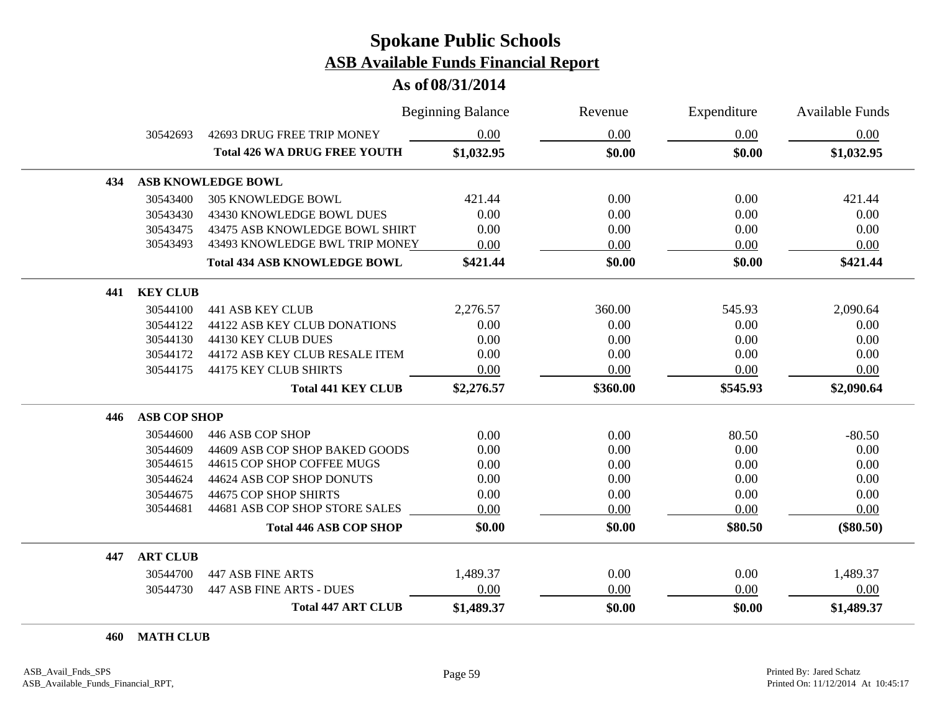#### **As of 08/31/2014**

|     |                     |                                     | <b>Beginning Balance</b> | Revenue  | Expenditure | <b>Available Funds</b> |
|-----|---------------------|-------------------------------------|--------------------------|----------|-------------|------------------------|
|     | 30542693            | 42693 DRUG FREE TRIP MONEY          | 0.00                     | 0.00     | 0.00        | 0.00                   |
|     |                     | <b>Total 426 WA DRUG FREE YOUTH</b> | \$1,032.95               | \$0.00   | \$0.00      | \$1,032.95             |
| 434 |                     | ASB KNOWLEDGE BOWL                  |                          |          |             |                        |
|     | 30543400            | <b>305 KNOWLEDGE BOWL</b>           | 421.44                   | 0.00     | 0.00        | 421.44                 |
|     | 30543430            | 43430 KNOWLEDGE BOWL DUES           | 0.00                     | 0.00     | 0.00        | 0.00                   |
|     | 30543475            | 43475 ASB KNOWLEDGE BOWL SHIRT      | 0.00                     | 0.00     | 0.00        | 0.00                   |
|     | 30543493            | 43493 KNOWLEDGE BWL TRIP MONEY      | 0.00                     | 0.00     | 0.00        | 0.00                   |
|     |                     | <b>Total 434 ASB KNOWLEDGE BOWL</b> | \$421.44                 | \$0.00   | \$0.00      | \$421.44               |
| 441 | <b>KEY CLUB</b>     |                                     |                          |          |             |                        |
|     | 30544100            | <b>441 ASB KEY CLUB</b>             | 2,276.57                 | 360.00   | 545.93      | 2,090.64               |
|     | 30544122            | 44122 ASB KEY CLUB DONATIONS        | 0.00                     | 0.00     | 0.00        | 0.00                   |
|     | 30544130            | 44130 KEY CLUB DUES                 | 0.00                     | 0.00     | 0.00        | 0.00                   |
|     | 30544172            | 44172 ASB KEY CLUB RESALE ITEM      | 0.00                     | 0.00     | 0.00        | 0.00                   |
|     | 30544175            | 44175 KEY CLUB SHIRTS               | 0.00                     | 0.00     | 0.00        | 0.00                   |
|     |                     | <b>Total 441 KEY CLUB</b>           | \$2,276.57               | \$360.00 | \$545.93    | \$2,090.64             |
| 446 | <b>ASB COP SHOP</b> |                                     |                          |          |             |                        |
|     | 30544600            | 446 ASB COP SHOP                    | 0.00                     | 0.00     | 80.50       | $-80.50$               |
|     | 30544609            | 44609 ASB COP SHOP BAKED GOODS      | 0.00                     | 0.00     | 0.00        | 0.00                   |
|     | 30544615            | 44615 COP SHOP COFFEE MUGS          | 0.00                     | 0.00     | 0.00        | 0.00                   |
|     | 30544624            | 44624 ASB COP SHOP DONUTS           | 0.00                     | 0.00     | 0.00        | 0.00                   |
|     | 30544675            | 44675 COP SHOP SHIRTS               | 0.00                     | 0.00     | 0.00        | 0.00                   |
|     | 30544681            | 44681 ASB COP SHOP STORE SALES      | 0.00                     | 0.00     | 0.00        | 0.00                   |
|     |                     | <b>Total 446 ASB COP SHOP</b>       | \$0.00                   | \$0.00   | \$80.50     | $(\$80.50)$            |
| 447 | <b>ART CLUB</b>     |                                     |                          |          |             |                        |
|     | 30544700            | <b>447 ASB FINE ARTS</b>            | 1,489.37                 | 0.00     | 0.00        | 1,489.37               |
|     | 30544730            | 447 ASB FINE ARTS - DUES            | 0.00                     | 0.00     | 0.00        | 0.00                   |
|     |                     | <b>Total 447 ART CLUB</b>           | \$1,489.37               | \$0.00   | \$0.00      | \$1,489.37             |

**MATH CLUB**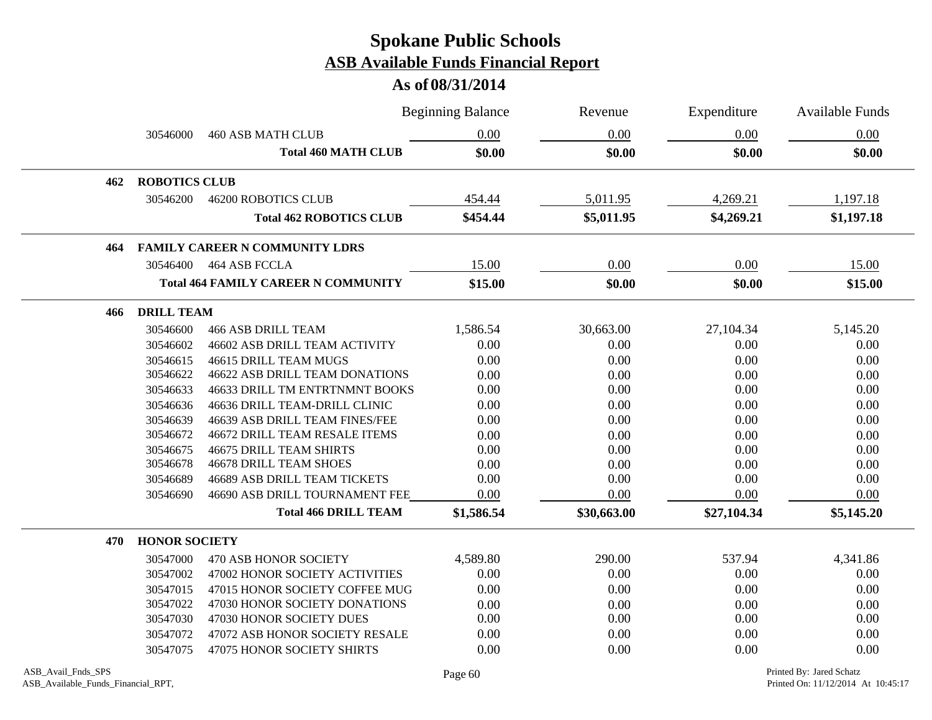|     |                      |                                            | <b>Beginning Balance</b><br>Revenue |             | Expenditure | Available Funds |
|-----|----------------------|--------------------------------------------|-------------------------------------|-------------|-------------|-----------------|
|     | 30546000             | <b>460 ASB MATH CLUB</b>                   | 0.00                                | 0.00        | 0.00        | 0.00            |
|     |                      | <b>Total 460 MATH CLUB</b>                 | \$0.00                              | \$0.00      | \$0.00      | \$0.00          |
| 462 | <b>ROBOTICS CLUB</b> |                                            |                                     |             |             |                 |
|     | 30546200             | <b>46200 ROBOTICS CLUB</b>                 | 454.44                              | 5,011.95    | 4,269.21    | 1,197.18        |
|     |                      | <b>Total 462 ROBOTICS CLUB</b>             | \$454.44                            | \$5,011.95  | \$4,269.21  | \$1,197.18      |
| 464 |                      | <b>FAMILY CAREER N COMMUNITY LDRS</b>      |                                     |             |             |                 |
|     | 30546400             | 464 ASB FCCLA                              | 15.00                               | 0.00        | 0.00        | 15.00           |
|     |                      | <b>Total 464 FAMILY CAREER N COMMUNITY</b> | \$15.00                             | \$0.00      | \$0.00      | \$15.00         |
| 466 | <b>DRILL TEAM</b>    |                                            |                                     |             |             |                 |
|     | 30546600             | <b>466 ASB DRILL TEAM</b>                  | 1,586.54                            | 30,663.00   | 27,104.34   | 5,145.20        |
|     | 30546602             | 46602 ASB DRILL TEAM ACTIVITY              | 0.00                                | 0.00        | 0.00        | 0.00            |
|     | 30546615             | 46615 DRILL TEAM MUGS                      | 0.00                                | 0.00        | 0.00        | 0.00            |
|     | 30546622             | <b>46622 ASB DRILL TEAM DONATIONS</b>      | 0.00                                | 0.00        | 0.00        | 0.00            |
|     | 30546633             | 46633 DRILL TM ENTRTNMNT BOOKS             | 0.00                                | 0.00        | 0.00        | 0.00            |
|     | 30546636             | 46636 DRILL TEAM-DRILL CLINIC              | 0.00                                | 0.00        | 0.00        | 0.00            |
|     | 30546639             | 46639 ASB DRILL TEAM FINES/FEE             | 0.00                                | 0.00        | 0.00        | 0.00            |
|     | 30546672             | <b>46672 DRILL TEAM RESALE ITEMS</b>       | 0.00                                | 0.00        | 0.00        | 0.00            |
|     | 30546675             | <b>46675 DRILL TEAM SHIRTS</b>             | 0.00                                | 0.00        | 0.00        | 0.00            |
|     | 30546678             | <b>46678 DRILL TEAM SHOES</b>              | 0.00                                | 0.00        | 0.00        | 0.00            |
|     | 30546689             | 46689 ASB DRILL TEAM TICKETS               | 0.00                                | 0.00        | 0.00        | 0.00            |
|     | 30546690             | 46690 ASB DRILL TOURNAMENT FEE             | 0.00                                | 0.00        | 0.00        | 0.00            |
|     |                      | <b>Total 466 DRILL TEAM</b>                | \$1,586.54                          | \$30,663.00 | \$27,104.34 | \$5,145.20      |
| 470 | <b>HONOR SOCIETY</b> |                                            |                                     |             |             |                 |
|     | 30547000             | 470 ASB HONOR SOCIETY                      | 4,589.80                            | 290.00      | 537.94      | 4,341.86        |
|     | 30547002             | 47002 HONOR SOCIETY ACTIVITIES             | 0.00                                | 0.00        | 0.00        | 0.00            |
|     | 30547015             | 47015 HONOR SOCIETY COFFEE MUG             | 0.00                                | 0.00        | 0.00        | 0.00            |
|     | 30547022             | 47030 HONOR SOCIETY DONATIONS              | 0.00                                | 0.00        | 0.00        | 0.00            |
|     | 30547030             | 47030 HONOR SOCIETY DUES                   | 0.00                                | 0.00        | 0.00        | 0.00            |
|     | 30547072             | 47072 ASB HONOR SOCIETY RESALE             | 0.00                                | 0.00        | 0.00        | 0.00            |
|     | 30547075             | 47075 HONOR SOCIETY SHIRTS                 | 0.00                                | 0.00        | 0.00        | 0.00            |
|     |                      |                                            |                                     |             |             |                 |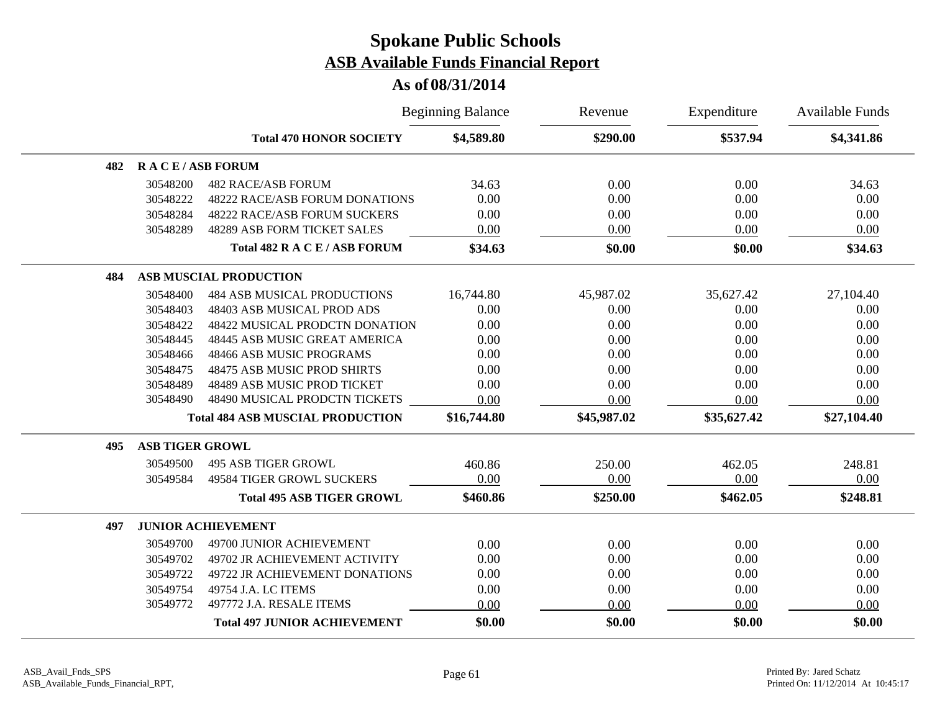|     |                        |                                         | <b>Beginning Balance</b> |             | Expenditure | <b>Available Funds</b> |
|-----|------------------------|-----------------------------------------|--------------------------|-------------|-------------|------------------------|
|     |                        | <b>Total 470 HONOR SOCIETY</b>          | \$4,589.80               | \$290.00    | \$537.94    | \$4,341.86             |
| 482 | <b>RACE/ASB FORUM</b>  |                                         |                          |             |             |                        |
|     | 30548200               | <b>482 RACE/ASB FORUM</b>               | 34.63                    | 0.00        | 0.00        | 34.63                  |
|     | 30548222               | <b>48222 RACE/ASB FORUM DONATIONS</b>   | 0.00                     | 0.00        | 0.00        | 0.00                   |
|     | 30548284               | 48222 RACE/ASB FORUM SUCKERS            | 0.00                     | 0.00        | 0.00        | 0.00                   |
|     | 30548289               | 48289 ASB FORM TICKET SALES             | 0.00                     | 0.00        | 0.00        | 0.00                   |
|     |                        | Total 482 R A C E / ASB FORUM           | \$34.63                  | \$0.00      | \$0.00      | \$34.63                |
| 484 |                        | <b>ASB MUSCIAL PRODUCTION</b>           |                          |             |             |                        |
|     | 30548400               | <b>484 ASB MUSICAL PRODUCTIONS</b>      | 16,744.80                | 45,987.02   | 35,627.42   | 27,104.40              |
|     | 30548403               | 48403 ASB MUSICAL PROD ADS              | 0.00                     | 0.00        | 0.00        | 0.00                   |
|     | 30548422               | 48422 MUSICAL PRODCTN DONATION          | 0.00                     | 0.00        | 0.00        | 0.00                   |
|     | 30548445               | 48445 ASB MUSIC GREAT AMERICA           | 0.00                     | 0.00        | 0.00        | 0.00                   |
|     | 30548466               | 48466 ASB MUSIC PROGRAMS                | 0.00                     | 0.00        | 0.00        | 0.00                   |
|     | 30548475               | 48475 ASB MUSIC PROD SHIRTS             | 0.00                     | 0.00        | 0.00        | 0.00                   |
|     | 30548489               | 48489 ASB MUSIC PROD TICKET             | 0.00                     | 0.00        | 0.00        | 0.00                   |
|     | 30548490               | 48490 MUSICAL PRODCTN TICKETS           | 0.00                     | 0.00        | 0.00        | 0.00                   |
|     |                        | <b>Total 484 ASB MUSCIAL PRODUCTION</b> | \$16,744.80              | \$45,987.02 | \$35,627.42 | \$27,104.40            |
| 495 | <b>ASB TIGER GROWL</b> |                                         |                          |             |             |                        |
|     | 30549500               | <b>495 ASB TIGER GROWL</b>              | 460.86                   | 250.00      | 462.05      | 248.81                 |
|     | 30549584               | <b>49584 TIGER GROWL SUCKERS</b>        | 0.00                     | 0.00        | 0.00        | 0.00                   |
|     |                        | <b>Total 495 ASB TIGER GROWL</b>        | \$460.86                 | \$250.00    | \$462.05    | \$248.81               |
| 497 |                        | <b>JUNIOR ACHIEVEMENT</b>               |                          |             |             |                        |
|     | 30549700               | 49700 JUNIOR ACHIEVEMENT                | 0.00                     | 0.00        | 0.00        | 0.00                   |
|     | 30549702               | 49702 JR ACHIEVEMENT ACTIVITY           | 0.00                     | 0.00        | 0.00        | 0.00                   |
|     | 30549722               | 49722 JR ACHIEVEMENT DONATIONS          | 0.00                     | 0.00        | 0.00        | 0.00                   |
|     | 30549754               | 49754 J.A. LC ITEMS                     | 0.00                     | 0.00        | 0.00        | 0.00                   |
|     | 30549772               | 497772 J.A. RESALE ITEMS                | 0.00                     | 0.00        | 0.00        | 0.00                   |
|     |                        | <b>Total 497 JUNIOR ACHIEVEMENT</b>     | \$0.00                   | \$0.00      | \$0.00      | \$0.00                 |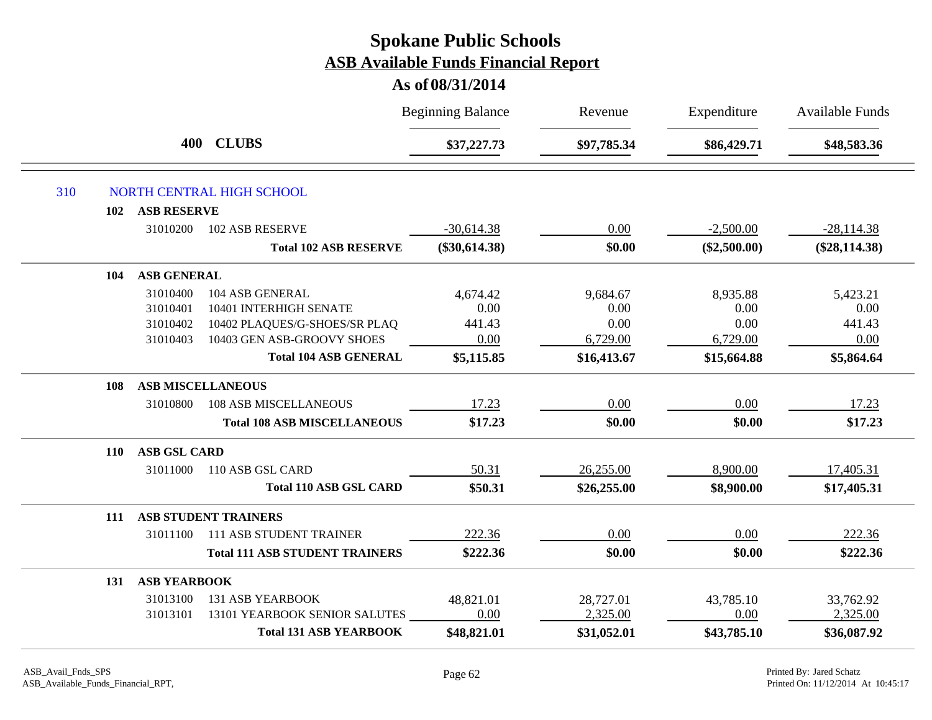|     |                     |                                       | <b>Beginning Balance</b> | Revenue     | Expenditure    | Available Funds |
|-----|---------------------|---------------------------------------|--------------------------|-------------|----------------|-----------------|
|     |                     | 400 CLUBS                             | \$37,227.73              | \$97,785.34 | \$86,429.71    | \$48,583.36     |
| 310 |                     | NORTH CENTRAL HIGH SCHOOL             |                          |             |                |                 |
| 102 | <b>ASB RESERVE</b>  |                                       |                          |             |                |                 |
|     | 31010200            | 102 ASB RESERVE                       | $-30,614.38$             | 0.00        | $-2,500.00$    | $-28,114.38$    |
|     |                     | <b>Total 102 ASB RESERVE</b>          | $(\$30,614.38)$          | \$0.00      | $(\$2,500.00)$ | $(\$28,114.38)$ |
| 104 | <b>ASB GENERAL</b>  |                                       |                          |             |                |                 |
|     | 31010400            | 104 ASB GENERAL                       | 4,674.42                 | 9,684.67    | 8,935.88       | 5,423.21        |
|     | 31010401            | 10401 INTERHIGH SENATE                | 0.00                     | 0.00        | 0.00           | 0.00            |
|     | 31010402            | 10402 PLAQUES/G-SHOES/SR PLAQ         | 441.43                   | 0.00        | 0.00           | 441.43          |
|     | 31010403            | 10403 GEN ASB-GROOVY SHOES            | 0.00                     | 6,729.00    | 6,729.00       | 0.00            |
|     |                     | <b>Total 104 ASB GENERAL</b>          | \$5,115.85               | \$16,413.67 | \$15,664.88    | \$5,864.64      |
| 108 |                     | <b>ASB MISCELLANEOUS</b>              |                          |             |                |                 |
|     | 31010800            | <b>108 ASB MISCELLANEOUS</b>          | 17.23                    | 0.00        | 0.00           | 17.23           |
|     |                     | <b>Total 108 ASB MISCELLANEOUS</b>    | \$17.23                  | \$0.00      | \$0.00         | \$17.23         |
| 110 | <b>ASB GSL CARD</b> |                                       |                          |             |                |                 |
|     | 31011000            | 110 ASB GSL CARD                      | 50.31                    | 26,255.00   | 8,900.00       | 17,405.31       |
|     |                     | <b>Total 110 ASB GSL CARD</b>         | \$50.31                  | \$26,255.00 | \$8,900.00     | \$17,405.31     |
| 111 |                     | <b>ASB STUDENT TRAINERS</b>           |                          |             |                |                 |
|     | 31011100            | <b>111 ASB STUDENT TRAINER</b>        | 222.36                   | 0.00        | 0.00           | 222.36          |
|     |                     | <b>Total 111 ASB STUDENT TRAINERS</b> | \$222.36                 | \$0.00      | \$0.00         | \$222.36        |
| 131 | <b>ASB YEARBOOK</b> |                                       |                          |             |                |                 |
|     | 31013100            | <b>131 ASB YEARBOOK</b>               | 48,821.01                | 28,727.01   | 43,785.10      | 33,762.92       |
|     | 31013101            | 13101 YEARBOOK SENIOR SALUTES         | 0.00                     | 2,325.00    | 0.00           | 2,325.00        |
|     |                     | <b>Total 131 ASB YEARBOOK</b>         | \$48,821.01              | \$31,052.01 | \$43,785.10    | \$36,087.92     |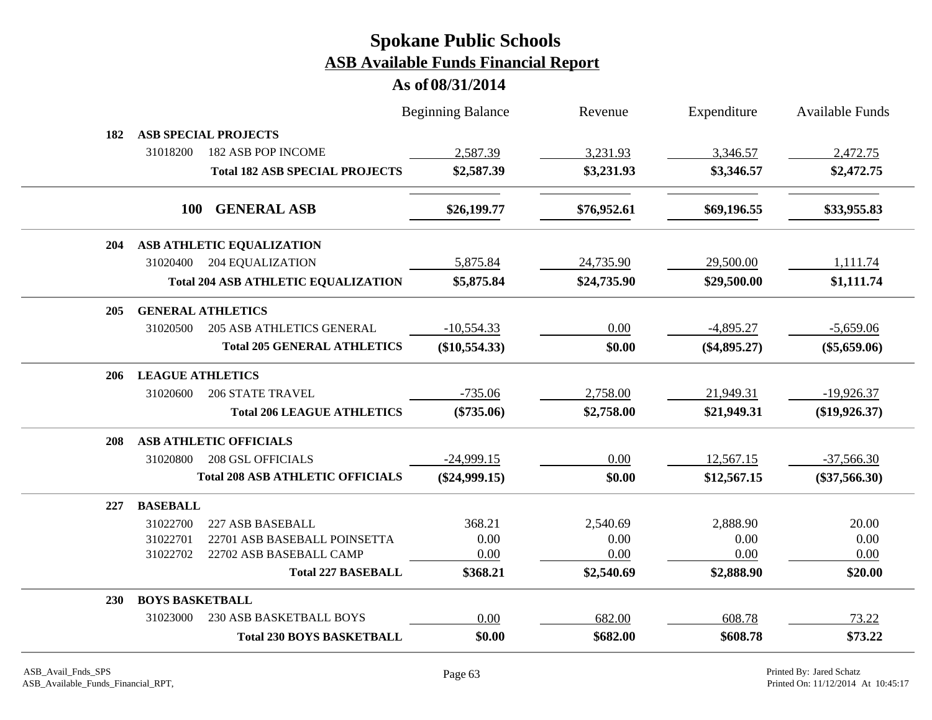|            |                          |                                            | <b>Beginning Balance</b> | Revenue     | Expenditure    | <b>Available Funds</b> |
|------------|--------------------------|--------------------------------------------|--------------------------|-------------|----------------|------------------------|
| 182        |                          | <b>ASB SPECIAL PROJECTS</b>                |                          |             |                |                        |
|            | 31018200                 | 182 ASB POP INCOME                         | 2,587.39                 | 3,231.93    | 3,346.57       | 2,472.75               |
|            |                          | <b>Total 182 ASB SPECIAL PROJECTS</b>      | \$2,587.39               | \$3,231.93  | \$3,346.57     | \$2,472.75             |
|            | <b>100</b>               | <b>GENERAL ASB</b>                         | \$26,199.77              | \$76,952.61 | \$69,196.55    | \$33,955.83            |
| <b>204</b> |                          | ASB ATHLETIC EQUALIZATION                  |                          |             |                |                        |
|            |                          | 31020400 204 EQUALIZATION                  | 5,875.84                 | 24,735.90   | 29,500.00      | 1,111.74               |
|            |                          | <b>Total 204 ASB ATHLETIC EQUALIZATION</b> | \$5,875.84               | \$24,735.90 | \$29,500.00    | \$1,111.74             |
| 205        | <b>GENERAL ATHLETICS</b> |                                            |                          |             |                |                        |
|            | 31020500                 | <b>205 ASB ATHLETICS GENERAL</b>           | $-10,554.33$             | 0.00        | $-4,895.27$    | $-5,659.06$            |
|            |                          | <b>Total 205 GENERAL ATHLETICS</b>         | $(\$10,554.33)$          | \$0.00      | $(\$4,895.27)$ | $(\$5,659.06)$         |
| 206        | <b>LEAGUE ATHLETICS</b>  |                                            |                          |             |                |                        |
|            | 31020600                 | <b>206 STATE TRAVEL</b>                    | $-735.06$                | 2,758.00    | 21,949.31      | $-19,926.37$           |
|            |                          | <b>Total 206 LEAGUE ATHLETICS</b>          | $(\$735.06)$             | \$2,758.00  | \$21,949.31    | $(\$19,926.37)$        |
| 208        |                          | ASB ATHLETIC OFFICIALS                     |                          |             |                |                        |
|            | 31020800                 | <b>208 GSL OFFICIALS</b>                   | $-24,999.15$             | 0.00        | 12,567.15      | $-37,566.30$           |
|            |                          | <b>Total 208 ASB ATHLETIC OFFICIALS</b>    | $(\$24,999.15)$          | \$0.00      | \$12,567.15    | $(\$37,566.30)$        |
| 227        | <b>BASEBALL</b>          |                                            |                          |             |                |                        |
|            | 31022700                 | 227 ASB BASEBALL                           | 368.21                   | 2,540.69    | 2,888.90       | 20.00                  |
|            | 31022701                 | 22701 ASB BASEBALL POINSETTA               | 0.00                     | 0.00        | 0.00           | 0.00                   |
|            | 31022702                 | 22702 ASB BASEBALL CAMP                    | 0.00                     | 0.00        | 0.00           | 0.00                   |
|            |                          | <b>Total 227 BASEBALL</b>                  | \$368.21                 | \$2,540.69  | \$2,888.90     | \$20.00                |
| <b>230</b> | <b>BOYS BASKETBALL</b>   |                                            |                          |             |                |                        |
|            | 31023000                 | 230 ASB BASKETBALL BOYS                    | 0.00                     | 682.00      | 608.78         | 73.22                  |
|            |                          | <b>Total 230 BOYS BASKETBALL</b>           | \$0.00                   | \$682.00    | \$608.78       | \$73.22                |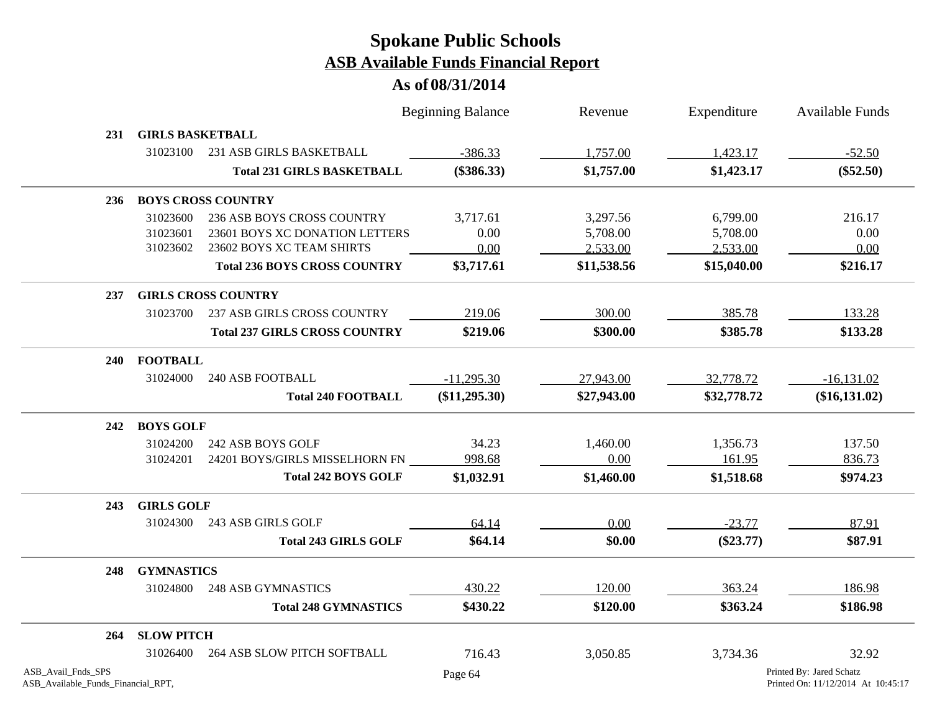|                                                          |                            |                                      | <b>Beginning Balance</b> | Revenue     | Expenditure | <b>Available Funds</b>                                         |  |  |  |
|----------------------------------------------------------|----------------------------|--------------------------------------|--------------------------|-------------|-------------|----------------------------------------------------------------|--|--|--|
| 231                                                      | <b>GIRLS BASKETBALL</b>    |                                      |                          |             |             |                                                                |  |  |  |
|                                                          | 31023100                   | 231 ASB GIRLS BASKETBALL             | $-386.33$                | 1,757.00    | 1,423.17    | $-52.50$                                                       |  |  |  |
|                                                          |                            | <b>Total 231 GIRLS BASKETBALL</b>    | $(\$386.33)$             | \$1,757.00  | \$1,423.17  | $(\$52.50)$                                                    |  |  |  |
| 236                                                      |                            | <b>BOYS CROSS COUNTRY</b>            |                          |             |             |                                                                |  |  |  |
|                                                          | 31023600                   | 236 ASB BOYS CROSS COUNTRY           | 3,717.61                 | 3,297.56    | 6,799.00    | 216.17                                                         |  |  |  |
|                                                          | 31023601                   | 23601 BOYS XC DONATION LETTERS       | 0.00                     | 5,708.00    | 5,708.00    | 0.00                                                           |  |  |  |
|                                                          | 31023602                   | 23602 BOYS XC TEAM SHIRTS            | 0.00                     | 2,533.00    | 2,533.00    | 0.00                                                           |  |  |  |
|                                                          |                            | <b>Total 236 BOYS CROSS COUNTRY</b>  | \$3,717.61               | \$11,538.56 | \$15,040.00 | \$216.17                                                       |  |  |  |
| 237                                                      | <b>GIRLS CROSS COUNTRY</b> |                                      |                          |             |             |                                                                |  |  |  |
|                                                          | 31023700                   | 237 ASB GIRLS CROSS COUNTRY          | 219.06                   | 300.00      | 385.78      | 133.28                                                         |  |  |  |
|                                                          |                            | <b>Total 237 GIRLS CROSS COUNTRY</b> | \$219.06                 | \$300.00    | \$385.78    | \$133.28                                                       |  |  |  |
|                                                          | 240 FOOTBALL               |                                      |                          |             |             |                                                                |  |  |  |
|                                                          | 31024000                   | <b>240 ASB FOOTBALL</b>              | $-11,295.30$             | 27,943.00   | 32,778.72   | $-16,131.02$                                                   |  |  |  |
|                                                          |                            | <b>Total 240 FOOTBALL</b>            | (\$11,295.30)            | \$27,943.00 | \$32,778.72 | $(\$16,131.02)$                                                |  |  |  |
| 242                                                      | <b>BOYS GOLF</b>           |                                      |                          |             |             |                                                                |  |  |  |
|                                                          | 31024200                   | 242 ASB BOYS GOLF                    | 34.23                    | 1,460.00    | 1,356.73    | 137.50                                                         |  |  |  |
|                                                          | 31024201                   | 24201 BOYS/GIRLS MISSELHORN FN       | 998.68                   | 0.00        | 161.95      | 836.73                                                         |  |  |  |
|                                                          |                            | <b>Total 242 BOYS GOLF</b>           | \$1,032.91               | \$1,460.00  | \$1,518.68  | \$974.23                                                       |  |  |  |
| 243                                                      | <b>GIRLS GOLF</b>          |                                      |                          |             |             |                                                                |  |  |  |
|                                                          | 31024300                   | 243 ASB GIRLS GOLF                   | 64.14                    | 0.00        | $-23.77$    | 87.91                                                          |  |  |  |
|                                                          |                            | <b>Total 243 GIRLS GOLF</b>          | \$64.14                  | \$0.00      | $(\$23.77)$ | \$87.91                                                        |  |  |  |
| 248                                                      | <b>GYMNASTICS</b>          |                                      |                          |             |             |                                                                |  |  |  |
|                                                          | 31024800                   | 248 ASB GYMNASTICS                   | 430.22                   | 120.00      | 363.24      | 186.98                                                         |  |  |  |
|                                                          |                            | <b>Total 248 GYMNASTICS</b>          | \$430.22                 | \$120.00    | \$363.24    | \$186.98                                                       |  |  |  |
| 264                                                      | <b>SLOW PITCH</b>          |                                      |                          |             |             |                                                                |  |  |  |
|                                                          | 31026400                   | <b>264 ASB SLOW PITCH SOFTBALL</b>   | 716.43                   | 3,050.85    | 3,734.36    | 32.92                                                          |  |  |  |
| ASB_Avail_Fnds_SPS<br>ASB_Available_Funds_Financial_RPT, |                            |                                      | Page 64                  |             |             | Printed By: Jared Schatz<br>Printed On: 11/12/2014 At 10:45:17 |  |  |  |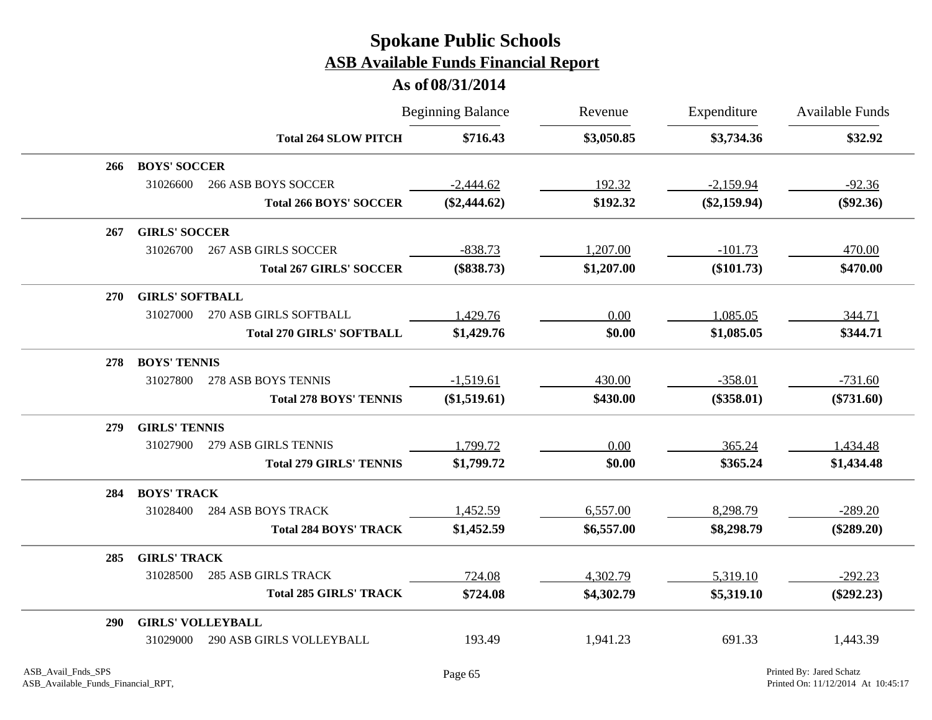|            |                          |                                  | <b>Beginning Balance</b> | Revenue    | Expenditure    | <b>Available Funds</b> |
|------------|--------------------------|----------------------------------|--------------------------|------------|----------------|------------------------|
|            |                          | <b>Total 264 SLOW PITCH</b>      | \$716.43                 | \$3,050.85 | \$3,734.36     | \$32.92                |
| 266        | <b>BOYS' SOCCER</b>      |                                  |                          |            |                |                        |
|            | 31026600                 | <b>266 ASB BOYS SOCCER</b>       | $-2,444.62$              | 192.32     | $-2,159.94$    | $-92.36$               |
|            |                          | <b>Total 266 BOYS' SOCCER</b>    | $(\$2,444.62)$           | \$192.32   | $(\$2,159.94)$ | $(\$92.36)$            |
| 267        | <b>GIRLS' SOCCER</b>     |                                  |                          |            |                |                        |
|            | 31026700                 | <b>267 ASB GIRLS SOCCER</b>      | $-838.73$                | 1,207.00   | $-101.73$      | 470.00                 |
|            |                          | <b>Total 267 GIRLS' SOCCER</b>   | $(\$838.73)$             | \$1,207.00 | (\$101.73)     | \$470.00               |
| <b>270</b> | <b>GIRLS' SOFTBALL</b>   |                                  |                          |            |                |                        |
|            | 31027000                 | 270 ASB GIRLS SOFTBALL           | 1,429.76                 | 0.00       | 1,085.05       | 344.71                 |
|            |                          | <b>Total 270 GIRLS' SOFTBALL</b> | \$1,429.76               | \$0.00     | \$1,085.05     | \$344.71               |
| 278        | <b>BOYS' TENNIS</b>      |                                  |                          |            |                |                        |
|            | 31027800                 | 278 ASB BOYS TENNIS              | $-1,519.61$              | 430.00     | $-358.01$      | $-731.60$              |
|            |                          | <b>Total 278 BOYS' TENNIS</b>    | $(\$1,519.61)$           | \$430.00   | $(\$358.01)$   | $(\$731.60)$           |
| 279        | <b>GIRLS' TENNIS</b>     |                                  |                          |            |                |                        |
|            | 31027900                 | 279 ASB GIRLS TENNIS             | 1,799.72                 | 0.00       | 365.24         | 1,434.48               |
|            |                          | <b>Total 279 GIRLS' TENNIS</b>   | \$1,799.72               | \$0.00     | \$365.24       | \$1,434.48             |
| 284        | <b>BOYS' TRACK</b>       |                                  |                          |            |                |                        |
|            | 31028400                 | <b>284 ASB BOYS TRACK</b>        | 1,452.59                 | 6,557.00   | 8,298.79       | $-289.20$              |
|            |                          | <b>Total 284 BOYS' TRACK</b>     | \$1,452.59               | \$6,557.00 | \$8,298.79     | $(\$289.20)$           |
| 285        | <b>GIRLS' TRACK</b>      |                                  |                          |            |                |                        |
|            | 31028500                 | <b>285 ASB GIRLS TRACK</b>       | 724.08                   | 4,302.79   | 5,319.10       | $-292.23$              |
|            |                          | <b>Total 285 GIRLS' TRACK</b>    | \$724.08                 | \$4,302.79 | \$5,319.10     | $(\$292.23)$           |
| <b>290</b> | <b>GIRLS' VOLLEYBALL</b> |                                  |                          |            |                |                        |
|            | 31029000                 | <b>290 ASB GIRLS VOLLEYBALL</b>  | 193.49                   | 1,941.23   | 691.33         | 1,443.39               |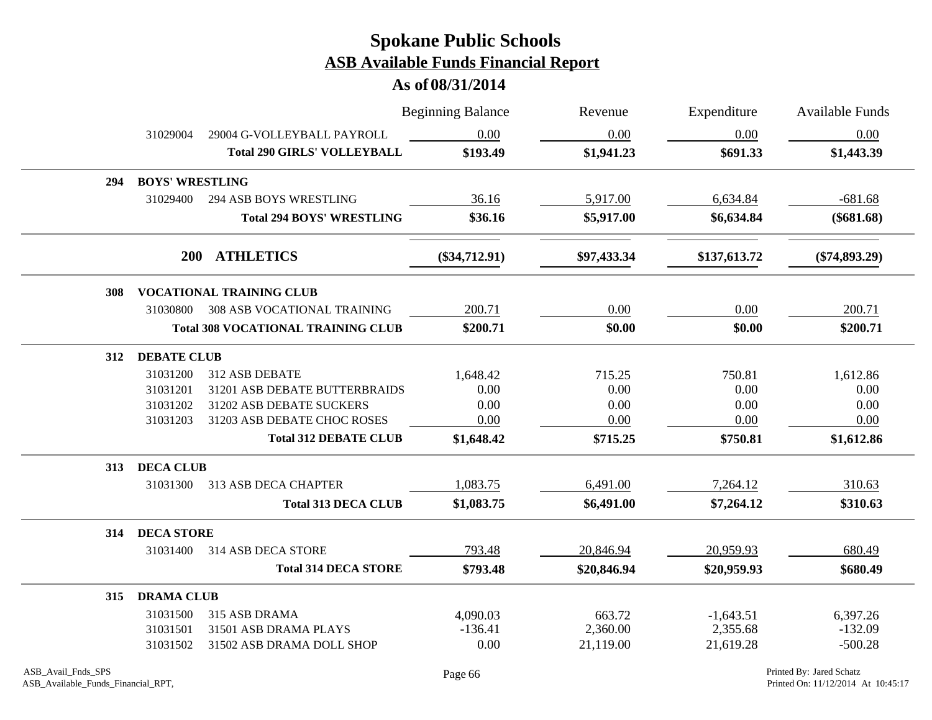|     |                        |                                           | <b>Beginning Balance</b> | Revenue     | Expenditure  | <b>Available Funds</b> |
|-----|------------------------|-------------------------------------------|--------------------------|-------------|--------------|------------------------|
|     | 31029004               | 29004 G-VOLLEYBALL PAYROLL                | 0.00                     | 0.00        | 0.00         | 0.00                   |
|     |                        | <b>Total 290 GIRLS' VOLLEYBALL</b>        | \$193.49                 | \$1,941.23  | \$691.33     | \$1,443.39             |
| 294 | <b>BOYS' WRESTLING</b> |                                           |                          |             |              |                        |
|     | 31029400               | 294 ASB BOYS WRESTLING                    | 36.16                    | 5,917.00    | 6,634.84     | $-681.68$              |
|     |                        | <b>Total 294 BOYS' WRESTLING</b>          | \$36.16                  | \$5,917.00  | \$6,634.84   | $(\$681.68)$           |
|     | <b>200</b>             | <b>ATHLETICS</b>                          | $(\$34,712.91)$          | \$97,433.34 | \$137,613.72 | $(\$74,893.29)$        |
| 308 |                        | <b>VOCATIONAL TRAINING CLUB</b>           |                          |             |              |                        |
|     |                        | 31030800 308 ASB VOCATIONAL TRAINING      | 200.71                   | 0.00        | 0.00         | 200.71                 |
|     |                        | <b>Total 308 VOCATIONAL TRAINING CLUB</b> | \$200.71                 | \$0.00      | \$0.00       | \$200.71               |
| 312 | <b>DEBATE CLUB</b>     |                                           |                          |             |              |                        |
|     | 31031200               | 312 ASB DEBATE                            | 1,648.42                 | 715.25      | 750.81       | 1,612.86               |
|     | 31031201               | 31201 ASB DEBATE BUTTERBRAIDS             | 0.00                     | 0.00        | 0.00         | 0.00                   |
|     | 31031202               | 31202 ASB DEBATE SUCKERS                  | 0.00                     | 0.00        | 0.00         | 0.00                   |
|     | 31031203               | 31203 ASB DEBATE CHOC ROSES               | 0.00                     | 0.00        | 0.00         | 0.00                   |
|     |                        | <b>Total 312 DEBATE CLUB</b>              | \$1,648.42               | \$715.25    | \$750.81     | \$1,612.86             |
| 313 | <b>DECA CLUB</b>       |                                           |                          |             |              |                        |
|     |                        | 31031300 313 ASB DECA CHAPTER             | 1,083.75                 | 6,491.00    | 7,264.12     | 310.63                 |
|     |                        | <b>Total 313 DECA CLUB</b>                | \$1,083.75               | \$6,491.00  | \$7,264.12   | \$310.63               |
| 314 | <b>DECA STORE</b>      |                                           |                          |             |              |                        |
|     |                        | 31031400 314 ASB DECA STORE               | 793.48                   | 20,846.94   | 20,959.93    | 680.49                 |
|     |                        | <b>Total 314 DECA STORE</b>               | \$793.48                 | \$20,846.94 | \$20,959.93  | \$680.49               |
| 315 | <b>DRAMA CLUB</b>      |                                           |                          |             |              |                        |
|     | 31031500               | 315 ASB DRAMA                             | 4,090.03                 | 663.72      | $-1,643.51$  | 6,397.26               |
|     | 31031501               | 31501 ASB DRAMA PLAYS                     | $-136.41$                | 2,360.00    | 2,355.68     | $-132.09$              |
|     | 31031502               | 31502 ASB DRAMA DOLL SHOP                 | 0.00                     | 21,119.00   | 21,619.28    | $-500.28$              |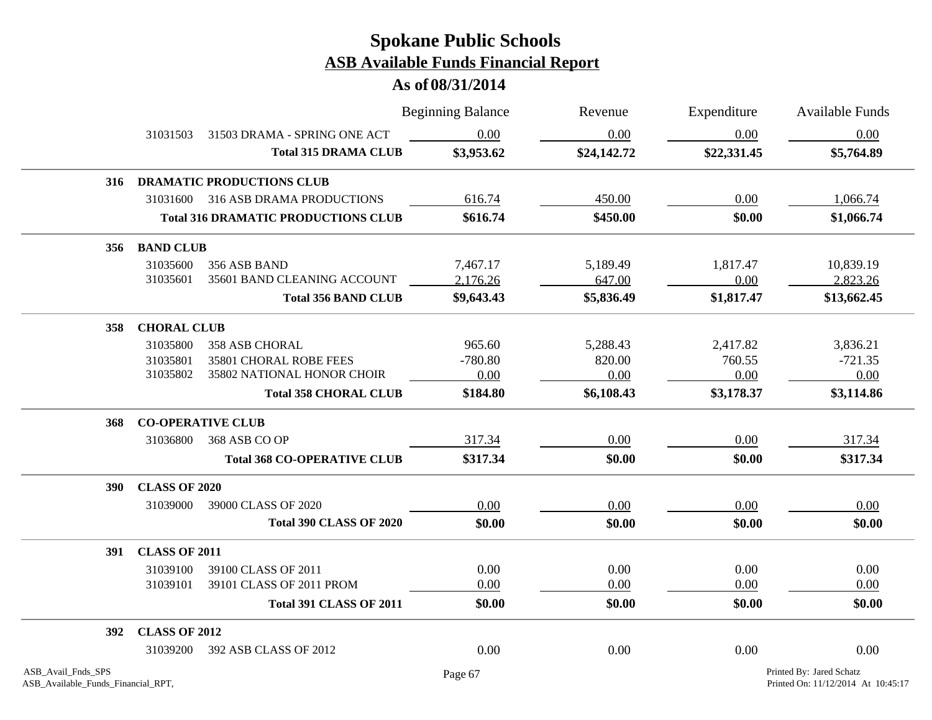|                                                          |                          |                                            | <b>Beginning Balance</b> | Revenue     | Expenditure | Available Funds                                                |
|----------------------------------------------------------|--------------------------|--------------------------------------------|--------------------------|-------------|-------------|----------------------------------------------------------------|
|                                                          | 31031503                 | 31503 DRAMA - SPRING ONE ACT               | 0.00                     | 0.00        | 0.00        | 0.00                                                           |
|                                                          |                          | <b>Total 315 DRAMA CLUB</b>                | \$3,953.62               | \$24,142.72 | \$22,331.45 | \$5,764.89                                                     |
| 316                                                      |                          | <b>DRAMATIC PRODUCTIONS CLUB</b>           |                          |             |             |                                                                |
|                                                          | 31031600                 | 316 ASB DRAMA PRODUCTIONS                  | 616.74                   | 450.00      | 0.00        | 1,066.74                                                       |
|                                                          |                          | <b>Total 316 DRAMATIC PRODUCTIONS CLUB</b> | \$616.74                 | \$450.00    | \$0.00      | \$1,066.74                                                     |
| 356                                                      | <b>BAND CLUB</b>         |                                            |                          |             |             |                                                                |
|                                                          | 31035600                 | 356 ASB BAND                               | 7,467.17                 | 5,189.49    | 1,817.47    | 10,839.19                                                      |
|                                                          | 31035601                 | 35601 BAND CLEANING ACCOUNT                | 2,176.26                 | 647.00      | 0.00        | 2,823.26                                                       |
|                                                          |                          | <b>Total 356 BAND CLUB</b>                 | \$9,643.43               | \$5,836.49  | \$1,817.47  | \$13,662.45                                                    |
| 358                                                      | <b>CHORAL CLUB</b>       |                                            |                          |             |             |                                                                |
|                                                          | 31035800                 | 358 ASB CHORAL                             | 965.60                   | 5,288.43    | 2,417.82    | 3,836.21                                                       |
|                                                          | 31035801                 | 35801 CHORAL ROBE FEES                     | $-780.80$                | 820.00      | 760.55      | $-721.35$                                                      |
|                                                          | 31035802                 | 35802 NATIONAL HONOR CHOIR                 | 0.00                     | 0.00        | 0.00        | 0.00                                                           |
|                                                          |                          | <b>Total 358 CHORAL CLUB</b>               | \$184.80                 | \$6,108.43  | \$3,178.37  | \$3,114.86                                                     |
| 368                                                      | <b>CO-OPERATIVE CLUB</b> |                                            |                          |             |             |                                                                |
|                                                          | 31036800                 | 368 ASB CO OP                              | 317.34                   | 0.00        | 0.00        | 317.34                                                         |
|                                                          |                          | <b>Total 368 CO-OPERATIVE CLUB</b>         | \$317.34                 | \$0.00      | \$0.00      | \$317.34                                                       |
| <b>390</b>                                               | <b>CLASS OF 2020</b>     |                                            |                          |             |             |                                                                |
|                                                          | 31039000                 | 39000 CLASS OF 2020                        | 0.00                     | 0.00        | 0.00        | 0.00                                                           |
|                                                          |                          | <b>Total 390 CLASS OF 2020</b>             | \$0.00                   | \$0.00      | \$0.00      | \$0.00                                                         |
| <b>391</b>                                               | <b>CLASS OF 2011</b>     |                                            |                          |             |             |                                                                |
|                                                          | 31039100                 | 39100 CLASS OF 2011                        | 0.00                     | 0.00        | 0.00        | 0.00                                                           |
|                                                          | 31039101                 | 39101 CLASS OF 2011 PROM                   | 0.00                     | 0.00        | 0.00        | 0.00                                                           |
|                                                          |                          | <b>Total 391 CLASS OF 2011</b>             | \$0.00                   | \$0.00      | \$0.00      | \$0.00                                                         |
| 392                                                      | <b>CLASS OF 2012</b>     |                                            |                          |             |             |                                                                |
|                                                          | 31039200                 | 392 ASB CLASS OF 2012                      | 0.00                     | 0.00        | 0.00        | 0.00                                                           |
| ASB_Avail_Fnds_SPS<br>ASB_Available_Funds_Financial_RPT, |                          |                                            | Page 67                  |             |             | Printed By: Jared Schatz<br>Printed On: 11/12/2014 At 10:45:17 |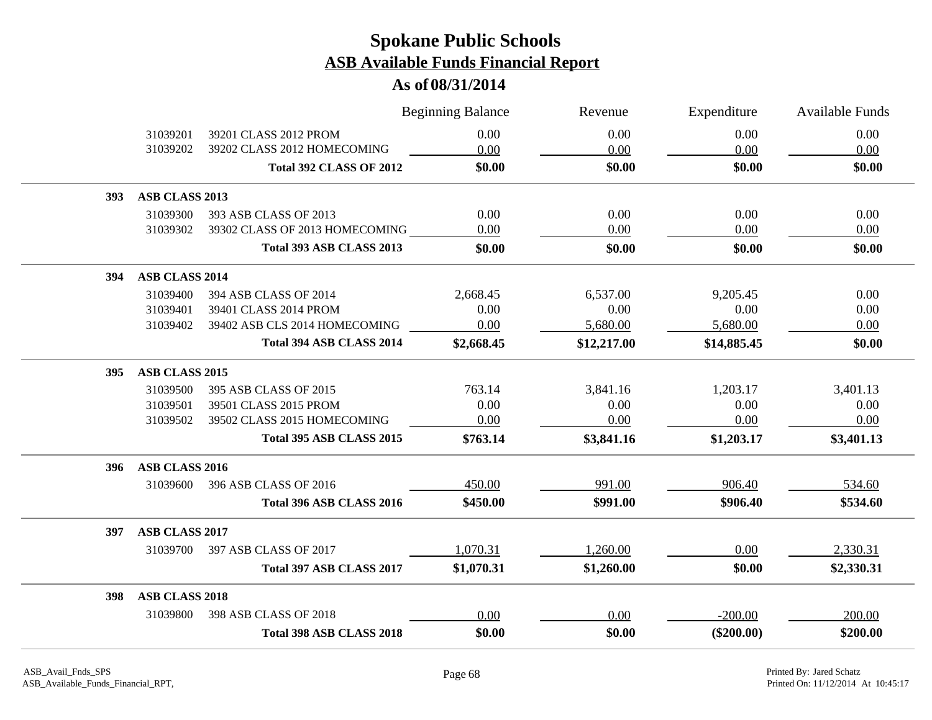|            |                       |                                 | <b>Beginning Balance</b> | Revenue     | Expenditure  | Available Funds |
|------------|-----------------------|---------------------------------|--------------------------|-------------|--------------|-----------------|
|            | 31039201              | 39201 CLASS 2012 PROM           | 0.00                     | 0.00        | 0.00         | 0.00            |
|            | 31039202              | 39202 CLASS 2012 HOMECOMING     | 0.00                     | 0.00        | 0.00         | 0.00            |
|            |                       | <b>Total 392 CLASS OF 2012</b>  | \$0.00                   | \$0.00      | \$0.00       | \$0.00          |
| <b>393</b> | ASB CLASS 2013        |                                 |                          |             |              |                 |
|            | 31039300              | 393 ASB CLASS OF 2013           | 0.00                     | 0.00        | 0.00         | 0.00            |
|            | 31039302              | 39302 CLASS OF 2013 HOMECOMING  | 0.00                     | 0.00        | 0.00         | 0.00            |
|            |                       | <b>Total 393 ASB CLASS 2013</b> | \$0.00                   | \$0.00      | \$0.00       | \$0.00          |
| 394        | <b>ASB CLASS 2014</b> |                                 |                          |             |              |                 |
|            | 31039400              | 394 ASB CLASS OF 2014           | 2,668.45                 | 6,537.00    | 9,205.45     | 0.00            |
|            | 31039401              | 39401 CLASS 2014 PROM           | 0.00                     | 0.00        | 0.00         | 0.00            |
|            | 31039402              | 39402 ASB CLS 2014 HOMECOMING   | 0.00                     | 5,680.00    | 5,680.00     | 0.00            |
|            |                       | Total 394 ASB CLASS 2014        | \$2,668.45               | \$12,217.00 | \$14,885.45  | \$0.00          |
| <b>395</b> | ASB CLASS 2015        |                                 |                          |             |              |                 |
|            | 31039500              | 395 ASB CLASS OF 2015           | 763.14                   | 3,841.16    | 1,203.17     | 3,401.13        |
|            | 31039501              | 39501 CLASS 2015 PROM           | 0.00                     | 0.00        | 0.00         | 0.00            |
|            | 31039502              | 39502 CLASS 2015 HOMECOMING     | 0.00                     | 0.00        | 0.00         | 0.00            |
|            |                       | <b>Total 395 ASB CLASS 2015</b> | \$763.14                 | \$3,841.16  | \$1,203.17   | \$3,401.13      |
| 396        | ASB CLASS 2016        |                                 |                          |             |              |                 |
|            | 31039600              | 396 ASB CLASS OF 2016           | 450.00                   | 991.00      | 906.40       | 534.60          |
|            |                       | Total 396 ASB CLASS 2016        | \$450.00                 | \$991.00    | \$906.40     | \$534.60        |
| 397        | ASB CLASS 2017        |                                 |                          |             |              |                 |
|            |                       | 31039700 397 ASB CLASS OF 2017  | 1,070.31                 | 1,260.00    | 0.00         | 2,330.31        |
|            |                       | Total 397 ASB CLASS 2017        | \$1,070.31               | \$1,260.00  | \$0.00       | \$2,330.31      |
| <b>398</b> | <b>ASB CLASS 2018</b> |                                 |                          |             |              |                 |
|            | 31039800              | 398 ASB CLASS OF 2018           | 0.00                     | 0.00        | $-200.00$    | 200.00          |
|            |                       | Total 398 ASB CLASS 2018        | \$0.00                   | \$0.00      | $(\$200.00)$ | \$200.00        |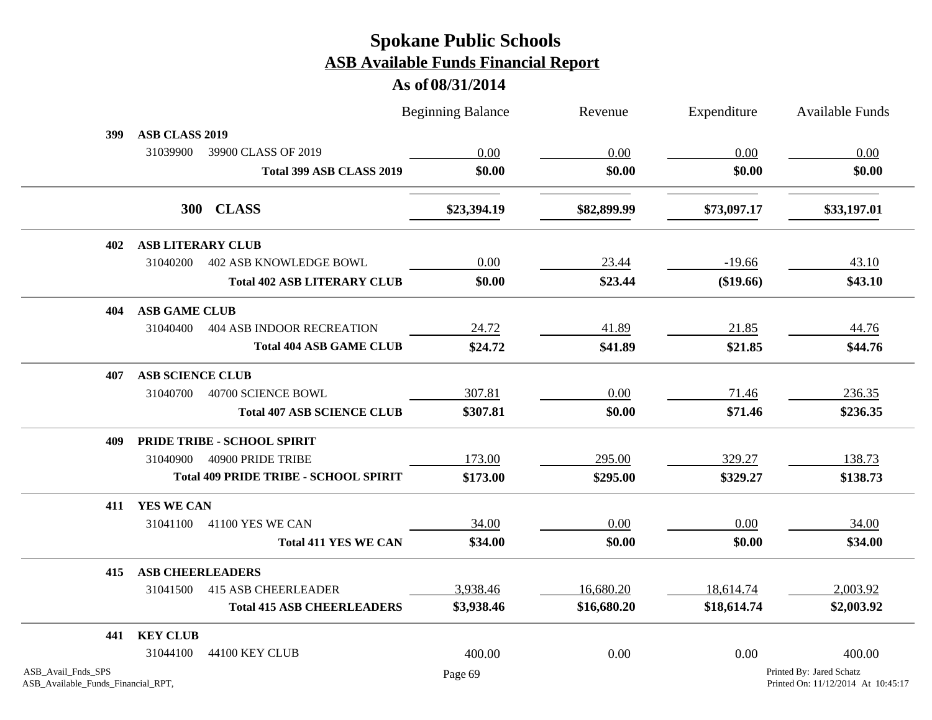|                                                          |                             |                                              | <b>Beginning Balance</b> | Revenue     | Expenditure | <b>Available Funds</b>                                         |  |
|----------------------------------------------------------|-----------------------------|----------------------------------------------|--------------------------|-------------|-------------|----------------------------------------------------------------|--|
| 399                                                      | ASB CLASS 2019              |                                              |                          |             |             |                                                                |  |
|                                                          | 31039900                    | 39900 CLASS OF 2019                          | 0.00                     | 0.00        | 0.00        | 0.00                                                           |  |
|                                                          |                             | Total 399 ASB CLASS 2019                     | \$0.00                   | \$0.00      | \$0.00      | \$0.00                                                         |  |
|                                                          |                             | 300 CLASS                                    | \$23,394.19              | \$82,899.99 | \$73,097.17 | \$33,197.01                                                    |  |
| 402                                                      | <b>ASB LITERARY CLUB</b>    |                                              |                          |             |             |                                                                |  |
|                                                          | 31040200                    | <b>402 ASB KNOWLEDGE BOWL</b>                | 0.00                     | 23.44       | $-19.66$    | 43.10                                                          |  |
|                                                          |                             | <b>Total 402 ASB LITERARY CLUB</b>           | \$0.00                   | \$23.44     | (\$19.66)   | \$43.10                                                        |  |
| 404                                                      | <b>ASB GAME CLUB</b>        |                                              |                          |             |             |                                                                |  |
|                                                          | 31040400                    | <b>404 ASB INDOOR RECREATION</b>             | 24.72                    | 41.89       | 21.85       | 44.76                                                          |  |
|                                                          |                             | <b>Total 404 ASB GAME CLUB</b>               | \$24.72                  | \$41.89     | \$21.85     | \$44.76                                                        |  |
| 407                                                      | <b>ASB SCIENCE CLUB</b>     |                                              |                          |             |             |                                                                |  |
|                                                          | 31040700                    | 40700 SCIENCE BOWL                           | 307.81                   | 0.00        | 71.46       | 236.35                                                         |  |
|                                                          |                             | <b>Total 407 ASB SCIENCE CLUB</b>            | \$307.81                 | \$0.00      | \$71.46     | \$236.35                                                       |  |
| 409                                                      | PRIDE TRIBE - SCHOOL SPIRIT |                                              |                          |             |             |                                                                |  |
|                                                          | 31040900                    | 40900 PRIDE TRIBE                            | 173.00                   | 295.00      | 329.27      | 138.73                                                         |  |
|                                                          |                             | <b>Total 409 PRIDE TRIBE - SCHOOL SPIRIT</b> | \$173.00                 | \$295.00    | \$329.27    | \$138.73                                                       |  |
| 411                                                      | YES WE CAN                  |                                              |                          |             |             |                                                                |  |
|                                                          | 31041100                    | 41100 YES WE CAN                             | 34.00                    | 0.00        | 0.00        | 34.00                                                          |  |
|                                                          |                             | <b>Total 411 YES WE CAN</b>                  | \$34.00                  | \$0.00      | \$0.00      | \$34.00                                                        |  |
| 415                                                      | <b>ASB CHEERLEADERS</b>     |                                              |                          |             |             |                                                                |  |
|                                                          | 31041500                    | <b>415 ASB CHEERLEADER</b>                   | 3,938.46                 | 16,680.20   | 18,614.74   | 2,003.92                                                       |  |
|                                                          |                             | <b>Total 415 ASB CHEERLEADERS</b>            | \$3,938.46               | \$16,680.20 | \$18,614.74 | \$2,003.92                                                     |  |
| 441                                                      | <b>KEY CLUB</b>             |                                              |                          |             |             |                                                                |  |
|                                                          | 31044100                    | 44100 KEY CLUB                               | 400.00                   | 0.00        | 0.00        | 400.00                                                         |  |
| ASB_Avail_Fnds_SPS<br>ASB_Available_Funds_Financial_RPT, |                             |                                              | Page 69                  |             |             | Printed By: Jared Schatz<br>Printed On: 11/12/2014 At 10:45:17 |  |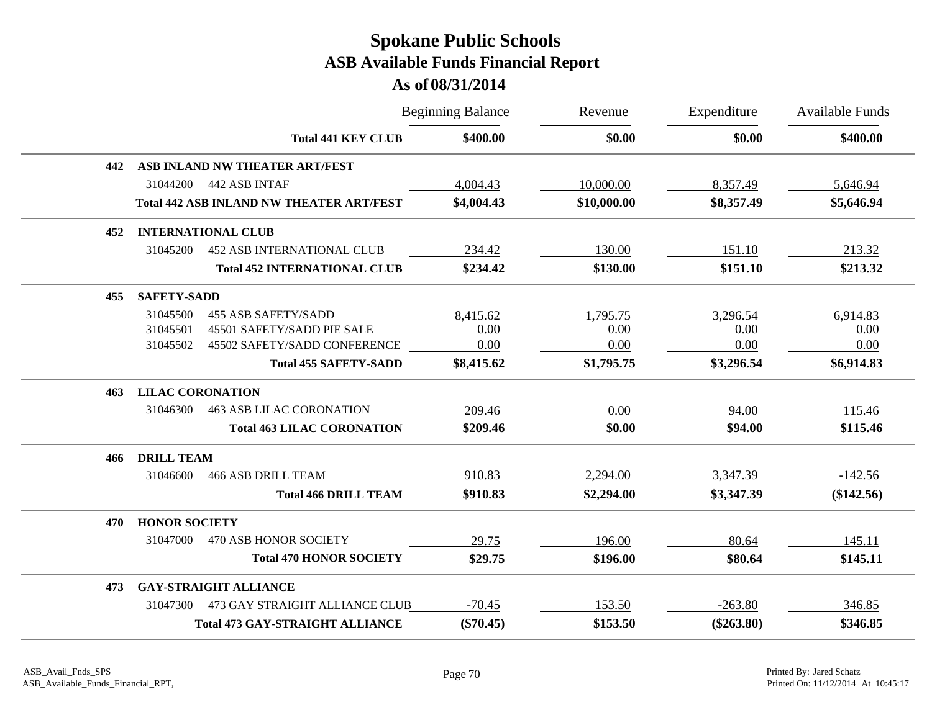|     |                         |                                                 | <b>Beginning Balance</b> | Revenue     | Expenditure  | <b>Available Funds</b> |
|-----|-------------------------|-------------------------------------------------|--------------------------|-------------|--------------|------------------------|
|     |                         | <b>Total 441 KEY CLUB</b>                       | \$400.00                 | \$0.00      | \$0.00       | \$400.00               |
| 442 |                         | ASB INLAND NW THEATER ART/FEST                  |                          |             |              |                        |
|     | 31044200                | 442 ASB INTAF                                   | 4,004.43                 | 10,000.00   | 8,357.49     | 5,646.94               |
|     |                         | <b>Total 442 ASB INLAND NW THEATER ART/FEST</b> | \$4,004.43               | \$10,000.00 | \$8,357.49   | \$5,646.94             |
| 452 |                         | <b>INTERNATIONAL CLUB</b>                       |                          |             |              |                        |
|     | 31045200                | <b>452 ASB INTERNATIONAL CLUB</b>               | 234.42                   | 130.00      | 151.10       | 213.32                 |
|     |                         | <b>Total 452 INTERNATIONAL CLUB</b>             | \$234.42                 | \$130.00    | \$151.10     | \$213.32               |
| 455 | <b>SAFETY-SADD</b>      |                                                 |                          |             |              |                        |
|     | 31045500                | <b>455 ASB SAFETY/SADD</b>                      | 8,415.62                 | 1,795.75    | 3,296.54     | 6,914.83               |
|     | 31045501                | 45501 SAFETY/SADD PIE SALE                      | 0.00                     | 0.00        | 0.00         | 0.00                   |
|     | 31045502                | 45502 SAFETY/SADD CONFERENCE                    | 0.00                     | 0.00        | 0.00         | 0.00                   |
|     |                         | <b>Total 455 SAFETY-SADD</b>                    | \$8,415.62               | \$1,795.75  | \$3,296.54   | \$6,914.83             |
| 463 | <b>LILAC CORONATION</b> |                                                 |                          |             |              |                        |
|     | 31046300                | <b>463 ASB LILAC CORONATION</b>                 | 209.46                   | 0.00        | 94.00        | 115.46                 |
|     |                         | <b>Total 463 LILAC CORONATION</b>               | \$209.46                 | \$0.00      | \$94.00      | \$115.46               |
| 466 | <b>DRILL TEAM</b>       |                                                 |                          |             |              |                        |
|     | 31046600                | <b>466 ASB DRILL TEAM</b>                       | 910.83                   | 2,294.00    | 3,347.39     | $-142.56$              |
|     |                         | <b>Total 466 DRILL TEAM</b>                     | \$910.83                 | \$2,294.00  | \$3,347.39   | (\$142.56)             |
| 470 | <b>HONOR SOCIETY</b>    |                                                 |                          |             |              |                        |
|     | 31047000                | 470 ASB HONOR SOCIETY                           | 29.75                    | 196.00      | 80.64        | 145.11                 |
|     |                         | <b>Total 470 HONOR SOCIETY</b>                  | \$29.75                  | \$196.00    | \$80.64      | \$145.11               |
| 473 |                         | <b>GAY-STRAIGHT ALLIANCE</b>                    |                          |             |              |                        |
|     | 31047300                | 473 GAY STRAIGHT ALLIANCE CLUB                  | $-70.45$                 | 153.50      | $-263.80$    | 346.85                 |
|     |                         | <b>Total 473 GAY-STRAIGHT ALLIANCE</b>          | $(\$70.45)$              | \$153.50    | $(\$263.80)$ | \$346.85               |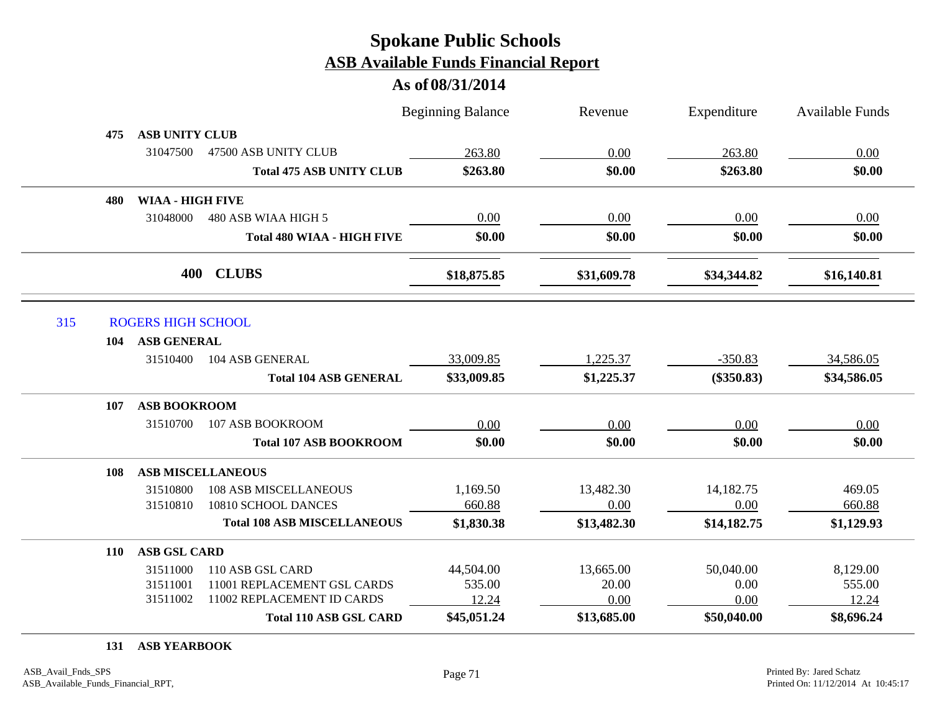#### **As of 08/31/2014**

|            |                           |                                    | <b>Beginning Balance</b> | Revenue     | Expenditure  | Available Funds |
|------------|---------------------------|------------------------------------|--------------------------|-------------|--------------|-----------------|
| 475        | <b>ASB UNITY CLUB</b>     |                                    |                          |             |              |                 |
|            | 31047500                  | 47500 ASB UNITY CLUB               | 263.80                   | 0.00        | 263.80       | 0.00            |
|            |                           | <b>Total 475 ASB UNITY CLUB</b>    | \$263.80                 | \$0.00      | \$263.80     | \$0.00          |
| 480        | <b>WIAA - HIGH FIVE</b>   |                                    |                          |             |              |                 |
|            | 31048000                  | 480 ASB WIAA HIGH 5                | 0.00                     | 0.00        | 0.00         | 0.00            |
|            |                           | <b>Total 480 WIAA - HIGH FIVE</b>  | \$0.00                   | \$0.00      | \$0.00       | \$0.00          |
|            | 400                       | <b>CLUBS</b>                       | \$18,875.85              | \$31,609.78 | \$34,344.82  | \$16,140.81     |
| 315        | <b>ROGERS HIGH SCHOOL</b> |                                    |                          |             |              |                 |
| 104        | <b>ASB GENERAL</b>        |                                    |                          |             |              |                 |
|            | 31510400                  | 104 ASB GENERAL                    | 33,009.85                | 1,225.37    | $-350.83$    | 34,586.05       |
|            |                           | <b>Total 104 ASB GENERAL</b>       | \$33,009.85              | \$1,225.37  | $(\$350.83)$ | \$34,586.05     |
| 107        | <b>ASB BOOKROOM</b>       |                                    |                          |             |              |                 |
|            | 31510700                  | 107 ASB BOOKROOM                   | 0.00                     | 0.00        | 0.00         | 0.00            |
|            |                           | <b>Total 107 ASB BOOKROOM</b>      | \$0.00                   | \$0.00      | \$0.00       | \$0.00          |
| 108        |                           | <b>ASB MISCELLANEOUS</b>           |                          |             |              |                 |
|            | 31510800                  | <b>108 ASB MISCELLANEOUS</b>       | 1,169.50                 | 13,482.30   | 14,182.75    | 469.05          |
|            | 31510810                  | 10810 SCHOOL DANCES                | 660.88                   | 0.00        | 0.00         | 660.88          |
|            |                           | <b>Total 108 ASB MISCELLANEOUS</b> | \$1,830.38               | \$13,482.30 | \$14,182.75  | \$1,129.93      |
| <b>110</b> | <b>ASB GSL CARD</b>       |                                    |                          |             |              |                 |
|            | 31511000                  | 110 ASB GSL CARD                   | 44,504.00                | 13,665.00   | 50,040.00    | 8,129.00        |
|            | 31511001                  | 11001 REPLACEMENT GSL CARDS        | 535.00                   | 20.00       | 0.00         | 555.00          |
|            | 31511002                  | 11002 REPLACEMENT ID CARDS         | 12.24                    | 0.00        | 0.00         | 12.24           |
|            |                           | <b>Total 110 ASB GSL CARD</b>      | \$45,051.24              | \$13,685.00 | \$50,040.00  | \$8,696.24      |
|            |                           |                                    |                          |             |              |                 |

**131 ASB YEARBOOK**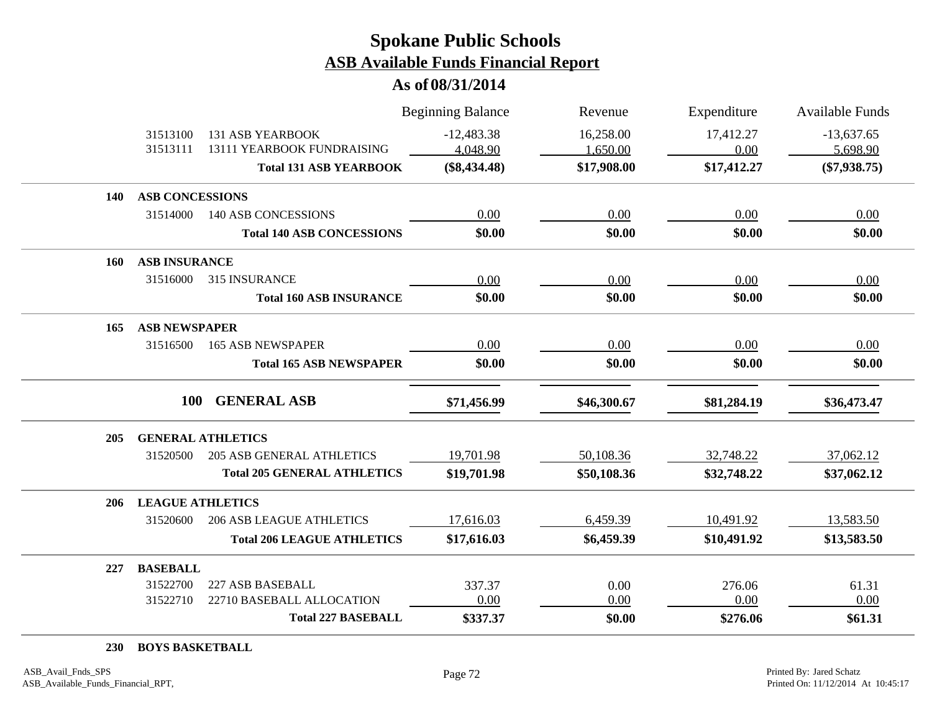**As of 08/31/2014**

|            |                         |                                                       | <b>Beginning Balance</b> | Revenue     | Expenditure | <b>Available Funds</b> |
|------------|-------------------------|-------------------------------------------------------|--------------------------|-------------|-------------|------------------------|
|            | 31513100<br>31513111    | <b>131 ASB YEARBOOK</b><br>13111 YEARBOOK FUNDRAISING | $-12,483.38$             | 16,258.00   | 17,412.27   | $-13,637.65$           |
|            |                         |                                                       | 4,048.90                 | 1,650.00    | 0.00        | 5,698.90               |
|            |                         | <b>Total 131 ASB YEARBOOK</b>                         | $(\$8,434.48)$           | \$17,908.00 | \$17,412.27 | $(\$7,938.75)$         |
| <b>140</b> | <b>ASB CONCESSIONS</b>  |                                                       |                          |             |             |                        |
|            | 31514000                | <b>140 ASB CONCESSIONS</b>                            | 0.00                     | 0.00        | 0.00        | 0.00                   |
|            |                         | <b>Total 140 ASB CONCESSIONS</b>                      | \$0.00                   | \$0.00      | \$0.00      | \$0.00                 |
| 160        | <b>ASB INSURANCE</b>    |                                                       |                          |             |             |                        |
|            | 31516000                | 315 INSURANCE                                         | 0.00                     | 0.00        | 0.00        | 0.00                   |
|            |                         | <b>Total 160 ASB INSURANCE</b>                        | \$0.00                   | \$0.00      | \$0.00      | \$0.00                 |
| 165        | <b>ASB NEWSPAPER</b>    |                                                       |                          |             |             |                        |
|            | 31516500                | <b>165 ASB NEWSPAPER</b>                              | 0.00                     | 0.00        | 0.00        | 0.00                   |
|            |                         | <b>Total 165 ASB NEWSPAPER</b>                        | \$0.00                   | \$0.00      | \$0.00      | \$0.00                 |
|            | <b>100</b>              | <b>GENERAL ASB</b>                                    | \$71,456.99              | \$46,300.67 | \$81,284.19 | \$36,473.47            |
| 205        |                         | <b>GENERAL ATHLETICS</b>                              |                          |             |             |                        |
|            | 31520500                | <b>205 ASB GENERAL ATHLETICS</b>                      | 19,701.98                | 50,108.36   | 32,748.22   | 37,062.12              |
|            |                         | <b>Total 205 GENERAL ATHLETICS</b>                    | \$19,701.98              | \$50,108.36 | \$32,748.22 | \$37,062.12            |
| 206        | <b>LEAGUE ATHLETICS</b> |                                                       |                          |             |             |                        |
|            | 31520600                | <b>206 ASB LEAGUE ATHLETICS</b>                       | 17,616.03                | 6,459.39    | 10,491.92   | 13,583.50              |
|            |                         | <b>Total 206 LEAGUE ATHLETICS</b>                     | \$17,616.03              | \$6,459.39  | \$10,491.92 | \$13,583.50            |
| 227        | <b>BASEBALL</b>         |                                                       |                          |             |             |                        |
|            | 31522700                | 227 ASB BASEBALL                                      | 337.37                   | 0.00        | 276.06      | 61.31                  |
|            | 31522710                | 22710 BASEBALL ALLOCATION                             | 0.00                     | 0.00        | 0.00        | 0.00                   |
|            |                         | <b>Total 227 BASEBALL</b>                             | \$337.37                 | \$0.00      | \$276.06    | \$61.31                |

**230 BOYS BASKETBALL**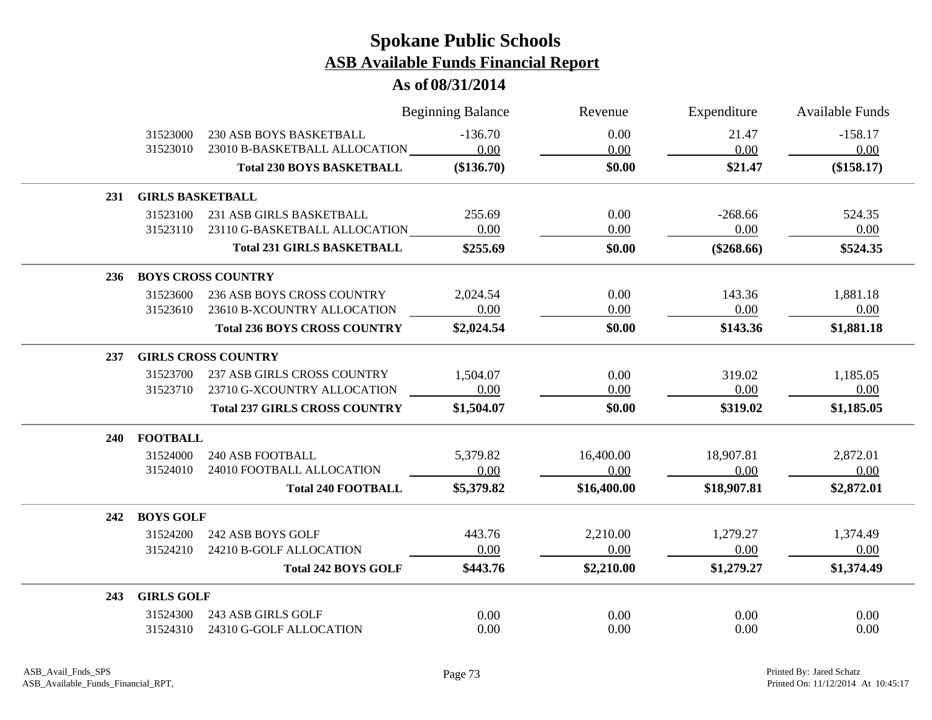### **As of 08/31/2014**

|            |                         |                                      | <b>Beginning Balance</b> | Revenue     | Expenditure  | <b>Available Funds</b> |  |  |  |
|------------|-------------------------|--------------------------------------|--------------------------|-------------|--------------|------------------------|--|--|--|
|            | 31523000                | <b>230 ASB BOYS BASKETBALL</b>       | $-136.70$                | 0.00        | 21.47        | $-158.17$              |  |  |  |
|            | 31523010                | 23010 B-BASKETBALL ALLOCATION        | 0.00                     | 0.00        | 0.00         | 0.00                   |  |  |  |
|            |                         | <b>Total 230 BOYS BASKETBALL</b>     | $(\$136.70)$             | \$0.00      | \$21.47      | (\$158.17)             |  |  |  |
| <b>231</b> | <b>GIRLS BASKETBALL</b> |                                      |                          |             |              |                        |  |  |  |
|            | 31523100                | 231 ASB GIRLS BASKETBALL             | 255.69                   | 0.00        | $-268.66$    | 524.35                 |  |  |  |
|            | 31523110                | 23110 G-BASKETBALL ALLOCATION        | 0.00                     | 0.00        | 0.00         | 0.00                   |  |  |  |
|            |                         | <b>Total 231 GIRLS BASKETBALL</b>    | \$255.69                 | \$0.00      | $(\$268.66)$ | \$524.35               |  |  |  |
| 236        |                         | <b>BOYS CROSS COUNTRY</b>            |                          |             |              |                        |  |  |  |
|            | 31523600                | <b>236 ASB BOYS CROSS COUNTRY</b>    | 2,024.54                 | 0.00        | 143.36       | 1,881.18               |  |  |  |
|            | 31523610                | 23610 B-XCOUNTRY ALLOCATION          | 0.00                     | 0.00        | 0.00         | 0.00                   |  |  |  |
|            |                         | <b>Total 236 BOYS CROSS COUNTRY</b>  | \$2,024.54               | \$0.00      | \$143.36     | \$1,881.18             |  |  |  |
| 237        |                         | <b>GIRLS CROSS COUNTRY</b>           |                          |             |              |                        |  |  |  |
|            | 31523700                | 237 ASB GIRLS CROSS COUNTRY          | 1,504.07                 | 0.00        | 319.02       | 1,185.05               |  |  |  |
|            | 31523710                | 23710 G-XCOUNTRY ALLOCATION          | 0.00                     | 0.00        | 0.00         | 0.00                   |  |  |  |
|            |                         | <b>Total 237 GIRLS CROSS COUNTRY</b> | \$1,504.07               | \$0.00      | \$319.02     | \$1,185.05             |  |  |  |
| <b>240</b> | <b>FOOTBALL</b>         |                                      |                          |             |              |                        |  |  |  |
|            | 31524000                | <b>240 ASB FOOTBALL</b>              | 5,379.82                 | 16,400.00   | 18,907.81    | 2,872.01               |  |  |  |
|            | 31524010                | 24010 FOOTBALL ALLOCATION            | 0.00                     | 0.00        | 0.00         | 0.00                   |  |  |  |
|            |                         | <b>Total 240 FOOTBALL</b>            | \$5,379.82               | \$16,400.00 | \$18,907.81  | \$2,872.01             |  |  |  |
| 242        | <b>BOYS GOLF</b>        |                                      |                          |             |              |                        |  |  |  |
|            | 31524200                | 242 ASB BOYS GOLF                    | 443.76                   | 2,210.00    | 1,279.27     | 1,374.49               |  |  |  |
|            | 31524210                | 24210 B-GOLF ALLOCATION              | 0.00                     | 0.00        | 0.00         | 0.00                   |  |  |  |
|            |                         | <b>Total 242 BOYS GOLF</b>           | \$443.76                 | \$2,210.00  | \$1,279.27   | \$1,374.49             |  |  |  |
| 243        | <b>GIRLS GOLF</b>       |                                      |                          |             |              |                        |  |  |  |
|            | 31524300                | 243 ASB GIRLS GOLF                   | 0.00                     | 0.00        | 0.00         | 0.00                   |  |  |  |
|            | 31524310                | 24310 G-GOLF ALLOCATION              | 0.00                     | 0.00        | 0.00         | 0.00                   |  |  |  |

 $\overline{\phantom{a}}$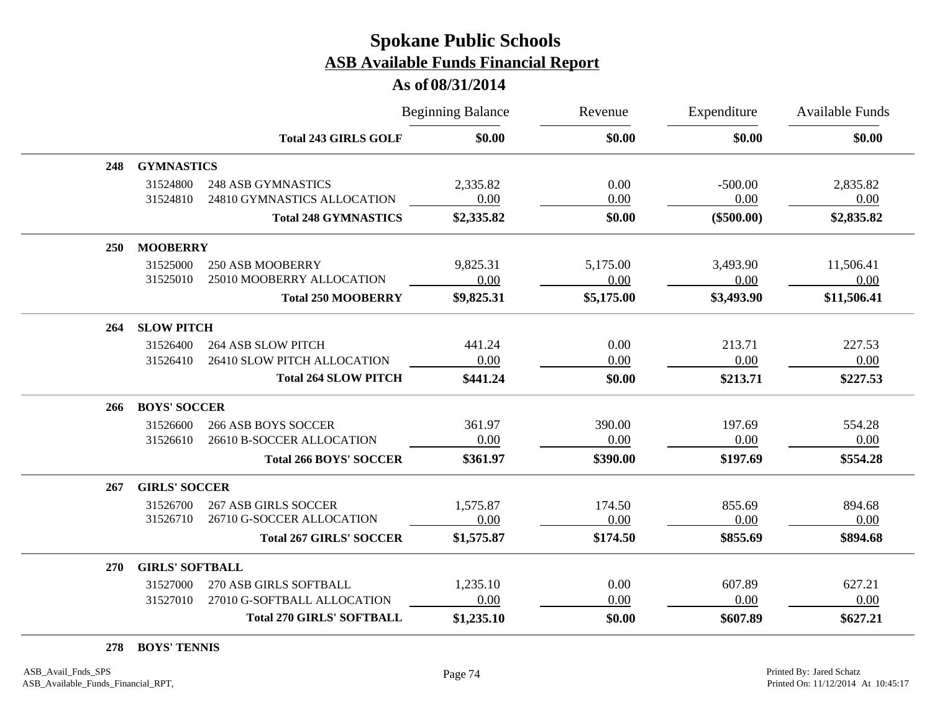|     |                        |                                  | <b>Beginning Balance</b> | Revenue<br>\$0.00 | Expenditure<br>\$0.00 | Available Funds<br>\$0.00 |
|-----|------------------------|----------------------------------|--------------------------|-------------------|-----------------------|---------------------------|
|     |                        | <b>Total 243 GIRLS GOLF</b>      | \$0.00                   |                   |                       |                           |
| 248 | <b>GYMNASTICS</b>      |                                  |                          |                   |                       |                           |
|     | 31524800               | <b>248 ASB GYMNASTICS</b>        | 2,335.82                 | 0.00              | $-500.00$             | 2,835.82                  |
|     | 31524810               | 24810 GYMNASTICS ALLOCATION      | 0.00                     | 0.00              | 0.00                  | 0.00                      |
|     |                        | <b>Total 248 GYMNASTICS</b>      | \$2,335.82               | \$0.00            | $(\$500.00)$          | \$2,835.82                |
| 250 | <b>MOOBERRY</b>        |                                  |                          |                   |                       |                           |
|     | 31525000               | <b>250 ASB MOOBERRY</b>          | 9,825.31                 | 5,175.00          | 3,493.90              | 11,506.41                 |
|     | 31525010               | 25010 MOOBERRY ALLOCATION        | 0.00                     | 0.00              | 0.00                  | 0.00                      |
|     |                        | <b>Total 250 MOOBERRY</b>        | \$9,825.31               | \$5,175.00        | \$3,493.90            | \$11,506.41               |
| 264 | <b>SLOW PITCH</b>      |                                  |                          |                   |                       |                           |
|     | 31526400               | <b>264 ASB SLOW PITCH</b>        | 441.24                   | 0.00              | 213.71                | 227.53                    |
|     | 31526410               | 26410 SLOW PITCH ALLOCATION      | 0.00                     | 0.00              | 0.00                  | 0.00                      |
|     |                        | <b>Total 264 SLOW PITCH</b>      | \$441.24                 | \$0.00            | \$213.71              | \$227.53                  |
| 266 | <b>BOYS' SOCCER</b>    |                                  |                          |                   |                       |                           |
|     | 31526600               | <b>266 ASB BOYS SOCCER</b>       | 361.97                   | 390.00            | 197.69                | 554.28                    |
|     | 31526610               | 26610 B-SOCCER ALLOCATION        | 0.00                     | 0.00              | 0.00                  | 0.00                      |
|     |                        | <b>Total 266 BOYS' SOCCER</b>    | \$361.97                 | \$390.00          | \$197.69              | \$554.28                  |
| 267 | <b>GIRLS' SOCCER</b>   |                                  |                          |                   |                       |                           |
|     | 31526700               | <b>267 ASB GIRLS SOCCER</b>      | 1,575.87                 | 174.50            | 855.69                | 894.68                    |
|     | 31526710               | 26710 G-SOCCER ALLOCATION        | 0.00                     | 0.00              | 0.00                  | 0.00                      |
|     |                        | <b>Total 267 GIRLS' SOCCER</b>   | \$1,575.87               | \$174.50          | \$855.69              | \$894.68                  |
| 270 | <b>GIRLS' SOFTBALL</b> |                                  |                          |                   |                       |                           |
|     | 31527000               | 270 ASB GIRLS SOFTBALL           | 1,235.10                 | 0.00              | 607.89                | 627.21                    |
|     | 31527010               | 27010 G-SOFTBALL ALLOCATION      | 0.00                     | 0.00              | 0.00                  | 0.00                      |
|     |                        | <b>Total 270 GIRLS' SOFTBALL</b> | \$1,235.10               | \$0.00            | \$607.89              | \$627.21                  |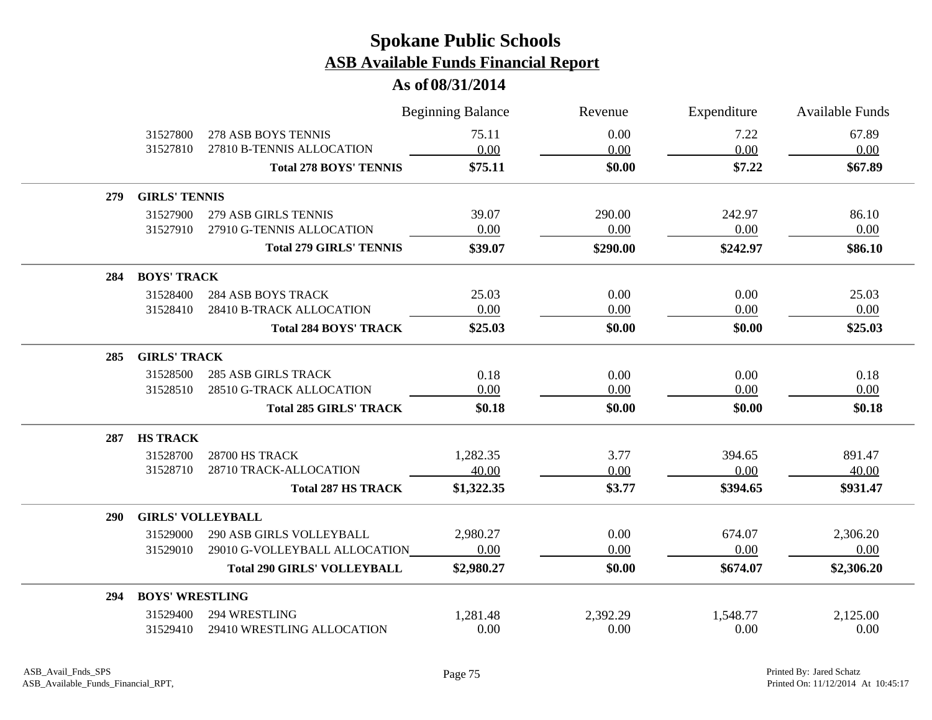|            |                          |                                    | <b>Beginning Balance</b> | Revenue  | Expenditure      | Available Funds |  |  |
|------------|--------------------------|------------------------------------|--------------------------|----------|------------------|-----------------|--|--|
|            | 31527800                 | 278 ASB BOYS TENNIS                | 75.11                    | 0.00     | 7.22             | 67.89           |  |  |
|            | 31527810                 | 27810 B-TENNIS ALLOCATION          | 0.00                     | 0.00     | 0.00             | 0.00            |  |  |
|            |                          | <b>Total 278 BOYS' TENNIS</b>      | \$75.11                  | \$0.00   | \$7.22           | \$67.89         |  |  |
| 279        | <b>GIRLS' TENNIS</b>     |                                    |                          |          |                  |                 |  |  |
|            | 31527900                 | 279 ASB GIRLS TENNIS               | 39.07                    | 290.00   | 242.97           | 86.10           |  |  |
|            | 31527910                 | 27910 G-TENNIS ALLOCATION          | 0.00                     | 0.00     | 0.00             | 0.00            |  |  |
|            |                          | <b>Total 279 GIRLS' TENNIS</b>     | \$39.07                  | \$290.00 | \$242.97         | \$86.10         |  |  |
| 284        | <b>BOYS' TRACK</b>       |                                    |                          |          |                  |                 |  |  |
|            | 31528400                 | <b>284 ASB BOYS TRACK</b>          | 25.03                    | 0.00     | 0.00             | 25.03           |  |  |
|            | 31528410                 | 28410 B-TRACK ALLOCATION           | 0.00                     | 0.00     | 0.00             | 0.00            |  |  |
|            |                          | <b>Total 284 BOYS' TRACK</b>       | \$25.03                  | \$0.00   | \$0.00           | \$25.03         |  |  |
| 285        | <b>GIRLS' TRACK</b>      |                                    |                          |          |                  |                 |  |  |
|            | 31528500                 | <b>285 ASB GIRLS TRACK</b>         | 0.18                     | 0.00     | 0.00             | 0.18            |  |  |
|            | 31528510                 | 28510 G-TRACK ALLOCATION           | 0.00                     | 0.00     | 0.00             | 0.00            |  |  |
|            |                          | <b>Total 285 GIRLS' TRACK</b>      | \$0.18                   | \$0.00   | \$0.00           | \$0.18          |  |  |
| 287        | <b>HS TRACK</b>          |                                    |                          |          |                  |                 |  |  |
|            | 31528700                 | 28700 HS TRACK                     | 1,282.35                 | 3.77     | 394.65           | 891.47          |  |  |
|            | 31528710                 | 28710 TRACK-ALLOCATION             | 40.00                    | 0.00     | 0.00             | 40.00           |  |  |
|            |                          | <b>Total 287 HS TRACK</b>          | \$1,322.35               | \$3.77   | \$394.65         | \$931.47        |  |  |
| <b>290</b> | <b>GIRLS' VOLLEYBALL</b> |                                    |                          |          |                  |                 |  |  |
|            | 31529000                 | 290 ASB GIRLS VOLLEYBALL           | 2,980.27                 | 0.00     | 674.07           | 2,306.20        |  |  |
|            | 31529010                 | 29010 G-VOLLEYBALL ALLOCATION      | 0.00                     | 0.00     | 0.00             | 0.00            |  |  |
|            |                          | <b>Total 290 GIRLS' VOLLEYBALL</b> | \$2,980.27               | \$0.00   | \$674.07         | \$2,306.20      |  |  |
| 294        | <b>BOYS' WRESTLING</b>   |                                    |                          |          |                  |                 |  |  |
|            |                          | 294 WRESTLING                      | 1,281.48                 |          |                  | 2,125.00        |  |  |
|            | 31529400                 |                                    |                          | 2,392.29 | 1,548.77<br>0.00 | 0.00            |  |  |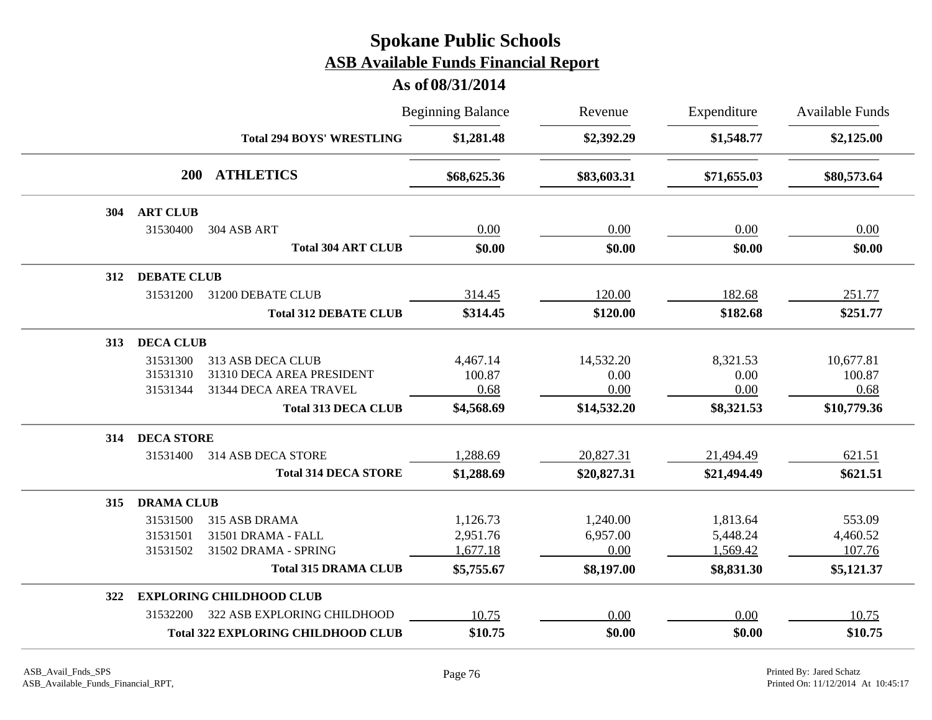|                                           |                                                | <b>Beginning Balance</b> | Revenue     | Expenditure | <b>Available Funds</b> |
|-------------------------------------------|------------------------------------------------|--------------------------|-------------|-------------|------------------------|
|                                           | \$1,281.48<br><b>Total 294 BOYS' WRESTLING</b> | \$2,392.29               | \$1,548.77  | \$2,125.00  |                        |
| <b>ATHLETICS</b><br>200                   |                                                | \$68,625.36              | \$83,603.31 | \$71,655.03 | \$80,573.64            |
| <b>ART CLUB</b><br>304                    |                                                |                          |             |             |                        |
| 31530400<br>304 ASB ART                   |                                                | 0.00                     | 0.00        | 0.00        | 0.00                   |
| <b>Total 304 ART CLUB</b>                 |                                                | \$0.00                   | \$0.00      | \$0.00      | \$0.00                 |
| <b>DEBATE CLUB</b><br>312                 |                                                |                          |             |             |                        |
| 31531200<br>31200 DEBATE CLUB             |                                                | 314.45                   | 120.00      | 182.68      | 251.77                 |
| <b>Total 312 DEBATE CLUB</b>              |                                                | \$314.45                 | \$120.00    | \$182.68    | \$251.77               |
| <b>DECA CLUB</b><br>313                   |                                                |                          |             |             |                        |
| 31531300<br>313 ASB DECA CLUB             |                                                | 4,467.14                 | 14,532.20   | 8,321.53    | 10,677.81              |
| 31310 DECA AREA PRESIDENT<br>31531310     |                                                | 100.87                   | 0.00        | 0.00        | 100.87                 |
| 31531344<br>31344 DECA AREA TRAVEL        |                                                | 0.68                     | 0.00        | 0.00        | 0.68                   |
| <b>Total 313 DECA CLUB</b>                |                                                | \$4,568.69               | \$14,532.20 | \$8,321.53  | \$10,779.36            |
| <b>DECA STORE</b><br>314                  |                                                |                          |             |             |                        |
| 31531400<br>314 ASB DECA STORE            |                                                | 1,288.69                 | 20,827.31   | 21,494.49   | 621.51                 |
| <b>Total 314 DECA STORE</b>               |                                                | \$1,288.69               | \$20,827.31 | \$21,494.49 | \$621.51               |
| <b>DRAMA CLUB</b><br>315                  |                                                |                          |             |             |                        |
| 31531500<br>315 ASB DRAMA                 |                                                | 1,126.73                 | 1,240.00    | 1,813.64    | 553.09                 |
| 31501 DRAMA - FALL<br>31531501            |                                                | 2,951.76                 | 6,957.00    | 5,448.24    | 4,460.52               |
| 31502 DRAMA - SPRING<br>31531502          |                                                | 1,677.18                 | 0.00        | 1,569.42    | 107.76                 |
| <b>Total 315 DRAMA CLUB</b>               |                                                | \$5,755.67               | \$8,197.00  | \$8,831.30  | \$5,121.37             |
| <b>EXPLORING CHILDHOOD CLUB</b><br>322    |                                                |                          |             |             |                        |
| 322 ASB EXPLORING CHILDHOOD<br>31532200   |                                                | 10.75                    | 0.00        | 0.00        | 10.75                  |
| <b>Total 322 EXPLORING CHILDHOOD CLUB</b> |                                                | \$10.75                  | \$0.00      | \$0.00      | \$10.75                |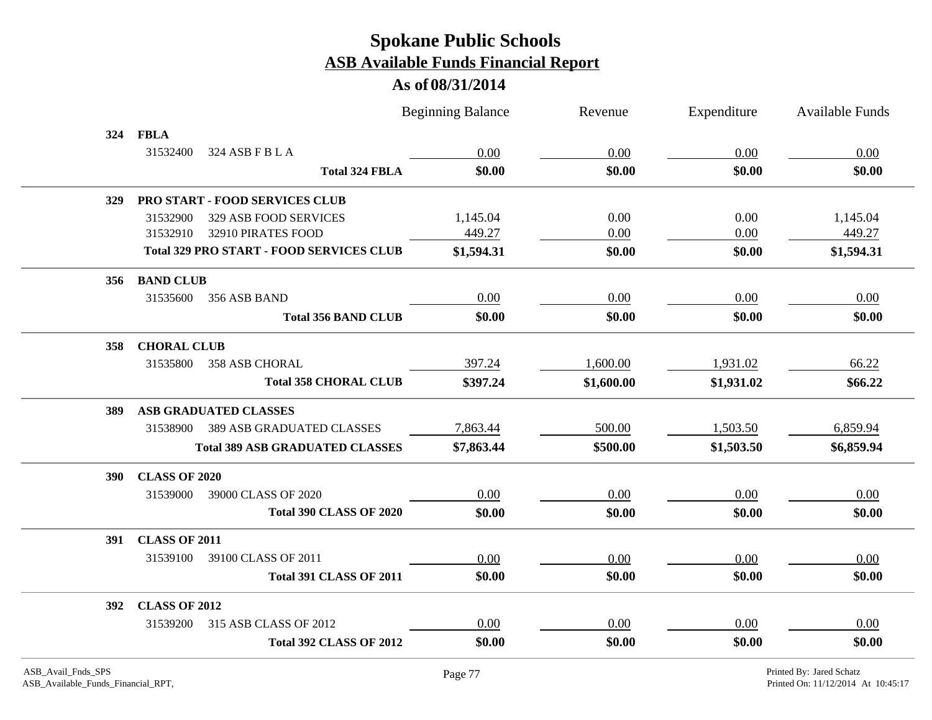| <b>FBLA</b><br>324<br>31532400<br>324 ASB F B L A<br>0.00<br>0.00<br>0.00<br>0.00<br>\$0.00<br>\$0.00<br>\$0.00<br>\$0.00<br><b>Total 324 FBLA</b><br>PRO START - FOOD SERVICES CLUB<br><b>329</b><br>0.00<br>1,145.04<br>31532900<br>329 ASB FOOD SERVICES<br>1,145.04<br>0.00<br>449.27<br>449.27<br>0.00<br>0.00<br>31532910<br>32910 PIRATES FOOD<br><b>Total 329 PRO START - FOOD SERVICES CLUB</b><br>\$1,594.31<br>\$0.00<br>\$1,594.31<br>\$0.00<br><b>BAND CLUB</b><br>356<br>0.00<br>0.00<br>0.00<br>0.00<br>31535600<br>356 ASB BAND<br>\$0.00<br>\$0.00<br>\$0.00<br>\$0.00<br><b>Total 356 BAND CLUB</b><br><b>CHORAL CLUB</b><br>358<br>397.24<br>1,600.00<br>1,931.02<br>31535800<br>66.22<br>358 ASB CHORAL<br><b>Total 358 CHORAL CLUB</b><br>\$397.24<br>\$1,600.00<br>\$1,931.02<br>\$66.22<br><b>ASB GRADUATED CLASSES</b><br>389<br>31538900<br><b>389 ASB GRADUATED CLASSES</b><br>7,863.44<br>500.00<br>1,503.50<br>6,859.94<br>\$1,503.50<br>\$6,859.94<br>\$7,863.44<br>\$500.00<br><b>Total 389 ASB GRADUATED CLASSES</b><br><b>CLASS OF 2020</b><br><b>390</b><br>0.00<br>0.00<br>0.00<br>0.00<br>31539000<br>39000 CLASS OF 2020<br><b>Total 390 CLASS OF 2020</b><br>\$0.00<br>\$0.00<br>\$0.00<br>\$0.00<br><b>CLASS OF 2011</b><br>391<br>31539100<br>39100 CLASS OF 2011<br>0.00<br>0.00<br>0.00<br>0.00<br>\$0.00<br>\$0.00<br>\$0.00<br>\$0.00<br><b>Total 391 CLASS OF 2011</b> |  | <b>Beginning Balance</b> | Revenue | Expenditure | Available Funds |
|--------------------------------------------------------------------------------------------------------------------------------------------------------------------------------------------------------------------------------------------------------------------------------------------------------------------------------------------------------------------------------------------------------------------------------------------------------------------------------------------------------------------------------------------------------------------------------------------------------------------------------------------------------------------------------------------------------------------------------------------------------------------------------------------------------------------------------------------------------------------------------------------------------------------------------------------------------------------------------------------------------------------------------------------------------------------------------------------------------------------------------------------------------------------------------------------------------------------------------------------------------------------------------------------------------------------------------------------------------------------------------------------------------------------|--|--------------------------|---------|-------------|-----------------|
|                                                                                                                                                                                                                                                                                                                                                                                                                                                                                                                                                                                                                                                                                                                                                                                                                                                                                                                                                                                                                                                                                                                                                                                                                                                                                                                                                                                                                    |  |                          |         |             |                 |
|                                                                                                                                                                                                                                                                                                                                                                                                                                                                                                                                                                                                                                                                                                                                                                                                                                                                                                                                                                                                                                                                                                                                                                                                                                                                                                                                                                                                                    |  |                          |         |             |                 |
|                                                                                                                                                                                                                                                                                                                                                                                                                                                                                                                                                                                                                                                                                                                                                                                                                                                                                                                                                                                                                                                                                                                                                                                                                                                                                                                                                                                                                    |  |                          |         |             |                 |
|                                                                                                                                                                                                                                                                                                                                                                                                                                                                                                                                                                                                                                                                                                                                                                                                                                                                                                                                                                                                                                                                                                                                                                                                                                                                                                                                                                                                                    |  |                          |         |             |                 |
|                                                                                                                                                                                                                                                                                                                                                                                                                                                                                                                                                                                                                                                                                                                                                                                                                                                                                                                                                                                                                                                                                                                                                                                                                                                                                                                                                                                                                    |  |                          |         |             |                 |
|                                                                                                                                                                                                                                                                                                                                                                                                                                                                                                                                                                                                                                                                                                                                                                                                                                                                                                                                                                                                                                                                                                                                                                                                                                                                                                                                                                                                                    |  |                          |         |             |                 |
|                                                                                                                                                                                                                                                                                                                                                                                                                                                                                                                                                                                                                                                                                                                                                                                                                                                                                                                                                                                                                                                                                                                                                                                                                                                                                                                                                                                                                    |  |                          |         |             |                 |
|                                                                                                                                                                                                                                                                                                                                                                                                                                                                                                                                                                                                                                                                                                                                                                                                                                                                                                                                                                                                                                                                                                                                                                                                                                                                                                                                                                                                                    |  |                          |         |             |                 |
|                                                                                                                                                                                                                                                                                                                                                                                                                                                                                                                                                                                                                                                                                                                                                                                                                                                                                                                                                                                                                                                                                                                                                                                                                                                                                                                                                                                                                    |  |                          |         |             |                 |
|                                                                                                                                                                                                                                                                                                                                                                                                                                                                                                                                                                                                                                                                                                                                                                                                                                                                                                                                                                                                                                                                                                                                                                                                                                                                                                                                                                                                                    |  |                          |         |             |                 |
|                                                                                                                                                                                                                                                                                                                                                                                                                                                                                                                                                                                                                                                                                                                                                                                                                                                                                                                                                                                                                                                                                                                                                                                                                                                                                                                                                                                                                    |  |                          |         |             |                 |
|                                                                                                                                                                                                                                                                                                                                                                                                                                                                                                                                                                                                                                                                                                                                                                                                                                                                                                                                                                                                                                                                                                                                                                                                                                                                                                                                                                                                                    |  |                          |         |             |                 |
|                                                                                                                                                                                                                                                                                                                                                                                                                                                                                                                                                                                                                                                                                                                                                                                                                                                                                                                                                                                                                                                                                                                                                                                                                                                                                                                                                                                                                    |  |                          |         |             |                 |
|                                                                                                                                                                                                                                                                                                                                                                                                                                                                                                                                                                                                                                                                                                                                                                                                                                                                                                                                                                                                                                                                                                                                                                                                                                                                                                                                                                                                                    |  |                          |         |             |                 |
|                                                                                                                                                                                                                                                                                                                                                                                                                                                                                                                                                                                                                                                                                                                                                                                                                                                                                                                                                                                                                                                                                                                                                                                                                                                                                                                                                                                                                    |  |                          |         |             |                 |
|                                                                                                                                                                                                                                                                                                                                                                                                                                                                                                                                                                                                                                                                                                                                                                                                                                                                                                                                                                                                                                                                                                                                                                                                                                                                                                                                                                                                                    |  |                          |         |             |                 |
|                                                                                                                                                                                                                                                                                                                                                                                                                                                                                                                                                                                                                                                                                                                                                                                                                                                                                                                                                                                                                                                                                                                                                                                                                                                                                                                                                                                                                    |  |                          |         |             |                 |
|                                                                                                                                                                                                                                                                                                                                                                                                                                                                                                                                                                                                                                                                                                                                                                                                                                                                                                                                                                                                                                                                                                                                                                                                                                                                                                                                                                                                                    |  |                          |         |             |                 |
|                                                                                                                                                                                                                                                                                                                                                                                                                                                                                                                                                                                                                                                                                                                                                                                                                                                                                                                                                                                                                                                                                                                                                                                                                                                                                                                                                                                                                    |  |                          |         |             |                 |
|                                                                                                                                                                                                                                                                                                                                                                                                                                                                                                                                                                                                                                                                                                                                                                                                                                                                                                                                                                                                                                                                                                                                                                                                                                                                                                                                                                                                                    |  |                          |         |             |                 |
|                                                                                                                                                                                                                                                                                                                                                                                                                                                                                                                                                                                                                                                                                                                                                                                                                                                                                                                                                                                                                                                                                                                                                                                                                                                                                                                                                                                                                    |  |                          |         |             |                 |
|                                                                                                                                                                                                                                                                                                                                                                                                                                                                                                                                                                                                                                                                                                                                                                                                                                                                                                                                                                                                                                                                                                                                                                                                                                                                                                                                                                                                                    |  |                          |         |             |                 |
| <b>CLASS OF 2012</b><br>392                                                                                                                                                                                                                                                                                                                                                                                                                                                                                                                                                                                                                                                                                                                                                                                                                                                                                                                                                                                                                                                                                                                                                                                                                                                                                                                                                                                        |  |                          |         |             |                 |
| 315 ASB CLASS OF 2012<br>0.00<br>0.00<br>0.00<br>0.00<br>31539200                                                                                                                                                                                                                                                                                                                                                                                                                                                                                                                                                                                                                                                                                                                                                                                                                                                                                                                                                                                                                                                                                                                                                                                                                                                                                                                                                  |  |                          |         |             |                 |
| \$0.00<br>\$0.00<br>\$0.00<br>\$0.00<br><b>Total 392 CLASS OF 2012</b>                                                                                                                                                                                                                                                                                                                                                                                                                                                                                                                                                                                                                                                                                                                                                                                                                                                                                                                                                                                                                                                                                                                                                                                                                                                                                                                                             |  |                          |         |             |                 |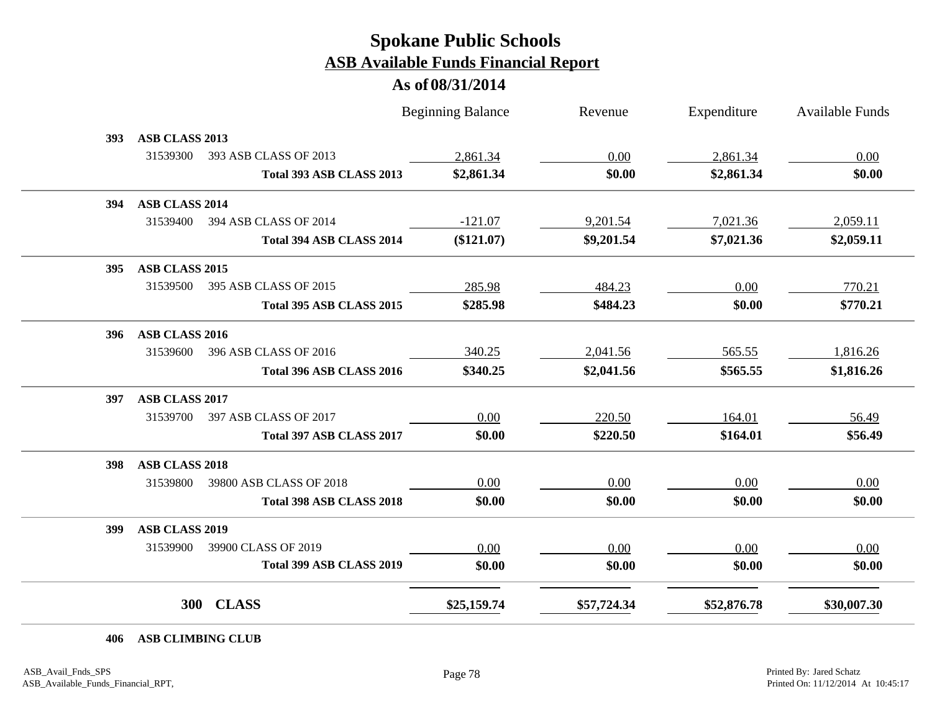|     |                       |                          | <b>Beginning Balance</b> | Revenue     | Expenditure | Available Funds |
|-----|-----------------------|--------------------------|--------------------------|-------------|-------------|-----------------|
| 393 | ASB CLASS 2013        |                          |                          |             |             |                 |
|     | 31539300              | 393 ASB CLASS OF 2013    | 2,861.34                 | 0.00        | 2,861.34    | 0.00            |
|     |                       | Total 393 ASB CLASS 2013 | \$2,861.34               | \$0.00      | \$2,861.34  | \$0.00          |
| 394 | ASB CLASS 2014        |                          |                          |             |             |                 |
|     | 31539400              | 394 ASB CLASS OF 2014    | $-121.07$                | 9,201.54    | 7,021.36    | 2,059.11        |
|     |                       | Total 394 ASB CLASS 2014 | (\$121.07)               | \$9,201.54  | \$7,021.36  | \$2,059.11      |
| 395 | ASB CLASS 2015        |                          |                          |             |             |                 |
|     | 31539500              | 395 ASB CLASS OF 2015    | 285.98                   | 484.23      | 0.00        | 770.21          |
|     |                       | Total 395 ASB CLASS 2015 | \$285.98                 | \$484.23    | \$0.00      | \$770.21        |
| 396 | ASB CLASS 2016        |                          |                          |             |             |                 |
|     | 31539600              | 396 ASB CLASS OF 2016    | 340.25                   | 2,041.56    | 565.55      | 1,816.26        |
|     |                       | Total 396 ASB CLASS 2016 | \$340.25                 | \$2,041.56  | \$565.55    | \$1,816.26      |
| 397 | ASB CLASS 2017        |                          |                          |             |             |                 |
|     | 31539700              | 397 ASB CLASS OF 2017    | 0.00                     | 220.50      | 164.01      | 56.49           |
|     |                       | Total 397 ASB CLASS 2017 | \$0.00                   | \$220.50    | \$164.01    | \$56.49         |
| 398 | <b>ASB CLASS 2018</b> |                          |                          |             |             |                 |
|     | 31539800              | 39800 ASB CLASS OF 2018  | 0.00                     | 0.00        | 0.00        | 0.00            |
|     |                       | Total 398 ASB CLASS 2018 | \$0.00                   | \$0.00      | \$0.00      | \$0.00          |
| 399 | <b>ASB CLASS 2019</b> |                          |                          |             |             |                 |
|     | 31539900              | 39900 CLASS OF 2019      | 0.00                     | 0.00        | 0.00        | 0.00            |
|     |                       | Total 399 ASB CLASS 2019 | \$0.00                   | \$0.00      | \$0.00      | \$0.00          |
|     |                       | 300 CLASS                | \$25,159.74              | \$57,724.34 | \$52,876.78 | \$30,007.30     |
|     | 406 ASB CLIMBING CLUB |                          |                          |             |             |                 |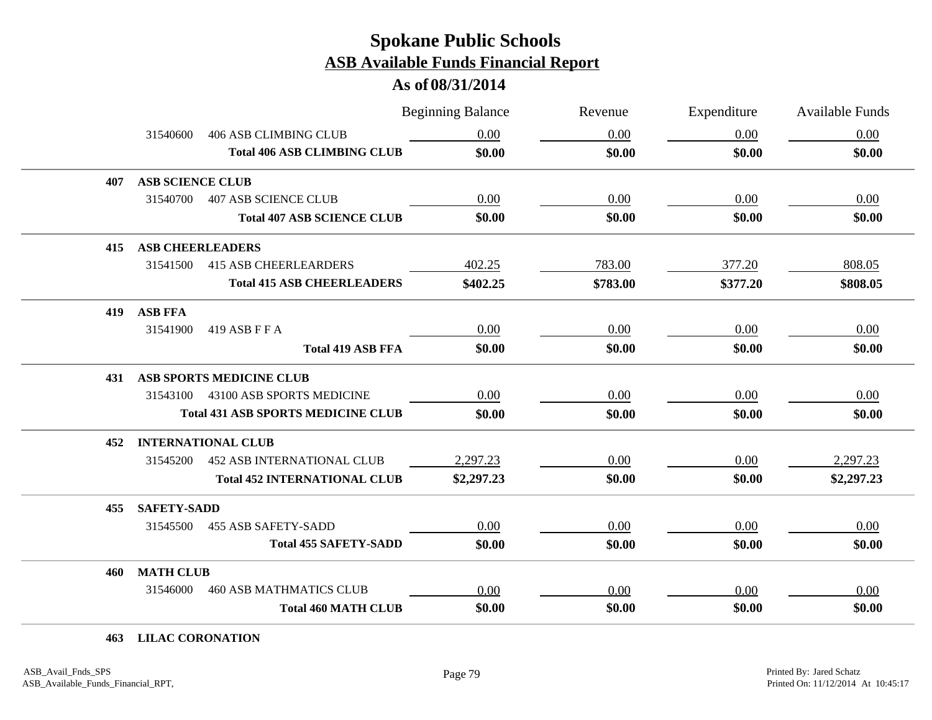#### **As of 08/31/2014**

|     |                         |                                           | <b>Beginning Balance</b> | Revenue  | Expenditure | <b>Available Funds</b> |
|-----|-------------------------|-------------------------------------------|--------------------------|----------|-------------|------------------------|
|     | 31540600                | <b>406 ASB CLIMBING CLUB</b>              | 0.00                     | 0.00     | 0.00        | 0.00                   |
|     |                         | <b>Total 406 ASB CLIMBING CLUB</b>        | \$0.00                   | \$0.00   | \$0.00      | \$0.00                 |
| 407 | <b>ASB SCIENCE CLUB</b> |                                           |                          |          |             |                        |
|     | 31540700                | <b>407 ASB SCIENCE CLUB</b>               | 0.00                     | 0.00     | 0.00        | 0.00                   |
|     |                         | <b>Total 407 ASB SCIENCE CLUB</b>         | \$0.00                   | \$0.00   | \$0.00      | \$0.00                 |
| 415 | <b>ASB CHEERLEADERS</b> |                                           |                          |          |             |                        |
|     | 31541500                | <b>415 ASB CHEERLEARDERS</b>              | 402.25                   | 783.00   | 377.20      | 808.05                 |
|     |                         | <b>Total 415 ASB CHEERLEADERS</b>         | \$402.25                 | \$783.00 | \$377.20    | \$808.05               |
| 419 | <b>ASB FFA</b>          |                                           |                          |          |             |                        |
|     | 31541900                | 419 ASB F F A                             | 0.00                     | 0.00     | 0.00        | 0.00                   |
|     |                         | <b>Total 419 ASB FFA</b>                  | \$0.00                   | \$0.00   | \$0.00      | \$0.00                 |
| 431 |                         | <b>ASB SPORTS MEDICINE CLUB</b>           |                          |          |             |                        |
|     | 31543100                | 43100 ASB SPORTS MEDICINE                 | 0.00                     | 0.00     | 0.00        | 0.00                   |
|     |                         | <b>Total 431 ASB SPORTS MEDICINE CLUB</b> | \$0.00                   | \$0.00   | \$0.00      | \$0.00                 |
| 452 |                         | <b>INTERNATIONAL CLUB</b>                 |                          |          |             |                        |
|     | 31545200                | <b>452 ASB INTERNATIONAL CLUB</b>         | 2,297.23                 | 0.00     | 0.00        | 2,297.23               |
|     |                         | <b>Total 452 INTERNATIONAL CLUB</b>       | \$2,297.23               | \$0.00   | \$0.00      | \$2,297.23             |
| 455 | <b>SAFETY-SADD</b>      |                                           |                          |          |             |                        |
|     | 31545500                | <b>455 ASB SAFETY-SADD</b>                | 0.00                     | 0.00     | 0.00        | 0.00                   |
|     |                         | <b>Total 455 SAFETY-SADD</b>              | \$0.00                   | \$0.00   | \$0.00      | \$0.00                 |
| 460 | <b>MATH CLUB</b>        |                                           |                          |          |             |                        |
|     | 31546000                | <b>460 ASB MATHMATICS CLUB</b>            | 0.00                     | 0.00     | 0.00        | 0.00                   |
|     |                         | <b>Total 460 MATH CLUB</b>                | \$0.00                   | \$0.00   | \$0.00      | \$0.00                 |

#### **463 LILAC CORONATION**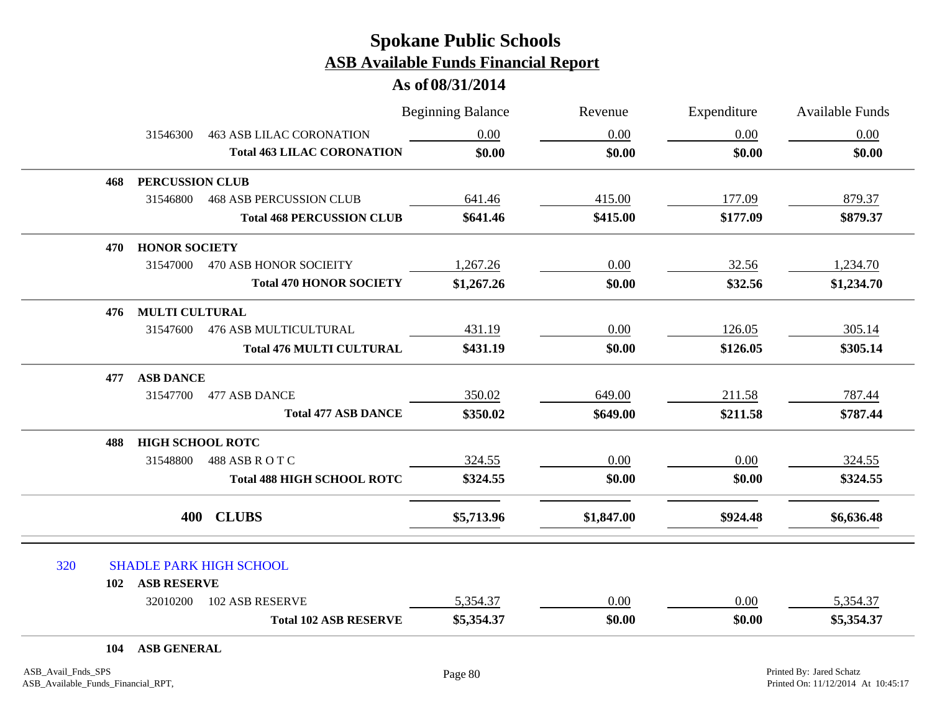|     |                         |                                   | <b>Beginning Balance</b> | Revenue    | Expenditure | <b>Available Funds</b> |
|-----|-------------------------|-----------------------------------|--------------------------|------------|-------------|------------------------|
|     | 31546300                | <b>463 ASB LILAC CORONATION</b>   | 0.00                     | 0.00       | 0.00        | 0.00                   |
|     |                         | <b>Total 463 LILAC CORONATION</b> | \$0.00                   | \$0.00     | \$0.00      | \$0.00                 |
| 468 | PERCUSSION CLUB         |                                   |                          |            |             |                        |
|     | 31546800                | <b>468 ASB PERCUSSION CLUB</b>    | 641.46                   | 415.00     | 177.09      | 879.37                 |
|     |                         | <b>Total 468 PERCUSSION CLUB</b>  | \$641.46                 | \$415.00   | \$177.09    | \$879.37               |
| 470 | <b>HONOR SOCIETY</b>    |                                   |                          |            |             |                        |
|     |                         | 31547000 470 ASB HONOR SOCIEITY   | 1,267.26                 | 0.00       | 32.56       | 1,234.70               |
|     |                         | <b>Total 470 HONOR SOCIETY</b>    | \$1,267.26               | \$0.00     | \$32.56     | \$1,234.70             |
| 476 | <b>MULTI CULTURAL</b>   |                                   |                          |            |             |                        |
|     | 31547600                | 476 ASB MULTICULTURAL             | 431.19                   | 0.00       | 126.05      | 305.14                 |
|     |                         | <b>Total 476 MULTI CULTURAL</b>   | \$431.19                 | \$0.00     | \$126.05    | \$305.14               |
| 477 | <b>ASB DANCE</b>        |                                   |                          |            |             |                        |
|     | 31547700                | 477 ASB DANCE                     | 350.02                   | 649.00     | 211.58      | 787.44                 |
|     |                         | <b>Total 477 ASB DANCE</b>        | \$350.02                 | \$649.00   | \$211.58    | \$787.44               |
| 488 | <b>HIGH SCHOOL ROTC</b> |                                   |                          |            |             |                        |
|     | 31548800                | 488 ASB ROTC                      | 324.55                   | 0.00       | 0.00        | 324.55                 |
|     |                         | <b>Total 488 HIGH SCHOOL ROTC</b> | \$324.55                 | \$0.00     | \$0.00      | \$324.55               |
|     | 400                     | <b>CLUBS</b>                      | \$5,713.96               | \$1,847.00 | \$924.48    | \$6,636.48             |
| 320 |                         | <b>SHADLE PARK HIGH SCHOOL</b>    |                          |            |             |                        |
|     | 102 ASB RESERVE         |                                   |                          |            |             |                        |
|     | 32010200                | 102 ASB RESERVE                   | 5,354.37                 | 0.00       | 0.00        | 5,354.37               |
|     |                         | <b>Total 102 ASB RESERVE</b>      | \$5,354.37               | \$0.00     | \$0.00      | \$5,354.37             |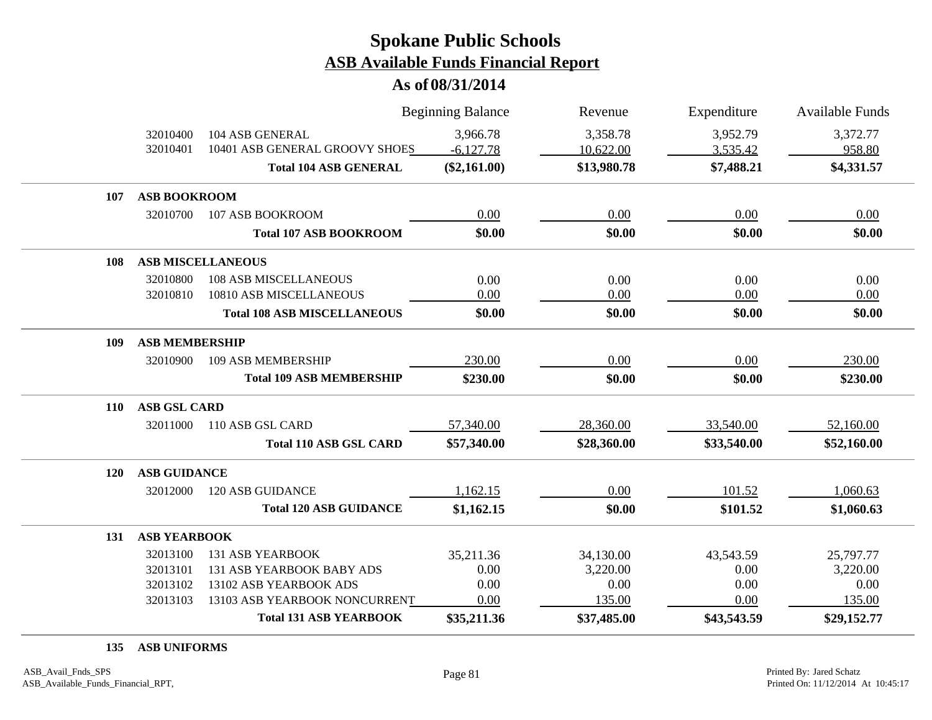**As of 08/31/2014**

|            |                       |                                    | <b>Beginning Balance</b> | Revenue     | Expenditure | <b>Available Funds</b> |
|------------|-----------------------|------------------------------------|--------------------------|-------------|-------------|------------------------|
|            | 32010400              | 104 ASB GENERAL                    | 3,966.78                 | 3,358.78    | 3,952.79    | 3,372.77               |
|            | 32010401              | 10401 ASB GENERAL GROOVY SHOES     | $-6,127.78$              | 10,622.00   | 3,535.42    | 958.80                 |
|            |                       | <b>Total 104 ASB GENERAL</b>       | $(\$2,161.00)$           | \$13,980.78 | \$7,488.21  | \$4,331.57             |
| 107        | <b>ASB BOOKROOM</b>   |                                    |                          |             |             |                        |
|            | 32010700              | 107 ASB BOOKROOM                   | 0.00                     | 0.00        | 0.00        | 0.00                   |
|            |                       | <b>Total 107 ASB BOOKROOM</b>      | \$0.00                   | \$0.00      | \$0.00      | \$0.00                 |
| 108        |                       | <b>ASB MISCELLANEOUS</b>           |                          |             |             |                        |
|            | 32010800              | <b>108 ASB MISCELLANEOUS</b>       | 0.00                     | 0.00        | 0.00        | 0.00                   |
|            | 32010810              | 10810 ASB MISCELLANEOUS            | 0.00                     | 0.00        | 0.00        | 0.00                   |
|            |                       | <b>Total 108 ASB MISCELLANEOUS</b> | \$0.00                   | \$0.00      | \$0.00      | \$0.00                 |
| 109        | <b>ASB MEMBERSHIP</b> |                                    |                          |             |             |                        |
|            | 32010900              | <b>109 ASB MEMBERSHIP</b>          | 230.00                   | 0.00        | 0.00        | 230.00                 |
|            |                       | <b>Total 109 ASB MEMBERSHIP</b>    | \$230.00                 | \$0.00      | \$0.00      | \$230.00               |
| <b>110</b> | <b>ASB GSL CARD</b>   |                                    |                          |             |             |                        |
|            | 32011000              | 110 ASB GSL CARD                   | 57,340.00                | 28,360.00   | 33,540.00   | 52,160.00              |
|            |                       | <b>Total 110 ASB GSL CARD</b>      | \$57,340.00              | \$28,360.00 | \$33,540.00 | \$52,160.00            |
| <b>120</b> | <b>ASB GUIDANCE</b>   |                                    |                          |             |             |                        |
|            | 32012000              | <b>120 ASB GUIDANCE</b>            | 1,162.15                 | 0.00        | 101.52      | 1,060.63               |
|            |                       | <b>Total 120 ASB GUIDANCE</b>      | \$1,162.15               | \$0.00      | \$101.52    | \$1,060.63             |
| 131        | <b>ASB YEARBOOK</b>   |                                    |                          |             |             |                        |
|            | 32013100              | <b>131 ASB YEARBOOK</b>            | 35,211.36                | 34,130.00   | 43,543.59   | 25,797.77              |
|            | 32013101              | 131 ASB YEARBOOK BABY ADS          | 0.00                     | 3,220.00    | 0.00        | 3,220.00               |
|            | 32013102              | 13102 ASB YEARBOOK ADS             | 0.00                     | 0.00        | 0.00        | 0.00                   |
|            | 32013103              | 13103 ASB YEARBOOK NONCURRENT      | 0.00                     | 135.00      | 0.00        | 135.00                 |
|            |                       | <b>Total 131 ASB YEARBOOK</b>      | \$35,211.36              | \$37,485.00 | \$43,543.59 | \$29,152.77            |

**135 ASB UNIFORMS**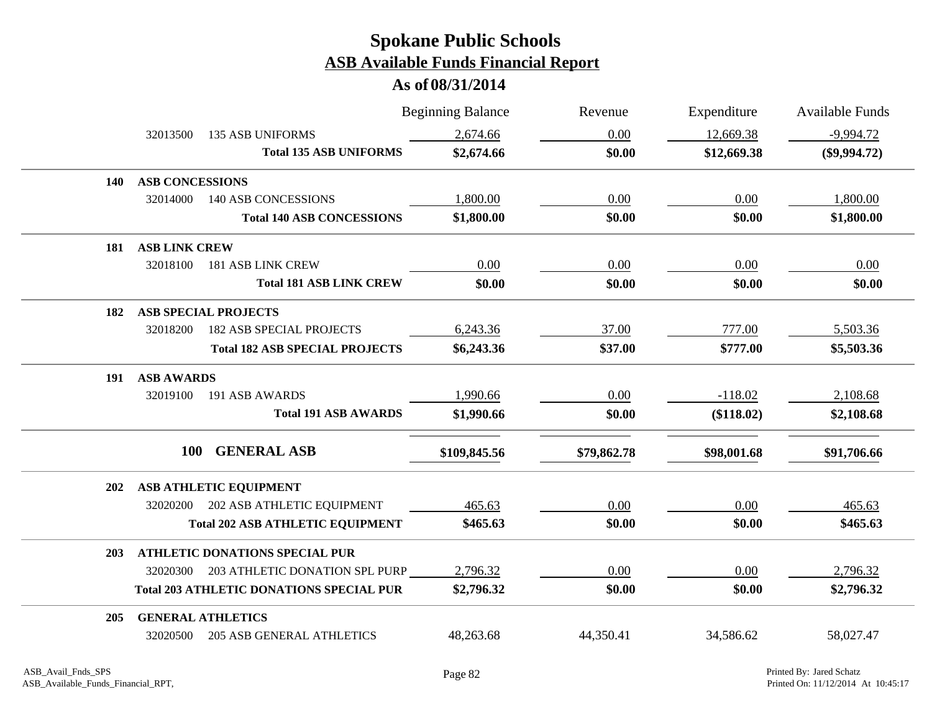|            |                        |                                                 | <b>Beginning Balance</b> | Revenue     | Expenditure | <b>Available Funds</b> |
|------------|------------------------|-------------------------------------------------|--------------------------|-------------|-------------|------------------------|
|            | 32013500               | <b>135 ASB UNIFORMS</b>                         | 2,674.66                 | 0.00        | 12,669.38   | $-9,994.72$            |
|            |                        | <b>Total 135 ASB UNIFORMS</b>                   | \$2,674.66               | \$0.00      | \$12,669.38 | $(\$9,994.72)$         |
| 140        | <b>ASB CONCESSIONS</b> |                                                 |                          |             |             |                        |
|            | 32014000               | <b>140 ASB CONCESSIONS</b>                      | 1,800.00                 | 0.00        | 0.00        | 1,800.00               |
|            |                        | <b>Total 140 ASB CONCESSIONS</b>                | \$1,800.00               | \$0.00      | \$0.00      | \$1,800.00             |
| 181        | <b>ASB LINK CREW</b>   |                                                 |                          |             |             |                        |
|            | 32018100               | <b>181 ASB LINK CREW</b>                        | 0.00                     | 0.00        | 0.00        | 0.00                   |
|            |                        | <b>Total 181 ASB LINK CREW</b>                  | \$0.00                   | \$0.00      | \$0.00      | \$0.00                 |
| 182        |                        | <b>ASB SPECIAL PROJECTS</b>                     |                          |             |             |                        |
|            | 32018200               | <b>182 ASB SPECIAL PROJECTS</b>                 | 6,243.36                 | 37.00       | 777.00      | 5,503.36               |
|            |                        | <b>Total 182 ASB SPECIAL PROJECTS</b>           | \$6,243.36               | \$37.00     | \$777.00    | \$5,503.36             |
| 191        | <b>ASB AWARDS</b>      |                                                 |                          |             |             |                        |
|            | 32019100               | 191 ASB AWARDS                                  | 1,990.66                 | 0.00        | $-118.02$   | 2,108.68               |
|            |                        | <b>Total 191 ASB AWARDS</b>                     | \$1,990.66               | \$0.00      | (\$118.02)  | \$2,108.68             |
|            | <b>100</b>             | <b>GENERAL ASB</b>                              | \$109,845.56             | \$79,862.78 | \$98,001.68 | \$91,706.66            |
| <b>202</b> |                        | ASB ATHLETIC EQUIPMENT                          |                          |             |             |                        |
|            |                        | 32020200 202 ASB ATHLETIC EQUIPMENT             | 465.63                   | 0.00        | 0.00        | 465.63                 |
|            |                        | <b>Total 202 ASB ATHLETIC EQUIPMENT</b>         | \$465.63                 | \$0.00      | \$0.00      | \$465.63               |
| <b>203</b> |                        | <b>ATHLETIC DONATIONS SPECIAL PUR</b>           |                          |             |             |                        |
|            |                        | 32020300 203 ATHLETIC DONATION SPL PURP         | 2,796.32                 | 0.00        | 0.00        | 2,796.32               |
|            |                        | <b>Total 203 ATHLETIC DONATIONS SPECIAL PUR</b> | \$2,796.32               | \$0.00      | \$0.00      | \$2,796.32             |
| 205        |                        | <b>GENERAL ATHLETICS</b>                        |                          |             |             |                        |
|            | 32020500               | <b>205 ASB GENERAL ATHLETICS</b>                | 48,263.68                | 44,350.41   | 34,586.62   | 58,027.47              |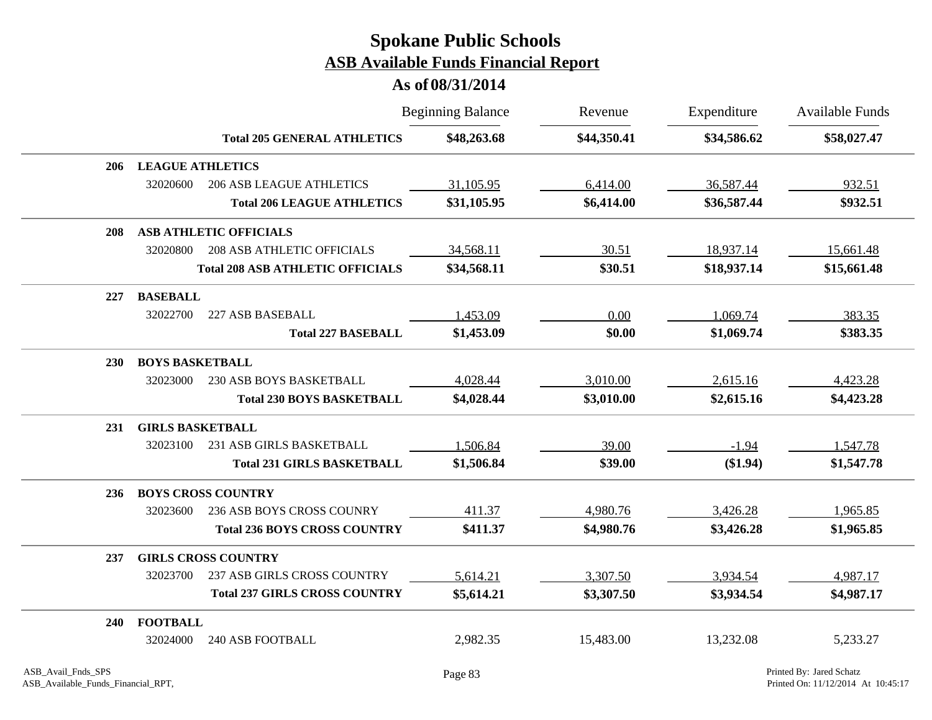|            |                               |                                         | <b>Beginning Balance</b> | Revenue     | Expenditure | <b>Available Funds</b> |
|------------|-------------------------------|-----------------------------------------|--------------------------|-------------|-------------|------------------------|
|            |                               | <b>Total 205 GENERAL ATHLETICS</b>      | \$48,263.68              | \$44,350.41 | \$34,586.62 | \$58,027.47            |
| 206        | <b>LEAGUE ATHLETICS</b>       |                                         |                          |             |             |                        |
|            | 32020600                      | <b>206 ASB LEAGUE ATHLETICS</b>         | 31,105.95                | 6,414.00    | 36,587.44   | 932.51                 |
|            |                               | <b>Total 206 LEAGUE ATHLETICS</b>       | \$31,105.95              | \$6,414.00  | \$36,587.44 | \$932.51               |
| 208        | <b>ASB ATHLETIC OFFICIALS</b> |                                         |                          |             |             |                        |
|            | 32020800                      | <b>208 ASB ATHLETIC OFFICIALS</b>       | 34,568.11                | 30.51       | 18,937.14   | 15,661.48              |
|            |                               | <b>Total 208 ASB ATHLETIC OFFICIALS</b> | \$34,568.11              | \$30.51     | \$18,937.14 | \$15,661.48            |
| 227        | <b>BASEBALL</b>               |                                         |                          |             |             |                        |
|            | 32022700                      | 227 ASB BASEBALL                        | 1,453.09                 | 0.00        | 1,069.74    | 383.35                 |
|            |                               | <b>Total 227 BASEBALL</b>               | \$1,453.09               | \$0.00      | \$1,069.74  | \$383.35               |
| <b>230</b> | <b>BOYS BASKETBALL</b>        |                                         |                          |             |             |                        |
|            | 32023000                      | 230 ASB BOYS BASKETBALL                 | 4,028.44                 | 3,010.00    | 2,615.16    | 4,423.28               |
|            |                               | <b>Total 230 BOYS BASKETBALL</b>        | \$4,028.44               | \$3,010.00  | \$2,615.16  | \$4,423.28             |
| 231        | <b>GIRLS BASKETBALL</b>       |                                         |                          |             |             |                        |
|            | 32023100                      | 231 ASB GIRLS BASKETBALL                | 1,506.84                 | 39.00       | $-1.94$     | 1,547.78               |
|            |                               | <b>Total 231 GIRLS BASKETBALL</b>       | \$1,506.84               | \$39.00     | (\$1.94)    | \$1,547.78             |
| 236        | <b>BOYS CROSS COUNTRY</b>     |                                         |                          |             |             |                        |
|            | 32023600                      | 236 ASB BOYS CROSS COUNRY               | 411.37                   | 4,980.76    | 3,426.28    | 1,965.85               |
|            |                               | <b>Total 236 BOYS CROSS COUNTRY</b>     | \$411.37                 | \$4,980.76  | \$3,426.28  | \$1,965.85             |
| 237        | <b>GIRLS CROSS COUNTRY</b>    |                                         |                          |             |             |                        |
|            | 32023700                      | 237 ASB GIRLS CROSS COUNTRY             | 5,614.21                 | 3,307.50    | 3,934.54    | 4,987.17               |
|            |                               | <b>Total 237 GIRLS CROSS COUNTRY</b>    | \$5,614.21               | \$3,307.50  | \$3,934.54  | \$4,987.17             |
| 240        | <b>FOOTBALL</b>               |                                         |                          |             |             |                        |
|            | 32024000                      | <b>240 ASB FOOTBALL</b>                 | 2,982.35                 | 15,483.00   | 13,232.08   | 5,233.27               |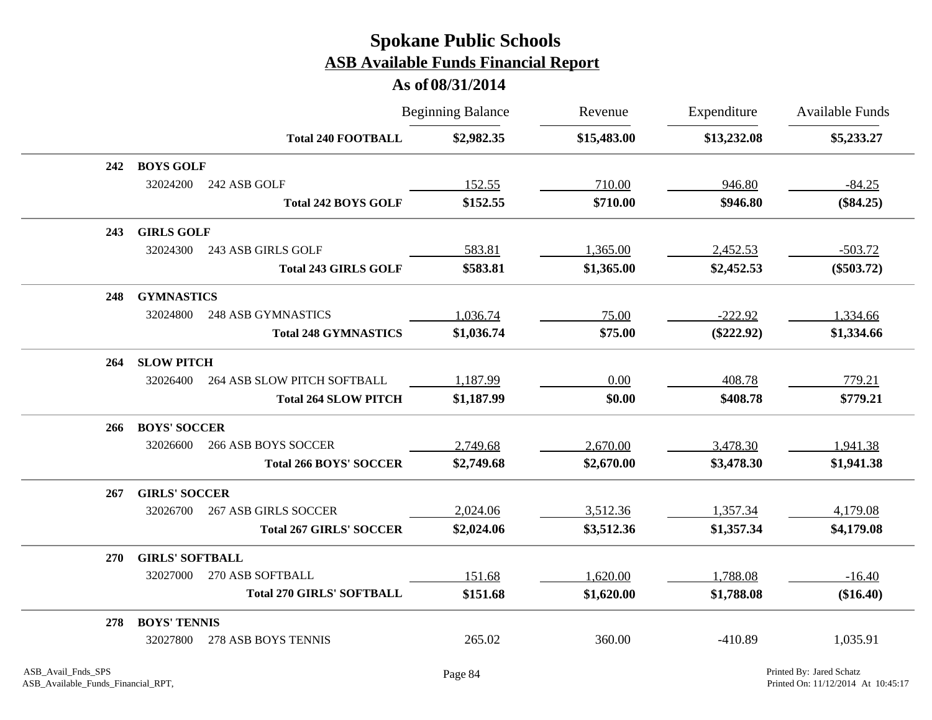|            |                        |                                  | <b>Beginning Balance</b> | Revenue     | Expenditure  | Available Funds |
|------------|------------------------|----------------------------------|--------------------------|-------------|--------------|-----------------|
|            |                        | <b>Total 240 FOOTBALL</b>        | \$2,982.35               | \$15,483.00 | \$13,232.08  | \$5,233.27      |
| 242        | <b>BOYS GOLF</b>       |                                  |                          |             |              |                 |
|            | 32024200               | 242 ASB GOLF                     | 152.55                   | 710.00      | 946.80       | $-84.25$        |
|            |                        | <b>Total 242 BOYS GOLF</b>       | \$152.55                 | \$710.00    | \$946.80     | $(\$84.25)$     |
| 243        | <b>GIRLS GOLF</b>      |                                  |                          |             |              |                 |
|            | 32024300               | 243 ASB GIRLS GOLF               | 583.81                   | 1,365.00    | 2,452.53     | $-503.72$       |
|            |                        | <b>Total 243 GIRLS GOLF</b>      | \$583.81                 | \$1,365.00  | \$2,452.53   | $(\$503.72)$    |
| 248        | <b>GYMNASTICS</b>      |                                  |                          |             |              |                 |
|            | 32024800               | <b>248 ASB GYMNASTICS</b>        | 1,036.74                 | 75.00       | $-222.92$    | 1,334.66        |
|            |                        | <b>Total 248 GYMNASTICS</b>      | \$1,036.74               | \$75.00     | $(\$222.92)$ | \$1,334.66      |
| 264        | <b>SLOW PITCH</b>      |                                  |                          |             |              |                 |
|            | 32026400               | 264 ASB SLOW PITCH SOFTBALL      | 1,187.99                 | 0.00        | 408.78       | 779.21          |
|            |                        | <b>Total 264 SLOW PITCH</b>      | \$1,187.99               | \$0.00      | \$408.78     | \$779.21        |
| 266        | <b>BOYS' SOCCER</b>    |                                  |                          |             |              |                 |
|            | 32026600               | <b>266 ASB BOYS SOCCER</b>       | 2,749.68                 | 2,670.00    | 3,478.30     | 1,941.38        |
|            |                        | <b>Total 266 BOYS' SOCCER</b>    | \$2,749.68               | \$2,670.00  | \$3,478.30   | \$1,941.38      |
| 267        | <b>GIRLS' SOCCER</b>   |                                  |                          |             |              |                 |
|            | 32026700               | <b>267 ASB GIRLS SOCCER</b>      | 2,024.06                 | 3,512.36    | 1,357.34     | 4,179.08        |
|            |                        | <b>Total 267 GIRLS' SOCCER</b>   | \$2,024.06               | \$3,512.36  | \$1,357.34   | \$4,179.08      |
| <b>270</b> | <b>GIRLS' SOFTBALL</b> |                                  |                          |             |              |                 |
|            | 32027000               | 270 ASB SOFTBALL                 | 151.68                   | 1,620.00    | 1,788.08     | $-16.40$        |
|            |                        | <b>Total 270 GIRLS' SOFTBALL</b> | \$151.68                 | \$1,620.00  | \$1,788.08   | $(\$16.40)$     |
| 278        | <b>BOYS' TENNIS</b>    |                                  |                          |             |              |                 |
|            | 32027800               | 278 ASB BOYS TENNIS              | 265.02                   | 360.00      | $-410.89$    | 1,035.91        |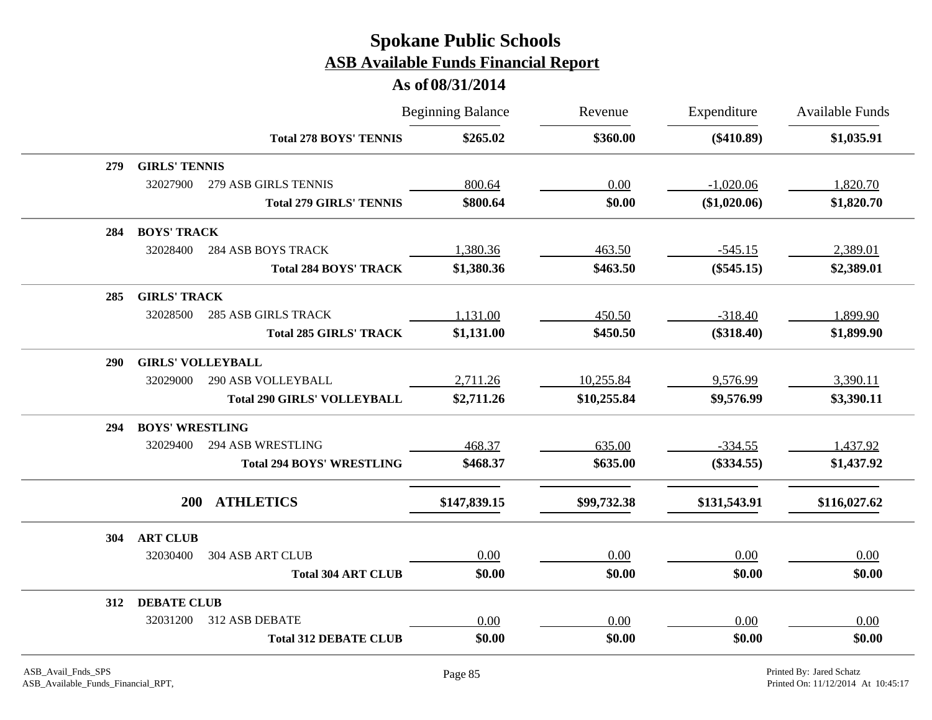|     |                          |                                    | <b>Beginning Balance</b> | Revenue     | Expenditure  | <b>Available Funds</b> |
|-----|--------------------------|------------------------------------|--------------------------|-------------|--------------|------------------------|
|     |                          | <b>Total 278 BOYS' TENNIS</b>      | \$265.02                 | \$360.00    | $(\$410.89)$ | \$1,035.91             |
| 279 | <b>GIRLS' TENNIS</b>     |                                    |                          |             |              |                        |
|     | 32027900                 | 279 ASB GIRLS TENNIS               | 800.64                   | 0.00        | $-1,020.06$  | 1,820.70               |
|     |                          | <b>Total 279 GIRLS' TENNIS</b>     | \$800.64                 | \$0.00      | (\$1,020.06) | \$1,820.70             |
| 284 | <b>BOYS' TRACK</b>       |                                    |                          |             |              |                        |
|     | 32028400                 | <b>284 ASB BOYS TRACK</b>          | 1,380.36                 | 463.50      | $-545.15$    | 2,389.01               |
|     |                          | <b>Total 284 BOYS' TRACK</b>       | \$1,380.36               | \$463.50    | $(\$545.15)$ | \$2,389.01             |
| 285 | <b>GIRLS' TRACK</b>      |                                    |                          |             |              |                        |
|     | 32028500                 | <b>285 ASB GIRLS TRACK</b>         | 1,131.00                 | 450.50      | $-318.40$    | 1,899.90               |
|     |                          | <b>Total 285 GIRLS' TRACK</b>      | \$1,131.00               | \$450.50    | $(\$318.40)$ | \$1,899.90             |
| 290 | <b>GIRLS' VOLLEYBALL</b> |                                    |                          |             |              |                        |
|     | 32029000                 | <b>290 ASB VOLLEYBALL</b>          | 2,711.26                 | 10,255.84   | 9,576.99     | 3,390.11               |
|     |                          | <b>Total 290 GIRLS' VOLLEYBALL</b> | \$2,711.26               | \$10,255.84 | \$9,576.99   | \$3,390.11             |
| 294 | <b>BOYS' WRESTLING</b>   |                                    |                          |             |              |                        |
|     | 32029400                 | <b>294 ASB WRESTLING</b>           | 468.37                   | 635.00      | $-334.55$    | 1,437.92               |
|     |                          | <b>Total 294 BOYS' WRESTLING</b>   | \$468.37                 | \$635.00    | $(\$334.55)$ | \$1,437.92             |
|     | 200                      | <b>ATHLETICS</b>                   | \$147,839.15             | \$99,732.38 | \$131,543.91 | \$116,027.62           |
|     |                          |                                    |                          |             |              |                        |
| 304 | <b>ART CLUB</b>          |                                    |                          |             |              |                        |
|     | 32030400                 | <b>304 ASB ART CLUB</b>            | 0.00                     | 0.00        | 0.00         | 0.00                   |
|     |                          | <b>Total 304 ART CLUB</b>          | \$0.00                   | \$0.00      | \$0.00       | \$0.00                 |
| 312 | <b>DEBATE CLUB</b>       |                                    |                          |             |              |                        |
|     | 32031200                 | 312 ASB DEBATE                     | 0.00                     | 0.00        | 0.00         | 0.00                   |
|     |                          | <b>Total 312 DEBATE CLUB</b>       | \$0.00                   | \$0.00      | \$0.00       | \$0.00                 |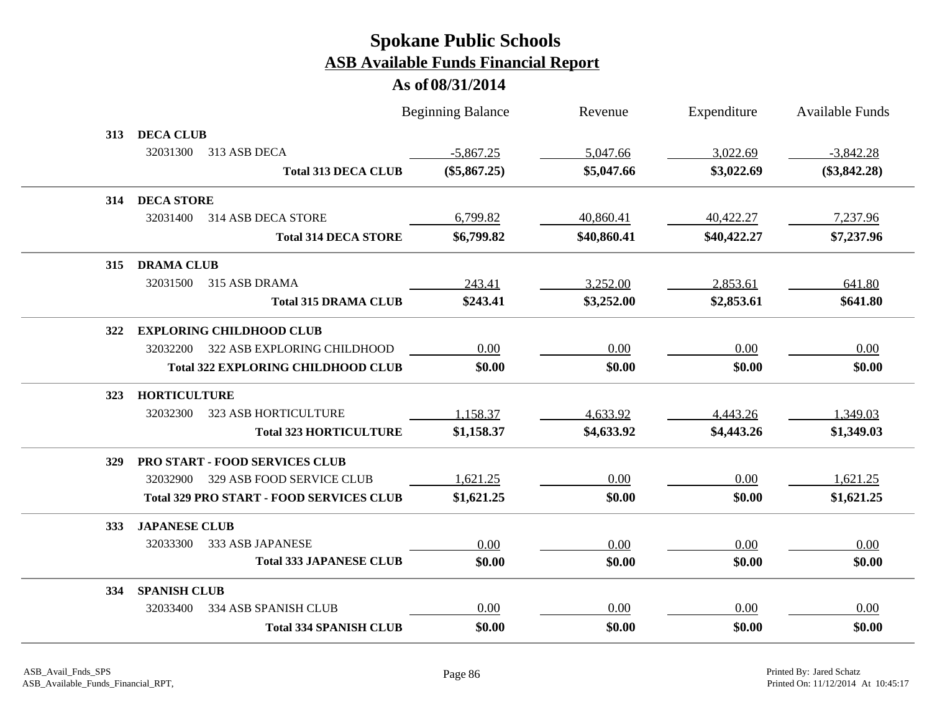|     |                                                 |                                | <b>Beginning Balance</b> | Revenue     | Expenditure | Available Funds |
|-----|-------------------------------------------------|--------------------------------|--------------------------|-------------|-------------|-----------------|
| 313 | <b>DECA CLUB</b>                                |                                |                          |             |             |                 |
|     | 32031300<br>313 ASB DECA                        |                                | $-5,867.25$              | 5,047.66    | 3,022.69    | $-3,842.28$     |
|     |                                                 | <b>Total 313 DECA CLUB</b>     | $(\$5,867.25)$           | \$5,047.66  | \$3,022.69  | $(\$3,842.28)$  |
| 314 | <b>DECA STORE</b>                               |                                |                          |             |             |                 |
|     | 32031400<br>314 ASB DECA STORE                  |                                | 6,799.82                 | 40,860.41   | 40,422.27   | 7,237.96        |
|     |                                                 | <b>Total 314 DECA STORE</b>    | \$6,799.82               | \$40,860.41 | \$40,422.27 | \$7,237.96      |
| 315 | <b>DRAMA CLUB</b>                               |                                |                          |             |             |                 |
|     | 315 ASB DRAMA<br>32031500                       |                                | 243.41                   | 3,252.00    | 2,853.61    | 641.80          |
|     |                                                 | <b>Total 315 DRAMA CLUB</b>    | \$243.41                 | \$3,252.00  | \$2,853.61  | \$641.80        |
| 322 | <b>EXPLORING CHILDHOOD CLUB</b>                 |                                |                          |             |             |                 |
|     | 322 ASB EXPLORING CHILDHOOD<br>32032200         |                                | 0.00                     | 0.00        | 0.00        | 0.00            |
|     | <b>Total 322 EXPLORING CHILDHOOD CLUB</b>       |                                | \$0.00                   | \$0.00      | \$0.00      | \$0.00          |
| 323 | <b>HORTICULTURE</b>                             |                                |                          |             |             |                 |
|     | 32032300<br><b>323 ASB HORTICULTURE</b>         |                                | 1,158.37                 | 4,633.92    | 4,443.26    | 1,349.03        |
|     |                                                 | <b>Total 323 HORTICULTURE</b>  | \$1,158.37               | \$4,633.92  | \$4,443.26  | \$1,349.03      |
| 329 | <b>PRO START - FOOD SERVICES CLUB</b>           |                                |                          |             |             |                 |
|     | 329 ASB FOOD SERVICE CLUB<br>32032900           |                                | 1,621.25                 | 0.00        | 0.00        | 1,621.25        |
|     | <b>Total 329 PRO START - FOOD SERVICES CLUB</b> |                                | \$1,621.25               | \$0.00      | \$0.00      | \$1,621.25      |
| 333 | <b>JAPANESE CLUB</b>                            |                                |                          |             |             |                 |
|     | 333 ASB JAPANESE<br>32033300                    |                                | 0.00                     | 0.00        | 0.00        | 0.00            |
|     |                                                 | <b>Total 333 JAPANESE CLUB</b> | \$0.00                   | \$0.00      | \$0.00      | \$0.00          |
| 334 | <b>SPANISH CLUB</b>                             |                                |                          |             |             |                 |
|     | 334 ASB SPANISH CLUB<br>32033400                |                                | 0.00                     | 0.00        | 0.00        | 0.00            |
|     |                                                 | <b>Total 334 SPANISH CLUB</b>  | \$0.00                   | \$0.00      | \$0.00      | \$0.00          |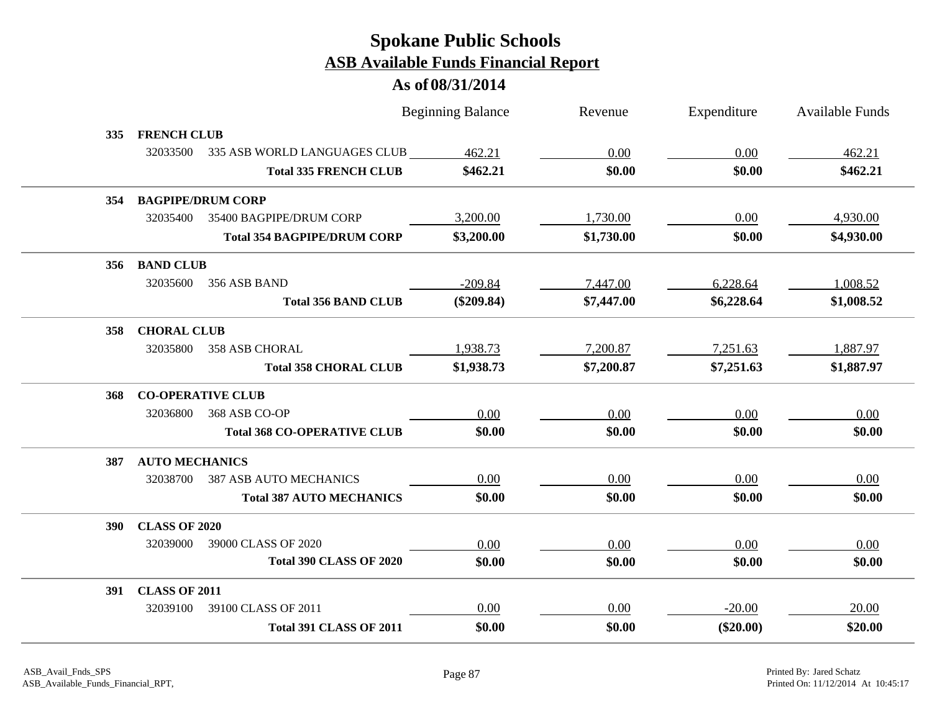|                |                          |                                    | <b>Beginning Balance</b> | Revenue    | Expenditure | <b>Available Funds</b> |
|----------------|--------------------------|------------------------------------|--------------------------|------------|-------------|------------------------|
| 335            | <b>FRENCH CLUB</b>       |                                    |                          |            |             |                        |
|                | 32033500                 | 335 ASB WORLD LANGUAGES CLUB       | 462.21                   | 0.00       | 0.00        | 462.21                 |
|                |                          | <b>Total 335 FRENCH CLUB</b>       | \$462.21                 | \$0.00     | \$0.00      | \$462.21               |
| 354            |                          | <b>BAGPIPE/DRUM CORP</b>           |                          |            |             |                        |
|                | 32035400                 | 35400 BAGPIPE/DRUM CORP            | 3,200.00                 | 1,730.00   | 0.00        | 4,930.00               |
|                |                          | <b>Total 354 BAGPIPE/DRUM CORP</b> | \$3,200.00               | \$1,730.00 | \$0.00      | \$4,930.00             |
|                | 356 BAND CLUB            |                                    |                          |            |             |                        |
|                | 32035600                 | 356 ASB BAND                       | $-209.84$                | 7,447.00   | 6,228.64    | 1,008.52               |
|                |                          | <b>Total 356 BAND CLUB</b>         | $(\$209.84)$             | \$7,447.00 | \$6,228.64  | \$1,008.52             |
| 358            | <b>CHORAL CLUB</b>       |                                    |                          |            |             |                        |
|                | 32035800                 | <b>358 ASB CHORAL</b>              | 1,938.73                 | 7,200.87   | 7,251.63    | 1,887.97               |
|                |                          | <b>Total 358 CHORAL CLUB</b>       | \$1,938.73               | \$7,200.87 | \$7,251.63  | \$1,887.97             |
| 368            | <b>CO-OPERATIVE CLUB</b> |                                    |                          |            |             |                        |
|                | 32036800                 | 368 ASB CO-OP                      | 0.00                     | 0.00       | 0.00        | 0.00                   |
|                |                          | <b>Total 368 CO-OPERATIVE CLUB</b> | \$0.00                   | \$0.00     | \$0.00      | \$0.00                 |
| 387            | <b>AUTO MECHANICS</b>    |                                    |                          |            |             |                        |
|                | 32038700                 | <b>387 ASB AUTO MECHANICS</b>      | 0.00                     | 0.00       | 0.00        | 0.00                   |
|                |                          | <b>Total 387 AUTO MECHANICS</b>    | \$0.00                   | \$0.00     | \$0.00      | \$0.00                 |
| 390 <b>SEP</b> | <b>CLASS OF 2020</b>     |                                    |                          |            |             |                        |
|                | 32039000                 | 39000 CLASS OF 2020                | 0.00                     | 0.00       | 0.00        | 0.00                   |
|                |                          | <b>Total 390 CLASS OF 2020</b>     | \$0.00                   | \$0.00     | \$0.00      | \$0.00                 |
|                | 391 CLASS OF 2011        |                                    |                          |            |             |                        |
|                | 32039100                 | 39100 CLASS OF 2011                | 0.00                     | 0.00       | $-20.00$    | 20.00                  |
|                |                          | <b>Total 391 CLASS OF 2011</b>     | \$0.00                   | \$0.00     | $(\$20.00)$ | \$20.00                |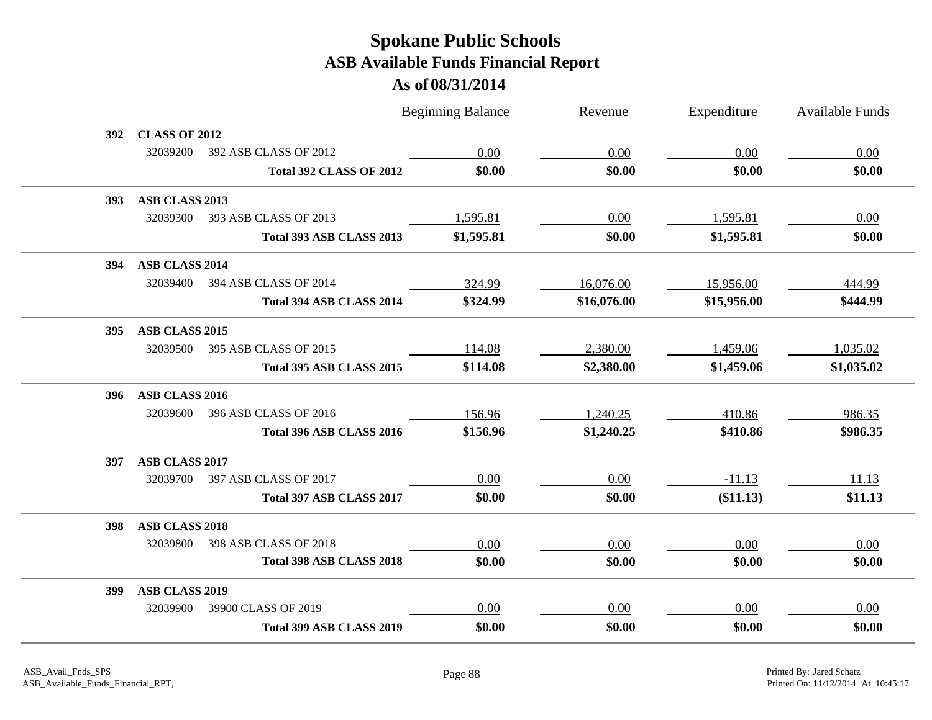|            |                       |                                | <b>Beginning Balance</b> | Revenue     | Expenditure | Available Funds |
|------------|-----------------------|--------------------------------|--------------------------|-------------|-------------|-----------------|
| 392        | <b>CLASS OF 2012</b>  |                                |                          |             |             |                 |
|            | 32039200              | 392 ASB CLASS OF 2012          | 0.00                     | 0.00        | 0.00        | 0.00            |
|            |                       | <b>Total 392 CLASS OF 2012</b> | \$0.00                   | \$0.00      | \$0.00      | \$0.00          |
| <b>393</b> | ASB CLASS 2013        |                                |                          |             |             |                 |
|            | 32039300              | 393 ASB CLASS OF 2013          | 1,595.81                 | 0.00        | 1,595.81    | 0.00            |
|            |                       | Total 393 ASB CLASS 2013       | \$1,595.81               | \$0.00      | \$1,595.81  | \$0.00          |
| 394        | ASB CLASS 2014        |                                |                          |             |             |                 |
|            | 32039400              | 394 ASB CLASS OF 2014          | 324.99                   | 16,076.00   | 15,956.00   | 444.99          |
|            |                       | Total 394 ASB CLASS 2014       | \$324.99                 | \$16,076.00 | \$15,956.00 | \$444.99        |
| 395        | ASB CLASS 2015        |                                |                          |             |             |                 |
|            | 32039500              | 395 ASB CLASS OF 2015          | 114.08                   | 2,380.00    | 1,459.06    | 1,035.02        |
|            |                       | Total 395 ASB CLASS 2015       | \$114.08                 | \$2,380.00  | \$1,459.06  | \$1,035.02      |
| 396        | ASB CLASS 2016        |                                |                          |             |             |                 |
|            | 32039600              | 396 ASB CLASS OF 2016          | 156.96                   | 1,240.25    | 410.86      | 986.35          |
|            |                       | Total 396 ASB CLASS 2016       | \$156.96                 | \$1,240.25  | \$410.86    | \$986.35        |
| 397        | ASB CLASS 2017        |                                |                          |             |             |                 |
|            | 32039700              | 397 ASB CLASS OF 2017          | 0.00                     | 0.00        | $-11.13$    | 11.13           |
|            |                       | Total 397 ASB CLASS 2017       | \$0.00                   | \$0.00      | (\$11.13)   | \$11.13         |
| 398        | <b>ASB CLASS 2018</b> |                                |                          |             |             |                 |
|            | 32039800              | 398 ASB CLASS OF 2018          | 0.00                     | 0.00        | 0.00        | 0.00            |
|            |                       | Total 398 ASB CLASS 2018       | \$0.00                   | \$0.00      | \$0.00      | \$0.00          |
| 399        | ASB CLASS 2019        |                                |                          |             |             |                 |
|            | 32039900              | 39900 CLASS OF 2019            | 0.00                     | 0.00        | 0.00        | 0.00            |
|            |                       | Total 399 ASB CLASS 2019       | \$0.00                   | \$0.00      | \$0.00      | \$0.00          |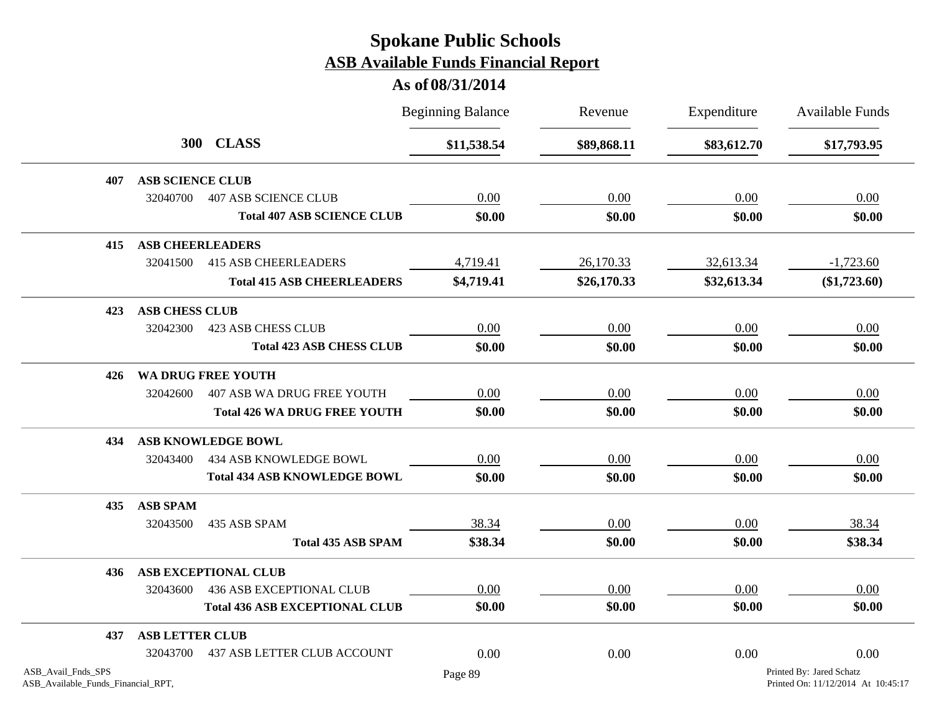|                                                          |                         |                                       | <b>Beginning Balance</b> | Revenue     | Expenditure | Available Funds                                                |
|----------------------------------------------------------|-------------------------|---------------------------------------|--------------------------|-------------|-------------|----------------------------------------------------------------|
|                                                          |                         | 300 CLASS                             | \$11,538.54              | \$89,868.11 | \$83,612.70 | \$17,793.95                                                    |
| 407                                                      | <b>ASB SCIENCE CLUB</b> |                                       |                          |             |             |                                                                |
|                                                          | 32040700                | <b>407 ASB SCIENCE CLUB</b>           | 0.00                     | 0.00        | 0.00        | 0.00                                                           |
|                                                          |                         | <b>Total 407 ASB SCIENCE CLUB</b>     | \$0.00                   | \$0.00      | \$0.00      | \$0.00                                                         |
| 415                                                      | <b>ASB CHEERLEADERS</b> |                                       |                          |             |             |                                                                |
|                                                          | 32041500                | <b>415 ASB CHEERLEADERS</b>           | 4,719.41                 | 26,170.33   | 32,613.34   | $-1,723.60$                                                    |
|                                                          |                         | <b>Total 415 ASB CHEERLEADERS</b>     | \$4,719.41               | \$26,170.33 | \$32,613.34 | $(\$1,723.60)$                                                 |
| 423                                                      | <b>ASB CHESS CLUB</b>   |                                       |                          |             |             |                                                                |
|                                                          | 32042300                | <b>423 ASB CHESS CLUB</b>             | 0.00                     | 0.00        | 0.00        | 0.00                                                           |
|                                                          |                         | <b>Total 423 ASB CHESS CLUB</b>       | \$0.00                   | \$0.00      | \$0.00      | \$0.00                                                         |
| 426                                                      |                         | WA DRUG FREE YOUTH                    |                          |             |             |                                                                |
|                                                          | 32042600                | <b>407 ASB WA DRUG FREE YOUTH</b>     | 0.00                     | 0.00        | 0.00        | 0.00                                                           |
|                                                          |                         | <b>Total 426 WA DRUG FREE YOUTH</b>   | \$0.00                   | \$0.00      | \$0.00      | \$0.00                                                         |
| 434                                                      |                         | <b>ASB KNOWLEDGE BOWL</b>             |                          |             |             |                                                                |
|                                                          | 32043400                | 434 ASB KNOWLEDGE BOWL                | 0.00                     | 0.00        | 0.00        | 0.00                                                           |
|                                                          |                         | <b>Total 434 ASB KNOWLEDGE BOWL</b>   | \$0.00                   | \$0.00      | \$0.00      | \$0.00                                                         |
| 435                                                      | <b>ASB SPAM</b>         |                                       |                          |             |             |                                                                |
|                                                          | 32043500                | 435 ASB SPAM                          | 38.34                    | 0.00        | 0.00        | 38.34                                                          |
|                                                          |                         | <b>Total 435 ASB SPAM</b>             | \$38.34                  | \$0.00      | \$0.00      | \$38.34                                                        |
| 436                                                      |                         | <b>ASB EXCEPTIONAL CLUB</b>           |                          |             |             |                                                                |
|                                                          | 32043600                | <b>436 ASB EXCEPTIONAL CLUB</b>       | 0.00                     | 0.00        | 0.00        | 0.00                                                           |
|                                                          |                         | <b>Total 436 ASB EXCEPTIONAL CLUB</b> | \$0.00                   | \$0.00      | \$0.00      | \$0.00                                                         |
| 437                                                      | <b>ASB LETTER CLUB</b>  |                                       |                          |             |             |                                                                |
|                                                          | 32043700                | <b>437 ASB LETTER CLUB ACCOUNT</b>    | 0.00                     | 0.00        | 0.00        | 0.00                                                           |
| ASB_Avail_Fnds_SPS<br>ASB_Available_Funds_Financial_RPT, |                         |                                       | Page 89                  |             |             | Printed By: Jared Schatz<br>Printed On: 11/12/2014 At 10:45:17 |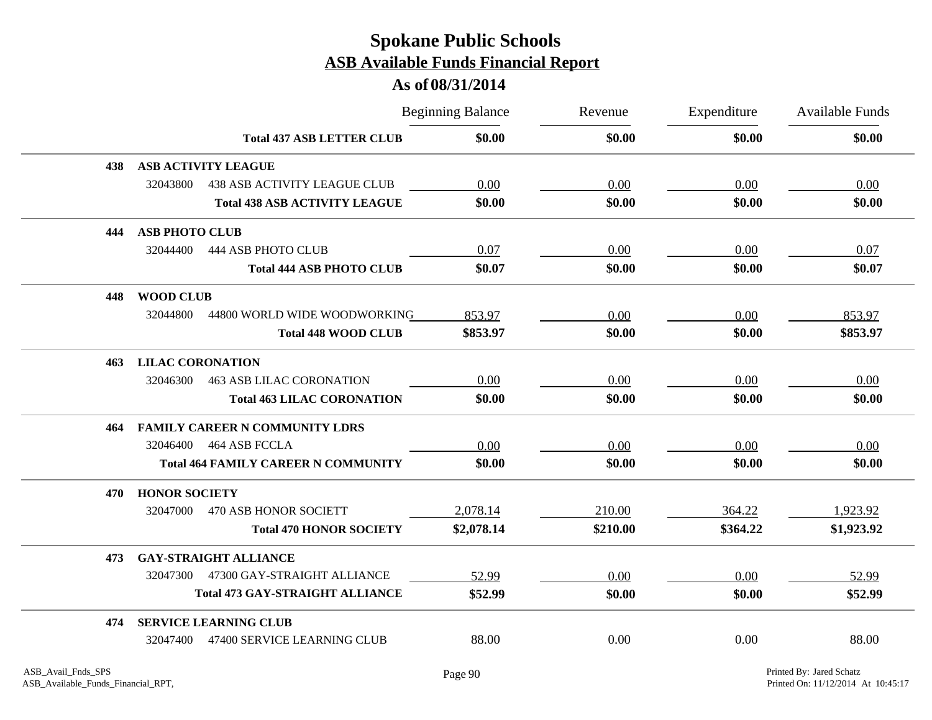|     |                                                 |                                  | <b>Beginning Balance</b> | Revenue  | Expenditure | <b>Available Funds</b> |
|-----|-------------------------------------------------|----------------------------------|--------------------------|----------|-------------|------------------------|
|     |                                                 | <b>Total 437 ASB LETTER CLUB</b> | \$0.00                   | \$0.00   | \$0.00      | \$0.00                 |
| 438 | <b>ASB ACTIVITY LEAGUE</b>                      |                                  |                          |          |             |                        |
|     | 32043800<br><b>438 ASB ACTIVITY LEAGUE CLUB</b> |                                  | 0.00                     | 0.00     | 0.00        | 0.00                   |
|     | <b>Total 438 ASB ACTIVITY LEAGUE</b>            |                                  | \$0.00                   | \$0.00   | \$0.00      | \$0.00                 |
| 444 | <b>ASB PHOTO CLUB</b>                           |                                  |                          |          |             |                        |
|     | 32044400<br><b>444 ASB PHOTO CLUB</b>           |                                  | 0.07                     | 0.00     | 0.00        | 0.07                   |
|     |                                                 | <b>Total 444 ASB PHOTO CLUB</b>  | \$0.07                   | \$0.00   | \$0.00      | \$0.07                 |
| 448 | <b>WOOD CLUB</b>                                |                                  |                          |          |             |                        |
|     | 32044800<br>44800 WORLD WIDE WOODWORKING        |                                  | 853.97                   | 0.00     | 0.00        | 853.97                 |
|     |                                                 | <b>Total 448 WOOD CLUB</b>       | \$853.97                 | \$0.00   | \$0.00      | \$853.97               |
| 463 | <b>LILAC CORONATION</b>                         |                                  |                          |          |             |                        |
|     | 32046300<br><b>463 ASB LILAC CORONATION</b>     |                                  | 0.00                     | 0.00     | 0.00        | 0.00                   |
|     | <b>Total 463 LILAC CORONATION</b>               |                                  | \$0.00                   | \$0.00   | \$0.00      | \$0.00                 |
| 464 | <b>FAMILY CAREER N COMMUNITY LDRS</b>           |                                  |                          |          |             |                        |
|     | 464 ASB FCCLA<br>32046400                       |                                  | 0.00                     | 0.00     | 0.00        | 0.00                   |
|     | <b>Total 464 FAMILY CAREER N COMMUNITY</b>      |                                  | \$0.00                   | \$0.00   | \$0.00      | \$0.00                 |
| 470 | <b>HONOR SOCIETY</b>                            |                                  |                          |          |             |                        |
|     | 32047000<br><b>470 ASB HONOR SOCIETT</b>        |                                  | 2,078.14                 | 210.00   | 364.22      | 1,923.92               |
|     |                                                 | <b>Total 470 HONOR SOCIETY</b>   | \$2,078.14               | \$210.00 | \$364.22    | \$1,923.92             |
| 473 | <b>GAY-STRAIGHT ALLIANCE</b>                    |                                  |                          |          |             |                        |
|     | 47300 GAY-STRAIGHT ALLIANCE<br>32047300         |                                  | 52.99                    | 0.00     | 0.00        | 52.99                  |
|     | <b>Total 473 GAY-STRAIGHT ALLIANCE</b>          |                                  | \$52.99                  | \$0.00   | \$0.00      | \$52.99                |
| 474 | <b>SERVICE LEARNING CLUB</b>                    |                                  |                          |          |             |                        |
|     | 47400 SERVICE LEARNING CLUB<br>32047400         |                                  | 88.00                    | 0.00     | 0.00        | 88.00                  |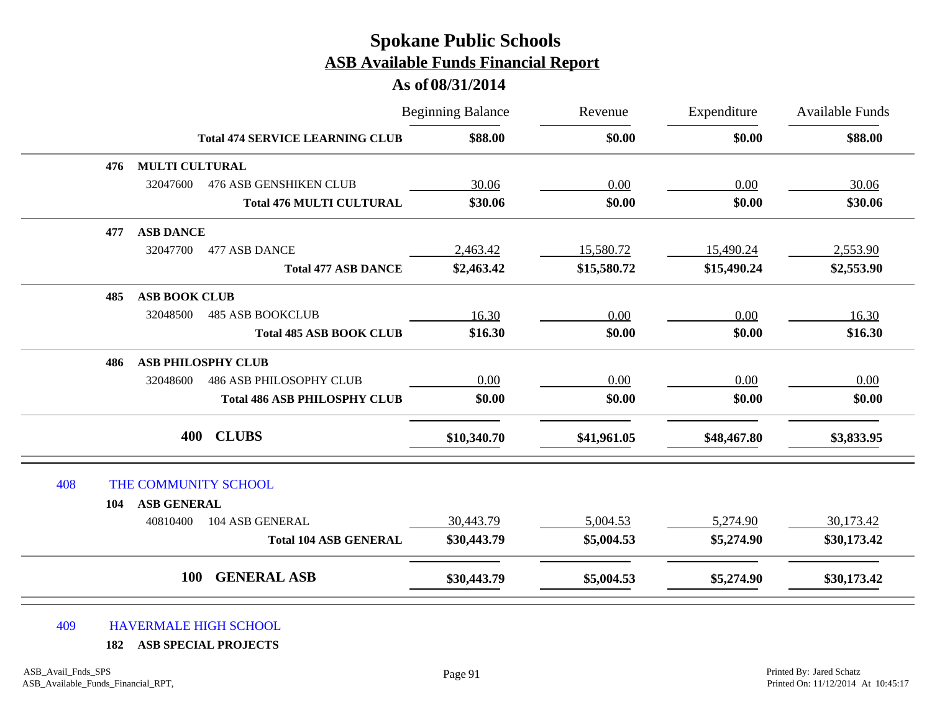#### **As of 08/31/2014**

|     |                       |                                        | <b>Beginning Balance</b> | Revenue     | Expenditure | <b>Available Funds</b> |
|-----|-----------------------|----------------------------------------|--------------------------|-------------|-------------|------------------------|
|     |                       | <b>Total 474 SERVICE LEARNING CLUB</b> | \$88.00                  | \$0.00      | \$0.00      | \$88.00                |
| 476 | <b>MULTI CULTURAL</b> |                                        |                          |             |             |                        |
|     | 32047600              | <b>476 ASB GENSHIKEN CLUB</b>          | 30.06                    | 0.00        | 0.00        | 30.06                  |
|     |                       | <b>Total 476 MULTI CULTURAL</b>        | \$30.06                  | \$0.00      | \$0.00      | \$30.06                |
| 477 | <b>ASB DANCE</b>      |                                        |                          |             |             |                        |
|     | 32047700              | 477 ASB DANCE                          | 2,463.42                 | 15,580.72   | 15,490.24   | 2,553.90               |
|     |                       | <b>Total 477 ASB DANCE</b>             | \$2,463.42               | \$15,580.72 | \$15,490.24 | \$2,553.90             |
| 485 | <b>ASB BOOK CLUB</b>  |                                        |                          |             |             |                        |
|     | 32048500              | <b>485 ASB BOOKCLUB</b>                | 16.30                    | 0.00        | 0.00        | 16.30                  |
|     |                       | <b>Total 485 ASB BOOK CLUB</b>         | \$16.30                  | \$0.00      | \$0.00      | \$16.30                |
| 486 |                       | <b>ASB PHILOSPHY CLUB</b>              |                          |             |             |                        |
|     | 32048600              | <b>486 ASB PHILOSOPHY CLUB</b>         | $0.00\,$                 | 0.00        | 0.00        | 0.00                   |
|     |                       | <b>Total 486 ASB PHILOSPHY CLUB</b>    | \$0.00                   | \$0.00      | \$0.00      | \$0.00                 |
|     | 400                   | <b>CLUBS</b>                           | \$10,340.70              | \$41,961.05 | \$48,467.80 | \$3,833.95             |
| 408 | THE COMMUNITY SCHOOL  |                                        |                          |             |             |                        |
| 104 | <b>ASB GENERAL</b>    |                                        |                          |             |             |                        |
|     | 40810400              | 104 ASB GENERAL                        | 30,443.79                | 5,004.53    | 5,274.90    | 30,173.42              |
|     |                       | <b>Total 104 ASB GENERAL</b>           | \$30,443.79              | \$5,004.53  | \$5,274.90  | \$30,173.42            |
|     | <b>100</b>            | <b>GENERAL ASB</b>                     | \$30,443.79              | \$5,004.53  | \$5,274.90  | \$30,173.42            |

#### 409 HAVERMALE HIGH SCHOOL

**182 ASB SPECIAL PROJECTS**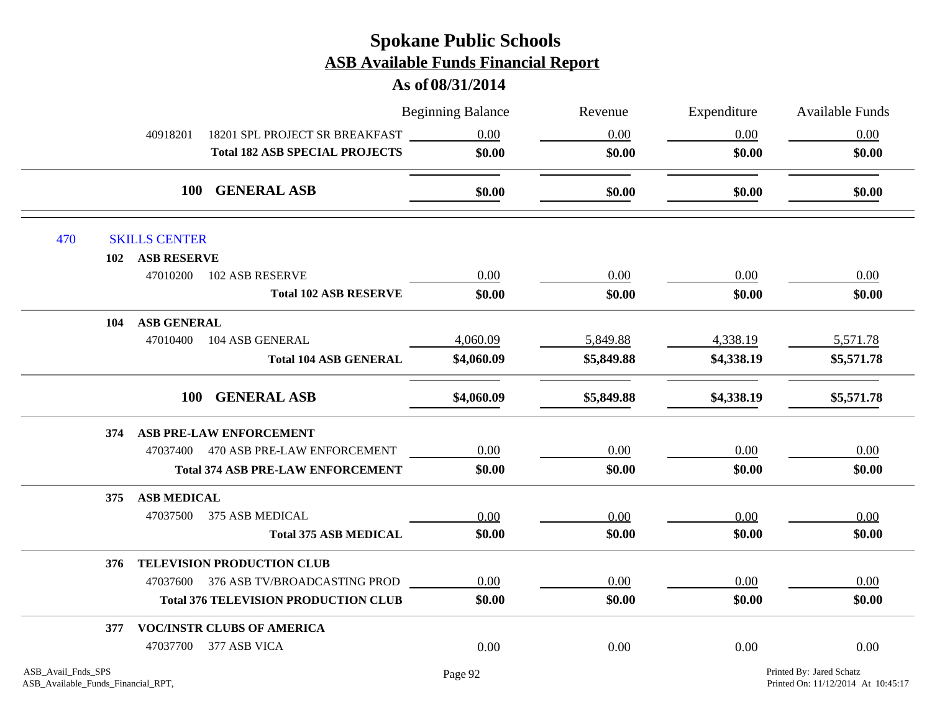|     |                           |                                             | <b>Beginning Balance</b> | Revenue    | Expenditure | <b>Available Funds</b> |
|-----|---------------------------|---------------------------------------------|--------------------------|------------|-------------|------------------------|
|     | 40918201                  | 18201 SPL PROJECT SR BREAKFAST              | 0.00                     | 0.00       | 0.00        | 0.00                   |
|     |                           | <b>Total 182 ASB SPECIAL PROJECTS</b>       | \$0.00                   | \$0.00     | \$0.00      | \$0.00                 |
|     |                           | 100 GENERAL ASB                             | \$0.00                   | \$0.00     | \$0.00      | \$0.00                 |
| 470 | <b>SKILLS CENTER</b>      |                                             |                          |            |             |                        |
|     | 102 ASB RESERVE           |                                             |                          |            |             |                        |
|     |                           | 47010200 102 ASB RESERVE                    | 0.00                     | 0.00       | 0.00        | 0.00                   |
|     |                           | <b>Total 102 ASB RESERVE</b>                | \$0.00                   | \$0.00     | \$0.00      | \$0.00                 |
|     | <b>ASB GENERAL</b><br>104 |                                             |                          |            |             |                        |
|     | 47010400                  | 104 ASB GENERAL                             | 4,060.09                 | 5,849.88   | 4,338.19    | 5,571.78               |
|     |                           | <b>Total 104 ASB GENERAL</b>                | \$4,060.09               | \$5,849.88 | \$4,338.19  | \$5,571.78             |
|     |                           | 100 GENERAL ASB                             | \$4,060.09               | \$5,849.88 | \$4,338.19  | \$5,571.78             |
|     | 374                       | <b>ASB PRE-LAW ENFORCEMENT</b>              |                          |            |             |                        |
|     |                           | 47037400 470 ASB PRE-LAW ENFORCEMENT        | 0.00                     | $0.00\,$   | 0.00        | 0.00                   |
|     |                           | <b>Total 374 ASB PRE-LAW ENFORCEMENT</b>    | \$0.00                   | \$0.00     | \$0.00      | \$0.00                 |
|     | <b>ASB MEDICAL</b><br>375 |                                             |                          |            |             |                        |
|     |                           | 47037500 375 ASB MEDICAL                    | 0.00                     | 0.00       | 0.00        | 0.00                   |
|     |                           | <b>Total 375 ASB MEDICAL</b>                | \$0.00                   | \$0.00     | \$0.00      | \$0.00                 |
|     | 376                       | <b>TELEVISION PRODUCTION CLUB</b>           |                          |            |             |                        |
|     |                           | 47037600 376 ASB TV/BROADCASTING PROD       | 0.00                     | 0.00       | 0.00        | 0.00                   |
|     |                           | <b>Total 376 TELEVISION PRODUCTION CLUB</b> | \$0.00                   | \$0.00     | \$0.00      | \$0.00                 |
|     | 377                       | <b>VOC/INSTR CLUBS OF AMERICA</b>           |                          |            |             |                        |
|     |                           | 47037700 377 ASB VICA                       | 0.00                     | 0.00       | 0.00        | 0.00                   |
|     |                           |                                             |                          |            |             |                        |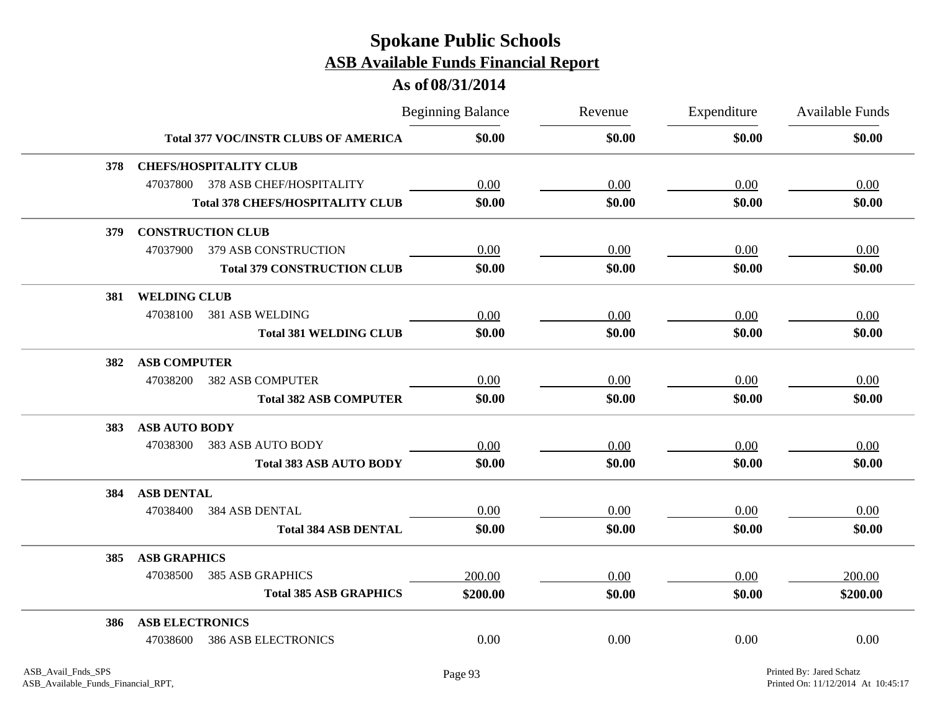|     |                        |                                             | <b>Beginning Balance</b> | Revenue | Expenditure | Available Funds |
|-----|------------------------|---------------------------------------------|--------------------------|---------|-------------|-----------------|
|     |                        | <b>Total 377 VOC/INSTR CLUBS OF AMERICA</b> | \$0.00                   | \$0.00  | \$0.00      | \$0.00          |
| 378 |                        | <b>CHEFS/HOSPITALITY CLUB</b>               |                          |         |             |                 |
|     |                        | 47037800 378 ASB CHEF/HOSPITALITY           | 0.00                     | 0.00    | 0.00        | 0.00            |
|     |                        | <b>Total 378 CHEFS/HOSPITALITY CLUB</b>     | \$0.00                   | \$0.00  | \$0.00      | \$0.00          |
| 379 |                        | <b>CONSTRUCTION CLUB</b>                    |                          |         |             |                 |
|     | 47037900               | 379 ASB CONSTRUCTION                        | 0.00                     | 0.00    | 0.00        | 0.00            |
|     |                        | <b>Total 379 CONSTRUCTION CLUB</b>          | \$0.00                   | \$0.00  | \$0.00      | \$0.00          |
| 381 | <b>WELDING CLUB</b>    |                                             |                          |         |             |                 |
|     | 47038100               | 381 ASB WELDING                             | 0.00                     | 0.00    | 0.00        | 0.00            |
|     |                        | <b>Total 381 WELDING CLUB</b>               | \$0.00                   | \$0.00  | \$0.00      | \$0.00          |
| 382 | <b>ASB COMPUTER</b>    |                                             |                          |         |             |                 |
|     | 47038200               | <b>382 ASB COMPUTER</b>                     | 0.00                     | 0.00    | 0.00        | 0.00            |
|     |                        | <b>Total 382 ASB COMPUTER</b>               | \$0.00                   | \$0.00  | \$0.00      | \$0.00          |
| 383 | <b>ASB AUTO BODY</b>   |                                             |                          |         |             |                 |
|     | 47038300               | 383 ASB AUTO BODY                           | 0.00                     | 0.00    | 0.00        | 0.00            |
|     |                        | <b>Total 383 ASB AUTO BODY</b>              | \$0.00                   | \$0.00  | \$0.00      | \$0.00          |
| 384 | <b>ASB DENTAL</b>      |                                             |                          |         |             |                 |
|     | 47038400               | <b>384 ASB DENTAL</b>                       | 0.00                     | 0.00    | 0.00        | 0.00            |
|     |                        | <b>Total 384 ASB DENTAL</b>                 | \$0.00                   | \$0.00  | \$0.00      | \$0.00          |
| 385 | <b>ASB GRAPHICS</b>    |                                             |                          |         |             |                 |
|     | 47038500               | <b>385 ASB GRAPHICS</b>                     | 200.00                   | 0.00    | 0.00        | 200.00          |
|     |                        | <b>Total 385 ASB GRAPHICS</b>               | \$200.00                 | \$0.00  | \$0.00      | \$200.00        |
| 386 | <b>ASB ELECTRONICS</b> |                                             |                          |         |             |                 |
|     | 47038600               | <b>386 ASB ELECTRONICS</b>                  | 0.00                     | 0.00    | 0.00        | 0.00            |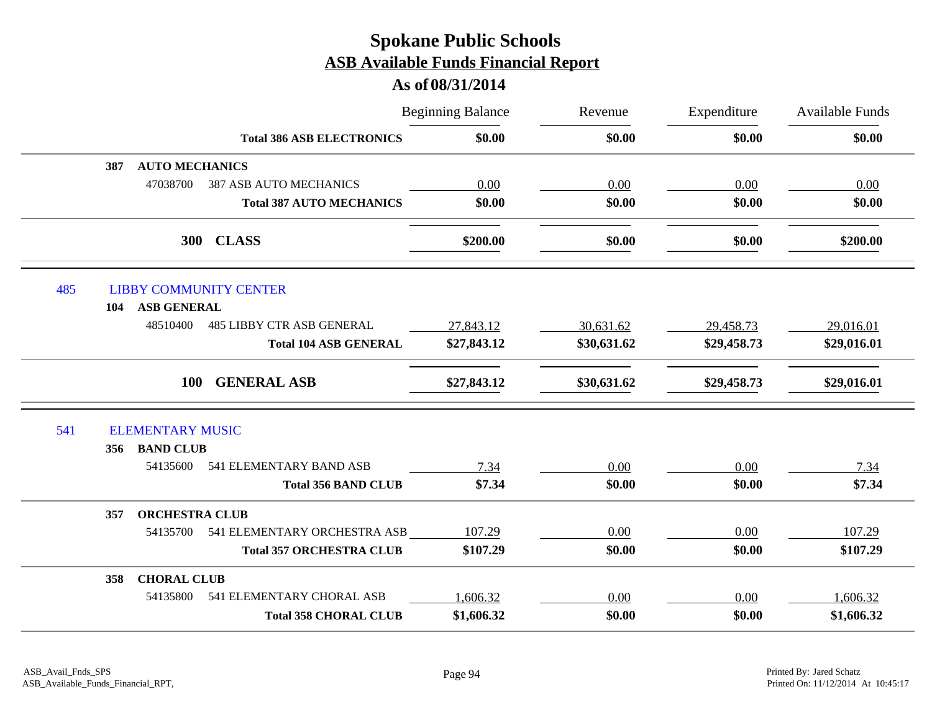|     |                              |                                  | <b>Beginning Balance</b> | Revenue     | Expenditure | Available Funds |
|-----|------------------------------|----------------------------------|--------------------------|-------------|-------------|-----------------|
|     |                              | <b>Total 386 ASB ELECTRONICS</b> | \$0.00                   | \$0.00      | \$0.00      | \$0.00          |
|     | <b>AUTO MECHANICS</b><br>387 |                                  |                          |             |             |                 |
|     | 47038700                     | <b>387 ASB AUTO MECHANICS</b>    | 0.00                     | 0.00        | 0.00        | 0.00            |
|     |                              | <b>Total 387 AUTO MECHANICS</b>  | \$0.00                   | \$0.00      | \$0.00      | \$0.00          |
|     |                              | <b>CLASS</b><br><b>300</b>       | \$200.00                 | \$0.00      | \$0.00      | \$200.00        |
| 485 |                              | <b>LIBBY COMMUNITY CENTER</b>    |                          |             |             |                 |
|     | ASB GENERAL<br>104           |                                  |                          |             |             |                 |
|     | 48510400                     | <b>485 LIBBY CTR ASB GENERAL</b> | 27,843.12                | 30,631.62   | 29,458.73   | 29,016.01       |
|     |                              | <b>Total 104 ASB GENERAL</b>     | \$27,843.12              | \$30,631.62 | \$29,458.73 | \$29,016.01     |
|     | <b>100</b>                   | <b>GENERAL ASB</b>               | \$27,843.12              | \$30,631.62 | \$29,458.73 | \$29,016.01     |
| 541 | <b>ELEMENTARY MUSIC</b>      |                                  |                          |             |             |                 |
|     | <b>BAND CLUB</b><br>356      |                                  |                          |             |             |                 |
|     | 54135600                     | 541 ELEMENTARY BAND ASB          | 7.34                     | 0.00        | 0.00        | 7.34            |
|     |                              | <b>Total 356 BAND CLUB</b>       | \$7.34                   | \$0.00      | \$0.00      | \$7.34          |
|     | <b>ORCHESTRA CLUB</b><br>357 |                                  |                          |             |             |                 |
|     | 54135700                     | 541 ELEMENTARY ORCHESTRA ASB     | 107.29                   | 0.00        | 0.00        | 107.29          |
|     |                              | <b>Total 357 ORCHESTRA CLUB</b>  | \$107.29                 | \$0.00      | \$0.00      | \$107.29        |
|     | <b>CHORAL CLUB</b><br>358    |                                  |                          |             |             |                 |
|     | 54135800                     | 541 ELEMENTARY CHORAL ASB        | 1,606.32                 | 0.00        | 0.00        | 1,606.32        |
|     |                              | <b>Total 358 CHORAL CLUB</b>     | \$1,606.32               | \$0.00      | \$0.00      | \$1,606.32      |